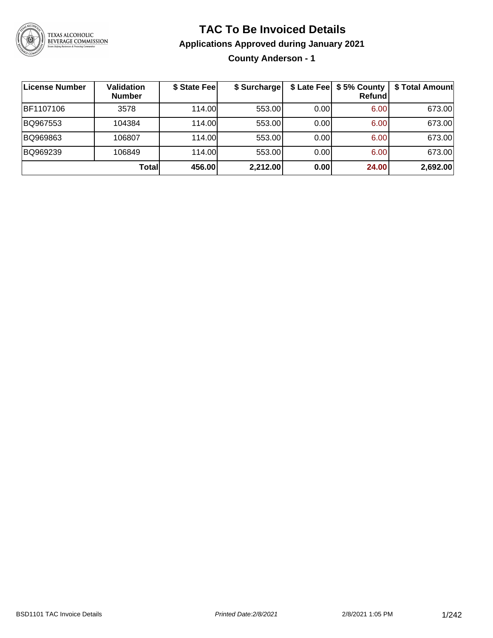

# **TAC To Be Invoiced Details**

**Applications Approved during January 2021**

**County Anderson - 1**

| License Number | <b>Validation</b><br><b>Number</b> | \$ State Fee | \$ Surcharge |      | \$ Late Fee   \$5% County  <br><b>Refund</b> | \$ Total Amount |
|----------------|------------------------------------|--------------|--------------|------|----------------------------------------------|-----------------|
| BF1107106      | 3578                               | 114.00L      | 553.00       | 0.00 | 6.00                                         | 673.00          |
| BQ967553       | 104384                             | 114.00       | 553.00       | 0.00 | 6.00                                         | 673.00          |
| BQ969863       | 106807                             | 114.00L      | 553.00       | 0.00 | 6.00                                         | 673.00          |
| BQ969239       | 106849                             | 114.00       | 553.00       | 0.00 | 6.00                                         | 673.00          |
|                | Total                              | 456.00       | 2,212.00     | 0.00 | 24.00                                        | 2,692.00        |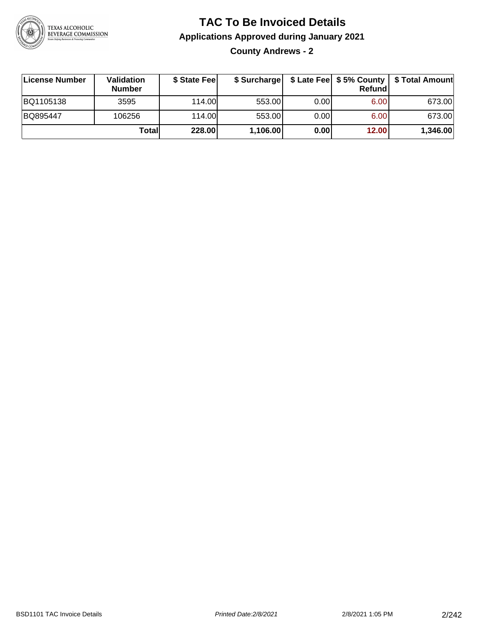

**County Andrews - 2**

| License Number | <b>Validation</b><br><b>Number</b> | \$ State Fee | \$ Surcharge |       | Refundl | \$ Late Fee   \$5% County   \$ Total Amount |
|----------------|------------------------------------|--------------|--------------|-------|---------|---------------------------------------------|
| BQ1105138      | 3595                               | 114.00       | 553.00       | 0.001 | 6.00    | 673.00                                      |
| BQ895447       | 106256                             | 114.00       | 553.00       | 0.001 | 6.00    | 673.00                                      |
|                | Totall                             | 228.00       | 1,106.00     | 0.00  | 12.00   | 1,346.00                                    |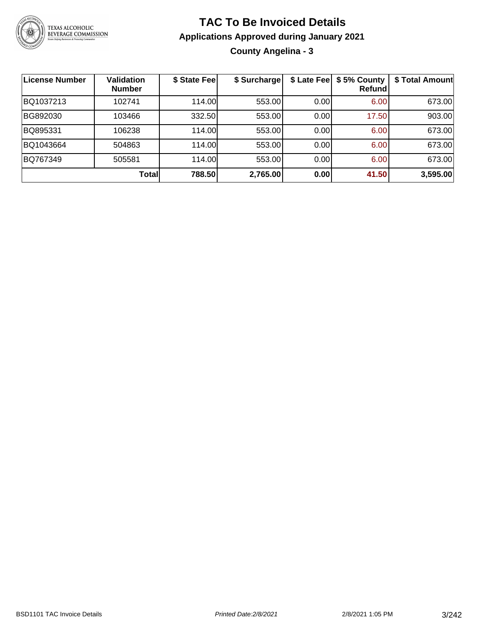

**County Angelina - 3**

| <b>License Number</b> | <b>Validation</b><br><b>Number</b> | \$ State Fee | \$ Surcharge |      | \$ Late Fee   \$5% County<br>Refundl | \$ Total Amount |
|-----------------------|------------------------------------|--------------|--------------|------|--------------------------------------|-----------------|
| BQ1037213             | 102741                             | 114.00       | 553.00       | 0.00 | 6.00                                 | 673.00          |
| BG892030              | 103466                             | 332.50       | 553.00       | 0.00 | 17.50                                | 903.00          |
| BQ895331              | 106238                             | 114.00       | 553.00       | 0.00 | 6.00                                 | 673.00          |
| BQ1043664             | 504863                             | 114.00       | 553.00       | 0.00 | 6.00                                 | 673.00          |
| BQ767349              | 505581                             | 114.00L      | 553.00       | 0.00 | 6.00                                 | 673.00          |
|                       | Total                              | 788.50       | 2,765.00     | 0.00 | 41.50                                | 3,595.00        |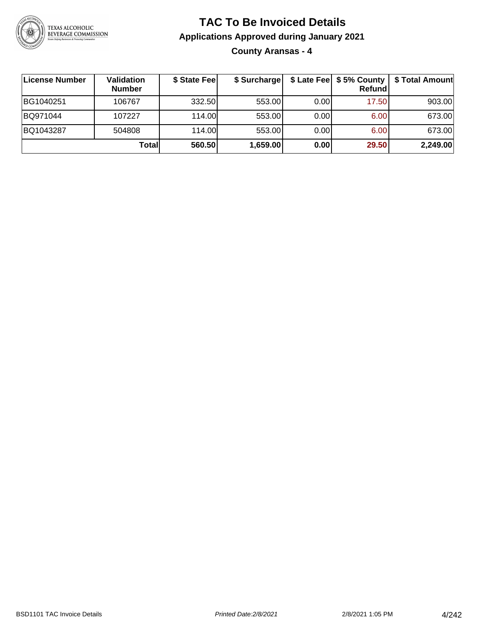

**County Aransas - 4**

| License Number | Validation<br><b>Number</b> | \$ State Fee | \$ Surcharge |       | Refundl | \$ Late Fee   \$5% County   \$ Total Amount |
|----------------|-----------------------------|--------------|--------------|-------|---------|---------------------------------------------|
| BG1040251      | 106767                      | 332.50       | 553.00       | 0.001 | 17.50   | 903.00                                      |
| BQ971044       | 107227                      | 114.00L      | 553.00       | 0.00  | 6.00    | 673.00                                      |
| BQ1043287      | 504808                      | 114.00L      | 553.00       | 0.00  | 6.00    | 673.00                                      |
|                | Totall                      | 560.50       | 1,659.00     | 0.00  | 29.50   | 2,249.00                                    |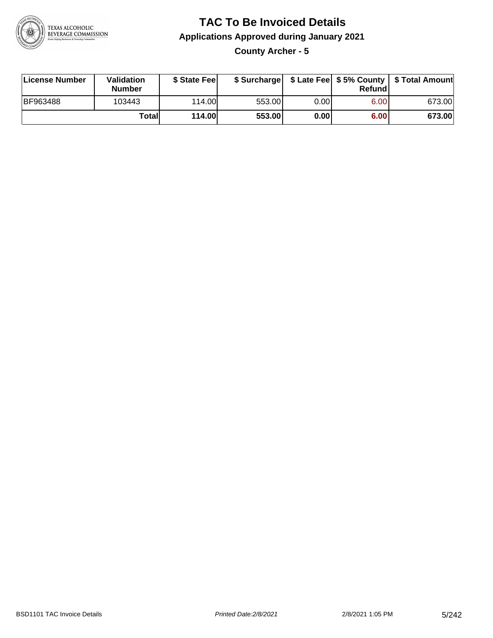

### **TAC To Be Invoiced Details Applications Approved during January 2021 County Archer - 5**

| License Number  | <b>Validation</b><br><b>Number</b> | \$ State Feel |        |      | Refund | \$ Surcharge   \$ Late Fee   \$5% County   \$ Total Amount |
|-----------------|------------------------------------|---------------|--------|------|--------|------------------------------------------------------------|
| <b>BF963488</b> | 103443                             | 114.00L       | 553.00 | 0.00 | 6.00   | 673.00                                                     |
|                 | Totall                             | <b>114.00</b> | 553.00 | 0.00 | 6.00   | 673.00                                                     |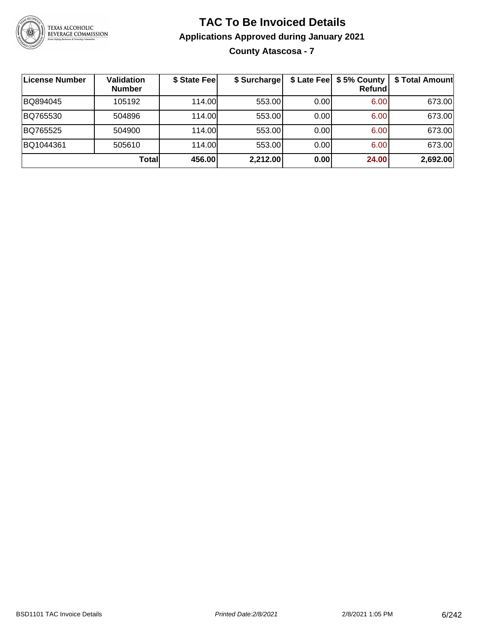

# **TAC To Be Invoiced Details Applications Approved during January 2021 County Atascosa - 7**

| ∣License Number | <b>Validation</b><br><b>Number</b> | \$ State Fee | \$ Surcharge |      | \$ Late Fee   \$5% County  <br>Refundl | \$ Total Amount |
|-----------------|------------------------------------|--------------|--------------|------|----------------------------------------|-----------------|
| BQ894045        | 105192                             | 114.00       | 553.00       | 0.00 | 6.00                                   | 673.00          |
| BQ765530        | 504896                             | 114.00       | 553.00       | 0.00 | 6.00                                   | 673.00          |
| BQ765525        | 504900                             | 114.00       | 553.00       | 0.00 | 6.00                                   | 673.00          |
| BQ1044361       | 505610                             | 114.00       | 553.00       | 0.00 | 6.00                                   | 673.00          |
|                 | <b>Total</b>                       | 456.00       | 2,212.00     | 0.00 | 24.00                                  | 2,692.00        |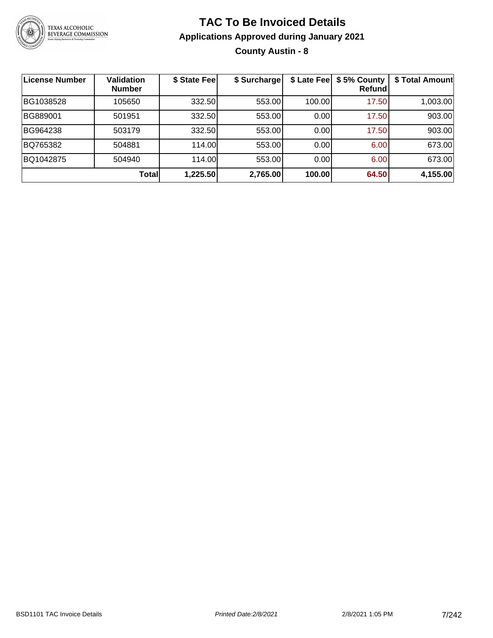

# **TAC To Be Invoiced Details Applications Approved during January 2021 County Austin - 8**

| <b>License Number</b> | Validation<br><b>Number</b> | \$ State Fee | \$ Surcharge | \$ Late Fee | \$5% County<br>Refundl | \$ Total Amount |
|-----------------------|-----------------------------|--------------|--------------|-------------|------------------------|-----------------|
| BG1038528             | 105650                      | 332.50       | 553.00       | 100.00      | 17.50                  | 1,003.00        |
| BG889001              | 501951                      | 332.50       | 553.00       | 0.00        | 17.50                  | 903.00          |
| BG964238              | 503179                      | 332.50       | 553.00       | 0.00        | 17.50                  | 903.00          |
| BQ765382              | 504881                      | 114.00       | 553.00       | 0.00        | 6.00                   | 673.00          |
| BQ1042875             | 504940                      | 114.00       | 553.00       | 0.00        | 6.00                   | 673.00          |
|                       | Totall                      | 1,225.50     | 2,765.00     | 100.00      | 64.50                  | 4,155.00        |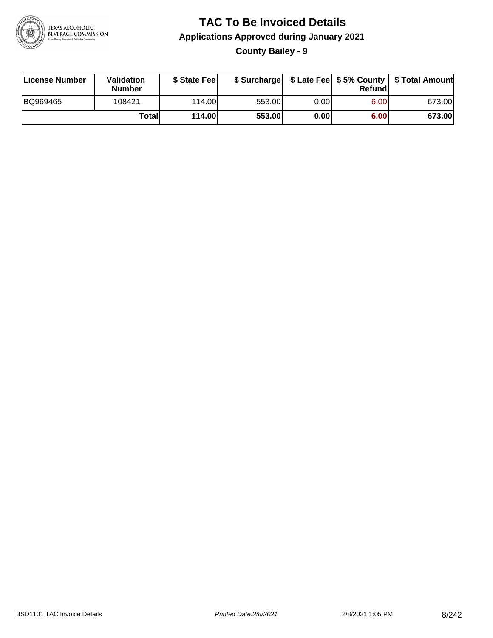

### **TAC To Be Invoiced Details Applications Approved during January 2021 County Bailey - 9**

| License Number | <b>Validation</b><br><b>Number</b> | \$ State Feel |        |      | Refund | \$ Surcharge   \$ Late Fee   \$5% County   \$ Total Amount |
|----------------|------------------------------------|---------------|--------|------|--------|------------------------------------------------------------|
| BQ969465       | 108421                             | 114.00L       | 553.00 | 0.00 | 6.00   | 673.00                                                     |
|                | Totall                             | <b>114.00</b> | 553.00 | 0.00 | 6.00   | 673.00                                                     |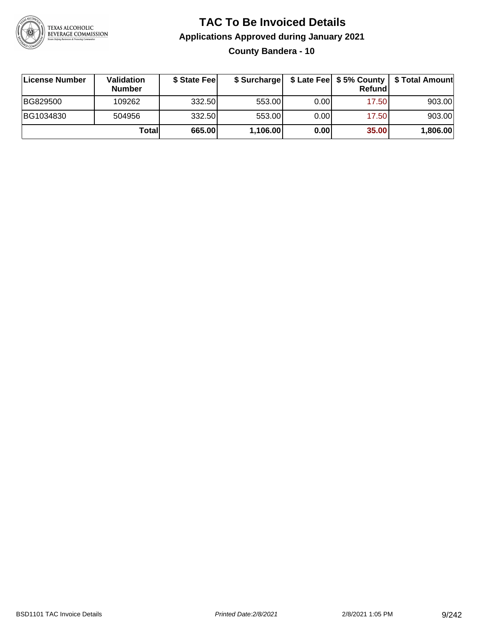

# **TAC To Be Invoiced Details Applications Approved during January 2021 County Bandera - 10**

| License Number | Validation<br><b>Number</b> | \$ State Feel |          |      | Refund | \$ Surcharge   \$ Late Fee   \$5% County   \$ Total Amount |
|----------------|-----------------------------|---------------|----------|------|--------|------------------------------------------------------------|
| BG829500       | 109262                      | 332.50        | 553.00   | 0.00 | 17.50  | 903.00                                                     |
| BG1034830      | 504956                      | 332.50        | 553.00   | 0.00 | 17.50  | 903.00                                                     |
|                | Totall                      | 665.00        | 1,106.00 | 0.00 | 35.00  | 1,806.00                                                   |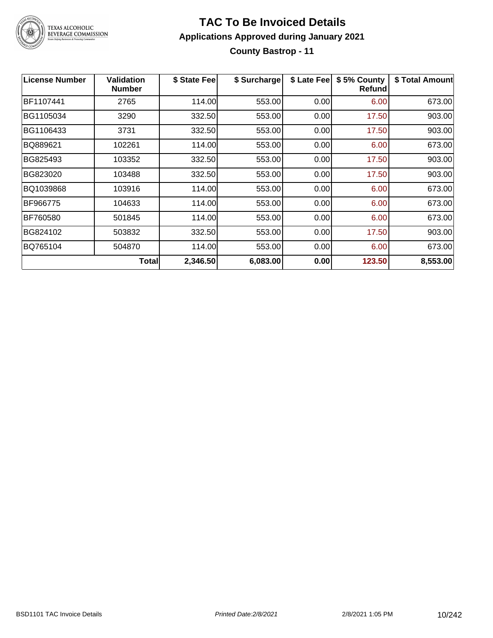

#### **TAC To Be Invoiced Details Applications Approved during January 2021 County Bastrop - 11**

| License Number | <b>Validation</b><br><b>Number</b> | \$ State Fee | \$ Surcharge | \$ Late Fee | \$5% County<br>Refundl | \$ Total Amount |
|----------------|------------------------------------|--------------|--------------|-------------|------------------------|-----------------|
| BF1107441      | 2765                               | 114.00       | 553.00       | 0.00        | 6.00                   | 673.00          |
| BG1105034      | 3290                               | 332.50       | 553.00       | 0.00        | 17.50                  | 903.00          |
| BG1106433      | 3731                               | 332.50       | 553.00       | 0.00        | 17.50                  | 903.00          |
| BQ889621       | 102261                             | 114.00       | 553.00       | 0.00        | 6.00                   | 673.00          |
| BG825493       | 103352                             | 332.50       | 553.00       | 0.00        | 17.50                  | 903.00          |
| BG823020       | 103488                             | 332.50       | 553.00       | 0.00        | 17.50                  | 903.00          |
| BQ1039868      | 103916                             | 114.00       | 553.00       | 0.00        | 6.00                   | 673.00          |
| BF966775       | 104633                             | 114.00       | 553.00       | 0.00        | 6.00                   | 673.00          |
| BF760580       | 501845                             | 114.00       | 553.00       | 0.00        | 6.00                   | 673.00          |
| BG824102       | 503832                             | 332.50       | 553.00       | 0.00        | 17.50                  | 903.00          |
| BQ765104       | 504870                             | 114.00       | 553.00       | 0.00        | 6.00                   | 673.00          |
|                | <b>Total</b>                       | 2,346.50     | 6,083.00     | 0.00        | 123.50                 | 8,553.00        |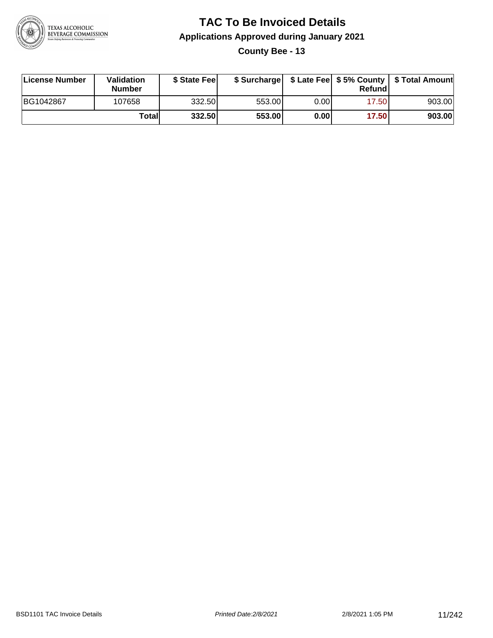

### **TAC To Be Invoiced Details Applications Approved during January 2021 County Bee - 13**

| License Number | Validation<br><b>Number</b> | \$ State Feel |        |      | Refund | \$ Surcharge   \$ Late Fee   \$5% County   \$ Total Amount |
|----------------|-----------------------------|---------------|--------|------|--------|------------------------------------------------------------|
| BG1042867      | 107658                      | 332.50        | 553.00 | 0.00 | 17.50  | 903.00                                                     |
|                | Totall                      | 332.50        | 553.00 | 0.00 | 17.50  | 903.00                                                     |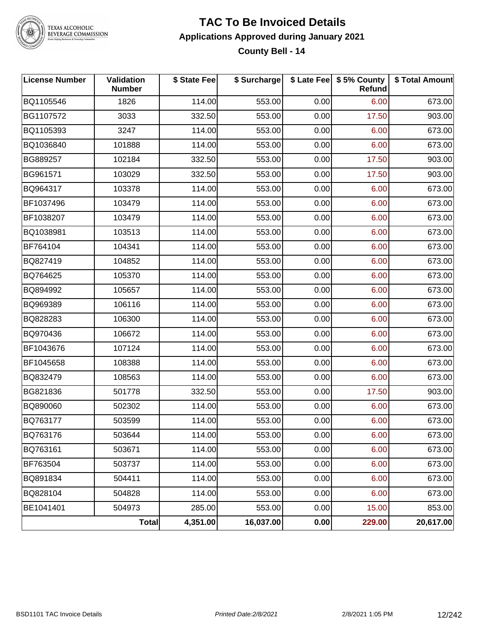

#### **TAC To Be Invoiced Details Applications Approved during January 2021 County Bell - 14**

| <b>License Number</b> | Validation<br><b>Number</b> | \$ State Fee | \$ Surcharge |      | \$ Late Fee   \$5% County<br><b>Refund</b> | \$ Total Amount |
|-----------------------|-----------------------------|--------------|--------------|------|--------------------------------------------|-----------------|
| BQ1105546             | 1826                        | 114.00       | 553.00       | 0.00 | 6.00                                       | 673.00          |
| BG1107572             | 3033                        | 332.50       | 553.00       | 0.00 | 17.50                                      | 903.00          |
| BQ1105393             | 3247                        | 114.00       | 553.00       | 0.00 | 6.00                                       | 673.00          |
| BQ1036840             | 101888                      | 114.00       | 553.00       | 0.00 | 6.00                                       | 673.00          |
| BG889257              | 102184                      | 332.50       | 553.00       | 0.00 | 17.50                                      | 903.00          |
| BG961571              | 103029                      | 332.50       | 553.00       | 0.00 | 17.50                                      | 903.00          |
| BQ964317              | 103378                      | 114.00       | 553.00       | 0.00 | 6.00                                       | 673.00          |
| BF1037496             | 103479                      | 114.00       | 553.00       | 0.00 | 6.00                                       | 673.00          |
| BF1038207             | 103479                      | 114.00       | 553.00       | 0.00 | 6.00                                       | 673.00          |
| BQ1038981             | 103513                      | 114.00       | 553.00       | 0.00 | 6.00                                       | 673.00          |
| BF764104              | 104341                      | 114.00       | 553.00       | 0.00 | 6.00                                       | 673.00          |
| BQ827419              | 104852                      | 114.00       | 553.00       | 0.00 | 6.00                                       | 673.00          |
| BQ764625              | 105370                      | 114.00       | 553.00       | 0.00 | 6.00                                       | 673.00          |
| BQ894992              | 105657                      | 114.00       | 553.00       | 0.00 | 6.00                                       | 673.00          |
| BQ969389              | 106116                      | 114.00       | 553.00       | 0.00 | 6.00                                       | 673.00          |
| BQ828283              | 106300                      | 114.00       | 553.00       | 0.00 | 6.00                                       | 673.00          |
| BQ970436              | 106672                      | 114.00       | 553.00       | 0.00 | 6.00                                       | 673.00          |
| BF1043676             | 107124                      | 114.00       | 553.00       | 0.00 | 6.00                                       | 673.00          |
| BF1045658             | 108388                      | 114.00       | 553.00       | 0.00 | 6.00                                       | 673.00          |
| BQ832479              | 108563                      | 114.00       | 553.00       | 0.00 | 6.00                                       | 673.00          |
| BG821836              | 501778                      | 332.50       | 553.00       | 0.00 | 17.50                                      | 903.00          |
| BQ890060              | 502302                      | 114.00       | 553.00       | 0.00 | 6.00                                       | 673.00          |
| BQ763177              | 503599                      | 114.00       | 553.00       | 0.00 | 6.00                                       | 673.00          |
| BQ763176              | 503644                      | 114.00       | 553.00       | 0.00 | 6.00                                       | 673.00          |
| BQ763161              | 503671                      | 114.00       | 553.00       | 0.00 | 6.00                                       | 673.00          |
| BF763504              | 503737                      | 114.00       | 553.00       | 0.00 | 6.00                                       | 673.00          |
| BQ891834              | 504411                      | 114.00       | 553.00       | 0.00 | 6.00                                       | 673.00          |
| BQ828104              | 504828                      | 114.00       | 553.00       | 0.00 | 6.00                                       | 673.00          |
| BE1041401             | 504973                      | 285.00       | 553.00       | 0.00 | 15.00                                      | 853.00          |
|                       | Total                       | 4,351.00     | 16,037.00    | 0.00 | 229.00                                     | 20,617.00       |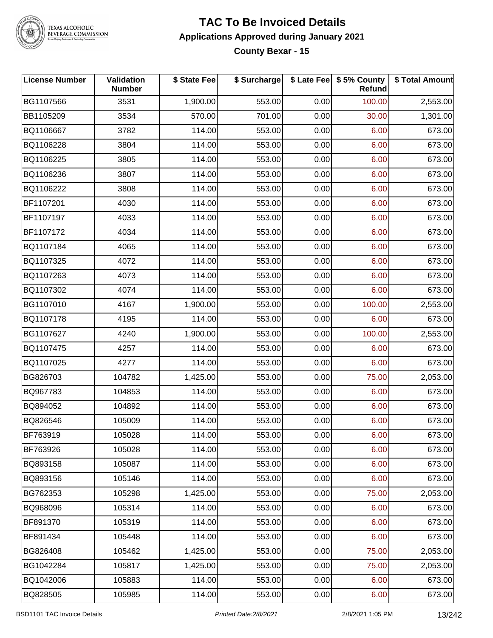

#### **TAC To Be Invoiced Details Applications Approved during January 2021 County Bexar - 15**

| <b>License Number</b> | Validation<br><b>Number</b> | \$ State Fee | \$ Surcharge |      | \$ Late Fee \$ 5% County<br><b>Refund</b> | \$ Total Amount |
|-----------------------|-----------------------------|--------------|--------------|------|-------------------------------------------|-----------------|
| BG1107566             | 3531                        | 1,900.00     | 553.00       | 0.00 | 100.00                                    | 2,553.00        |
| BB1105209             | 3534                        | 570.00       | 701.00       | 0.00 | 30.00                                     | 1,301.00        |
| BQ1106667             | 3782                        | 114.00       | 553.00       | 0.00 | 6.00                                      | 673.00          |
| BQ1106228             | 3804                        | 114.00       | 553.00       | 0.00 | 6.00                                      | 673.00          |
| BQ1106225             | 3805                        | 114.00       | 553.00       | 0.00 | 6.00                                      | 673.00          |
| BQ1106236             | 3807                        | 114.00       | 553.00       | 0.00 | 6.00                                      | 673.00          |
| BQ1106222             | 3808                        | 114.00       | 553.00       | 0.00 | 6.00                                      | 673.00          |
| BF1107201             | 4030                        | 114.00       | 553.00       | 0.00 | 6.00                                      | 673.00          |
| BF1107197             | 4033                        | 114.00       | 553.00       | 0.00 | 6.00                                      | 673.00          |
| BF1107172             | 4034                        | 114.00       | 553.00       | 0.00 | 6.00                                      | 673.00          |
| BQ1107184             | 4065                        | 114.00       | 553.00       | 0.00 | 6.00                                      | 673.00          |
| BQ1107325             | 4072                        | 114.00       | 553.00       | 0.00 | 6.00                                      | 673.00          |
| BQ1107263             | 4073                        | 114.00       | 553.00       | 0.00 | 6.00                                      | 673.00          |
| BQ1107302             | 4074                        | 114.00       | 553.00       | 0.00 | 6.00                                      | 673.00          |
| BG1107010             | 4167                        | 1,900.00     | 553.00       | 0.00 | 100.00                                    | 2,553.00        |
| BQ1107178             | 4195                        | 114.00       | 553.00       | 0.00 | 6.00                                      | 673.00          |
| BG1107627             | 4240                        | 1,900.00     | 553.00       | 0.00 | 100.00                                    | 2,553.00        |
| BQ1107475             | 4257                        | 114.00       | 553.00       | 0.00 | 6.00                                      | 673.00          |
| BQ1107025             | 4277                        | 114.00       | 553.00       | 0.00 | 6.00                                      | 673.00          |
| BG826703              | 104782                      | 1,425.00     | 553.00       | 0.00 | 75.00                                     | 2,053.00        |
| BQ967783              | 104853                      | 114.00       | 553.00       | 0.00 | 6.00                                      | 673.00          |
| BQ894052              | 104892                      | 114.00       | 553.00       | 0.00 | 6.00                                      | 673.00          |
| BQ826546              | 105009                      | 114.00       | 553.00       | 0.00 | 6.00                                      | 673.00          |
| BF763919              | 105028                      | 114.00       | 553.00       | 0.00 | 6.00                                      | 673.00          |
| BF763926              | 105028                      | 114.00       | 553.00       | 0.00 | 6.00                                      | 673.00          |
| BQ893158              | 105087                      | 114.00       | 553.00       | 0.00 | 6.00                                      | 673.00          |
| BQ893156              | 105146                      | 114.00       | 553.00       | 0.00 | 6.00                                      | 673.00          |
| BG762353              | 105298                      | 1,425.00     | 553.00       | 0.00 | 75.00                                     | 2,053.00        |
| BQ968096              | 105314                      | 114.00       | 553.00       | 0.00 | 6.00                                      | 673.00          |
| BF891370              | 105319                      | 114.00       | 553.00       | 0.00 | 6.00                                      | 673.00          |
| BF891434              | 105448                      | 114.00       | 553.00       | 0.00 | 6.00                                      | 673.00          |
| BG826408              | 105462                      | 1,425.00     | 553.00       | 0.00 | 75.00                                     | 2,053.00        |
| BG1042284             | 105817                      | 1,425.00     | 553.00       | 0.00 | 75.00                                     | 2,053.00        |
| BQ1042006             | 105883                      | 114.00       | 553.00       | 0.00 | 6.00                                      | 673.00          |
| BQ828505              | 105985                      | 114.00       | 553.00       | 0.00 | 6.00                                      | 673.00          |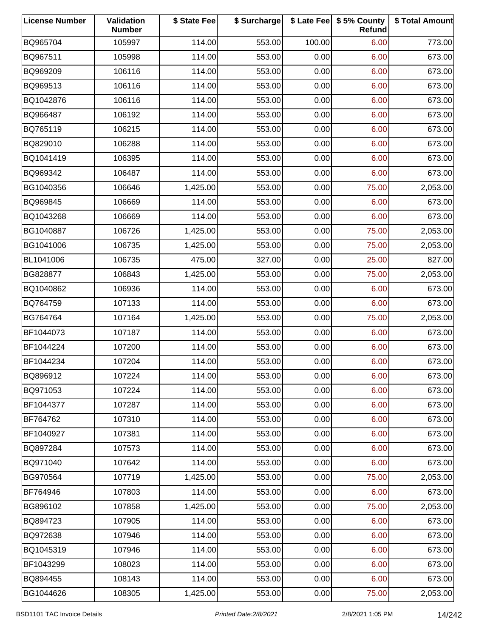| <b>License Number</b> | Validation<br><b>Number</b> | \$ State Fee | \$ Surcharge |        | \$ Late Fee   \$5% County<br>Refund | \$ Total Amount |
|-----------------------|-----------------------------|--------------|--------------|--------|-------------------------------------|-----------------|
| BQ965704              | 105997                      | 114.00       | 553.00       | 100.00 | 6.00                                | 773.00          |
| BQ967511              | 105998                      | 114.00       | 553.00       | 0.00   | 6.00                                | 673.00          |
| BQ969209              | 106116                      | 114.00       | 553.00       | 0.00   | 6.00                                | 673.00          |
| BQ969513              | 106116                      | 114.00       | 553.00       | 0.00   | 6.00                                | 673.00          |
| BQ1042876             | 106116                      | 114.00       | 553.00       | 0.00   | 6.00                                | 673.00          |
| BQ966487              | 106192                      | 114.00       | 553.00       | 0.00   | 6.00                                | 673.00          |
| BQ765119              | 106215                      | 114.00       | 553.00       | 0.00   | 6.00                                | 673.00          |
| BQ829010              | 106288                      | 114.00       | 553.00       | 0.00   | 6.00                                | 673.00          |
| BQ1041419             | 106395                      | 114.00       | 553.00       | 0.00   | 6.00                                | 673.00          |
| BQ969342              | 106487                      | 114.00       | 553.00       | 0.00   | 6.00                                | 673.00          |
| BG1040356             | 106646                      | 1,425.00     | 553.00       | 0.00   | 75.00                               | 2,053.00        |
| BQ969845              | 106669                      | 114.00       | 553.00       | 0.00   | 6.00                                | 673.00          |
| BQ1043268             | 106669                      | 114.00       | 553.00       | 0.00   | 6.00                                | 673.00          |
| BG1040887             | 106726                      | 1,425.00     | 553.00       | 0.00   | 75.00                               | 2,053.00        |
| BG1041006             | 106735                      | 1,425.00     | 553.00       | 0.00   | 75.00                               | 2,053.00        |
| BL1041006             | 106735                      | 475.00       | 327.00       | 0.00   | 25.00                               | 827.00          |
| BG828877              | 106843                      | 1,425.00     | 553.00       | 0.00   | 75.00                               | 2,053.00        |
| BQ1040862             | 106936                      | 114.00       | 553.00       | 0.00   | 6.00                                | 673.00          |
| BQ764759              | 107133                      | 114.00       | 553.00       | 0.00   | 6.00                                | 673.00          |
| BG764764              | 107164                      | 1,425.00     | 553.00       | 0.00   | 75.00                               | 2,053.00        |
| BF1044073             | 107187                      | 114.00       | 553.00       | 0.00   | 6.00                                | 673.00          |
| BF1044224             | 107200                      | 114.00       | 553.00       | 0.00   | 6.00                                | 673.00          |
| BF1044234             | 107204                      | 114.00       | 553.00       | 0.00   | 6.00                                | 673.00          |
| BQ896912              | 107224                      | 114.00       | 553.00       | 0.00   | 6.00                                | 673.00          |
| BQ971053              | 107224                      | 114.00       | 553.00       | 0.00   | 6.00                                | 673.00          |
| BF1044377             | 107287                      | 114.00       | 553.00       | 0.00   | 6.00                                | 673.00          |
| BF764762              | 107310                      | 114.00       | 553.00       | 0.00   | 6.00                                | 673.00          |
| BF1040927             | 107381                      | 114.00       | 553.00       | 0.00   | 6.00                                | 673.00          |
| BQ897284              | 107573                      | 114.00       | 553.00       | 0.00   | 6.00                                | 673.00          |
| BQ971040              | 107642                      | 114.00       | 553.00       | 0.00   | 6.00                                | 673.00          |
| BG970564              | 107719                      | 1,425.00     | 553.00       | 0.00   | 75.00                               | 2,053.00        |
| BF764946              | 107803                      | 114.00       | 553.00       | 0.00   | 6.00                                | 673.00          |
| BG896102              | 107858                      | 1,425.00     | 553.00       | 0.00   | 75.00                               | 2,053.00        |
| BQ894723              | 107905                      | 114.00       | 553.00       | 0.00   | 6.00                                | 673.00          |
| BQ972638              | 107946                      | 114.00       | 553.00       | 0.00   | 6.00                                | 673.00          |
| BQ1045319             | 107946                      | 114.00       | 553.00       | 0.00   | 6.00                                | 673.00          |
| BF1043299             | 108023                      | 114.00       | 553.00       | 0.00   | 6.00                                | 673.00          |
| BQ894455              | 108143                      | 114.00       | 553.00       | 0.00   | 6.00                                | 673.00          |
| BG1044626             | 108305                      | 1,425.00     | 553.00       | 0.00   | 75.00                               | 2,053.00        |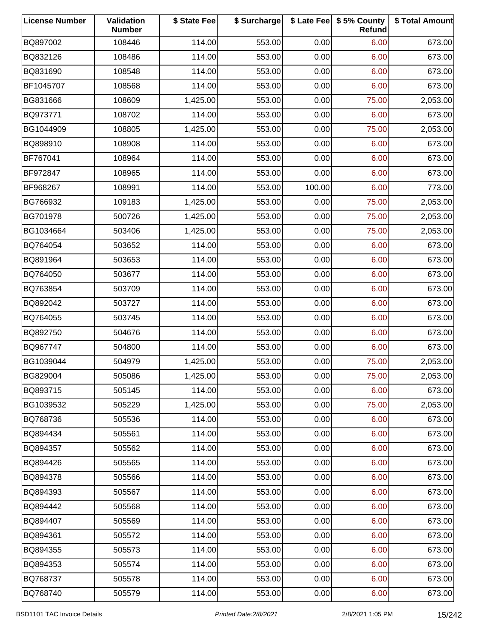| <b>License Number</b> | Validation<br><b>Number</b> | \$ State Fee | \$ Surcharge |        | \$ Late Fee   \$5% County<br>Refund | \$ Total Amount |
|-----------------------|-----------------------------|--------------|--------------|--------|-------------------------------------|-----------------|
| BQ897002              | 108446                      | 114.00       | 553.00       | 0.00   | 6.00                                | 673.00          |
| BQ832126              | 108486                      | 114.00       | 553.00       | 0.00   | 6.00                                | 673.00          |
| BQ831690              | 108548                      | 114.00       | 553.00       | 0.00   | 6.00                                | 673.00          |
| BF1045707             | 108568                      | 114.00       | 553.00       | 0.00   | 6.00                                | 673.00          |
| BG831666              | 108609                      | 1,425.00     | 553.00       | 0.00   | 75.00                               | 2,053.00        |
| BQ973771              | 108702                      | 114.00       | 553.00       | 0.00   | 6.00                                | 673.00          |
| BG1044909             | 108805                      | 1,425.00     | 553.00       | 0.00   | 75.00                               | 2,053.00        |
| BQ898910              | 108908                      | 114.00       | 553.00       | 0.00   | 6.00                                | 673.00          |
| BF767041              | 108964                      | 114.00       | 553.00       | 0.00   | 6.00                                | 673.00          |
| BF972847              | 108965                      | 114.00       | 553.00       | 0.00   | 6.00                                | 673.00          |
| BF968267              | 108991                      | 114.00       | 553.00       | 100.00 | 6.00                                | 773.00          |
| BG766932              | 109183                      | 1,425.00     | 553.00       | 0.00   | 75.00                               | 2,053.00        |
| BG701978              | 500726                      | 1,425.00     | 553.00       | 0.00   | 75.00                               | 2,053.00        |
| BG1034664             | 503406                      | 1,425.00     | 553.00       | 0.00   | 75.00                               | 2,053.00        |
| BQ764054              | 503652                      | 114.00       | 553.00       | 0.00   | 6.00                                | 673.00          |
| BQ891964              | 503653                      | 114.00       | 553.00       | 0.00   | 6.00                                | 673.00          |
| BQ764050              | 503677                      | 114.00       | 553.00       | 0.00   | 6.00                                | 673.00          |
| BQ763854              | 503709                      | 114.00       | 553.00       | 0.00   | 6.00                                | 673.00          |
| BQ892042              | 503727                      | 114.00       | 553.00       | 0.00   | 6.00                                | 673.00          |
| BQ764055              | 503745                      | 114.00       | 553.00       | 0.00   | 6.00                                | 673.00          |
| BQ892750              | 504676                      | 114.00       | 553.00       | 0.00   | 6.00                                | 673.00          |
| BQ967747              | 504800                      | 114.00       | 553.00       | 0.00   | 6.00                                | 673.00          |
| BG1039044             | 504979                      | 1,425.00     | 553.00       | 0.00   | 75.00                               | 2,053.00        |
| BG829004              | 505086                      | 1,425.00     | 553.00       | 0.00   | 75.00                               | 2,053.00        |
| BQ893715              | 505145                      | 114.00       | 553.00       | 0.00   | 6.00                                | 673.00          |
| BG1039532             | 505229                      | 1,425.00     | 553.00       | 0.00   | 75.00                               | 2,053.00        |
| BQ768736              | 505536                      | 114.00       | 553.00       | 0.00   | 6.00                                | 673.00          |
| BQ894434              | 505561                      | 114.00       | 553.00       | 0.00   | 6.00                                | 673.00          |
| BQ894357              | 505562                      | 114.00       | 553.00       | 0.00   | 6.00                                | 673.00          |
| BQ894426              | 505565                      | 114.00       | 553.00       | 0.00   | 6.00                                | 673.00          |
| BQ894378              | 505566                      | 114.00       | 553.00       | 0.00   | 6.00                                | 673.00          |
| BQ894393              | 505567                      | 114.00       | 553.00       | 0.00   | 6.00                                | 673.00          |
| BQ894442              | 505568                      | 114.00       | 553.00       | 0.00   | 6.00                                | 673.00          |
| BQ894407              | 505569                      | 114.00       | 553.00       | 0.00   | 6.00                                | 673.00          |
| BQ894361              | 505572                      | 114.00       | 553.00       | 0.00   | 6.00                                | 673.00          |
| BQ894355              | 505573                      | 114.00       | 553.00       | 0.00   | 6.00                                | 673.00          |
| BQ894353              | 505574                      | 114.00       | 553.00       | 0.00   | 6.00                                | 673.00          |
| BQ768737              | 505578                      | 114.00       | 553.00       | 0.00   | 6.00                                | 673.00          |
| BQ768740              | 505579                      | 114.00       | 553.00       | 0.00   | 6.00                                | 673.00          |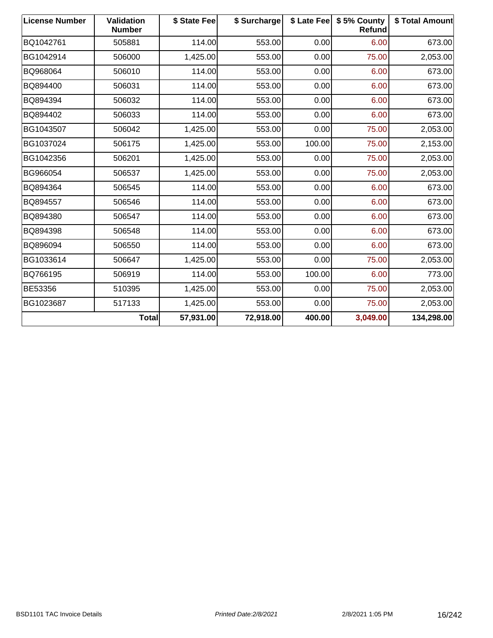| <b>License Number</b> | Validation<br><b>Number</b> | \$ State Fee | \$ Surcharge |        | \$ Late Fee   \$5% County<br>Refund | \$ Total Amount |
|-----------------------|-----------------------------|--------------|--------------|--------|-------------------------------------|-----------------|
| BQ1042761             | 505881                      | 114.00       | 553.00       | 0.00   | 6.00                                | 673.00          |
| BG1042914             | 506000                      | 1,425.00     | 553.00       | 0.00   | 75.00                               | 2,053.00        |
| BQ968064              | 506010                      | 114.00       | 553.00       | 0.00   | 6.00                                | 673.00          |
| BQ894400              | 506031                      | 114.00       | 553.00       | 0.00   | 6.00                                | 673.00          |
| BQ894394              | 506032                      | 114.00       | 553.00       | 0.00   | 6.00                                | 673.00          |
| BQ894402              | 506033                      | 114.00       | 553.00       | 0.00   | 6.00                                | 673.00          |
| BG1043507             | 506042                      | 1,425.00     | 553.00       | 0.00   | 75.00                               | 2,053.00        |
| BG1037024             | 506175                      | 1,425.00     | 553.00       | 100.00 | 75.00                               | 2,153.00        |
| BG1042356             | 506201                      | 1,425.00     | 553.00       | 0.00   | 75.00                               | 2,053.00        |
| BG966054              | 506537                      | 1,425.00     | 553.00       | 0.00   | 75.00                               | 2,053.00        |
| BQ894364              | 506545                      | 114.00       | 553.00       | 0.00   | 6.00                                | 673.00          |
| BQ894557              | 506546                      | 114.00       | 553.00       | 0.00   | 6.00                                | 673.00          |
| BQ894380              | 506547                      | 114.00       | 553.00       | 0.00   | 6.00                                | 673.00          |
| BQ894398              | 506548                      | 114.00       | 553.00       | 0.00   | 6.00                                | 673.00          |
| BQ896094              | 506550                      | 114.00       | 553.00       | 0.00   | 6.00                                | 673.00          |
| BG1033614             | 506647                      | 1,425.00     | 553.00       | 0.00   | 75.00                               | 2,053.00        |
| BQ766195              | 506919                      | 114.00       | 553.00       | 100.00 | 6.00                                | 773.00          |
| BE53356               | 510395                      | 1,425.00     | 553.00       | 0.00   | 75.00                               | 2,053.00        |
| BG1023687             | 517133                      | 1,425.00     | 553.00       | 0.00   | 75.00                               | 2,053.00        |
|                       | <b>Total</b>                | 57,931.00    | 72,918.00    | 400.00 | 3,049.00                            | 134,298.00      |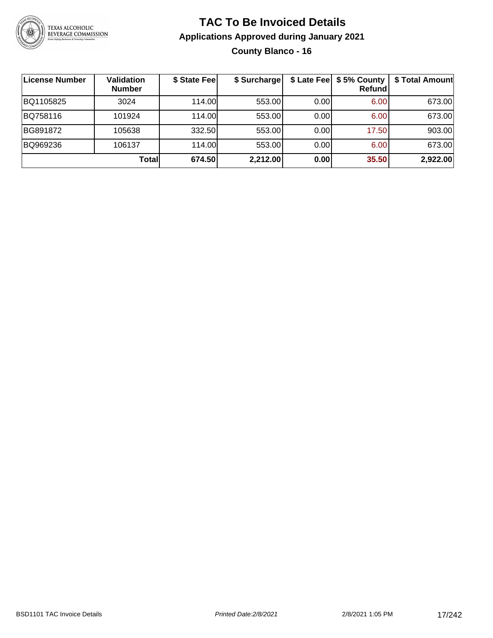

# **TAC To Be Invoiced Details Applications Approved during January 2021 County Blanco - 16**

| License Number | Validation<br><b>Number</b> | \$ State Fee | \$ Surcharge |      | \$ Late Fee   \$5% County<br>Refund | \$ Total Amount |
|----------------|-----------------------------|--------------|--------------|------|-------------------------------------|-----------------|
| BQ1105825      | 3024                        | 114.00       | 553.00       | 0.00 | 6.00                                | 673.00          |
| BQ758116       | 101924                      | 114.00       | 553.00       | 0.00 | 6.00                                | 673.00          |
| BG891872       | 105638                      | 332.50       | 553.00       | 0.00 | 17.50                               | 903.00          |
| BQ969236       | 106137                      | 114.00       | 553.00       | 0.00 | 6.00                                | 673.00          |
|                | Total                       | 674.50       | 2,212.00     | 0.00 | 35.50                               | 2,922.00        |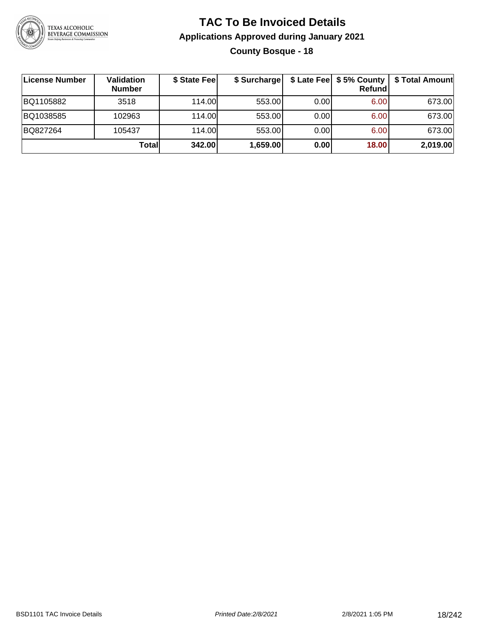

# **TAC To Be Invoiced Details Applications Approved during January 2021 County Bosque - 18**

| ∣License Number | Validation<br><b>Number</b> | \$ State Fee | \$ Surcharge |       | \$ Late Fee   \$5% County  <br>Refundl | \$ Total Amount |
|-----------------|-----------------------------|--------------|--------------|-------|----------------------------------------|-----------------|
| BQ1105882       | 3518                        | 114.00       | 553.00       | 0.001 | 6.00                                   | 673.00          |
| BQ1038585       | 102963                      | 114.00       | 553.00       | 0.00  | 6.00                                   | 673.00          |
| BQ827264        | 105437                      | 114.00       | 553.00       | 0.00  | 6.00                                   | 673.00          |
|                 | Totall                      | 342.00       | 1,659.00     | 0.00  | 18.00                                  | 2,019.00        |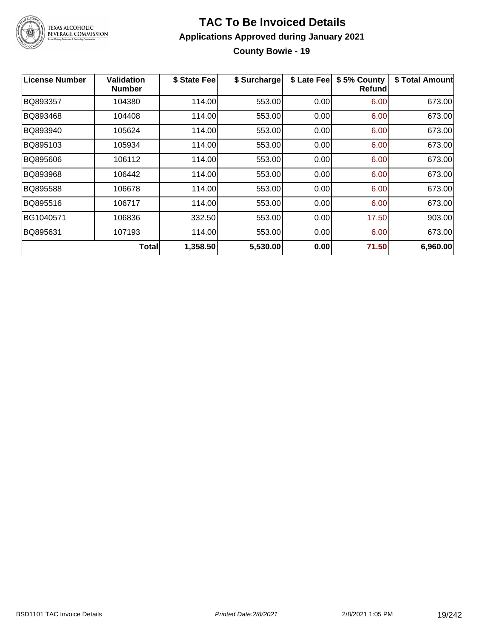

## **TAC To Be Invoiced Details Applications Approved during January 2021 County Bowie - 19**

| <b>License Number</b> | <b>Validation</b><br><b>Number</b> | \$ State Fee | \$ Surcharge | \$ Late Fee | \$5% County<br>Refundl | \$ Total Amount |
|-----------------------|------------------------------------|--------------|--------------|-------------|------------------------|-----------------|
| BQ893357              | 104380                             | 114.00       | 553.00       | 0.00        | 6.00                   | 673.00          |
| BQ893468              | 104408                             | 114.00       | 553.00       | 0.00        | 6.00                   | 673.00          |
| BQ893940              | 105624                             | 114.00       | 553.00       | 0.00        | 6.00                   | 673.00          |
| BQ895103              | 105934                             | 114.00       | 553.00       | 0.00        | 6.00                   | 673.00          |
| BQ895606              | 106112                             | 114.00       | 553.00       | 0.00        | 6.00                   | 673.00          |
| BQ893968              | 106442                             | 114.00       | 553.00       | 0.00        | 6.00                   | 673.00          |
| BQ895588              | 106678                             | 114.00       | 553.00       | 0.00        | 6.00                   | 673.00          |
| BQ895516              | 106717                             | 114.00       | 553.00       | 0.00        | 6.00                   | 673.00          |
| BG1040571             | 106836                             | 332.50       | 553.00       | 0.00        | 17.50                  | 903.00          |
| BQ895631              | 107193                             | 114.00       | 553.00       | 0.00        | 6.00                   | 673.00          |
|                       | <b>Total</b>                       | 1,358.50     | 5,530.00     | 0.00        | 71.50                  | 6,960.00        |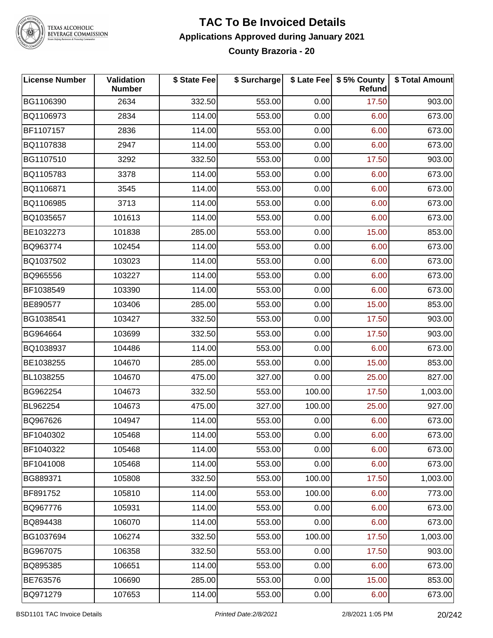

#### **TAC To Be Invoiced Details Applications Approved during January 2021 County Brazoria - 20**

| <b>License Number</b> | Validation<br><b>Number</b> | \$ State Fee | \$ Surcharge |        | \$ Late Fee   \$5% County<br>Refund | \$ Total Amount |
|-----------------------|-----------------------------|--------------|--------------|--------|-------------------------------------|-----------------|
| BG1106390             | 2634                        | 332.50       | 553.00       | 0.00   | 17.50                               | 903.00          |
| BQ1106973             | 2834                        | 114.00       | 553.00       | 0.00   | 6.00                                | 673.00          |
| BF1107157             | 2836                        | 114.00       | 553.00       | 0.00   | 6.00                                | 673.00          |
| BQ1107838             | 2947                        | 114.00       | 553.00       | 0.00   | 6.00                                | 673.00          |
| BG1107510             | 3292                        | 332.50       | 553.00       | 0.00   | 17.50                               | 903.00          |
| BQ1105783             | 3378                        | 114.00       | 553.00       | 0.00   | 6.00                                | 673.00          |
| BQ1106871             | 3545                        | 114.00       | 553.00       | 0.00   | 6.00                                | 673.00          |
| BQ1106985             | 3713                        | 114.00       | 553.00       | 0.00   | 6.00                                | 673.00          |
| BQ1035657             | 101613                      | 114.00       | 553.00       | 0.00   | 6.00                                | 673.00          |
| BE1032273             | 101838                      | 285.00       | 553.00       | 0.00   | 15.00                               | 853.00          |
| BQ963774              | 102454                      | 114.00       | 553.00       | 0.00   | 6.00                                | 673.00          |
| BQ1037502             | 103023                      | 114.00       | 553.00       | 0.00   | 6.00                                | 673.00          |
| BQ965556              | 103227                      | 114.00       | 553.00       | 0.00   | 6.00                                | 673.00          |
| BF1038549             | 103390                      | 114.00       | 553.00       | 0.00   | 6.00                                | 673.00          |
| BE890577              | 103406                      | 285.00       | 553.00       | 0.00   | 15.00                               | 853.00          |
| BG1038541             | 103427                      | 332.50       | 553.00       | 0.00   | 17.50                               | 903.00          |
| BG964664              | 103699                      | 332.50       | 553.00       | 0.00   | 17.50                               | 903.00          |
| BQ1038937             | 104486                      | 114.00       | 553.00       | 0.00   | 6.00                                | 673.00          |
| BE1038255             | 104670                      | 285.00       | 553.00       | 0.00   | 15.00                               | 853.00          |
| BL1038255             | 104670                      | 475.00       | 327.00       | 0.00   | 25.00                               | 827.00          |
| BG962254              | 104673                      | 332.50       | 553.00       | 100.00 | 17.50                               | 1,003.00        |
| BL962254              | 104673                      | 475.00       | 327.00       | 100.00 | 25.00                               | 927.00          |
| BQ967626              | 104947                      | 114.00       | 553.00       | 0.00   | 6.00                                | 673.00          |
| BF1040302             | 105468                      | 114.00       | 553.00       | 0.00   | 6.00                                | 673.00          |
| BF1040322             | 105468                      | 114.00       | 553.00       | 0.00   | 6.00                                | 673.00          |
| BF1041008             | 105468                      | 114.00       | 553.00       | 0.00   | 6.00                                | 673.00          |
| BG889371              | 105808                      | 332.50       | 553.00       | 100.00 | 17.50                               | 1,003.00        |
| BF891752              | 105810                      | 114.00       | 553.00       | 100.00 | 6.00                                | 773.00          |
| BQ967776              | 105931                      | 114.00       | 553.00       | 0.00   | 6.00                                | 673.00          |
| BQ894438              | 106070                      | 114.00       | 553.00       | 0.00   | 6.00                                | 673.00          |
| BG1037694             | 106274                      | 332.50       | 553.00       | 100.00 | 17.50                               | 1,003.00        |
| BG967075              | 106358                      | 332.50       | 553.00       | 0.00   | 17.50                               | 903.00          |
| BQ895385              | 106651                      | 114.00       | 553.00       | 0.00   | 6.00                                | 673.00          |
| BE763576              | 106690                      | 285.00       | 553.00       | 0.00   | 15.00                               | 853.00          |
| BQ971279              | 107653                      | 114.00       | 553.00       | 0.00   | 6.00                                | 673.00          |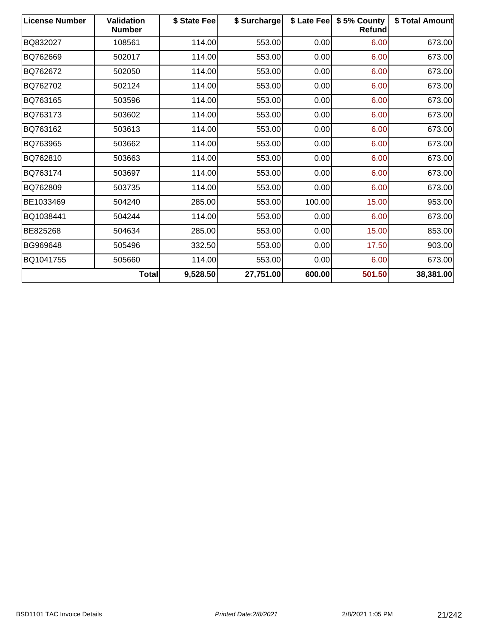| <b>License Number</b> | <b>Validation</b><br><b>Number</b> | \$ State Fee | \$ Surcharge | \$ Late Fee | \$5% County<br><b>Refund</b> | <b>\$Total Amount</b> |
|-----------------------|------------------------------------|--------------|--------------|-------------|------------------------------|-----------------------|
| BQ832027              | 108561                             | 114.00       | 553.00       | 0.00        | 6.00                         | 673.00                |
| BQ762669              | 502017                             | 114.00       | 553.00       | 0.00        | 6.00                         | 673.00                |
| BQ762672              | 502050                             | 114.00       | 553.00       | 0.00        | 6.00                         | 673.00                |
| BQ762702              | 502124                             | 114.00       | 553.00       | 0.00        | 6.00                         | 673.00                |
| BQ763165              | 503596                             | 114.00       | 553.00       | 0.00        | 6.00                         | 673.00                |
| BQ763173              | 503602                             | 114.00       | 553.00       | 0.00        | 6.00                         | 673.00                |
| BQ763162              | 503613                             | 114.00       | 553.00       | 0.00        | 6.00                         | 673.00                |
| BQ763965              | 503662                             | 114.00       | 553.00       | 0.00        | 6.00                         | 673.00                |
| BQ762810              | 503663                             | 114.00       | 553.00       | 0.00        | 6.00                         | 673.00                |
| BQ763174              | 503697                             | 114.00       | 553.00       | 0.00        | 6.00                         | 673.00                |
| BQ762809              | 503735                             | 114.00       | 553.00       | 0.00        | 6.00                         | 673.00                |
| BE1033469             | 504240                             | 285.00       | 553.00       | 100.00      | 15.00                        | 953.00                |
| BQ1038441             | 504244                             | 114.00       | 553.00       | 0.00        | 6.00                         | 673.00                |
| BE825268              | 504634                             | 285.00       | 553.00       | 0.00        | 15.00                        | 853.00                |
| BG969648              | 505496                             | 332.50       | 553.00       | 0.00        | 17.50                        | 903.00                |
| BQ1041755             | 505660                             | 114.00       | 553.00       | 0.00        | 6.00                         | 673.00                |
|                       | Total                              | 9,528.50     | 27,751.00    | 600.00      | 501.50                       | 38,381.00             |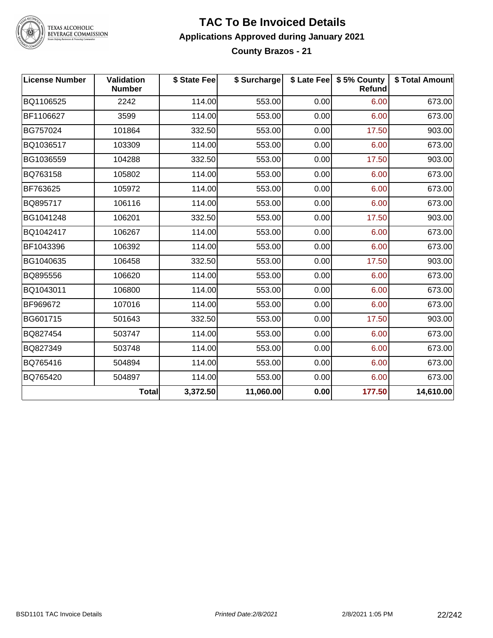

#### **TAC To Be Invoiced Details Applications Approved during January 2021 County Brazos - 21**

| <b>License Number</b> | Validation<br><b>Number</b> | \$ State Fee | \$ Surcharge |      | \$ Late Fee   \$5% County<br>Refund | \$ Total Amount |
|-----------------------|-----------------------------|--------------|--------------|------|-------------------------------------|-----------------|
| BQ1106525             | 2242                        | 114.00       | 553.00       | 0.00 | 6.00                                | 673.00          |
| BF1106627             | 3599                        | 114.00       | 553.00       | 0.00 | 6.00                                | 673.00          |
| BG757024              | 101864                      | 332.50       | 553.00       | 0.00 | 17.50                               | 903.00          |
| BQ1036517             | 103309                      | 114.00       | 553.00       | 0.00 | 6.00                                | 673.00          |
| BG1036559             | 104288                      | 332.50       | 553.00       | 0.00 | 17.50                               | 903.00          |
| BQ763158              | 105802                      | 114.00       | 553.00       | 0.00 | 6.00                                | 673.00          |
| BF763625              | 105972                      | 114.00       | 553.00       | 0.00 | 6.00                                | 673.00          |
| BQ895717              | 106116                      | 114.00       | 553.00       | 0.00 | 6.00                                | 673.00          |
| BG1041248             | 106201                      | 332.50       | 553.00       | 0.00 | 17.50                               | 903.00          |
| BQ1042417             | 106267                      | 114.00       | 553.00       | 0.00 | 6.00                                | 673.00          |
| BF1043396             | 106392                      | 114.00       | 553.00       | 0.00 | 6.00                                | 673.00          |
| BG1040635             | 106458                      | 332.50       | 553.00       | 0.00 | 17.50                               | 903.00          |
| BQ895556              | 106620                      | 114.00       | 553.00       | 0.00 | 6.00                                | 673.00          |
| BQ1043011             | 106800                      | 114.00       | 553.00       | 0.00 | 6.00                                | 673.00          |
| BF969672              | 107016                      | 114.00       | 553.00       | 0.00 | 6.00                                | 673.00          |
| BG601715              | 501643                      | 332.50       | 553.00       | 0.00 | 17.50                               | 903.00          |
| BQ827454              | 503747                      | 114.00       | 553.00       | 0.00 | 6.00                                | 673.00          |
| BQ827349              | 503748                      | 114.00       | 553.00       | 0.00 | 6.00                                | 673.00          |
| BQ765416              | 504894                      | 114.00       | 553.00       | 0.00 | 6.00                                | 673.00          |
| BQ765420              | 504897                      | 114.00       | 553.00       | 0.00 | 6.00                                | 673.00          |
|                       | <b>Total</b>                | 3,372.50     | 11,060.00    | 0.00 | 177.50                              | 14,610.00       |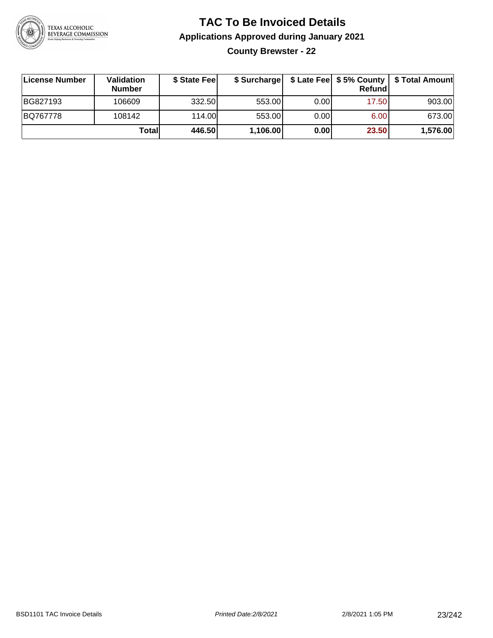

**County Brewster - 22**

| ∣License Number | <b>Validation</b><br><b>Number</b> | \$ State Fee |          |      | <b>Refund</b> | \$ Surcharge   \$ Late Fee   \$5% County   \$ Total Amount |
|-----------------|------------------------------------|--------------|----------|------|---------------|------------------------------------------------------------|
| BG827193        | 106609                             | 332.50       | 553.00   | 0.00 | 17.50         | 903.00                                                     |
| BQ767778        | 108142                             | 114.00L      | 553.00   | 0.00 | 6.00          | 673.00                                                     |
|                 | Totall                             | 446.50       | 1,106.00 | 0.00 | 23.50         | 1,576.00                                                   |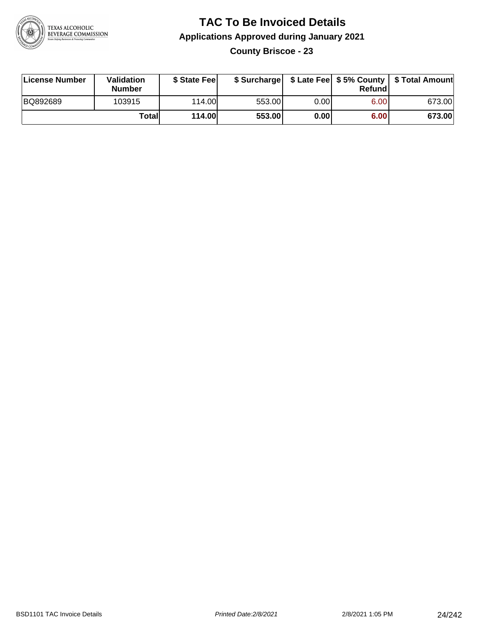

**County Briscoe - 23**

| License Number | <b>Validation</b><br><b>Number</b> | \$ State Fee  | \$ Surcharge |      | Refundl | \$ Late Fee   \$5% County   \$ Total Amount |
|----------------|------------------------------------|---------------|--------------|------|---------|---------------------------------------------|
| BQ892689       | 103915                             | 114.00L       | 553.00       | 0.00 | 6.00    | 673.00                                      |
|                | Totall                             | <b>114.00</b> | 553.00       | 0.00 | 6.00    | 673.00                                      |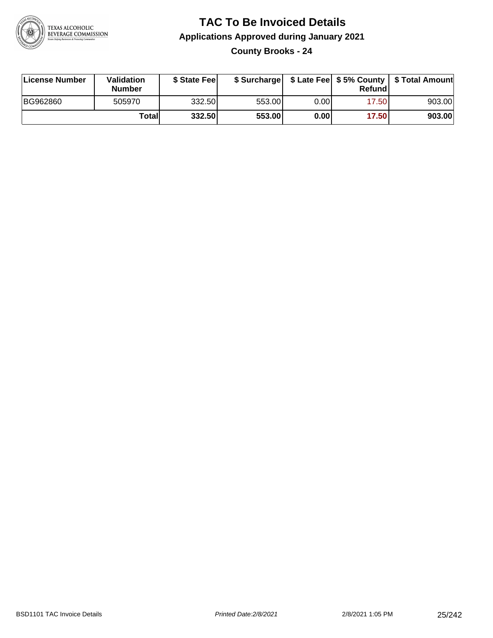

### **TAC To Be Invoiced Details Applications Approved during January 2021 County Brooks - 24**

| License Number | Validation<br><b>Number</b> | \$ State Fee |        |      | Refund | \$ Surcharge   \$ Late Fee   \$5% County   \$ Total Amount |
|----------------|-----------------------------|--------------|--------|------|--------|------------------------------------------------------------|
| BG962860       | 505970                      | 332.50       | 553.00 | 0.00 | 17.50  | 903.00                                                     |
|                | Totall                      | 332.50       | 553.00 | 0.00 | 17.50  | 903.00                                                     |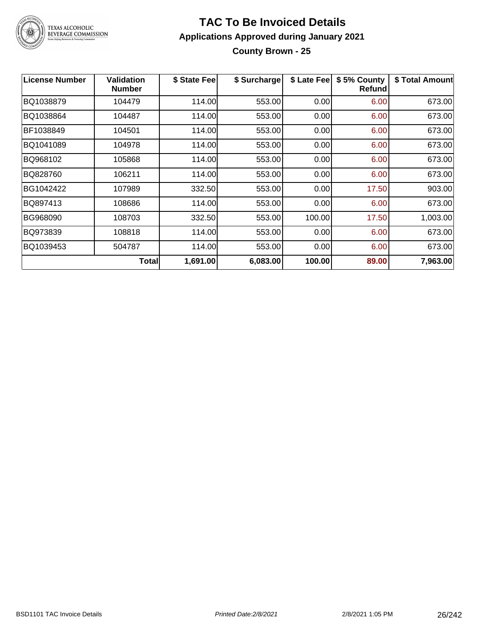

#### **TAC To Be Invoiced Details Applications Approved during January 2021 County Brown - 25**

| <b>License Number</b> | <b>Validation</b><br><b>Number</b> | \$ State Fee | \$ Surcharge | \$ Late Fee | \$5% County<br><b>Refund</b> | \$ Total Amount |
|-----------------------|------------------------------------|--------------|--------------|-------------|------------------------------|-----------------|
| BQ1038879             | 104479                             | 114.00       | 553.00       | 0.00        | 6.00                         | 673.00          |
| BQ1038864             | 104487                             | 114.00       | 553.00       | 0.00        | 6.00                         | 673.00          |
| BF1038849             | 104501                             | 114.00       | 553.00       | 0.00        | 6.00                         | 673.00          |
| BQ1041089             | 104978                             | 114.00       | 553.00       | 0.00        | 6.00                         | 673.00          |
| BQ968102              | 105868                             | 114.00       | 553.00       | 0.00        | 6.00                         | 673.00          |
| BQ828760              | 106211                             | 114.00       | 553.00       | 0.00        | 6.00                         | 673.00          |
| BG1042422             | 107989                             | 332.50       | 553.00       | 0.00        | 17.50                        | 903.00          |
| BQ897413              | 108686                             | 114.00       | 553.00       | 0.00        | 6.00                         | 673.00          |
| BG968090              | 108703                             | 332.50       | 553.00       | 100.00      | 17.50                        | 1,003.00        |
| BQ973839              | 108818                             | 114.00       | 553.00       | 0.00        | 6.00                         | 673.00          |
| BQ1039453             | 504787                             | 114.00       | 553.00       | 0.00        | 6.00                         | 673.00          |
|                       | <b>Total</b>                       | 1,691.00     | 6,083.00     | 100.00      | 89.00                        | 7,963.00        |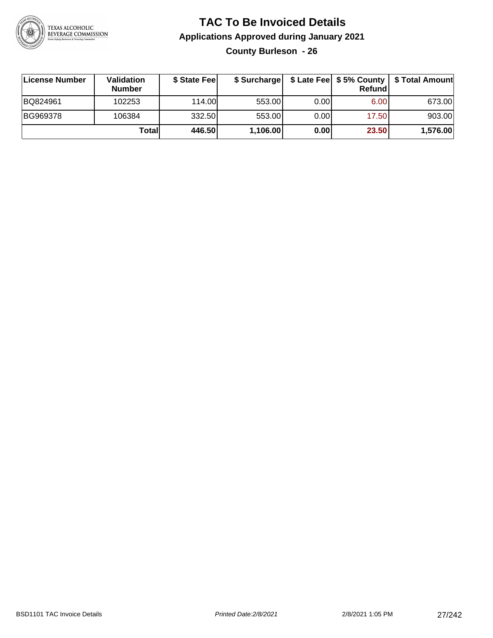

**County Burleson - 26**

| License Number | <b>Validation</b><br><b>Number</b> | \$ State Feel | \$ Surcharge |       | <b>Refund</b> | \$ Late Fee   \$5% County   \$ Total Amount |
|----------------|------------------------------------|---------------|--------------|-------|---------------|---------------------------------------------|
| BQ824961       | 102253                             | 114.00        | 553.00       | 0.001 | 6.00          | 673.00                                      |
| BG969378       | 106384                             | 332.50        | 553.00       | 0.001 | 17.50         | 903.00                                      |
|                | Totall                             | 446.50        | 1,106.00     | 0.00  | 23.50         | 1,576.00                                    |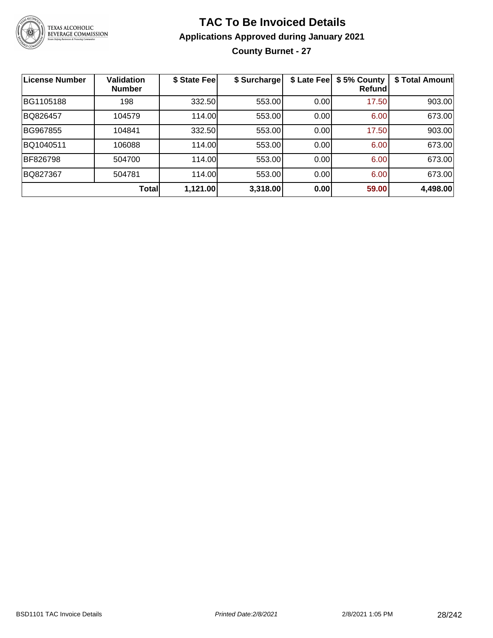

# **TAC To Be Invoiced Details Applications Approved during January 2021 County Burnet - 27**

| <b>License Number</b> | Validation<br><b>Number</b> | \$ State Fee | \$ Surcharge | \$ Late Fee | \$5% County<br>Refundl | \$ Total Amount |
|-----------------------|-----------------------------|--------------|--------------|-------------|------------------------|-----------------|
| BG1105188             | 198                         | 332.50       | 553.00       | 0.00        | 17.50                  | 903.00          |
| BQ826457              | 104579                      | 114.00       | 553.00       | 0.00        | 6.00                   | 673.00          |
| BG967855              | 104841                      | 332.50       | 553.00       | 0.00        | 17.50                  | 903.00          |
| BQ1040511             | 106088                      | 114.00       | 553.00       | 0.00        | 6.00                   | 673.00          |
| BF826798              | 504700                      | 114.00       | 553.00       | 0.00        | 6.00                   | 673.00          |
| BQ827367              | 504781                      | 114.00       | 553.00       | 0.00        | 6.00                   | 673.00          |
|                       | <b>Total</b>                | 1,121.00     | 3,318.00     | 0.00        | 59.00                  | 4,498.00        |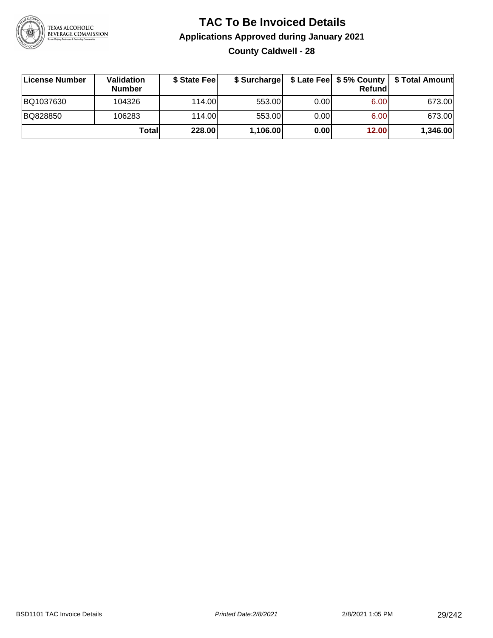

# **TAC To Be Invoiced Details Applications Approved during January 2021 County Caldwell - 28**

| <b>License Number</b> | Validation<br><b>Number</b> | \$ State Feel | \$ Surcharge |      | Refundl | \$ Late Fee   \$5% County   \$ Total Amount |
|-----------------------|-----------------------------|---------------|--------------|------|---------|---------------------------------------------|
| BQ1037630             | 104326                      | 114.00L       | 553.00       | 0.00 | 6.00    | 673.00                                      |
| BQ828850              | 106283                      | 114.00L       | 553.00       | 0.00 | 6.00    | 673.00                                      |
|                       | Totall                      | 228.00        | 1,106.00     | 0.00 | 12.00   | 1,346.00                                    |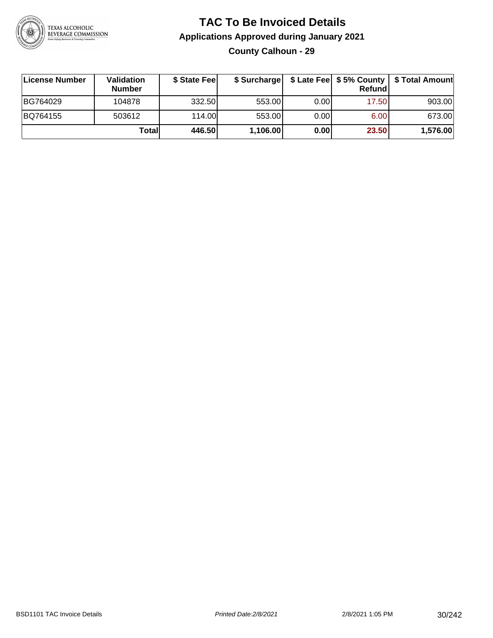

# **TAC To Be Invoiced Details Applications Approved during January 2021 County Calhoun - 29**

| License Number | <b>Validation</b><br><b>Number</b> | \$ State Fee |          |       | <b>Refund</b> | \$ Surcharge   \$ Late Fee   \$5% County   \$ Total Amount |
|----------------|------------------------------------|--------------|----------|-------|---------------|------------------------------------------------------------|
| BG764029       | 104878                             | 332.50       | 553.00   | 0.001 | 17.50         | 903.00                                                     |
| BQ764155       | 503612                             | 114.00       | 553.00   | 0.001 | 6.00          | 673.00                                                     |
|                | Totall                             | 446.50       | 1,106.00 | 0.00  | 23.50         | 1,576.00                                                   |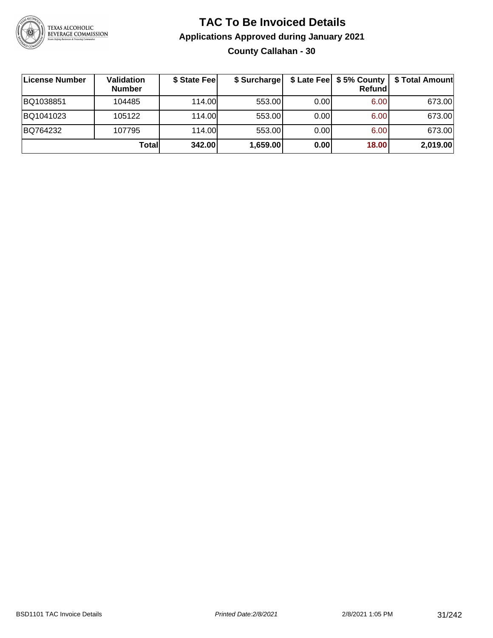

# **TAC To Be Invoiced Details Applications Approved during January 2021 County Callahan - 30**

| ∣License Number | Validation<br><b>Number</b> | \$ State Feel | \$ Surcharge |      | \$ Late Fee   \$5% County  <br>Refundl | \$ Total Amount |
|-----------------|-----------------------------|---------------|--------------|------|----------------------------------------|-----------------|
| BQ1038851       | 104485                      | 114.00L       | 553.00       | 0.00 | 6.00                                   | 673.00          |
| BQ1041023       | 105122                      | 114.00        | 553.00       | 0.00 | 6.00                                   | 673.00          |
| BQ764232        | 107795                      | 114.00        | 553.00       | 0.00 | 6.00                                   | 673.00          |
|                 | Totall                      | 342.00        | 1,659.00     | 0.00 | 18.00                                  | 2,019.00        |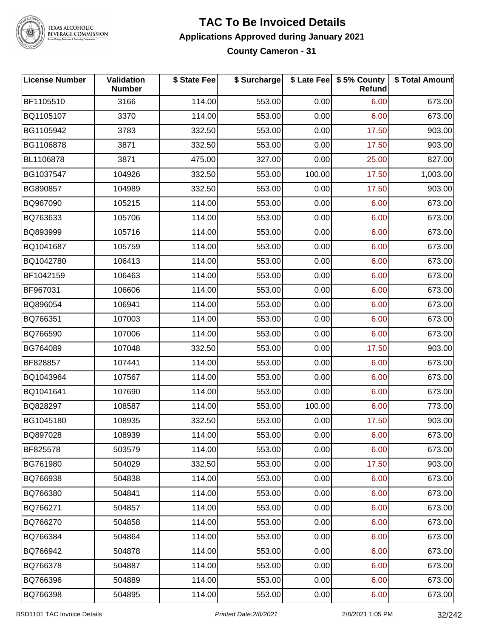

#### **TAC To Be Invoiced Details Applications Approved during January 2021 County Cameron - 31**

| <b>License Number</b> | Validation<br><b>Number</b> | \$ State Fee | \$ Surcharge |        | \$ Late Fee   \$5% County<br>Refund | \$ Total Amount |
|-----------------------|-----------------------------|--------------|--------------|--------|-------------------------------------|-----------------|
| BF1105510             | 3166                        | 114.00       | 553.00       | 0.00   | 6.00                                | 673.00          |
| BQ1105107             | 3370                        | 114.00       | 553.00       | 0.00   | 6.00                                | 673.00          |
| BG1105942             | 3783                        | 332.50       | 553.00       | 0.00   | 17.50                               | 903.00          |
| BG1106878             | 3871                        | 332.50       | 553.00       | 0.00   | 17.50                               | 903.00          |
| BL1106878             | 3871                        | 475.00       | 327.00       | 0.00   | 25.00                               | 827.00          |
| BG1037547             | 104926                      | 332.50       | 553.00       | 100.00 | 17.50                               | 1,003.00        |
| BG890857              | 104989                      | 332.50       | 553.00       | 0.00   | 17.50                               | 903.00          |
| BQ967090              | 105215                      | 114.00       | 553.00       | 0.00   | 6.00                                | 673.00          |
| BQ763633              | 105706                      | 114.00       | 553.00       | 0.00   | 6.00                                | 673.00          |
| BQ893999              | 105716                      | 114.00       | 553.00       | 0.00   | 6.00                                | 673.00          |
| BQ1041687             | 105759                      | 114.00       | 553.00       | 0.00   | 6.00                                | 673.00          |
| BQ1042780             | 106413                      | 114.00       | 553.00       | 0.00   | 6.00                                | 673.00          |
| BF1042159             | 106463                      | 114.00       | 553.00       | 0.00   | 6.00                                | 673.00          |
| BF967031              | 106606                      | 114.00       | 553.00       | 0.00   | 6.00                                | 673.00          |
| BQ896054              | 106941                      | 114.00       | 553.00       | 0.00   | 6.00                                | 673.00          |
| BQ766351              | 107003                      | 114.00       | 553.00       | 0.00   | 6.00                                | 673.00          |
| BQ766590              | 107006                      | 114.00       | 553.00       | 0.00   | 6.00                                | 673.00          |
| BG764089              | 107048                      | 332.50       | 553.00       | 0.00   | 17.50                               | 903.00          |
| BF828857              | 107441                      | 114.00       | 553.00       | 0.00   | 6.00                                | 673.00          |
| BQ1043964             | 107567                      | 114.00       | 553.00       | 0.00   | 6.00                                | 673.00          |
| BQ1041641             | 107690                      | 114.00       | 553.00       | 0.00   | 6.00                                | 673.00          |
| BQ828297              | 108587                      | 114.00       | 553.00       | 100.00 | 6.00                                | 773.00          |
| BG1045180             | 108935                      | 332.50       | 553.00       | 0.00   | 17.50                               | 903.00          |
| BQ897028              | 108939                      | 114.00       | 553.00       | 0.00   | 6.00                                | 673.00          |
| BF825578              | 503579                      | 114.00       | 553.00       | 0.00   | 6.00                                | 673.00          |
| BG761980              | 504029                      | 332.50       | 553.00       | 0.00   | 17.50                               | 903.00          |
| BQ766938              | 504838                      | 114.00       | 553.00       | 0.00   | 6.00                                | 673.00          |
| BQ766380              | 504841                      | 114.00       | 553.00       | 0.00   | 6.00                                | 673.00          |
| BQ766271              | 504857                      | 114.00       | 553.00       | 0.00   | 6.00                                | 673.00          |
| BQ766270              | 504858                      | 114.00       | 553.00       | 0.00   | 6.00                                | 673.00          |
| BQ766384              | 504864                      | 114.00       | 553.00       | 0.00   | 6.00                                | 673.00          |
| BQ766942              | 504878                      | 114.00       | 553.00       | 0.00   | 6.00                                | 673.00          |
| BQ766378              | 504887                      | 114.00       | 553.00       | 0.00   | 6.00                                | 673.00          |
| BQ766396              | 504889                      | 114.00       | 553.00       | 0.00   | 6.00                                | 673.00          |
| BQ766398              | 504895                      | 114.00       | 553.00       | 0.00   | 6.00                                | 673.00          |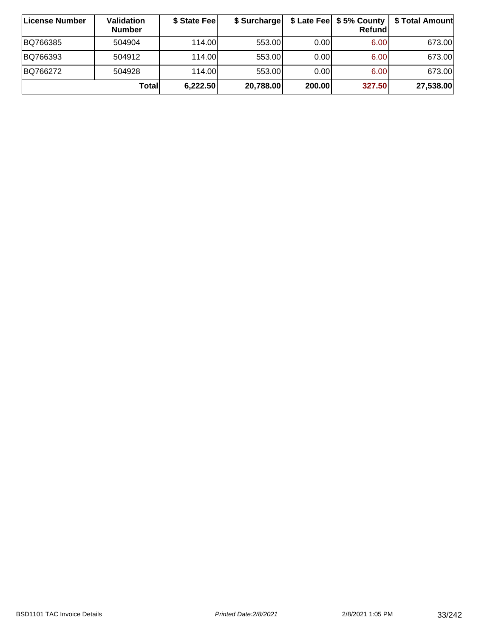| ∣License Number | Validation<br><b>Number</b> | \$ State Fee | \$ Surcharge |        | \$ Late Fee   \$5% County  <br>Refundl | \$ Total Amount |
|-----------------|-----------------------------|--------------|--------------|--------|----------------------------------------|-----------------|
| BQ766385        | 504904                      | 114.00       | 553.00       | 0.00   | 6.00                                   | 673.00          |
| BQ766393        | 504912                      | 114.00       | 553.00       | 0.00   | 6.00 <sub>1</sub>                      | 673.00          |
| BQ766272        | 504928                      | 114.00       | 553.00       | 0.00   | 6.00                                   | 673.00          |
|                 | Totall                      | 6,222.50     | 20,788.00    | 200.00 | 327.50                                 | 27,538.00       |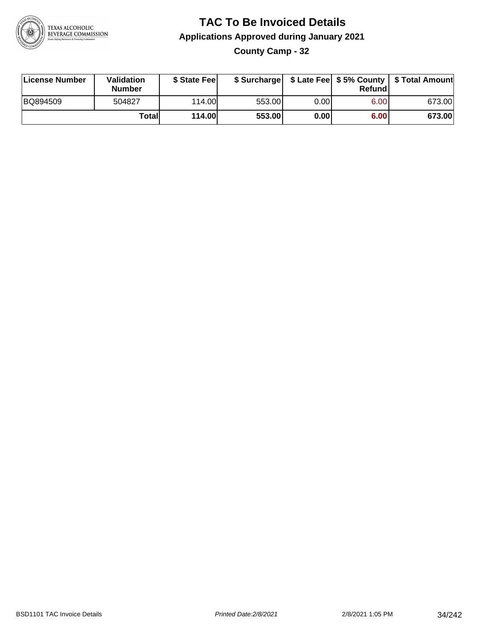

### **TAC To Be Invoiced Details Applications Approved during January 2021 County Camp - 32**

| License Number | Validation<br>Number | \$ State Fee  | \$ Surcharge |       | Refundl |        |
|----------------|----------------------|---------------|--------------|-------|---------|--------|
| BQ894509       | 504827               | 114.00        | 553.00       | 0.001 | 6.00    | 673.00 |
|                | Totall               | <b>114.00</b> | 553.00       | 0.00  | 6.00    | 673.00 |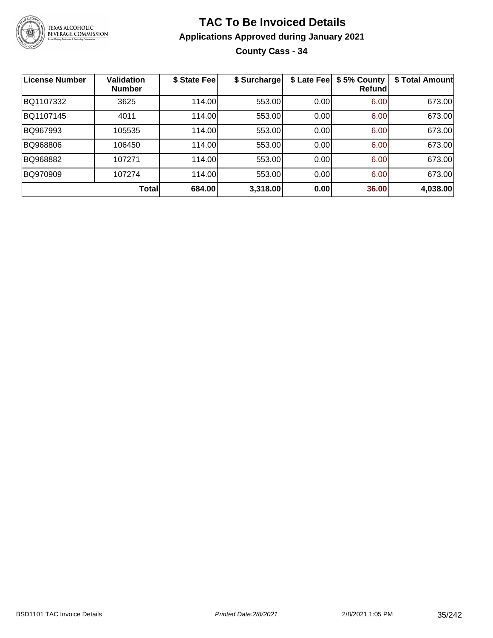

# **TAC To Be Invoiced Details Applications Approved during January 2021 County Cass - 34**

| <b>License Number</b> | <b>Validation</b><br><b>Number</b> | \$ State Fee | \$ Surcharge | \$ Late Fee | \$5% County<br>Refund | \$ Total Amount |
|-----------------------|------------------------------------|--------------|--------------|-------------|-----------------------|-----------------|
| BQ1107332             | 3625                               | 114.00       | 553.00       | 0.00        | 6.00                  | 673.00          |
| BQ1107145             | 4011                               | 114.00       | 553.00       | 0.00        | 6.00                  | 673.00          |
| BQ967993              | 105535                             | 114.00       | 553.00       | 0.00        | 6.00                  | 673.00          |
| BQ968806              | 106450                             | 114.00       | 553.00       | 0.00        | 6.00                  | 673.00          |
| BQ968882              | 107271                             | 114.00       | 553.00       | 0.00        | 6.00                  | 673.00          |
| BQ970909              | 107274                             | 114.00       | 553.00       | 0.00        | 6.00                  | 673.00          |
|                       | Total                              | 684.00       | 3,318.00     | 0.00        | 36.00                 | 4,038.00        |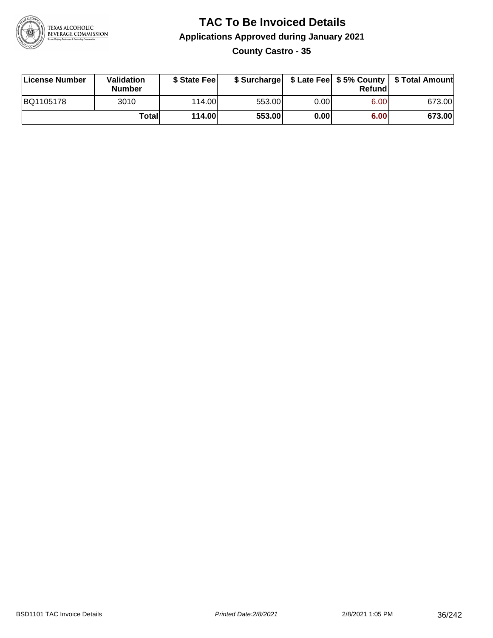

### **TAC To Be Invoiced Details Applications Approved during January 2021 County Castro - 35**

| License Number | Validation<br>Number | \$ State Feel |        |      | Refund | \$ Surcharge   \$ Late Fee   \$5% County   \$ Total Amount |
|----------------|----------------------|---------------|--------|------|--------|------------------------------------------------------------|
| BQ1105178      | 3010                 | 114.00        | 553.00 | 0.00 | 6.00   | 673.00                                                     |
|                | Totall               | 114.00        | 553.00 | 0.00 | 6.00   | 673.00                                                     |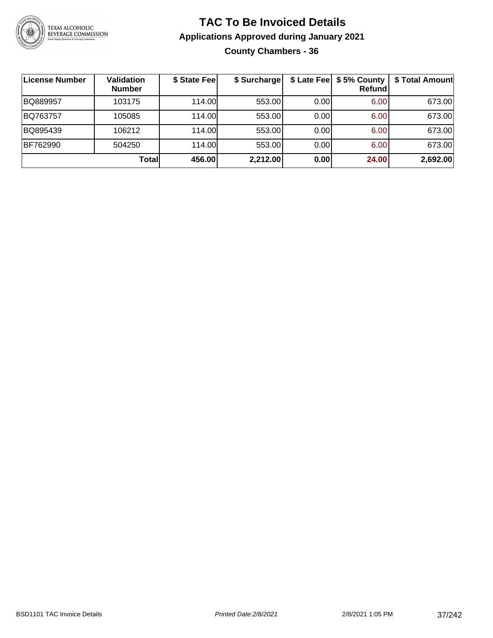

# **TAC To Be Invoiced Details Applications Approved during January 2021 County Chambers - 36**

| <b>License Number</b> | Validation<br><b>Number</b> | \$ State Fee | \$ Surcharge |      | \$ Late Fee   \$5% County<br><b>Refund</b> | \$ Total Amount |
|-----------------------|-----------------------------|--------------|--------------|------|--------------------------------------------|-----------------|
| BQ889957              | 103175                      | 114.00L      | 553.00       | 0.00 | 6.00                                       | 673.00          |
| BQ763757              | 105085                      | 114.00L      | 553.00       | 0.00 | 6.00                                       | 673.00          |
| BQ895439              | 106212                      | 114.00L      | 553.00       | 0.00 | 6.00                                       | 673.00          |
| BF762990              | 504250                      | 114.00L      | 553.00       | 0.00 | 6.00                                       | 673.00          |
|                       | Total                       | 456.00       | 2,212.00     | 0.00 | 24.00                                      | 2,692.00        |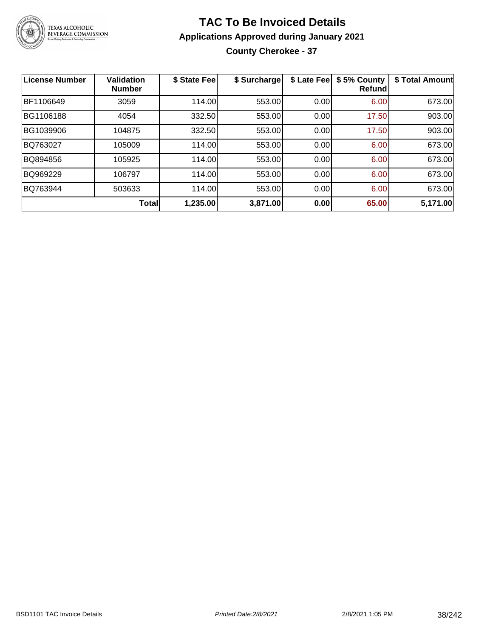

#### **TAC To Be Invoiced Details Applications Approved during January 2021 County Cherokee - 37**

| <b>License Number</b> | <b>Validation</b><br><b>Number</b> | \$ State Fee | \$ Surcharge | \$ Late Fee | \$5% County<br><b>Refund</b> | \$ Total Amount |
|-----------------------|------------------------------------|--------------|--------------|-------------|------------------------------|-----------------|
| BF1106649             | 3059                               | 114.00       | 553.00       | 0.00        | 6.00                         | 673.00          |
| BG1106188             | 4054                               | 332.50       | 553.00       | 0.00        | 17.50                        | 903.00          |
| BG1039906             | 104875                             | 332.50       | 553.00       | 0.00        | 17.50                        | 903.00          |
| BQ763027              | 105009                             | 114.00       | 553.00       | 0.00        | 6.00                         | 673.00          |
| BQ894856              | 105925                             | 114.00       | 553.00       | 0.00        | 6.00                         | 673.00          |
| BQ969229              | 106797                             | 114.00       | 553.00       | 0.00        | 6.00                         | 673.00          |
| BQ763944              | 503633                             | 114.00       | 553.00       | 0.00        | 6.00                         | 673.00          |
|                       | <b>Total</b>                       | 1,235.00     | 3,871.00     | 0.00        | 65.00                        | 5,171.00        |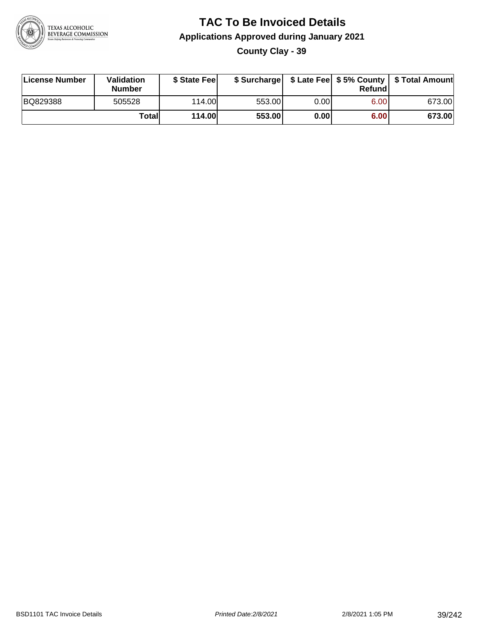

#### **TAC To Be Invoiced Details Applications Approved during January 2021 County Clay - 39**

| License Number | Validation<br><b>Number</b> | \$ State Fee |        |      | Refundl | \$ Surcharge   \$ Late Fee   \$5% County   \$ Total Amount |
|----------------|-----------------------------|--------------|--------|------|---------|------------------------------------------------------------|
| BQ829388       | 505528                      | 114.00       | 553.00 | 0.00 | 6.00    | 673.00                                                     |
|                | Totall                      | 114.00       | 553.00 | 0.00 | 6.00    | 673.00                                                     |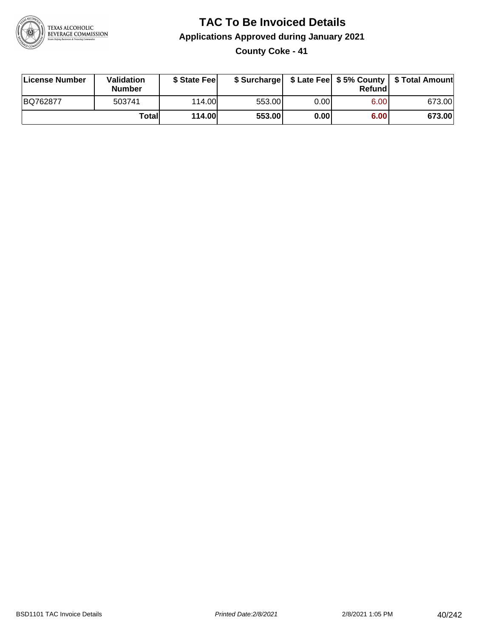

#### **TAC To Be Invoiced Details Applications Approved during January 2021 County Coke - 41**

| License Number | <b>Validation</b><br><b>Number</b> | \$ State Feel |        |      | Refund | \$ Surcharge   \$ Late Fee   \$5% County   \$ Total Amount |
|----------------|------------------------------------|---------------|--------|------|--------|------------------------------------------------------------|
| BQ762877       | 503741                             | 114.00L       | 553.00 | 0.00 | 6.00   | 673.00                                                     |
|                | Totall                             | <b>114.00</b> | 553.00 | 0.00 | 6.00   | 673.00                                                     |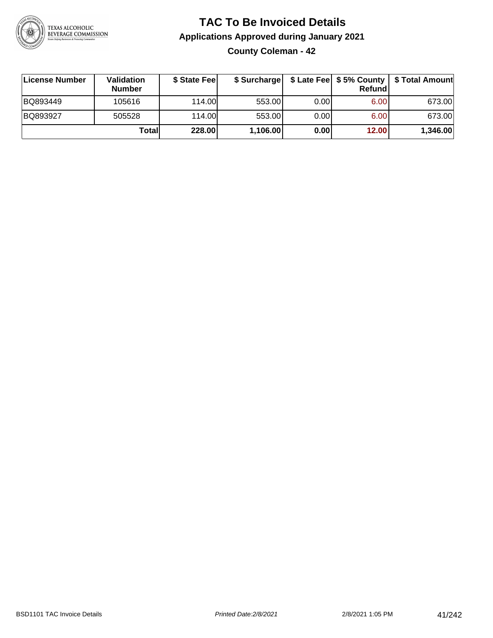

# **TAC To Be Invoiced Details Applications Approved during January 2021 County Coleman - 42**

| License Number | Validation<br><b>Number</b> | \$ State Fee |          |       | Refund | \$ Surcharge   \$ Late Fee   \$5% County   \$ Total Amount |
|----------------|-----------------------------|--------------|----------|-------|--------|------------------------------------------------------------|
| BQ893449       | 105616                      | 114.00L      | 553.00   | 0.00  | 6.00   | 673.00                                                     |
| BQ893927       | 505528                      | 114.00       | 553.00   | 0.001 | 6.00   | 673.00                                                     |
|                | Totall                      | 228.00       | 1,106.00 | 0.00  | 12.00  | 1,346.00                                                   |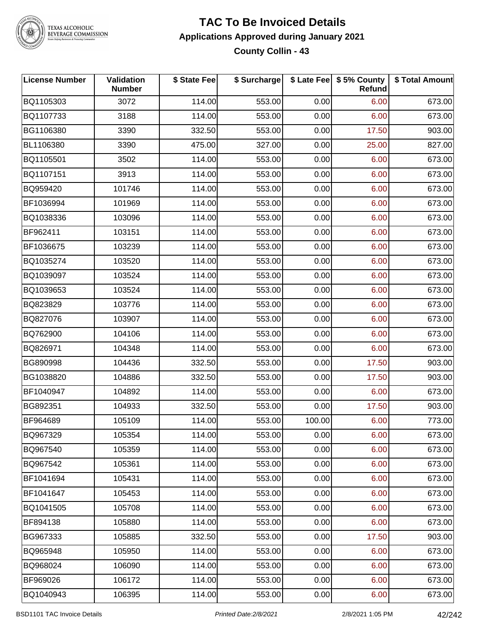

#### **TAC To Be Invoiced Details Applications Approved during January 2021 County Collin - 43**

| <b>License Number</b> | Validation<br><b>Number</b> | \$ State Fee | \$ Surcharge |        | \$ Late Fee   \$5% County<br><b>Refund</b> | \$ Total Amount |
|-----------------------|-----------------------------|--------------|--------------|--------|--------------------------------------------|-----------------|
| BQ1105303             | 3072                        | 114.00       | 553.00       | 0.00   | 6.00                                       | 673.00          |
| BQ1107733             | 3188                        | 114.00       | 553.00       | 0.00   | 6.00                                       | 673.00          |
| BG1106380             | 3390                        | 332.50       | 553.00       | 0.00   | 17.50                                      | 903.00          |
| BL1106380             | 3390                        | 475.00       | 327.00       | 0.00   | 25.00                                      | 827.00          |
| BQ1105501             | 3502                        | 114.00       | 553.00       | 0.00   | 6.00                                       | 673.00          |
| BQ1107151             | 3913                        | 114.00       | 553.00       | 0.00   | 6.00                                       | 673.00          |
| BQ959420              | 101746                      | 114.00       | 553.00       | 0.00   | 6.00                                       | 673.00          |
| BF1036994             | 101969                      | 114.00       | 553.00       | 0.00   | 6.00                                       | 673.00          |
| BQ1038336             | 103096                      | 114.00       | 553.00       | 0.00   | 6.00                                       | 673.00          |
| BF962411              | 103151                      | 114.00       | 553.00       | 0.00   | 6.00                                       | 673.00          |
| BF1036675             | 103239                      | 114.00       | 553.00       | 0.00   | 6.00                                       | 673.00          |
| BQ1035274             | 103520                      | 114.00       | 553.00       | 0.00   | 6.00                                       | 673.00          |
| BQ1039097             | 103524                      | 114.00       | 553.00       | 0.00   | 6.00                                       | 673.00          |
| BQ1039653             | 103524                      | 114.00       | 553.00       | 0.00   | 6.00                                       | 673.00          |
| BQ823829              | 103776                      | 114.00       | 553.00       | 0.00   | 6.00                                       | 673.00          |
| BQ827076              | 103907                      | 114.00       | 553.00       | 0.00   | 6.00                                       | 673.00          |
| BQ762900              | 104106                      | 114.00       | 553.00       | 0.00   | 6.00                                       | 673.00          |
| BQ826971              | 104348                      | 114.00       | 553.00       | 0.00   | 6.00                                       | 673.00          |
| BG890998              | 104436                      | 332.50       | 553.00       | 0.00   | 17.50                                      | 903.00          |
| BG1038820             | 104886                      | 332.50       | 553.00       | 0.00   | 17.50                                      | 903.00          |
| BF1040947             | 104892                      | 114.00       | 553.00       | 0.00   | 6.00                                       | 673.00          |
| BG892351              | 104933                      | 332.50       | 553.00       | 0.00   | 17.50                                      | 903.00          |
| BF964689              | 105109                      | 114.00       | 553.00       | 100.00 | 6.00                                       | 773.00          |
| BQ967329              | 105354                      | 114.00       | 553.00       | 0.00   | 6.00                                       | 673.00          |
| BQ967540              | 105359                      | 114.00       | 553.00       | 0.00   | 6.00                                       | 673.00          |
| BQ967542              | 105361                      | 114.00       | 553.00       | 0.00   | 6.00                                       | 673.00          |
| BF1041694             | 105431                      | 114.00       | 553.00       | 0.00   | 6.00                                       | 673.00          |
| BF1041647             | 105453                      | 114.00       | 553.00       | 0.00   | 6.00                                       | 673.00          |
| BQ1041505             | 105708                      | 114.00       | 553.00       | 0.00   | 6.00                                       | 673.00          |
| BF894138              | 105880                      | 114.00       | 553.00       | 0.00   | 6.00                                       | 673.00          |
| BG967333              | 105885                      | 332.50       | 553.00       | 0.00   | 17.50                                      | 903.00          |
| BQ965948              | 105950                      | 114.00       | 553.00       | 0.00   | 6.00                                       | 673.00          |
| BQ968024              | 106090                      | 114.00       | 553.00       | 0.00   | 6.00                                       | 673.00          |
| BF969026              | 106172                      | 114.00       | 553.00       | 0.00   | 6.00                                       | 673.00          |
| BQ1040943             | 106395                      | 114.00       | 553.00       | 0.00   | 6.00                                       | 673.00          |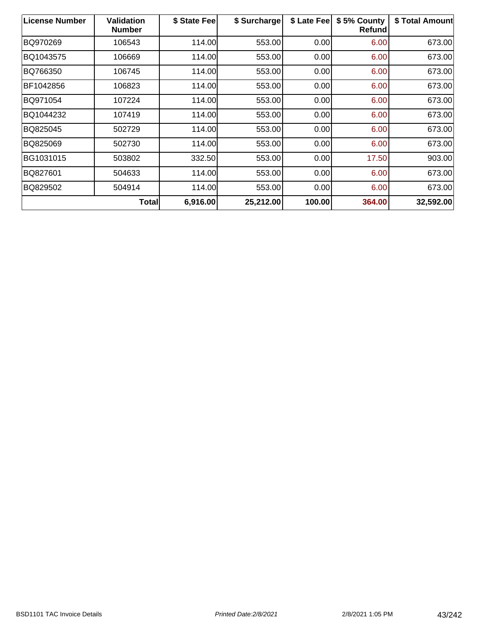| <b>License Number</b> | <b>Validation</b><br><b>Number</b> | \$ State Fee | \$ Surcharge | \$ Late Fee | \$5% County<br><b>Refund</b> | \$ Total Amount |
|-----------------------|------------------------------------|--------------|--------------|-------------|------------------------------|-----------------|
| BQ970269              | 106543                             | 114.00       | 553.00       | 0.00        | 6.00                         | 673.00          |
| BQ1043575             | 106669                             | 114.00       | 553.00       | 0.00        | 6.00                         | 673.00          |
| BQ766350              | 106745                             | 114.00       | 553.00       | 0.00        | 6.00                         | 673.00          |
| BF1042856             | 106823                             | 114.00       | 553.00       | 0.00        | 6.00                         | 673.00          |
| BQ971054              | 107224                             | 114.00       | 553.00       | 0.00        | 6.00                         | 673.00          |
| BQ1044232             | 107419                             | 114.00       | 553.00       | 0.00        | 6.00                         | 673.00          |
| BQ825045              | 502729                             | 114.00       | 553.00       | 0.00        | 6.00                         | 673.00          |
| BQ825069              | 502730                             | 114.00       | 553.00       | 0.00        | 6.00                         | 673.00          |
| BG1031015             | 503802                             | 332.50       | 553.00       | 0.00        | 17.50                        | 903.00          |
| BQ827601              | 504633                             | 114.00       | 553.00       | 0.00        | 6.00                         | 673.00          |
| BQ829502              | 504914                             | 114.00       | 553.00       | 0.00        | 6.00                         | 673.00          |
|                       | Total                              | 6,916.00     | 25,212.00    | 100.00      | 364.00                       | 32,592.00       |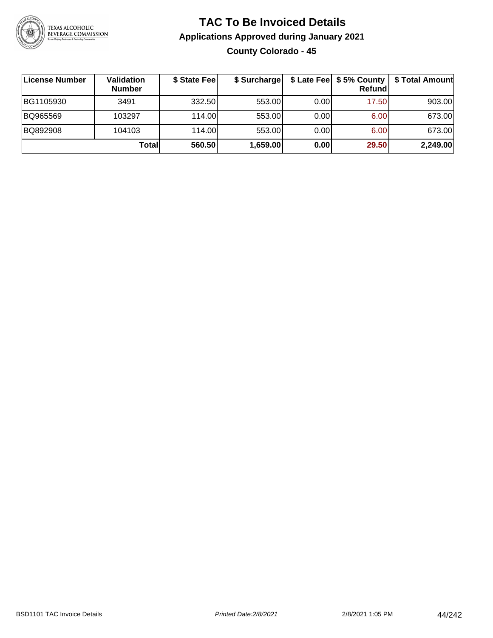

#### **TAC To Be Invoiced Details Applications Approved during January 2021 County Colorado - 45**

| License Number | Validation<br><b>Number</b> | \$ State Fee | \$ Surcharge |      | $$$ Late Fee $$$ 5% County  <br>Refundl | \$ Total Amount |
|----------------|-----------------------------|--------------|--------------|------|-----------------------------------------|-----------------|
| BG1105930      | 3491                        | 332.50       | 553.00       | 0.00 | 17.50                                   | 903.00          |
| BQ965569       | 103297                      | 114.00       | 553.00       | 0.00 | 6.00                                    | 673.00          |
| BQ892908       | 104103                      | 114.00       | 553.00       | 0.00 | 6.00                                    | 673.00          |
|                | Totall                      | 560.50       | 1,659.00     | 0.00 | 29.50                                   | 2,249.00        |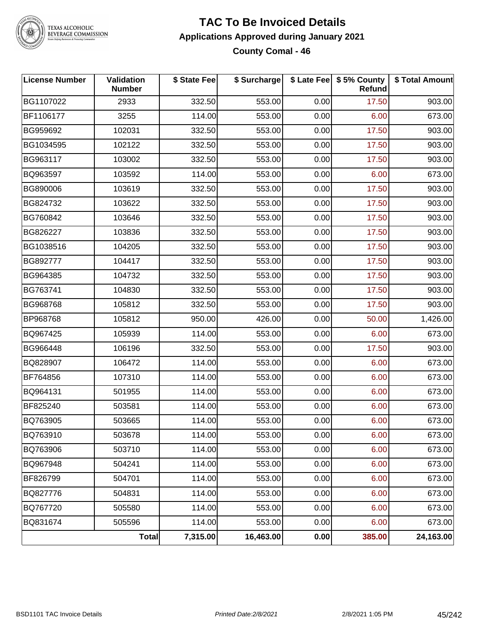

#### **TAC To Be Invoiced Details Applications Approved during January 2021 County Comal - 46**

| <b>License Number</b> | Validation<br><b>Number</b> | \$ State Fee | \$ Surcharge |      | \$ Late Fee   \$5% County<br>Refund | \$ Total Amount |
|-----------------------|-----------------------------|--------------|--------------|------|-------------------------------------|-----------------|
| BG1107022             | 2933                        | 332.50       | 553.00       | 0.00 | 17.50                               | 903.00          |
| BF1106177             | 3255                        | 114.00       | 553.00       | 0.00 | 6.00                                | 673.00          |
| BG959692              | 102031                      | 332.50       | 553.00       | 0.00 | 17.50                               | 903.00          |
| BG1034595             | 102122                      | 332.50       | 553.00       | 0.00 | 17.50                               | 903.00          |
| BG963117              | 103002                      | 332.50       | 553.00       | 0.00 | 17.50                               | 903.00          |
| BQ963597              | 103592                      | 114.00       | 553.00       | 0.00 | 6.00                                | 673.00          |
| BG890006              | 103619                      | 332.50       | 553.00       | 0.00 | 17.50                               | 903.00          |
| BG824732              | 103622                      | 332.50       | 553.00       | 0.00 | 17.50                               | 903.00          |
| BG760842              | 103646                      | 332.50       | 553.00       | 0.00 | 17.50                               | 903.00          |
| BG826227              | 103836                      | 332.50       | 553.00       | 0.00 | 17.50                               | 903.00          |
| BG1038516             | 104205                      | 332.50       | 553.00       | 0.00 | 17.50                               | 903.00          |
| BG892777              | 104417                      | 332.50       | 553.00       | 0.00 | 17.50                               | 903.00          |
| BG964385              | 104732                      | 332.50       | 553.00       | 0.00 | 17.50                               | 903.00          |
| BG763741              | 104830                      | 332.50       | 553.00       | 0.00 | 17.50                               | 903.00          |
| BG968768              | 105812                      | 332.50       | 553.00       | 0.00 | 17.50                               | 903.00          |
| BP968768              | 105812                      | 950.00       | 426.00       | 0.00 | 50.00                               | 1,426.00        |
| BQ967425              | 105939                      | 114.00       | 553.00       | 0.00 | 6.00                                | 673.00          |
| BG966448              | 106196                      | 332.50       | 553.00       | 0.00 | 17.50                               | 903.00          |
| BQ828907              | 106472                      | 114.00       | 553.00       | 0.00 | 6.00                                | 673.00          |
| BF764856              | 107310                      | 114.00       | 553.00       | 0.00 | 6.00                                | 673.00          |
| BQ964131              | 501955                      | 114.00       | 553.00       | 0.00 | 6.00                                | 673.00          |
| BF825240              | 503581                      | 114.00       | 553.00       | 0.00 | 6.00                                | 673.00          |
| BQ763905              | 503665                      | 114.00       | 553.00       | 0.00 | 6.00                                | 673.00          |
| BQ763910              | 503678                      | 114.00       | 553.00       | 0.00 | 6.00                                | 673.00          |
| BQ763906              | 503710                      | 114.00       | 553.00       | 0.00 | 6.00                                | 673.00          |
| BQ967948              | 504241                      | 114.00       | 553.00       | 0.00 | 6.00                                | 673.00          |
| BF826799              | 504701                      | 114.00       | 553.00       | 0.00 | 6.00                                | 673.00          |
| BQ827776              | 504831                      | 114.00       | 553.00       | 0.00 | 6.00                                | 673.00          |
| BQ767720              | 505580                      | 114.00       | 553.00       | 0.00 | 6.00                                | 673.00          |
| BQ831674              | 505596                      | 114.00       | 553.00       | 0.00 | 6.00                                | 673.00          |
|                       | Total                       | 7,315.00     | 16,463.00    | 0.00 | 385.00                              | 24,163.00       |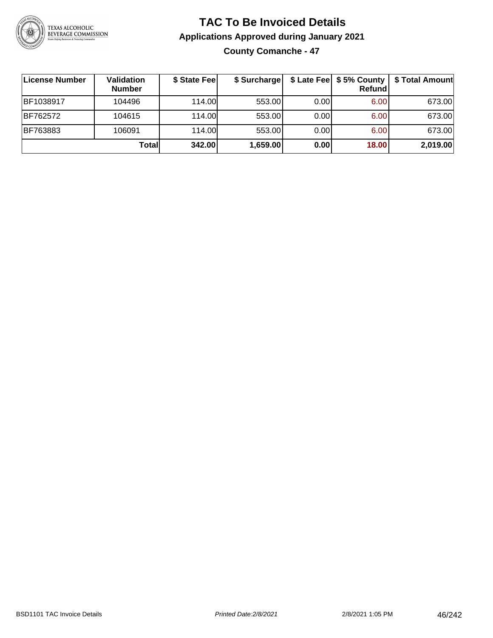

# **TAC To Be Invoiced Details Applications Approved during January 2021 County Comanche - 47**

| License Number | Validation<br><b>Number</b> | \$ State Fee | \$ Surcharge |      | $$$ Late Fee $$$ \$ 5% County $ $<br>Refundl | \$ Total Amount |
|----------------|-----------------------------|--------------|--------------|------|----------------------------------------------|-----------------|
| BF1038917      | 104496                      | 114.00       | 553.00       | 0.00 | 6.00                                         | 673.00          |
| BF762572       | 104615                      | 114.00       | 553.00       | 0.00 | 6.00                                         | 673.00          |
| BF763883       | 106091                      | 114.00       | 553.00       | 0.00 | 6.00                                         | 673.00          |
|                | Totall                      | 342.00       | 1,659.00     | 0.00 | 18.00                                        | 2,019.00        |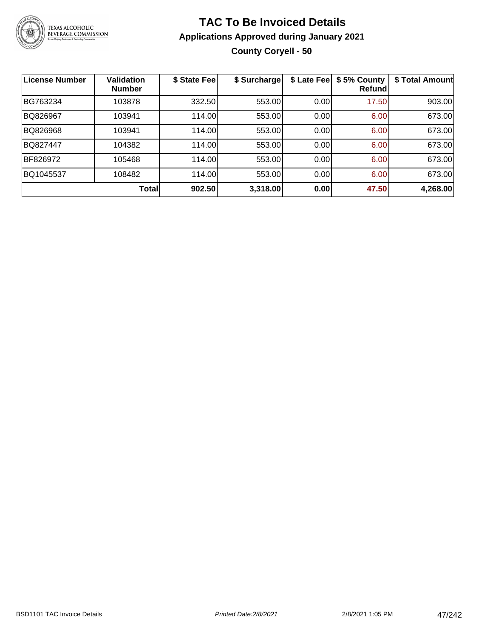

# **TAC To Be Invoiced Details Applications Approved during January 2021 County Coryell - 50**

| <b>License Number</b> | <b>Validation</b><br><b>Number</b> | \$ State Fee | \$ Surcharge | \$ Late Fee | \$5% County<br>Refundl | \$ Total Amount |
|-----------------------|------------------------------------|--------------|--------------|-------------|------------------------|-----------------|
| BG763234              | 103878                             | 332.50       | 553.00       | 0.00        | 17.50                  | 903.00          |
| BQ826967              | 103941                             | 114.00       | 553.00       | 0.00        | 6.00                   | 673.00          |
| BQ826968              | 103941                             | 114.00       | 553.00       | 0.00        | 6.00                   | 673.00          |
| <b>BQ827447</b>       | 104382                             | 114.00       | 553.00       | 0.00        | 6.00                   | 673.00          |
| BF826972              | 105468                             | 114.00       | 553.00       | 0.00        | 6.00                   | 673.00          |
| BQ1045537             | 108482                             | 114.00       | 553.00       | 0.00        | 6.00                   | 673.00          |
|                       | <b>Total</b>                       | 902.50       | 3,318.00     | 0.00        | 47.50                  | 4,268.00        |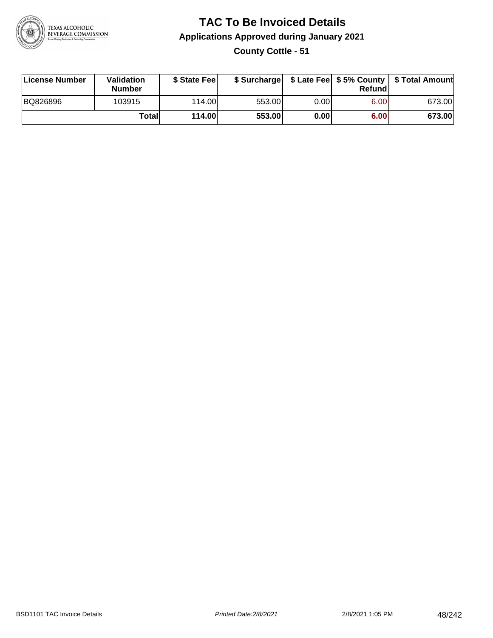

# **TAC To Be Invoiced Details Applications Approved during January 2021 County Cottle - 51**

| License Number | <b>Validation</b><br><b>Number</b> | \$ State Feel |        |       | Refundl | \$ Surcharge   \$ Late Fee   \$5% County   \$ Total Amount |
|----------------|------------------------------------|---------------|--------|-------|---------|------------------------------------------------------------|
| BQ826896       | 103915                             | 114.00L       | 553.00 | 0.00  | 6.00    | 673.00                                                     |
|                | Totall                             | <b>114.00</b> | 553.00 | 0.001 | 6.00    | 673.00                                                     |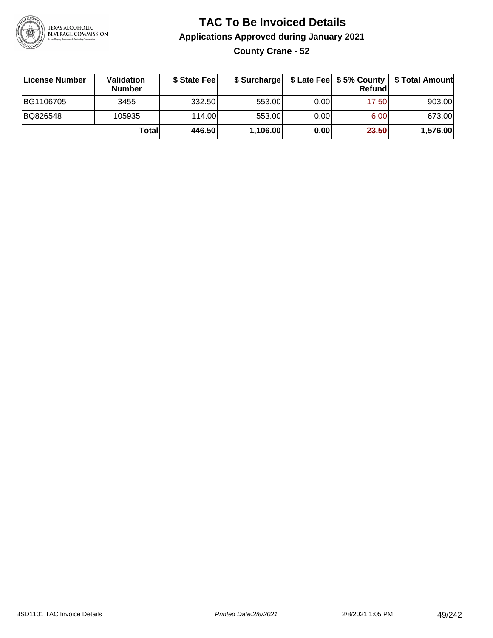

# **TAC To Be Invoiced Details Applications Approved during January 2021 County Crane - 52**

| ∣License Number | <b>Validation</b><br><b>Number</b> | \$ State Fee | \$ Surcharge |       | Refundl | \$ Late Fee   \$5% County   \$ Total Amount |
|-----------------|------------------------------------|--------------|--------------|-------|---------|---------------------------------------------|
| BG1106705       | 3455                               | 332.50       | 553.00       | 0.001 | 17.50   | 903.00                                      |
| BQ826548        | 105935                             | 114.00       | 553.00       | 0.00  | 6.00    | 673.00                                      |
|                 | Totall                             | 446.50       | 1,106.00     | 0.00  | 23.50   | 1,576.00                                    |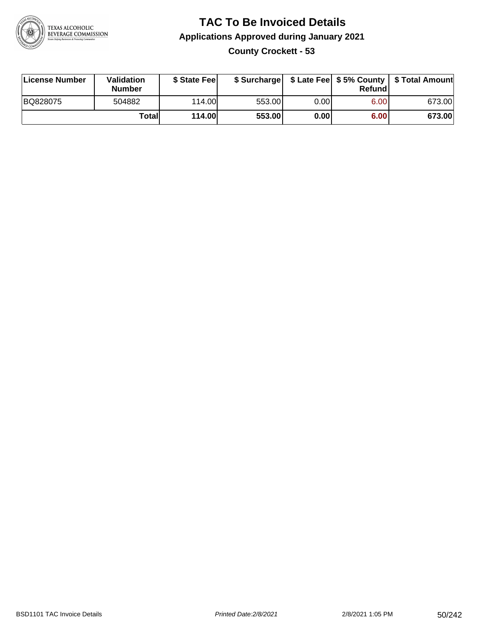

#### **TAC To Be Invoiced Details Applications Approved during January 2021 County Crockett - 53**

| License Number | Validation<br><b>Number</b> | \$ State Fee   |        |      | Refundl | \$ Surcharge   \$ Late Fee   \$5% County   \$ Total Amount |
|----------------|-----------------------------|----------------|--------|------|---------|------------------------------------------------------------|
| BQ828075       | 504882                      | 114.00         | 553.00 | 0.00 | 6.00    | 673.00                                                     |
|                | Totall                      | <b>114.00L</b> | 553.00 | 0.00 | 6.00    | 673.00                                                     |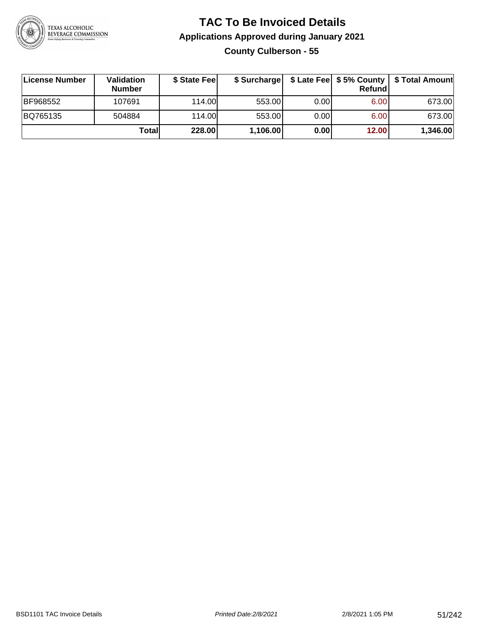

# **TAC To Be Invoiced Details Applications Approved during January 2021 County Culberson - 55**

| License Number | Validation<br><b>Number</b> | \$ State Feel | \$ Surcharge |       | Refundl | \$ Late Fee   \$5% County   \$ Total Amount |
|----------------|-----------------------------|---------------|--------------|-------|---------|---------------------------------------------|
| BF968552       | 107691                      | 114.00        | 553.00       | 0.001 | 6.00    | 673.00                                      |
| BQ765135       | 504884                      | 114.00        | 553.00       | 0.00  | 6.00    | 673.00                                      |
|                | Totall                      | 228.00        | 1,106.00     | 0.00  | 12.00   | 1,346.00                                    |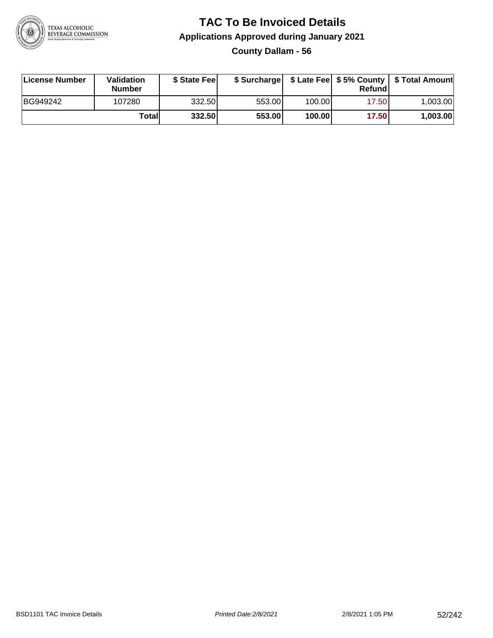

#### **TAC To Be Invoiced Details Applications Approved during January 2021 County Dallam - 56**

| License Number | Validation<br><b>Number</b> | \$ State Fee |        |        | Refund | \$ Surcharge   \$ Late Fee   \$5% County   \$ Total Amount |
|----------------|-----------------------------|--------------|--------|--------|--------|------------------------------------------------------------|
| BG949242       | 107280                      | 332.50       | 553.00 | 100.00 | 17.50  | 1.003.00                                                   |
|                | Totall                      | 332.50       | 553.00 | 100.00 | 17.50  | 1,003.00                                                   |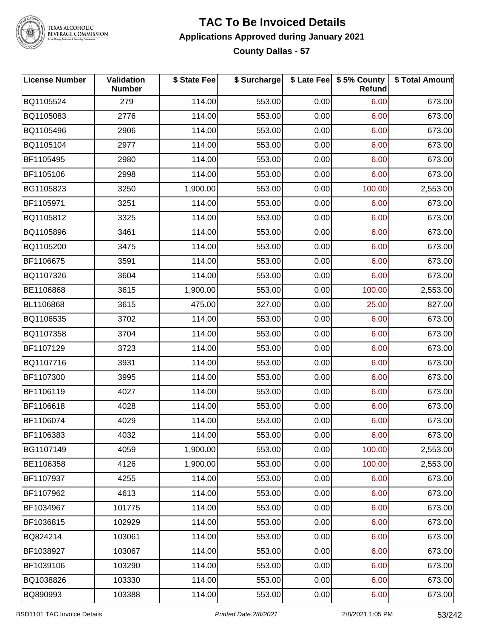

#### **TAC To Be Invoiced Details Applications Approved during January 2021 County Dallas - 57**

| <b>License Number</b> | Validation<br><b>Number</b> | \$ State Fee | \$ Surcharge |      | \$ Late Fee   \$5% County<br>Refund | \$ Total Amount |
|-----------------------|-----------------------------|--------------|--------------|------|-------------------------------------|-----------------|
| BQ1105524             | 279                         | 114.00       | 553.00       | 0.00 | 6.00                                | 673.00          |
| BQ1105083             | 2776                        | 114.00       | 553.00       | 0.00 | 6.00                                | 673.00          |
| BQ1105496             | 2906                        | 114.00       | 553.00       | 0.00 | 6.00                                | 673.00          |
| BQ1105104             | 2977                        | 114.00       | 553.00       | 0.00 | 6.00                                | 673.00          |
| BF1105495             | 2980                        | 114.00       | 553.00       | 0.00 | 6.00                                | 673.00          |
| BF1105106             | 2998                        | 114.00       | 553.00       | 0.00 | 6.00                                | 673.00          |
| BG1105823             | 3250                        | 1,900.00     | 553.00       | 0.00 | 100.00                              | 2,553.00        |
| BF1105971             | 3251                        | 114.00       | 553.00       | 0.00 | 6.00                                | 673.00          |
| BQ1105812             | 3325                        | 114.00       | 553.00       | 0.00 | 6.00                                | 673.00          |
| BQ1105896             | 3461                        | 114.00       | 553.00       | 0.00 | 6.00                                | 673.00          |
| BQ1105200             | 3475                        | 114.00       | 553.00       | 0.00 | 6.00                                | 673.00          |
| BF1106675             | 3591                        | 114.00       | 553.00       | 0.00 | 6.00                                | 673.00          |
| BQ1107326             | 3604                        | 114.00       | 553.00       | 0.00 | 6.00                                | 673.00          |
| BE1106868             | 3615                        | 1,900.00     | 553.00       | 0.00 | 100.00                              | 2,553.00        |
| BL1106868             | 3615                        | 475.00       | 327.00       | 0.00 | 25.00                               | 827.00          |
| BQ1106535             | 3702                        | 114.00       | 553.00       | 0.00 | 6.00                                | 673.00          |
| BQ1107358             | 3704                        | 114.00       | 553.00       | 0.00 | 6.00                                | 673.00          |
| BF1107129             | 3723                        | 114.00       | 553.00       | 0.00 | 6.00                                | 673.00          |
| BQ1107716             | 3931                        | 114.00       | 553.00       | 0.00 | 6.00                                | 673.00          |
| BF1107300             | 3995                        | 114.00       | 553.00       | 0.00 | 6.00                                | 673.00          |
| BF1106119             | 4027                        | 114.00       | 553.00       | 0.00 | 6.00                                | 673.00          |
| BF1106618             | 4028                        | 114.00       | 553.00       | 0.00 | 6.00                                | 673.00          |
| BF1106074             | 4029                        | 114.00       | 553.00       | 0.00 | 6.00                                | 673.00          |
| BF1106383             | 4032                        | 114.00       | 553.00       | 0.00 | 6.00                                | 673.00          |
| BG1107149             | 4059                        | 1,900.00     | 553.00       | 0.00 | 100.00                              | 2,553.00        |
| BE1106358             | 4126                        | 1,900.00     | 553.00       | 0.00 | 100.00                              | 2,553.00        |
| BF1107937             | 4255                        | 114.00       | 553.00       | 0.00 | 6.00                                | 673.00          |
| BF1107962             | 4613                        | 114.00       | 553.00       | 0.00 | 6.00                                | 673.00          |
| BF1034967             | 101775                      | 114.00       | 553.00       | 0.00 | 6.00                                | 673.00          |
| BF1036815             | 102929                      | 114.00       | 553.00       | 0.00 | 6.00                                | 673.00          |
| BQ824214              | 103061                      | 114.00       | 553.00       | 0.00 | 6.00                                | 673.00          |
| BF1038927             | 103067                      | 114.00       | 553.00       | 0.00 | 6.00                                | 673.00          |
| BF1039106             | 103290                      | 114.00       | 553.00       | 0.00 | 6.00                                | 673.00          |
| BQ1038826             | 103330                      | 114.00       | 553.00       | 0.00 | 6.00                                | 673.00          |
| BQ890993              | 103388                      | 114.00       | 553.00       | 0.00 | 6.00                                | 673.00          |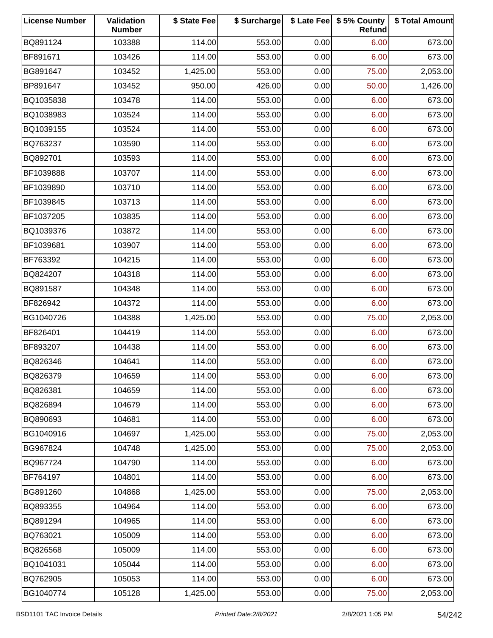| <b>License Number</b> | Validation<br><b>Number</b> | \$ State Fee | \$ Surcharge |      | \$ Late Fee   \$5% County<br>Refund | \$ Total Amount |
|-----------------------|-----------------------------|--------------|--------------|------|-------------------------------------|-----------------|
| BQ891124              | 103388                      | 114.00       | 553.00       | 0.00 | 6.00                                | 673.00          |
| BF891671              | 103426                      | 114.00       | 553.00       | 0.00 | 6.00                                | 673.00          |
| BG891647              | 103452                      | 1,425.00     | 553.00       | 0.00 | 75.00                               | 2,053.00        |
| BP891647              | 103452                      | 950.00       | 426.00       | 0.00 | 50.00                               | 1,426.00        |
| BQ1035838             | 103478                      | 114.00       | 553.00       | 0.00 | 6.00                                | 673.00          |
| BQ1038983             | 103524                      | 114.00       | 553.00       | 0.00 | 6.00                                | 673.00          |
| BQ1039155             | 103524                      | 114.00       | 553.00       | 0.00 | 6.00                                | 673.00          |
| BQ763237              | 103590                      | 114.00       | 553.00       | 0.00 | 6.00                                | 673.00          |
| BQ892701              | 103593                      | 114.00       | 553.00       | 0.00 | 6.00                                | 673.00          |
| BF1039888             | 103707                      | 114.00       | 553.00       | 0.00 | 6.00                                | 673.00          |
| BF1039890             | 103710                      | 114.00       | 553.00       | 0.00 | 6.00                                | 673.00          |
| BF1039845             | 103713                      | 114.00       | 553.00       | 0.00 | 6.00                                | 673.00          |
| BF1037205             | 103835                      | 114.00       | 553.00       | 0.00 | 6.00                                | 673.00          |
| BQ1039376             | 103872                      | 114.00       | 553.00       | 0.00 | 6.00                                | 673.00          |
| BF1039681             | 103907                      | 114.00       | 553.00       | 0.00 | 6.00                                | 673.00          |
| BF763392              | 104215                      | 114.00       | 553.00       | 0.00 | 6.00                                | 673.00          |
| BQ824207              | 104318                      | 114.00       | 553.00       | 0.00 | 6.00                                | 673.00          |
| BQ891587              | 104348                      | 114.00       | 553.00       | 0.00 | 6.00                                | 673.00          |
| BF826942              | 104372                      | 114.00       | 553.00       | 0.00 | 6.00                                | 673.00          |
| BG1040726             | 104388                      | 1,425.00     | 553.00       | 0.00 | 75.00                               | 2,053.00        |
| BF826401              | 104419                      | 114.00       | 553.00       | 0.00 | 6.00                                | 673.00          |
| BF893207              | 104438                      | 114.00       | 553.00       | 0.00 | 6.00                                | 673.00          |
| BQ826346              | 104641                      | 114.00       | 553.00       | 0.00 | 6.00                                | 673.00          |
| BQ826379              | 104659                      | 114.00       | 553.00       | 0.00 | 6.00                                | 673.00          |
| BQ826381              | 104659                      | 114.00       | 553.00       | 0.00 | 6.00                                | 673.00          |
| BQ826894              | 104679                      | 114.00       | 553.00       | 0.00 | 6.00                                | 673.00          |
| BQ890693              | 104681                      | 114.00       | 553.00       | 0.00 | 6.00                                | 673.00          |
| BG1040916             | 104697                      | 1,425.00     | 553.00       | 0.00 | 75.00                               | 2,053.00        |
| BG967824              | 104748                      | 1,425.00     | 553.00       | 0.00 | 75.00                               | 2,053.00        |
| BQ967724              | 104790                      | 114.00       | 553.00       | 0.00 | 6.00                                | 673.00          |
| BF764197              | 104801                      | 114.00       | 553.00       | 0.00 | 6.00                                | 673.00          |
| BG891260              | 104868                      | 1,425.00     | 553.00       | 0.00 | 75.00                               | 2,053.00        |
| BQ893355              | 104964                      | 114.00       | 553.00       | 0.00 | 6.00                                | 673.00          |
| BQ891294              | 104965                      | 114.00       | 553.00       | 0.00 | 6.00                                | 673.00          |
| BQ763021              | 105009                      | 114.00       | 553.00       | 0.00 | 6.00                                | 673.00          |
| BQ826568              | 105009                      | 114.00       | 553.00       | 0.00 | 6.00                                | 673.00          |
| BQ1041031             | 105044                      | 114.00       | 553.00       | 0.00 | 6.00                                | 673.00          |
| BQ762905              | 105053                      | 114.00       | 553.00       | 0.00 | 6.00                                | 673.00          |
| BG1040774             | 105128                      | 1,425.00     | 553.00       | 0.00 | 75.00                               | 2,053.00        |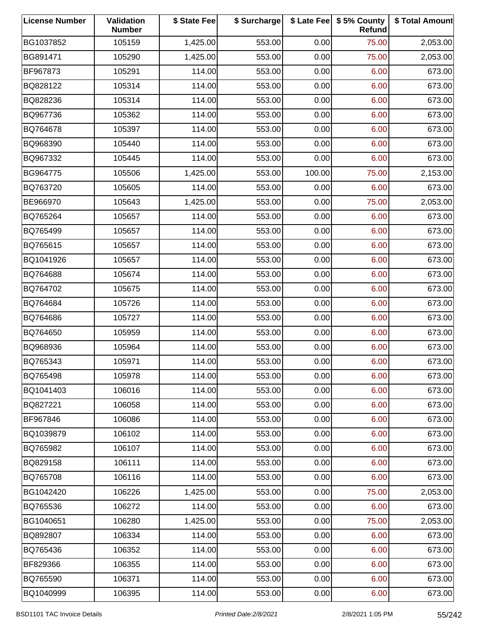| <b>License Number</b> | Validation<br><b>Number</b> | \$ State Fee | \$ Surcharge |        | \$ Late Fee   \$5% County<br>Refund | \$ Total Amount |
|-----------------------|-----------------------------|--------------|--------------|--------|-------------------------------------|-----------------|
| BG1037852             | 105159                      | 1,425.00     | 553.00       | 0.00   | 75.00                               | 2,053.00        |
| BG891471              | 105290                      | 1,425.00     | 553.00       | 0.00   | 75.00                               | 2,053.00        |
| BF967873              | 105291                      | 114.00       | 553.00       | 0.00   | 6.00                                | 673.00          |
| BQ828122              | 105314                      | 114.00       | 553.00       | 0.00   | 6.00                                | 673.00          |
| BQ828236              | 105314                      | 114.00       | 553.00       | 0.00   | 6.00                                | 673.00          |
| BQ967736              | 105362                      | 114.00       | 553.00       | 0.00   | 6.00                                | 673.00          |
| BQ764678              | 105397                      | 114.00       | 553.00       | 0.00   | 6.00                                | 673.00          |
| BQ968390              | 105440                      | 114.00       | 553.00       | 0.00   | 6.00                                | 673.00          |
| BQ967332              | 105445                      | 114.00       | 553.00       | 0.00   | 6.00                                | 673.00          |
| BG964775              | 105506                      | 1,425.00     | 553.00       | 100.00 | 75.00                               | 2,153.00        |
| BQ763720              | 105605                      | 114.00       | 553.00       | 0.00   | 6.00                                | 673.00          |
| BE966970              | 105643                      | 1,425.00     | 553.00       | 0.00   | 75.00                               | 2,053.00        |
| BQ765264              | 105657                      | 114.00       | 553.00       | 0.00   | 6.00                                | 673.00          |
| BQ765499              | 105657                      | 114.00       | 553.00       | 0.00   | 6.00                                | 673.00          |
| BQ765615              | 105657                      | 114.00       | 553.00       | 0.00   | 6.00                                | 673.00          |
| BQ1041926             | 105657                      | 114.00       | 553.00       | 0.00   | 6.00                                | 673.00          |
| BQ764688              | 105674                      | 114.00       | 553.00       | 0.00   | 6.00                                | 673.00          |
| BQ764702              | 105675                      | 114.00       | 553.00       | 0.00   | 6.00                                | 673.00          |
| BQ764684              | 105726                      | 114.00       | 553.00       | 0.00   | 6.00                                | 673.00          |
| BQ764686              | 105727                      | 114.00       | 553.00       | 0.00   | 6.00                                | 673.00          |
| BQ764650              | 105959                      | 114.00       | 553.00       | 0.00   | 6.00                                | 673.00          |
| BQ968936              | 105964                      | 114.00       | 553.00       | 0.00   | 6.00                                | 673.00          |
| BQ765343              | 105971                      | 114.00       | 553.00       | 0.00   | 6.00                                | 673.00          |
| BQ765498              | 105978                      | 114.00       | 553.00       | 0.00   | 6.00                                | 673.00          |
| BQ1041403             | 106016                      | 114.00       | 553.00       | 0.00   | 6.00                                | 673.00          |
| BQ827221              | 106058                      | 114.00       | 553.00       | 0.00   | 6.00                                | 673.00          |
| BF967846              | 106086                      | 114.00       | 553.00       | 0.00   | 6.00                                | 673.00          |
| BQ1039879             | 106102                      | 114.00       | 553.00       | 0.00   | 6.00                                | 673.00          |
| BQ765982              | 106107                      | 114.00       | 553.00       | 0.00   | 6.00                                | 673.00          |
| BQ829158              | 106111                      | 114.00       | 553.00       | 0.00   | 6.00                                | 673.00          |
| BQ765708              | 106116                      | 114.00       | 553.00       | 0.00   | 6.00                                | 673.00          |
| BG1042420             | 106226                      | 1,425.00     | 553.00       | 0.00   | 75.00                               | 2,053.00        |
| BQ765536              | 106272                      | 114.00       | 553.00       | 0.00   | 6.00                                | 673.00          |
| BG1040651             | 106280                      | 1,425.00     | 553.00       | 0.00   | 75.00                               | 2,053.00        |
| BQ892807              | 106334                      | 114.00       | 553.00       | 0.00   | 6.00                                | 673.00          |
| BQ765436              | 106352                      | 114.00       | 553.00       | 0.00   | 6.00                                | 673.00          |
| BF829366              | 106355                      | 114.00       | 553.00       | 0.00   | 6.00                                | 673.00          |
| BQ765590              | 106371                      | 114.00       | 553.00       | 0.00   | 6.00                                | 673.00          |
| BQ1040999             | 106395                      | 114.00       | 553.00       | 0.00   | 6.00                                | 673.00          |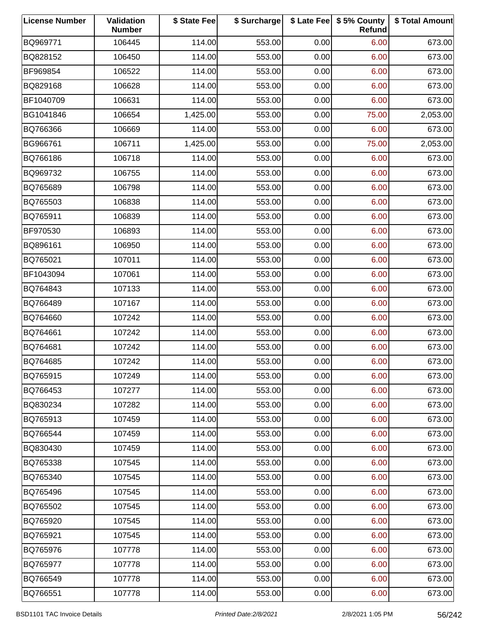| <b>License Number</b> | Validation<br><b>Number</b> | \$ State Fee | \$ Surcharge |      | \$ Late Fee   \$5% County<br>Refund | \$ Total Amount |
|-----------------------|-----------------------------|--------------|--------------|------|-------------------------------------|-----------------|
| BQ969771              | 106445                      | 114.00       | 553.00       | 0.00 | 6.00                                | 673.00          |
| BQ828152              | 106450                      | 114.00       | 553.00       | 0.00 | 6.00                                | 673.00          |
| BF969854              | 106522                      | 114.00       | 553.00       | 0.00 | 6.00                                | 673.00          |
| BQ829168              | 106628                      | 114.00       | 553.00       | 0.00 | 6.00                                | 673.00          |
| BF1040709             | 106631                      | 114.00       | 553.00       | 0.00 | 6.00                                | 673.00          |
| BG1041846             | 106654                      | 1,425.00     | 553.00       | 0.00 | 75.00                               | 2,053.00        |
| BQ766366              | 106669                      | 114.00       | 553.00       | 0.00 | 6.00                                | 673.00          |
| BG966761              | 106711                      | 1,425.00     | 553.00       | 0.00 | 75.00                               | 2,053.00        |
| BQ766186              | 106718                      | 114.00       | 553.00       | 0.00 | 6.00                                | 673.00          |
| BQ969732              | 106755                      | 114.00       | 553.00       | 0.00 | 6.00                                | 673.00          |
| BQ765689              | 106798                      | 114.00       | 553.00       | 0.00 | 6.00                                | 673.00          |
| BQ765503              | 106838                      | 114.00       | 553.00       | 0.00 | 6.00                                | 673.00          |
| BQ765911              | 106839                      | 114.00       | 553.00       | 0.00 | 6.00                                | 673.00          |
| BF970530              | 106893                      | 114.00       | 553.00       | 0.00 | 6.00                                | 673.00          |
| BQ896161              | 106950                      | 114.00       | 553.00       | 0.00 | 6.00                                | 673.00          |
| BQ765021              | 107011                      | 114.00       | 553.00       | 0.00 | 6.00                                | 673.00          |
| BF1043094             | 107061                      | 114.00       | 553.00       | 0.00 | 6.00                                | 673.00          |
| BQ764843              | 107133                      | 114.00       | 553.00       | 0.00 | 6.00                                | 673.00          |
| BQ766489              | 107167                      | 114.00       | 553.00       | 0.00 | 6.00                                | 673.00          |
| BQ764660              | 107242                      | 114.00       | 553.00       | 0.00 | 6.00                                | 673.00          |
| BQ764661              | 107242                      | 114.00       | 553.00       | 0.00 | 6.00                                | 673.00          |
| BQ764681              | 107242                      | 114.00       | 553.00       | 0.00 | 6.00                                | 673.00          |
| BQ764685              | 107242                      | 114.00       | 553.00       | 0.00 | 6.00                                | 673.00          |
| BQ765915              | 107249                      | 114.00       | 553.00       | 0.00 | 6.00                                | 673.00          |
| BQ766453              | 107277                      | 114.00       | 553.00       | 0.00 | 6.00                                | 673.00          |
| BQ830234              | 107282                      | 114.00       | 553.00       | 0.00 | 6.00                                | 673.00          |
| BQ765913              | 107459                      | 114.00       | 553.00       | 0.00 | 6.00                                | 673.00          |
| BQ766544              | 107459                      | 114.00       | 553.00       | 0.00 | 6.00                                | 673.00          |
| BQ830430              | 107459                      | 114.00       | 553.00       | 0.00 | 6.00                                | 673.00          |
| BQ765338              | 107545                      | 114.00       | 553.00       | 0.00 | 6.00                                | 673.00          |
| BQ765340              | 107545                      | 114.00       | 553.00       | 0.00 | 6.00                                | 673.00          |
| BQ765496              | 107545                      | 114.00       | 553.00       | 0.00 | 6.00                                | 673.00          |
| BQ765502              | 107545                      | 114.00       | 553.00       | 0.00 | 6.00                                | 673.00          |
| BQ765920              | 107545                      | 114.00       | 553.00       | 0.00 | 6.00                                | 673.00          |
| BQ765921              | 107545                      | 114.00       | 553.00       | 0.00 | 6.00                                | 673.00          |
| BQ765976              | 107778                      | 114.00       | 553.00       | 0.00 | 6.00                                | 673.00          |
| BQ765977              | 107778                      | 114.00       | 553.00       | 0.00 | 6.00                                | 673.00          |
| BQ766549              | 107778                      | 114.00       | 553.00       | 0.00 | 6.00                                | 673.00          |
| BQ766551              | 107778                      | 114.00       | 553.00       | 0.00 | 6.00                                | 673.00          |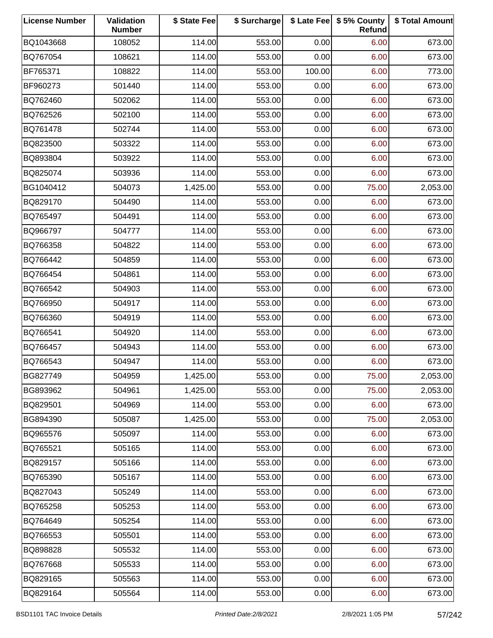| <b>License Number</b> | Validation<br><b>Number</b> | \$ State Fee | \$ Surcharge |        | \$ Late Fee   \$5% County<br>Refund | \$ Total Amount |
|-----------------------|-----------------------------|--------------|--------------|--------|-------------------------------------|-----------------|
| BQ1043668             | 108052                      | 114.00       | 553.00       | 0.00   | 6.00                                | 673.00          |
| BQ767054              | 108621                      | 114.00       | 553.00       | 0.00   | 6.00                                | 673.00          |
| BF765371              | 108822                      | 114.00       | 553.00       | 100.00 | 6.00                                | 773.00          |
| BF960273              | 501440                      | 114.00       | 553.00       | 0.00   | 6.00                                | 673.00          |
| BQ762460              | 502062                      | 114.00       | 553.00       | 0.00   | 6.00                                | 673.00          |
| BQ762526              | 502100                      | 114.00       | 553.00       | 0.00   | 6.00                                | 673.00          |
| BQ761478              | 502744                      | 114.00       | 553.00       | 0.00   | 6.00                                | 673.00          |
| BQ823500              | 503322                      | 114.00       | 553.00       | 0.00   | 6.00                                | 673.00          |
| BQ893804              | 503922                      | 114.00       | 553.00       | 0.00   | 6.00                                | 673.00          |
| BQ825074              | 503936                      | 114.00       | 553.00       | 0.00   | 6.00                                | 673.00          |
| BG1040412             | 504073                      | 1,425.00     | 553.00       | 0.00   | 75.00                               | 2,053.00        |
| BQ829170              | 504490                      | 114.00       | 553.00       | 0.00   | 6.00                                | 673.00          |
| BQ765497              | 504491                      | 114.00       | 553.00       | 0.00   | 6.00                                | 673.00          |
| BQ966797              | 504777                      | 114.00       | 553.00       | 0.00   | 6.00                                | 673.00          |
| BQ766358              | 504822                      | 114.00       | 553.00       | 0.00   | 6.00                                | 673.00          |
| BQ766442              | 504859                      | 114.00       | 553.00       | 0.00   | 6.00                                | 673.00          |
| BQ766454              | 504861                      | 114.00       | 553.00       | 0.00   | 6.00                                | 673.00          |
| BQ766542              | 504903                      | 114.00       | 553.00       | 0.00   | 6.00                                | 673.00          |
| BQ766950              | 504917                      | 114.00       | 553.00       | 0.00   | 6.00                                | 673.00          |
| BQ766360              | 504919                      | 114.00       | 553.00       | 0.00   | 6.00                                | 673.00          |
| BQ766541              | 504920                      | 114.00       | 553.00       | 0.00   | 6.00                                | 673.00          |
| BQ766457              | 504943                      | 114.00       | 553.00       | 0.00   | 6.00                                | 673.00          |
| BQ766543              | 504947                      | 114.00       | 553.00       | 0.00   | 6.00                                | 673.00          |
| BG827749              | 504959                      | 1,425.00     | 553.00       | 0.00   | 75.00                               | 2,053.00        |
| BG893962              | 504961                      | 1,425.00     | 553.00       | 0.00   | 75.00                               | 2,053.00        |
| BQ829501              | 504969                      | 114.00       | 553.00       | 0.00   | 6.00                                | 673.00          |
| BG894390              | 505087                      | 1,425.00     | 553.00       | 0.00   | 75.00                               | 2,053.00        |
| BQ965576              | 505097                      | 114.00       | 553.00       | 0.00   | 6.00                                | 673.00          |
| BQ765521              | 505165                      | 114.00       | 553.00       | 0.00   | 6.00                                | 673.00          |
| BQ829157              | 505166                      | 114.00       | 553.00       | 0.00   | 6.00                                | 673.00          |
| BQ765390              | 505167                      | 114.00       | 553.00       | 0.00   | 6.00                                | 673.00          |
| BQ827043              | 505249                      | 114.00       | 553.00       | 0.00   | 6.00                                | 673.00          |
| BQ765258              | 505253                      | 114.00       | 553.00       | 0.00   | 6.00                                | 673.00          |
| BQ764649              | 505254                      | 114.00       | 553.00       | 0.00   | 6.00                                | 673.00          |
| BQ766553              | 505501                      | 114.00       | 553.00       | 0.00   | 6.00                                | 673.00          |
| BQ898828              | 505532                      | 114.00       | 553.00       | 0.00   | 6.00                                | 673.00          |
| BQ767668              | 505533                      | 114.00       | 553.00       | 0.00   | 6.00                                | 673.00          |
| BQ829165              | 505563                      | 114.00       | 553.00       | 0.00   | 6.00                                | 673.00          |
| BQ829164              | 505564                      | 114.00       | 553.00       | 0.00   | 6.00                                | 673.00          |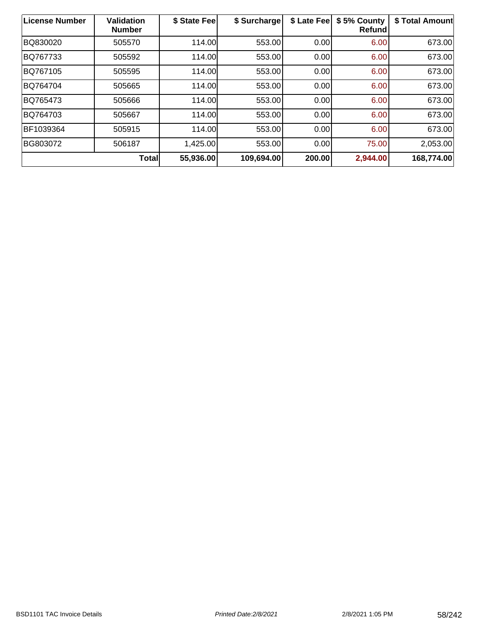| License Number | Validation<br><b>Number</b> | \$ State Fee | \$ Surcharge | \$ Late Fee | \$5% County<br><b>Refund</b> | \$ Total Amount |
|----------------|-----------------------------|--------------|--------------|-------------|------------------------------|-----------------|
| BQ830020       | 505570                      | 114.00       | 553.00       | 0.00        | 6.00                         | 673.00          |
| BQ767733       | 505592                      | 114.00       | 553.00       | 0.00        | 6.00                         | 673.00          |
| BQ767105       | 505595                      | 114.00       | 553.00       | 0.00        | 6.00                         | 673.00          |
| BQ764704       | 505665                      | 114.00       | 553.00       | 0.00        | 6.00                         | 673.00          |
| BQ765473       | 505666                      | 114.00       | 553.00       | 0.00        | 6.00                         | 673.00          |
| BQ764703       | 505667                      | 114.00       | 553.00       | 0.00        | 6.00                         | 673.00          |
| BF1039364      | 505915                      | 114.00       | 553.00       | 0.00        | 6.00                         | 673.00          |
| BG803072       | 506187                      | 1,425.00     | 553.00       | 0.00        | 75.00                        | 2,053.00        |
|                | <b>Total</b>                | 55,936.00    | 109,694.00   | 200.00      | 2,944.00                     | 168,774.00      |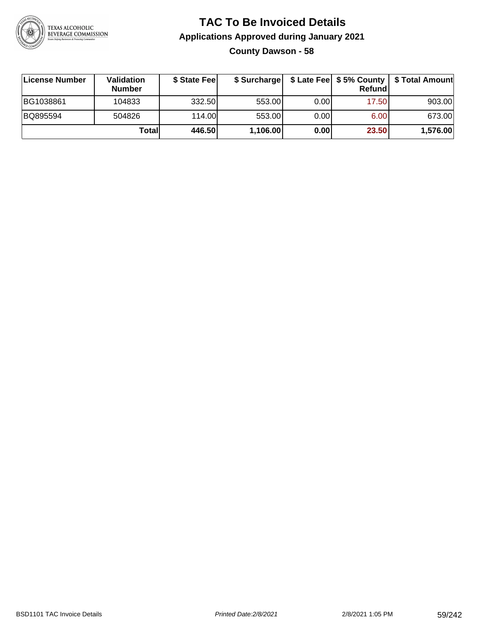

# **TAC To Be Invoiced Details Applications Approved during January 2021 County Dawson - 58**

| License Number | Validation<br><b>Number</b> | \$ State Feel | \$ Surcharge |      | Refundl | \$ Late Fee   \$5% County   \$ Total Amount |
|----------------|-----------------------------|---------------|--------------|------|---------|---------------------------------------------|
| BG1038861      | 104833                      | 332.50        | 553.00       | 0.00 | 17.50   | 903.00                                      |
| BQ895594       | 504826                      | 114.00        | 553.00       | 0.00 | 6.00    | 673.00                                      |
|                | Totall                      | 446.50        | 1,106.00     | 0.00 | 23.50   | 1,576.00                                    |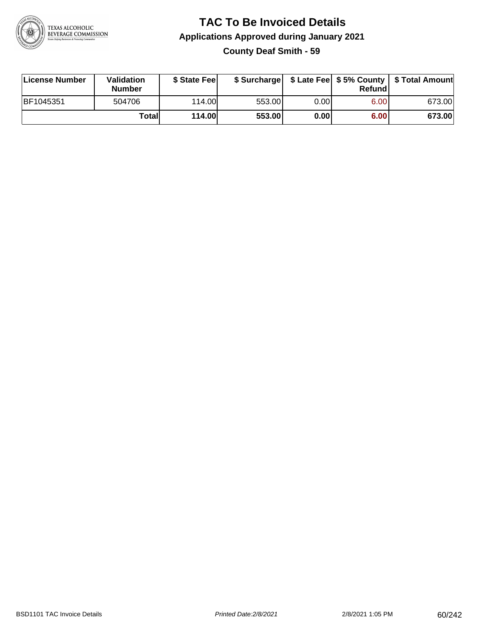

#### **TAC To Be Invoiced Details Applications Approved during January 2021 County Deaf Smith - 59**

| License Number | <b>Validation</b><br><b>Number</b> | \$ State Feel |        |       | Refundl | \$ Surcharge   \$ Late Fee   \$5% County   \$ Total Amount |
|----------------|------------------------------------|---------------|--------|-------|---------|------------------------------------------------------------|
| BF1045351      | 504706                             | 114.00L       | 553.00 | 0.00  | 6.00    | 673.00                                                     |
|                | Totall                             | <b>114.00</b> | 553.00 | 0.001 | 6.00    | 673.00                                                     |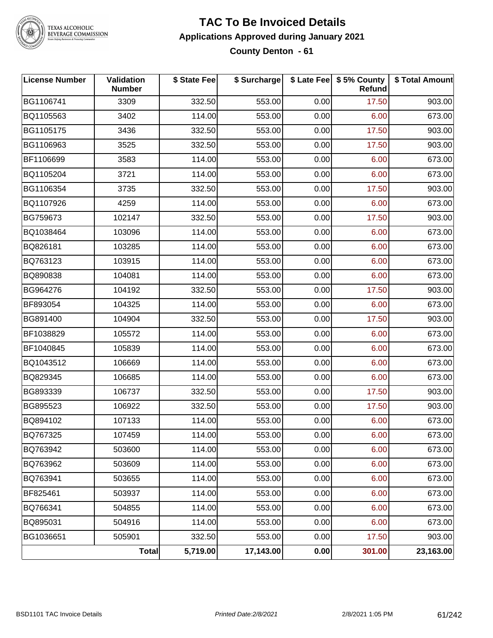

#### **TAC To Be Invoiced Details Applications Approved during January 2021 County Denton - 61**

| <b>License Number</b> | Validation<br><b>Number</b> | \$ State Fee | \$ Surcharge |      | \$ Late Fee   \$5% County<br><b>Refund</b> | \$ Total Amount |
|-----------------------|-----------------------------|--------------|--------------|------|--------------------------------------------|-----------------|
| BG1106741             | 3309                        | 332.50       | 553.00       | 0.00 | 17.50                                      | 903.00          |
| BQ1105563             | 3402                        | 114.00       | 553.00       | 0.00 | 6.00                                       | 673.00          |
| BG1105175             | 3436                        | 332.50       | 553.00       | 0.00 | 17.50                                      | 903.00          |
| BG1106963             | 3525                        | 332.50       | 553.00       | 0.00 | 17.50                                      | 903.00          |
| BF1106699             | 3583                        | 114.00       | 553.00       | 0.00 | 6.00                                       | 673.00          |
| BQ1105204             | 3721                        | 114.00       | 553.00       | 0.00 | 6.00                                       | 673.00          |
| BG1106354             | 3735                        | 332.50       | 553.00       | 0.00 | 17.50                                      | 903.00          |
| BQ1107926             | 4259                        | 114.00       | 553.00       | 0.00 | 6.00                                       | 673.00          |
| BG759673              | 102147                      | 332.50       | 553.00       | 0.00 | 17.50                                      | 903.00          |
| BQ1038464             | 103096                      | 114.00       | 553.00       | 0.00 | 6.00                                       | 673.00          |
| BQ826181              | 103285                      | 114.00       | 553.00       | 0.00 | 6.00                                       | 673.00          |
| BQ763123              | 103915                      | 114.00       | 553.00       | 0.00 | 6.00                                       | 673.00          |
| BQ890838              | 104081                      | 114.00       | 553.00       | 0.00 | 6.00                                       | 673.00          |
| BG964276              | 104192                      | 332.50       | 553.00       | 0.00 | 17.50                                      | 903.00          |
| BF893054              | 104325                      | 114.00       | 553.00       | 0.00 | 6.00                                       | 673.00          |
| BG891400              | 104904                      | 332.50       | 553.00       | 0.00 | 17.50                                      | 903.00          |
| BF1038829             | 105572                      | 114.00       | 553.00       | 0.00 | 6.00                                       | 673.00          |
| BF1040845             | 105839                      | 114.00       | 553.00       | 0.00 | 6.00                                       | 673.00          |
| BQ1043512             | 106669                      | 114.00       | 553.00       | 0.00 | 6.00                                       | 673.00          |
| BQ829345              | 106685                      | 114.00       | 553.00       | 0.00 | 6.00                                       | 673.00          |
| BG893339              | 106737                      | 332.50       | 553.00       | 0.00 | 17.50                                      | 903.00          |
| BG895523              | 106922                      | 332.50       | 553.00       | 0.00 | 17.50                                      | 903.00          |
| BQ894102              | 107133                      | 114.00       | 553.00       | 0.00 | 6.00                                       | 673.00          |
| BQ767325              | 107459                      | 114.00       | 553.00       | 0.00 | 6.00                                       | 673.00          |
| BQ763942              | 503600                      | 114.00       | 553.00       | 0.00 | 6.00                                       | 673.00          |
| BQ763962              | 503609                      | 114.00       | 553.00       | 0.00 | 6.00                                       | 673.00          |
| BQ763941              | 503655                      | 114.00       | 553.00       | 0.00 | 6.00                                       | 673.00          |
| BF825461              | 503937                      | 114.00       | 553.00       | 0.00 | 6.00                                       | 673.00          |
| BQ766341              | 504855                      | 114.00       | 553.00       | 0.00 | 6.00                                       | 673.00          |
| BQ895031              | 504916                      | 114.00       | 553.00       | 0.00 | 6.00                                       | 673.00          |
| BG1036651             | 505901                      | 332.50       | 553.00       | 0.00 | 17.50                                      | 903.00          |
|                       | Total                       | 5,719.00     | 17,143.00    | 0.00 | 301.00                                     | 23,163.00       |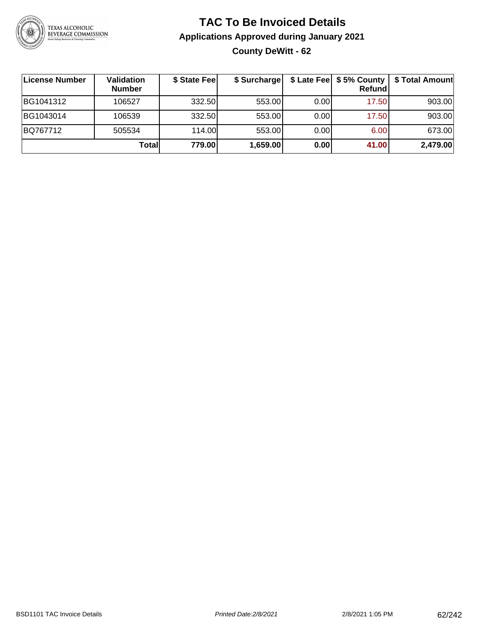

# **TAC To Be Invoiced Details Applications Approved during January 2021 County DeWitt - 62**

| <b>License Number</b> | Validation<br><b>Number</b> | \$ State Fee | \$ Surcharge |      | <b>Refund</b> | \$ Late Fee   \$5% County   \$ Total Amount |
|-----------------------|-----------------------------|--------------|--------------|------|---------------|---------------------------------------------|
| BG1041312             | 106527                      | 332.50       | 553.00       | 0.00 | 17.50         | 903.00                                      |
| BG1043014             | 106539                      | 332.50       | 553.00       | 0.00 | 17.50         | 903.00                                      |
| BQ767712              | 505534                      | 114.00L      | 553.00       | 0.00 | 6.00          | 673.00                                      |
|                       | Total                       | 779.00       | 1,659.00     | 0.00 | 41.00         | 2,479.00                                    |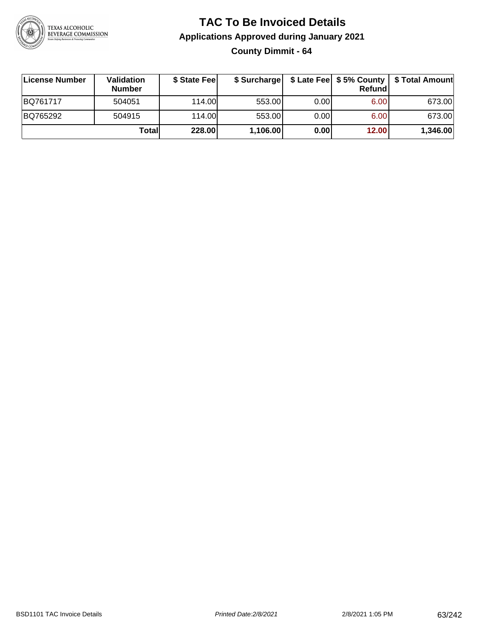

# **TAC To Be Invoiced Details Applications Approved during January 2021 County Dimmit - 64**

| <b>∣License Number</b> | Validation<br><b>Number</b> | \$ State Feel | \$ Surcharge |       | Refundl | \$ Late Fee   \$5% County   \$ Total Amount |
|------------------------|-----------------------------|---------------|--------------|-------|---------|---------------------------------------------|
| BQ761717               | 504051                      | 114.00        | 553.00       | 0.001 | 6.00    | 673.00                                      |
| BQ765292               | 504915                      | 114.00        | 553.00       | 0.00  | 6.00    | 673.00                                      |
|                        | Total                       | 228.00        | 1,106.00     | 0.00  | 12.00   | 1,346.00                                    |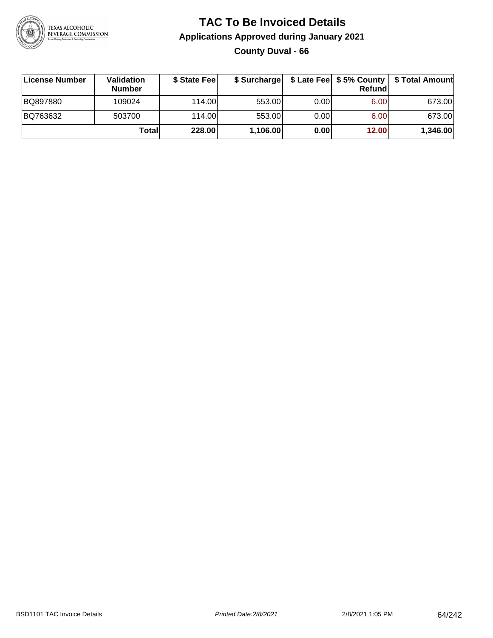

# **TAC To Be Invoiced Details Applications Approved during January 2021 County Duval - 66**

| License Number | Validation<br><b>Number</b> | \$ State Feel |          |       | Refundl | \$ Surcharge   \$ Late Fee   \$5% County   \$ Total Amount |
|----------------|-----------------------------|---------------|----------|-------|---------|------------------------------------------------------------|
| BQ897880       | 109024                      | 114.00        | 553.00   | 0.001 | 6.00    | 673.00                                                     |
| BQ763632       | 503700                      | 114.00        | 553.00   | 0.00  | 6.00    | 673.00                                                     |
|                | Totall                      | 228.00        | 1,106.00 | 0.00  | 12.00   | 1,346.00                                                   |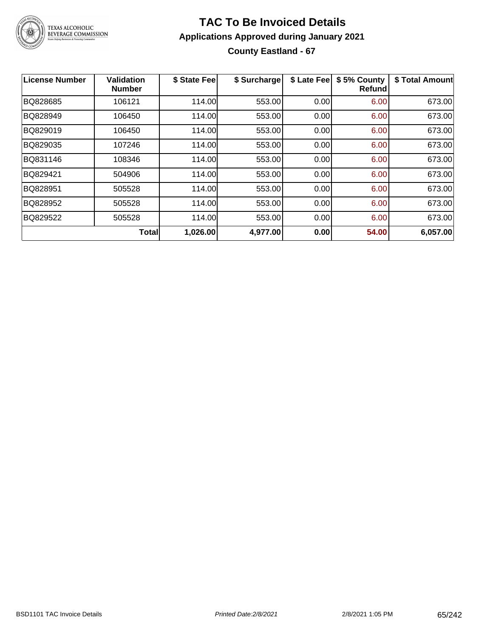

#### **TAC To Be Invoiced Details Applications Approved during January 2021 County Eastland - 67**

| License Number | <b>Validation</b><br><b>Number</b> | \$ State Fee | \$ Surcharge | \$ Late Fee | \$5% County<br>Refundl | \$ Total Amount |
|----------------|------------------------------------|--------------|--------------|-------------|------------------------|-----------------|
| BQ828685       | 106121                             | 114.00       | 553.00       | 0.00        | 6.00                   | 673.00          |
| BQ828949       | 106450                             | 114.00       | 553.00       | 0.00        | 6.00                   | 673.00          |
| BQ829019       | 106450                             | 114.00       | 553.00       | 0.00        | 6.00                   | 673.00          |
| BQ829035       | 107246                             | 114.00       | 553.00       | 0.00        | 6.00                   | 673.00          |
| BQ831146       | 108346                             | 114.00       | 553.00       | 0.00        | 6.00                   | 673.00          |
| BQ829421       | 504906                             | 114.00       | 553.00       | 0.00        | 6.00                   | 673.00          |
| BQ828951       | 505528                             | 114.00       | 553.00       | 0.00        | 6.00                   | 673.00          |
| BQ828952       | 505528                             | 114.00       | 553.00       | 0.00        | 6.00                   | 673.00          |
| BQ829522       | 505528                             | 114.00       | 553.00       | 0.00        | 6.00                   | 673.00          |
|                | <b>Total</b>                       | 1,026.00     | 4,977.00     | 0.00        | 54.00                  | 6,057.00        |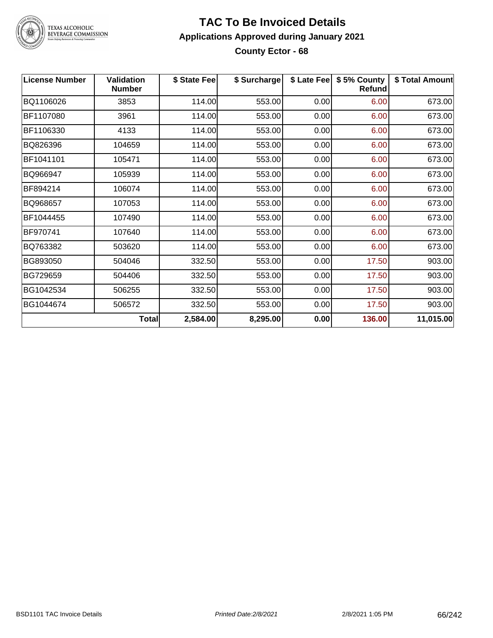

#### **TAC To Be Invoiced Details Applications Approved during January 2021 County Ector - 68**

| <b>License Number</b> | <b>Validation</b><br><b>Number</b> | \$ State Fee | \$ Surcharge | \$ Late Fee | \$5% County<br><b>Refund</b> | \$ Total Amount |
|-----------------------|------------------------------------|--------------|--------------|-------------|------------------------------|-----------------|
| BQ1106026             | 3853                               | 114.00       | 553.00       | 0.00        | 6.00                         | 673.00          |
| BF1107080             | 3961                               | 114.00       | 553.00       | 0.00        | 6.00                         | 673.00          |
| BF1106330             | 4133                               | 114.00       | 553.00       | 0.00        | 6.00                         | 673.00          |
| BQ826396              | 104659                             | 114.00       | 553.00       | 0.00        | 6.00                         | 673.00          |
| BF1041101             | 105471                             | 114.00       | 553.00       | 0.00        | 6.00                         | 673.00          |
| BQ966947              | 105939                             | 114.00       | 553.00       | 0.00        | 6.00                         | 673.00          |
| BF894214              | 106074                             | 114.00       | 553.00       | 0.00        | 6.00                         | 673.00          |
| BQ968657              | 107053                             | 114.00       | 553.00       | 0.00        | 6.00                         | 673.00          |
| BF1044455             | 107490                             | 114.00       | 553.00       | 0.00        | 6.00                         | 673.00          |
| BF970741              | 107640                             | 114.00       | 553.00       | 0.00        | 6.00                         | 673.00          |
| BQ763382              | 503620                             | 114.00       | 553.00       | 0.00        | 6.00                         | 673.00          |
| BG893050              | 504046                             | 332.50       | 553.00       | 0.00        | 17.50                        | 903.00          |
| BG729659              | 504406                             | 332.50       | 553.00       | 0.00        | 17.50                        | 903.00          |
| BG1042534             | 506255                             | 332.50       | 553.00       | 0.00        | 17.50                        | 903.00          |
| BG1044674             | 506572                             | 332.50       | 553.00       | 0.00        | 17.50                        | 903.00          |
|                       | <b>Total</b>                       | 2,584.00     | 8,295.00     | 0.00        | 136.00                       | 11,015.00       |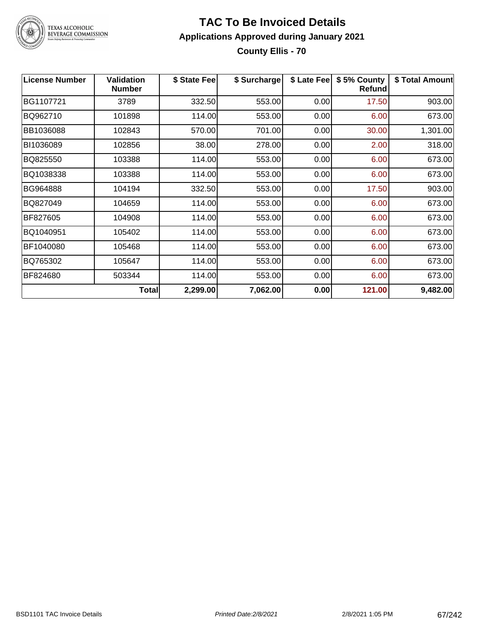

#### **TAC To Be Invoiced Details Applications Approved during January 2021 County Ellis - 70**

| <b>License Number</b> | <b>Validation</b><br><b>Number</b> | \$ State Feel | \$ Surcharge | \$ Late Fee | \$5% County<br><b>Refund</b> | \$ Total Amount |
|-----------------------|------------------------------------|---------------|--------------|-------------|------------------------------|-----------------|
| BG1107721             | 3789                               | 332.50        | 553.00       | 0.00        | 17.50                        | 903.00          |
| BQ962710              | 101898                             | 114.00        | 553.00       | 0.00        | 6.00                         | 673.00          |
| BB1036088             | 102843                             | 570.00        | 701.00       | 0.00        | 30.00                        | 1,301.00        |
| BI1036089             | 102856                             | 38.00         | 278.00       | 0.00        | 2.00                         | 318.00          |
| BQ825550              | 103388                             | 114.00        | 553.00       | 0.00        | 6.00                         | 673.00          |
| BQ1038338             | 103388                             | 114.00        | 553.00       | 0.00        | 6.00                         | 673.00          |
| BG964888              | 104194                             | 332.50        | 553.00       | 0.00        | 17.50                        | 903.00          |
| BQ827049              | 104659                             | 114.00        | 553.00       | 0.00        | 6.00                         | 673.00          |
| BF827605              | 104908                             | 114.00        | 553.00       | 0.00        | 6.00                         | 673.00          |
| BQ1040951             | 105402                             | 114.00        | 553.00       | 0.00        | 6.00                         | 673.00          |
| BF1040080             | 105468                             | 114.00        | 553.00       | 0.00        | 6.00                         | 673.00          |
| BQ765302              | 105647                             | 114.00        | 553.00       | 0.00        | 6.00                         | 673.00          |
| BF824680              | 503344                             | 114.00        | 553.00       | 0.00        | 6.00                         | 673.00          |
|                       | <b>Total</b>                       | 2,299.00      | 7,062.00     | 0.00        | 121.00                       | 9,482.00        |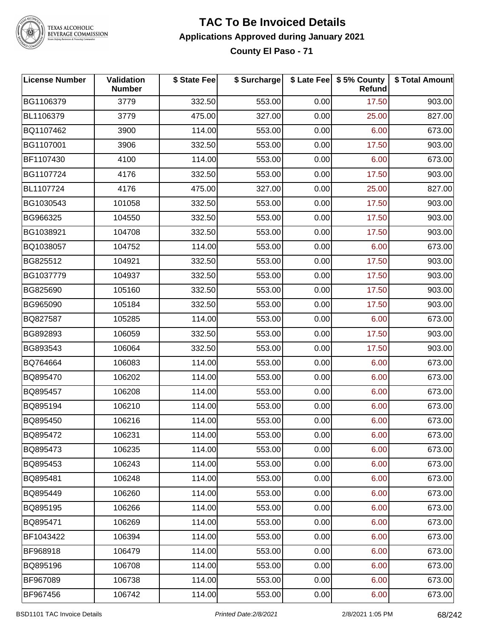

#### **TAC To Be Invoiced Details Applications Approved during January 2021 County El Paso - 71**

| <b>License Number</b> | Validation<br><b>Number</b> | \$ State Fee | \$ Surcharge |      | \$ Late Fee   \$5% County<br>Refund | \$ Total Amount |
|-----------------------|-----------------------------|--------------|--------------|------|-------------------------------------|-----------------|
| BG1106379             | 3779                        | 332.50       | 553.00       | 0.00 | 17.50                               | 903.00          |
| BL1106379             | 3779                        | 475.00       | 327.00       | 0.00 | 25.00                               | 827.00          |
| BQ1107462             | 3900                        | 114.00       | 553.00       | 0.00 | 6.00                                | 673.00          |
| BG1107001             | 3906                        | 332.50       | 553.00       | 0.00 | 17.50                               | 903.00          |
| BF1107430             | 4100                        | 114.00       | 553.00       | 0.00 | 6.00                                | 673.00          |
| BG1107724             | 4176                        | 332.50       | 553.00       | 0.00 | 17.50                               | 903.00          |
| BL1107724             | 4176                        | 475.00       | 327.00       | 0.00 | 25.00                               | 827.00          |
| BG1030543             | 101058                      | 332.50       | 553.00       | 0.00 | 17.50                               | 903.00          |
| BG966325              | 104550                      | 332.50       | 553.00       | 0.00 | 17.50                               | 903.00          |
| BG1038921             | 104708                      | 332.50       | 553.00       | 0.00 | 17.50                               | 903.00          |
| BQ1038057             | 104752                      | 114.00       | 553.00       | 0.00 | 6.00                                | 673.00          |
| BG825512              | 104921                      | 332.50       | 553.00       | 0.00 | 17.50                               | 903.00          |
| BG1037779             | 104937                      | 332.50       | 553.00       | 0.00 | 17.50                               | 903.00          |
| BG825690              | 105160                      | 332.50       | 553.00       | 0.00 | 17.50                               | 903.00          |
| BG965090              | 105184                      | 332.50       | 553.00       | 0.00 | 17.50                               | 903.00          |
| BQ827587              | 105285                      | 114.00       | 553.00       | 0.00 | 6.00                                | 673.00          |
| BG892893              | 106059                      | 332.50       | 553.00       | 0.00 | 17.50                               | 903.00          |
| BG893543              | 106064                      | 332.50       | 553.00       | 0.00 | 17.50                               | 903.00          |
| BQ764664              | 106083                      | 114.00       | 553.00       | 0.00 | 6.00                                | 673.00          |
| BQ895470              | 106202                      | 114.00       | 553.00       | 0.00 | 6.00                                | 673.00          |
| BQ895457              | 106208                      | 114.00       | 553.00       | 0.00 | 6.00                                | 673.00          |
| BQ895194              | 106210                      | 114.00       | 553.00       | 0.00 | 6.00                                | 673.00          |
| BQ895450              | 106216                      | 114.00       | 553.00       | 0.00 | 6.00                                | 673.00          |
| BQ895472              | 106231                      | 114.00       | 553.00       | 0.00 | 6.00                                | 673.00          |
| BQ895473              | 106235                      | 114.00       | 553.00       | 0.00 | 6.00                                | 673.00          |
| BQ895453              | 106243                      | 114.00       | 553.00       | 0.00 | 6.00                                | 673.00          |
| BQ895481              | 106248                      | 114.00       | 553.00       | 0.00 | 6.00                                | 673.00          |
| BQ895449              | 106260                      | 114.00       | 553.00       | 0.00 | 6.00                                | 673.00          |
| BQ895195              | 106266                      | 114.00       | 553.00       | 0.00 | 6.00                                | 673.00          |
| BQ895471              | 106269                      | 114.00       | 553.00       | 0.00 | 6.00                                | 673.00          |
| BF1043422             | 106394                      | 114.00       | 553.00       | 0.00 | 6.00                                | 673.00          |
| BF968918              | 106479                      | 114.00       | 553.00       | 0.00 | 6.00                                | 673.00          |
| BQ895196              | 106708                      | 114.00       | 553.00       | 0.00 | 6.00                                | 673.00          |
| BF967089              | 106738                      | 114.00       | 553.00       | 0.00 | 6.00                                | 673.00          |
| BF967456              | 106742                      | 114.00       | 553.00       | 0.00 | 6.00                                | 673.00          |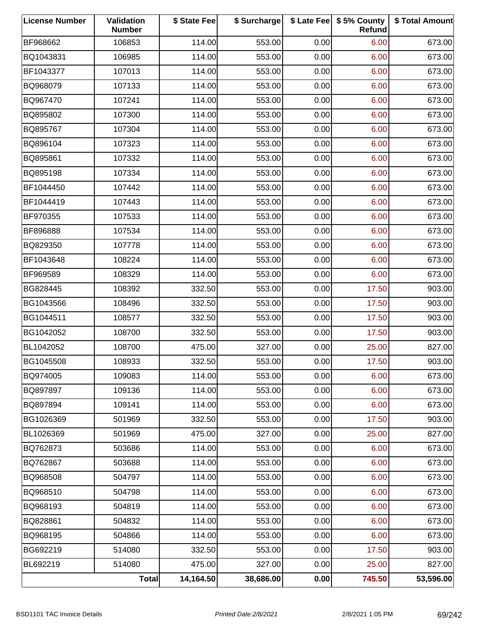| <b>License Number</b> | Validation<br><b>Number</b> | \$ State Fee | \$ Surcharge |      | \$ Late Fee   \$5% County<br>Refund | \$ Total Amount |
|-----------------------|-----------------------------|--------------|--------------|------|-------------------------------------|-----------------|
| BF968662              | 106853                      | 114.00       | 553.00       | 0.00 | 6.00                                | 673.00          |
| BQ1043831             | 106985                      | 114.00       | 553.00       | 0.00 | 6.00                                | 673.00          |
| BF1043377             | 107013                      | 114.00       | 553.00       | 0.00 | 6.00                                | 673.00          |
| BQ968079              | 107133                      | 114.00       | 553.00       | 0.00 | 6.00                                | 673.00          |
| BQ967470              | 107241                      | 114.00       | 553.00       | 0.00 | 6.00                                | 673.00          |
| BQ895802              | 107300                      | 114.00       | 553.00       | 0.00 | 6.00                                | 673.00          |
| BQ895767              | 107304                      | 114.00       | 553.00       | 0.00 | 6.00                                | 673.00          |
| BQ896104              | 107323                      | 114.00       | 553.00       | 0.00 | 6.00                                | 673.00          |
| BQ895861              | 107332                      | 114.00       | 553.00       | 0.00 | 6.00                                | 673.00          |
| BQ895198              | 107334                      | 114.00       | 553.00       | 0.00 | 6.00                                | 673.00          |
| BF1044450             | 107442                      | 114.00       | 553.00       | 0.00 | 6.00                                | 673.00          |
| BF1044419             | 107443                      | 114.00       | 553.00       | 0.00 | 6.00                                | 673.00          |
| BF970355              | 107533                      | 114.00       | 553.00       | 0.00 | 6.00                                | 673.00          |
| BF896888              | 107534                      | 114.00       | 553.00       | 0.00 | 6.00                                | 673.00          |
| BQ829350              | 107778                      | 114.00       | 553.00       | 0.00 | 6.00                                | 673.00          |
| BF1043648             | 108224                      | 114.00       | 553.00       | 0.00 | 6.00                                | 673.00          |
| BF969589              | 108329                      | 114.00       | 553.00       | 0.00 | 6.00                                | 673.00          |
| BG828445              | 108392                      | 332.50       | 553.00       | 0.00 | 17.50                               | 903.00          |
| BG1043566             | 108496                      | 332.50       | 553.00       | 0.00 | 17.50                               | 903.00          |
| BG1044511             | 108577                      | 332.50       | 553.00       | 0.00 | 17.50                               | 903.00          |
| BG1042052             | 108700                      | 332.50       | 553.00       | 0.00 | 17.50                               | 903.00          |
| BL1042052             | 108700                      | 475.00       | 327.00       | 0.00 | 25.00                               | 827.00          |
| BG1045508             | 108933                      | 332.50       | 553.00       | 0.00 | 17.50                               | 903.00          |
| BQ974005              | 109083                      | 114.00       | 553.00       | 0.00 | 6.00                                | 673.00          |
| BQ897897              | 109136                      | 114.00       | 553.00       | 0.00 | 6.00                                | 673.00          |
| BQ897894              | 109141                      | 114.00       | 553.00       | 0.00 | 6.00                                | 673.00          |
| BG1026369             | 501969                      | 332.50       | 553.00       | 0.00 | 17.50                               | 903.00          |
| BL1026369             | 501969                      | 475.00       | 327.00       | 0.00 | 25.00                               | 827.00          |
| BQ762873              | 503686                      | 114.00       | 553.00       | 0.00 | 6.00                                | 673.00          |
| BQ762867              | 503688                      | 114.00       | 553.00       | 0.00 | 6.00                                | 673.00          |
| BQ968508              | 504797                      | 114.00       | 553.00       | 0.00 | 6.00                                | 673.00          |
| BQ968510              | 504798                      | 114.00       | 553.00       | 0.00 | 6.00                                | 673.00          |
| BQ968193              | 504819                      | 114.00       | 553.00       | 0.00 | 6.00                                | 673.00          |
| BQ828861              | 504832                      | 114.00       | 553.00       | 0.00 | 6.00                                | 673.00          |
| BQ968195              | 504866                      | 114.00       | 553.00       | 0.00 | 6.00                                | 673.00          |
| BG692219              | 514080                      | 332.50       | 553.00       | 0.00 | 17.50                               | 903.00          |
| BL692219              | 514080                      | 475.00       | 327.00       | 0.00 | 25.00                               | 827.00          |
|                       | Total                       | 14,164.50    | 38,686.00    | 0.00 | 745.50                              | 53,596.00       |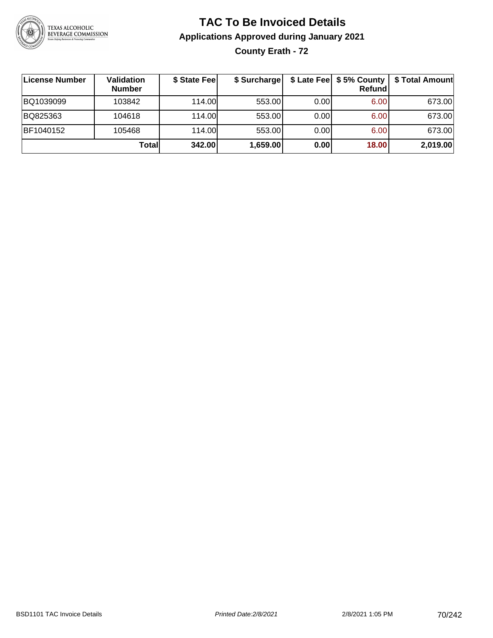

# **TAC To Be Invoiced Details Applications Approved during January 2021 County Erath - 72**

| License Number | Validation<br><b>Number</b> | \$ State Fee | \$ Surcharge |      | \$ Late Fee   \$5% County  <br><b>Refund</b> | \$ Total Amount |
|----------------|-----------------------------|--------------|--------------|------|----------------------------------------------|-----------------|
| BQ1039099      | 103842                      | 114.00L      | 553.00       | 0.00 | 6.00                                         | 673.00          |
| BQ825363       | 104618                      | 114.00L      | 553.00       | 0.00 | 6.00                                         | 673.00          |
| BF1040152      | 105468                      | 114.00       | 553.00       | 0.00 | 6.00                                         | 673.00          |
|                | Totall                      | 342.00       | 1,659.00     | 0.00 | 18.00                                        | 2,019.00        |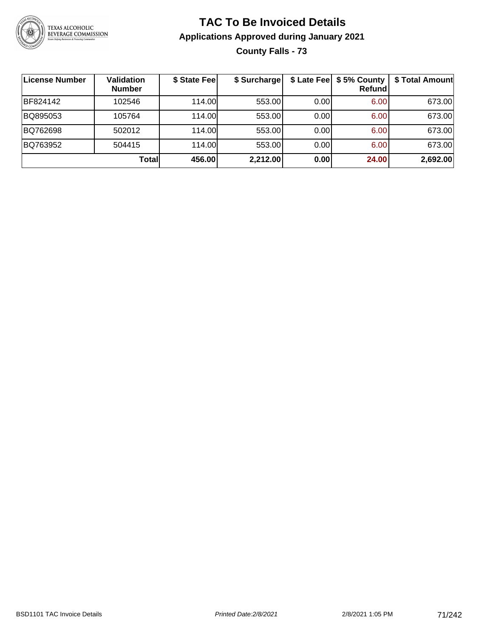

# **TAC To Be Invoiced Details Applications Approved during January 2021 County Falls - 73**

| License Number | <b>Validation</b><br><b>Number</b> | \$ State Fee | \$ Surcharge |      | \$ Late Fee   \$5% County  <br><b>Refund</b> | \$ Total Amount |
|----------------|------------------------------------|--------------|--------------|------|----------------------------------------------|-----------------|
| BF824142       | 102546                             | 114.00L      | 553.00       | 0.00 | 6.00                                         | 673.00          |
| BQ895053       | 105764                             | 114.00L      | 553.00       | 0.00 | 6.00                                         | 673.00          |
| BQ762698       | 502012                             | 114.00       | 553.00       | 0.00 | 6.00                                         | 673.00          |
| BQ763952       | 504415                             | 114.00L      | 553.00       | 0.00 | 6.00                                         | 673.00          |
|                | Totall                             | 456.00       | 2,212.00     | 0.00 | 24.00                                        | 2,692.00        |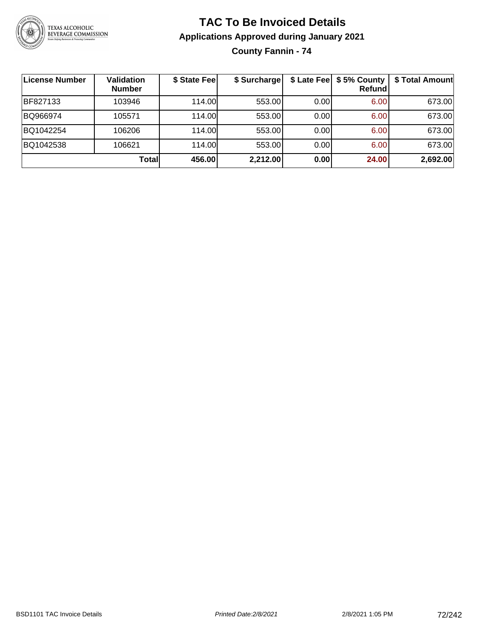

# **TAC To Be Invoiced Details Applications Approved during January 2021 County Fannin - 74**

| ∣License Number | Validation<br><b>Number</b> | \$ State Fee | \$ Surcharge |       | \$ Late Fee   \$5% County<br>Refundl | \$ Total Amount |
|-----------------|-----------------------------|--------------|--------------|-------|--------------------------------------|-----------------|
| BF827133        | 103946                      | 114.00L      | 553.00       | 0.001 | 6.00                                 | 673.00          |
| BQ966974        | 105571                      | 114.00L      | 553.00       | 0.00  | 6.00                                 | 673.00          |
| BQ1042254       | 106206                      | 114.00       | 553.00       | 0.00  | 6.00                                 | 673.00          |
| BQ1042538       | 106621                      | 114.00L      | 553.00       | 0.00  | 6.00                                 | 673.00          |
|                 | <b>Total</b>                | 456.00       | 2,212.00     | 0.00  | 24.00                                | 2,692.00        |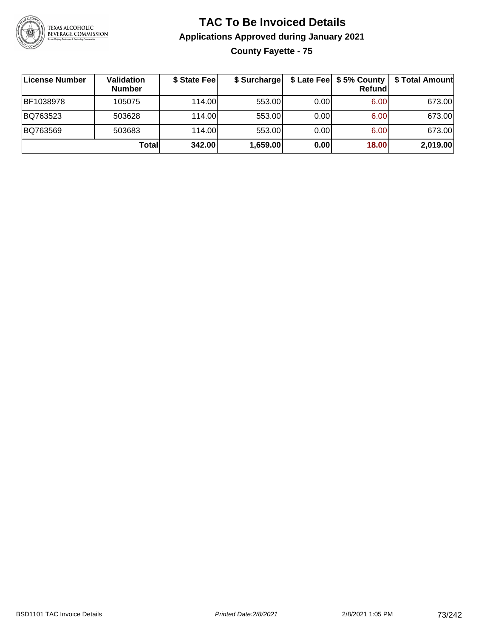

# **TAC To Be Invoiced Details Applications Approved during January 2021 County Fayette - 75**

| ∣License Number | Validation<br><b>Number</b> | \$ State Fee | \$ Surcharge |      | Refundl | \$ Late Fee   \$5% County   \$ Total Amount |
|-----------------|-----------------------------|--------------|--------------|------|---------|---------------------------------------------|
| BF1038978       | 105075                      | 114.00L      | 553.00       | 0.00 | 6.00    | 673.00                                      |
| BQ763523        | 503628                      | 114.00       | 553.00       | 0.00 | 6.00    | 673.00                                      |
| BQ763569        | 503683                      | 114.00       | 553.00       | 0.00 | 6.00    | 673.00                                      |
|                 | Totall                      | 342.00       | 1,659.00     | 0.00 | 18.00   | 2,019.00                                    |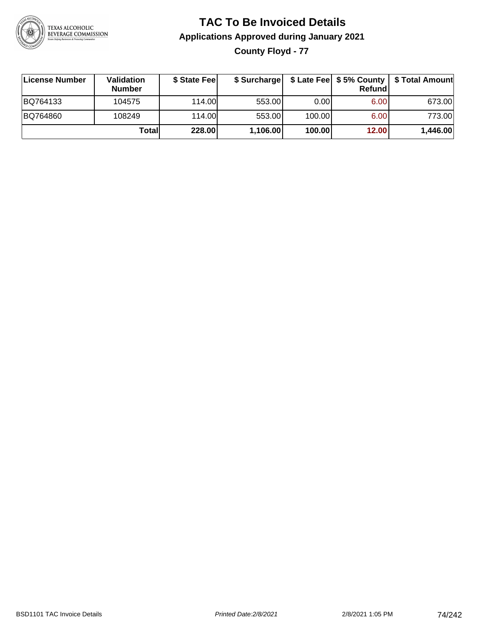

# **TAC To Be Invoiced Details Applications Approved during January 2021 County Floyd - 77**

| License Number | Validation<br><b>Number</b> | \$ State Fee | \$ Surcharge |        | Refundl           | \$ Late Fee   \$5% County   \$ Total Amount |
|----------------|-----------------------------|--------------|--------------|--------|-------------------|---------------------------------------------|
| BQ764133       | 104575                      | 114.00       | 553.00       | 0.00   | 6.00 <sub>1</sub> | 673.00                                      |
| BQ764860       | 108249                      | 114.00       | 553.00       | 100.00 | 6.00              | 773.00                                      |
|                | Totall                      | 228.00       | 1,106.00     | 100.00 | 12.00             | 1,446.00                                    |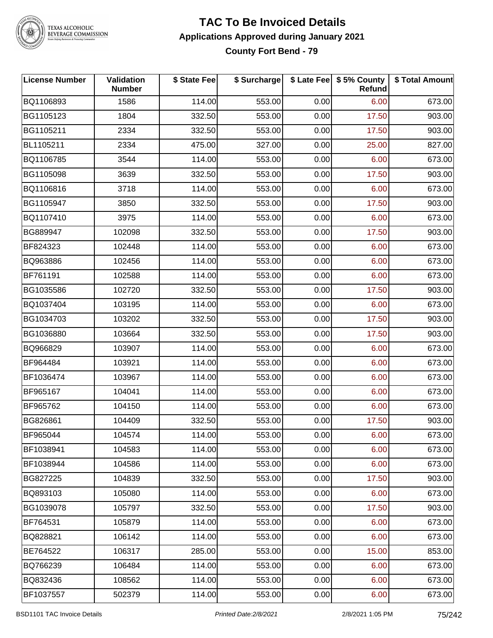

#### **TAC To Be Invoiced Details Applications Approved during January 2021 County Fort Bend - 79**

| <b>License Number</b> | Validation<br><b>Number</b> | \$ State Fee | \$ Surcharge |      | \$ Late Fee   \$5% County<br>Refund | \$ Total Amount |
|-----------------------|-----------------------------|--------------|--------------|------|-------------------------------------|-----------------|
| BQ1106893             | 1586                        | 114.00       | 553.00       | 0.00 | 6.00                                | 673.00          |
| BG1105123             | 1804                        | 332.50       | 553.00       | 0.00 | 17.50                               | 903.00          |
| BG1105211             | 2334                        | 332.50       | 553.00       | 0.00 | 17.50                               | 903.00          |
| BL1105211             | 2334                        | 475.00       | 327.00       | 0.00 | 25.00                               | 827.00          |
| BQ1106785             | 3544                        | 114.00       | 553.00       | 0.00 | 6.00                                | 673.00          |
| BG1105098             | 3639                        | 332.50       | 553.00       | 0.00 | 17.50                               | 903.00          |
| BQ1106816             | 3718                        | 114.00       | 553.00       | 0.00 | 6.00                                | 673.00          |
| BG1105947             | 3850                        | 332.50       | 553.00       | 0.00 | 17.50                               | 903.00          |
| BQ1107410             | 3975                        | 114.00       | 553.00       | 0.00 | 6.00                                | 673.00          |
| BG889947              | 102098                      | 332.50       | 553.00       | 0.00 | 17.50                               | 903.00          |
| BF824323              | 102448                      | 114.00       | 553.00       | 0.00 | 6.00                                | 673.00          |
| BQ963886              | 102456                      | 114.00       | 553.00       | 0.00 | 6.00                                | 673.00          |
| BF761191              | 102588                      | 114.00       | 553.00       | 0.00 | 6.00                                | 673.00          |
| BG1035586             | 102720                      | 332.50       | 553.00       | 0.00 | 17.50                               | 903.00          |
| BQ1037404             | 103195                      | 114.00       | 553.00       | 0.00 | 6.00                                | 673.00          |
| BG1034703             | 103202                      | 332.50       | 553.00       | 0.00 | 17.50                               | 903.00          |
| BG1036880             | 103664                      | 332.50       | 553.00       | 0.00 | 17.50                               | 903.00          |
| BQ966829              | 103907                      | 114.00       | 553.00       | 0.00 | 6.00                                | 673.00          |
| BF964484              | 103921                      | 114.00       | 553.00       | 0.00 | 6.00                                | 673.00          |
| BF1036474             | 103967                      | 114.00       | 553.00       | 0.00 | 6.00                                | 673.00          |
| BF965167              | 104041                      | 114.00       | 553.00       | 0.00 | 6.00                                | 673.00          |
| BF965762              | 104150                      | 114.00       | 553.00       | 0.00 | 6.00                                | 673.00          |
| BG826861              | 104409                      | 332.50       | 553.00       | 0.00 | 17.50                               | 903.00          |
| BF965044              | 104574                      | 114.00       | 553.00       | 0.00 | 6.00                                | 673.00          |
| BF1038941             | 104583                      | 114.00       | 553.00       | 0.00 | 6.00                                | 673.00          |
| BF1038944             | 104586                      | 114.00       | 553.00       | 0.00 | 6.00                                | 673.00          |
| BG827225              | 104839                      | 332.50       | 553.00       | 0.00 | 17.50                               | 903.00          |
| BQ893103              | 105080                      | 114.00       | 553.00       | 0.00 | 6.00                                | 673.00          |
| BG1039078             | 105797                      | 332.50       | 553.00       | 0.00 | 17.50                               | 903.00          |
| BF764531              | 105879                      | 114.00       | 553.00       | 0.00 | 6.00                                | 673.00          |
| BQ828821              | 106142                      | 114.00       | 553.00       | 0.00 | 6.00                                | 673.00          |
| BE764522              | 106317                      | 285.00       | 553.00       | 0.00 | 15.00                               | 853.00          |
| BQ766239              | 106484                      | 114.00       | 553.00       | 0.00 | 6.00                                | 673.00          |
| BQ832436              | 108562                      | 114.00       | 553.00       | 0.00 | 6.00                                | 673.00          |
| BF1037557             | 502379                      | 114.00       | 553.00       | 0.00 | 6.00                                | 673.00          |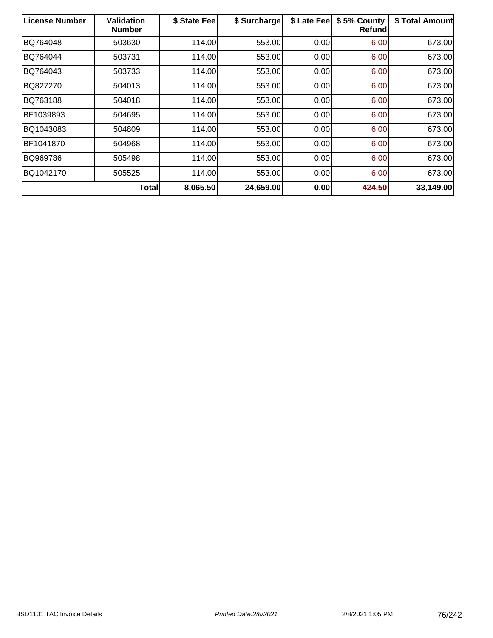| <b>License Number</b> | Validation<br><b>Number</b> | \$ State Fee | \$ Surcharge | \$ Late Fee | \$5% County<br>Refund | \$ Total Amount |
|-----------------------|-----------------------------|--------------|--------------|-------------|-----------------------|-----------------|
| BQ764048              | 503630                      | 114.00       | 553.00       | 0.00        | 6.00                  | 673.00          |
| BQ764044              | 503731                      | 114.00       | 553.00       | 0.00        | 6.00                  | 673.00          |
| BQ764043              | 503733                      | 114.00       | 553.00       | 0.00        | 6.00                  | 673.00          |
| BQ827270              | 504013                      | 114.00       | 553.00       | 0.00        | 6.00                  | 673.00          |
| BQ763188              | 504018                      | 114.00       | 553.00       | 0.00        | 6.00                  | 673.00          |
| BF1039893             | 504695                      | 114.00       | 553.00       | 0.00        | 6.00                  | 673.00          |
| BQ1043083             | 504809                      | 114.00       | 553.00       | 0.00        | 6.00                  | 673.00          |
| BF1041870             | 504968                      | 114.00       | 553.00       | 0.00        | 6.00                  | 673.00          |
| BQ969786              | 505498                      | 114.00       | 553.00       | 0.00        | 6.00                  | 673.00          |
| BQ1042170             | 505525                      | 114.00       | 553.00       | 0.00        | 6.00                  | 673.00          |
|                       | <b>Total</b>                | 8,065.50     | 24,659.00    | 0.00        | 424.50                | 33,149.00       |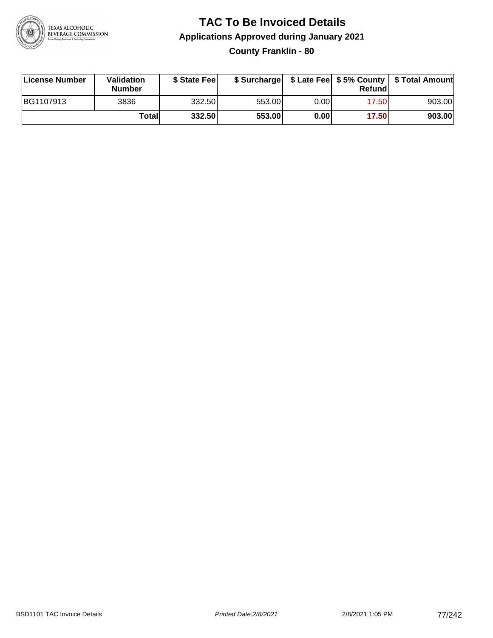

# **TAC To Be Invoiced Details Applications Approved during January 2021 County Franklin - 80**

| License Number | <b>Validation</b><br><b>Number</b> | \$ State Feel |        |       | Refundl | \$ Surcharge   \$ Late Fee   \$5% County   \$ Total Amount |
|----------------|------------------------------------|---------------|--------|-------|---------|------------------------------------------------------------|
| BG1107913      | 3836                               | 332.50        | 553.00 | 0.00  | 17.50   | 903.00                                                     |
|                | Totall                             | 332.50        | 553.00 | 0.001 | 17.50   | 903.00                                                     |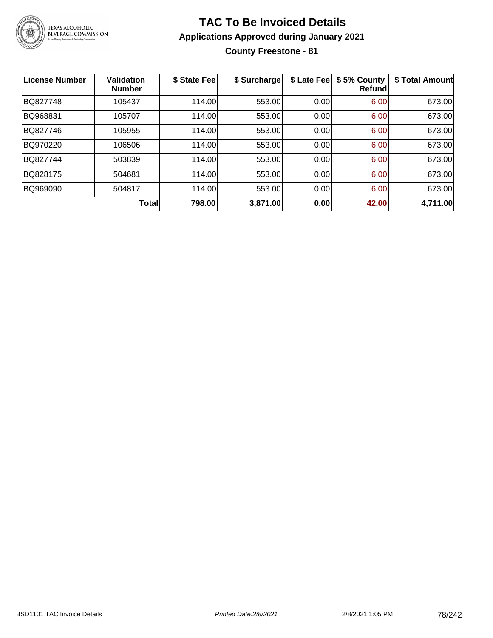

# **TAC To Be Invoiced Details Applications Approved during January 2021**

**County Freestone - 81**

| <b>License Number</b> | <b>Validation</b><br><b>Number</b> | \$ State Fee | \$ Surcharge | \$ Late Fee | \$5% County<br>Refundl | \$ Total Amount |
|-----------------------|------------------------------------|--------------|--------------|-------------|------------------------|-----------------|
| BQ827748              | 105437                             | 114.00       | 553.00       | 0.00        | 6.00                   | 673.00          |
| BQ968831              | 105707                             | 114.00       | 553.00       | 0.00        | 6.00                   | 673.00          |
| BQ827746              | 105955                             | 114.00       | 553.00       | 0.00        | 6.00                   | 673.00          |
| BQ970220              | 106506                             | 114.00       | 553.00       | 0.00        | 6.00                   | 673.00          |
| BQ827744              | 503839                             | 114.00       | 553.00       | 0.00        | 6.00                   | 673.00          |
| BQ828175              | 504681                             | 114.00       | 553.00       | 0.00        | 6.00                   | 673.00          |
| BQ969090              | 504817                             | 114.00       | 553.00       | 0.00        | 6.00                   | 673.00          |
|                       | <b>Total</b>                       | 798.00       | 3,871.00     | 0.00        | 42.00                  | 4,711.00        |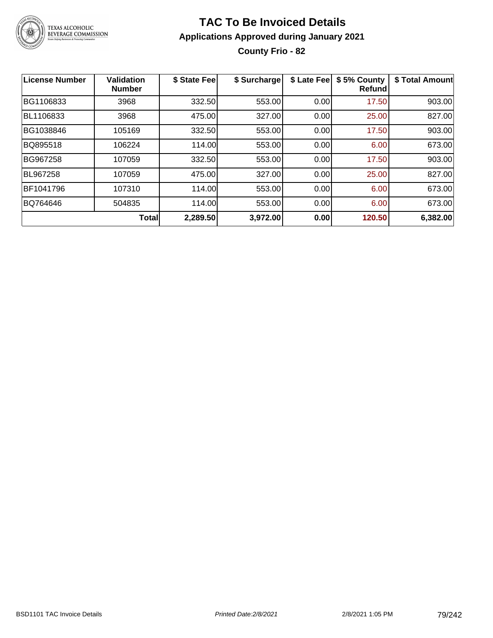

# **TAC To Be Invoiced Details Applications Approved during January 2021 County Frio - 82**

| <b>License Number</b> | <b>Validation</b><br><b>Number</b> | \$ State Fee | \$ Surcharge | \$ Late Fee | \$5% County<br>Refund | \$ Total Amount |
|-----------------------|------------------------------------|--------------|--------------|-------------|-----------------------|-----------------|
| BG1106833             | 3968                               | 332.50       | 553.00       | 0.00        | 17.50                 | 903.00          |
| BL1106833             | 3968                               | 475.00       | 327.00       | 0.00        | 25.00                 | 827.00          |
| BG1038846             | 105169                             | 332.50       | 553.00       | 0.00        | 17.50                 | 903.00          |
| BQ895518              | 106224                             | 114.00       | 553.00       | 0.00        | 6.00                  | 673.00          |
| BG967258              | 107059                             | 332.50       | 553.00       | 0.00        | 17.50                 | 903.00          |
| BL967258              | 107059                             | 475.00       | 327.00       | 0.00        | 25.00                 | 827.00          |
| BF1041796             | 107310                             | 114.00       | 553.00       | 0.00        | 6.00                  | 673.00          |
| BQ764646              | 504835                             | 114.00       | 553.00       | 0.00        | 6.00                  | 673.00          |
|                       | <b>Total</b>                       | 2,289.50     | 3,972.00     | 0.00        | 120.50                | 6,382.00        |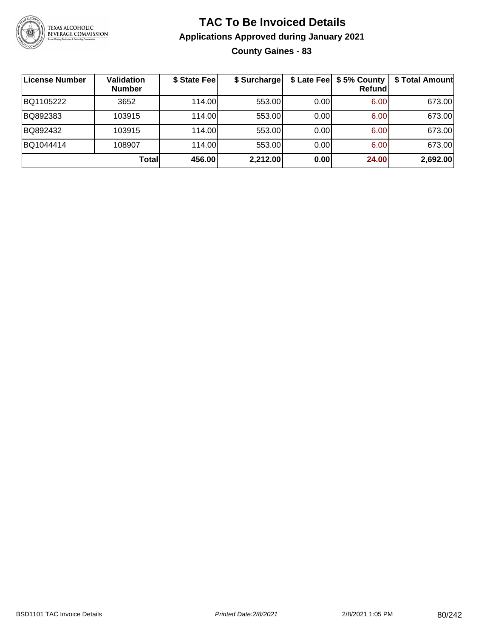

# **TAC To Be Invoiced Details Applications Approved during January 2021 County Gaines - 83**

| License Number | <b>Validation</b><br><b>Number</b> | \$ State Fee | \$ Surcharge |      | \$ Late Fee   \$5% County  <br><b>Refund</b> | \$ Total Amount |
|----------------|------------------------------------|--------------|--------------|------|----------------------------------------------|-----------------|
| BQ1105222      | 3652                               | 114.00L      | 553.00       | 0.00 | 6.00                                         | 673.00          |
| BQ892383       | 103915                             | 114.00L      | 553.00       | 0.00 | 6.00                                         | 673.00          |
| BQ892432       | 103915                             | 114.00       | 553.00       | 0.00 | 6.00                                         | 673.00          |
| BQ1044414      | 108907                             | 114.00L      | 553.00       | 0.00 | 6.00                                         | 673.00          |
|                | Totall                             | 456.00       | 2,212.00     | 0.00 | 24.00                                        | 2,692.00        |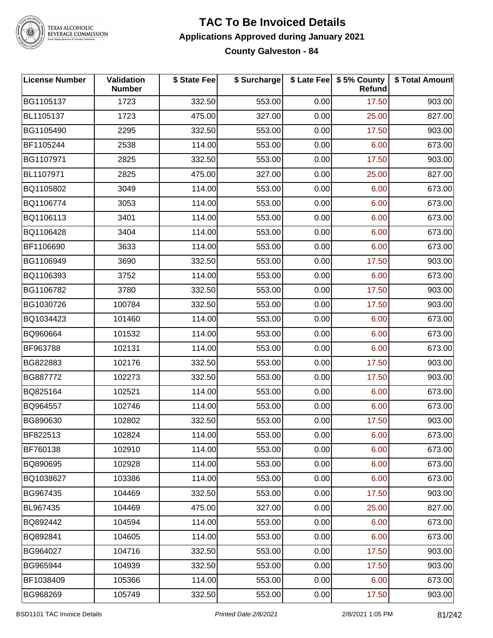

#### **TAC To Be Invoiced Details Applications Approved during January 2021 County Galveston - 84**

| <b>License Number</b> | Validation<br><b>Number</b> | \$ State Fee | \$ Surcharge |      | \$ Late Fee   \$5% County<br><b>Refund</b> | \$ Total Amount |
|-----------------------|-----------------------------|--------------|--------------|------|--------------------------------------------|-----------------|
| BG1105137             | 1723                        | 332.50       | 553.00       | 0.00 | 17.50                                      | 903.00          |
| BL1105137             | 1723                        | 475.00       | 327.00       | 0.00 | 25.00                                      | 827.00          |
| BG1105490             | 2295                        | 332.50       | 553.00       | 0.00 | 17.50                                      | 903.00          |
| BF1105244             | 2538                        | 114.00       | 553.00       | 0.00 | 6.00                                       | 673.00          |
| BG1107971             | 2825                        | 332.50       | 553.00       | 0.00 | 17.50                                      | 903.00          |
| BL1107971             | 2825                        | 475.00       | 327.00       | 0.00 | 25.00                                      | 827.00          |
| BQ1105802             | 3049                        | 114.00       | 553.00       | 0.00 | 6.00                                       | 673.00          |
| BQ1106774             | 3053                        | 114.00       | 553.00       | 0.00 | 6.00                                       | 673.00          |
| BQ1106113             | 3401                        | 114.00       | 553.00       | 0.00 | 6.00                                       | 673.00          |
| BQ1106428             | 3404                        | 114.00       | 553.00       | 0.00 | 6.00                                       | 673.00          |
| BF1106690             | 3633                        | 114.00       | 553.00       | 0.00 | 6.00                                       | 673.00          |
| BG1106949             | 3690                        | 332.50       | 553.00       | 0.00 | 17.50                                      | 903.00          |
| BQ1106393             | 3752                        | 114.00       | 553.00       | 0.00 | 6.00                                       | 673.00          |
| BG1106782             | 3780                        | 332.50       | 553.00       | 0.00 | 17.50                                      | 903.00          |
| BG1030726             | 100784                      | 332.50       | 553.00       | 0.00 | 17.50                                      | 903.00          |
| BQ1034423             | 101460                      | 114.00       | 553.00       | 0.00 | 6.00                                       | 673.00          |
| BQ960664              | 101532                      | 114.00       | 553.00       | 0.00 | 6.00                                       | 673.00          |
| BF963788              | 102131                      | 114.00       | 553.00       | 0.00 | 6.00                                       | 673.00          |
| BG822883              | 102176                      | 332.50       | 553.00       | 0.00 | 17.50                                      | 903.00          |
| BG887772              | 102273                      | 332.50       | 553.00       | 0.00 | 17.50                                      | 903.00          |
| BQ825164              | 102521                      | 114.00       | 553.00       | 0.00 | 6.00                                       | 673.00          |
| BQ964557              | 102746                      | 114.00       | 553.00       | 0.00 | 6.00                                       | 673.00          |
| BG890630              | 102802                      | 332.50       | 553.00       | 0.00 | 17.50                                      | 903.00          |
| BF822513              | 102824                      | 114.00       | 553.00       | 0.00 | 6.00                                       | 673.00          |
| BF760138              | 102910                      | 114.00       | 553.00       | 0.00 | 6.00                                       | 673.00          |
| BQ890695              | 102928                      | 114.00       | 553.00       | 0.00 | 6.00                                       | 673.00          |
| BQ1038627             | 103386                      | 114.00       | 553.00       | 0.00 | 6.00                                       | 673.00          |
| BG967435              | 104469                      | 332.50       | 553.00       | 0.00 | 17.50                                      | 903.00          |
| BL967435              | 104469                      | 475.00       | 327.00       | 0.00 | 25.00                                      | 827.00          |
| BQ892442              | 104594                      | 114.00       | 553.00       | 0.00 | 6.00                                       | 673.00          |
| BQ892841              | 104605                      | 114.00       | 553.00       | 0.00 | 6.00                                       | 673.00          |
| BG964027              | 104716                      | 332.50       | 553.00       | 0.00 | 17.50                                      | 903.00          |
| BG965944              | 104939                      | 332.50       | 553.00       | 0.00 | 17.50                                      | 903.00          |
| BF1038409             | 105366                      | 114.00       | 553.00       | 0.00 | 6.00                                       | 673.00          |
| BG968269              | 105749                      | 332.50       | 553.00       | 0.00 | 17.50                                      | 903.00          |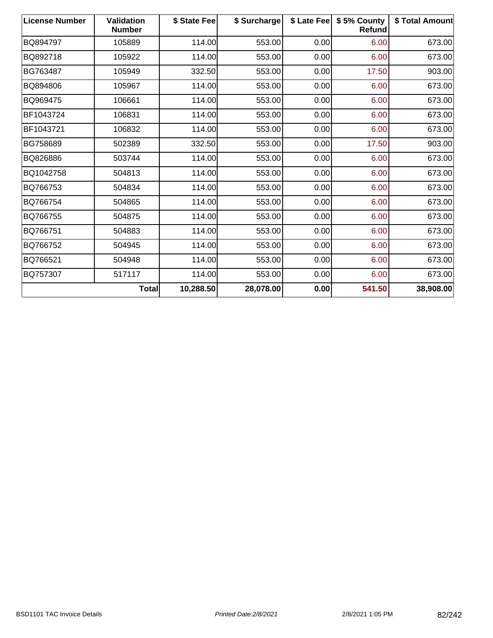| <b>License Number</b> | <b>Validation</b><br><b>Number</b> | \$ State Fee | \$ Surcharge |      | \$ Late Fee   \$5% County<br><b>Refund</b> | \$ Total Amount |
|-----------------------|------------------------------------|--------------|--------------|------|--------------------------------------------|-----------------|
| BQ894797              | 105889                             | 114.00       | 553.00       | 0.00 | 6.00                                       | 673.00          |
| BQ892718              | 105922                             | 114.00       | 553.00       | 0.00 | 6.00                                       | 673.00          |
| BG763487              | 105949                             | 332.50       | 553.00       | 0.00 | 17.50                                      | 903.00          |
| BQ894806              | 105967                             | 114.00       | 553.00       | 0.00 | 6.00                                       | 673.00          |
| BQ969475              | 106661                             | 114.00       | 553.00       | 0.00 | 6.00                                       | 673.00          |
| BF1043724             | 106831                             | 114.00       | 553.00       | 0.00 | 6.00                                       | 673.00          |
| BF1043721             | 106832                             | 114.00       | 553.00       | 0.00 | 6.00                                       | 673.00          |
| BG758689              | 502389                             | 332.50       | 553.00       | 0.00 | 17.50                                      | 903.00          |
| BQ826886              | 503744                             | 114.00       | 553.00       | 0.00 | 6.00                                       | 673.00          |
| BQ1042758             | 504813                             | 114.00       | 553.00       | 0.00 | 6.00                                       | 673.00          |
| BQ766753              | 504834                             | 114.00       | 553.00       | 0.00 | 6.00                                       | 673.00          |
| BQ766754              | 504865                             | 114.00       | 553.00       | 0.00 | 6.00                                       | 673.00          |
| BQ766755              | 504875                             | 114.00       | 553.00       | 0.00 | 6.00                                       | 673.00          |
| BQ766751              | 504883                             | 114.00       | 553.00       | 0.00 | 6.00                                       | 673.00          |
| BQ766752              | 504945                             | 114.00       | 553.00       | 0.00 | 6.00                                       | 673.00          |
| BQ766521              | 504948                             | 114.00       | 553.00       | 0.00 | 6.00                                       | 673.00          |
| BQ757307              | 517117                             | 114.00       | 553.00       | 0.00 | 6.00                                       | 673.00          |
|                       | <b>Total</b>                       | 10,288.50    | 28,078.00    | 0.00 | 541.50                                     | 38,908.00       |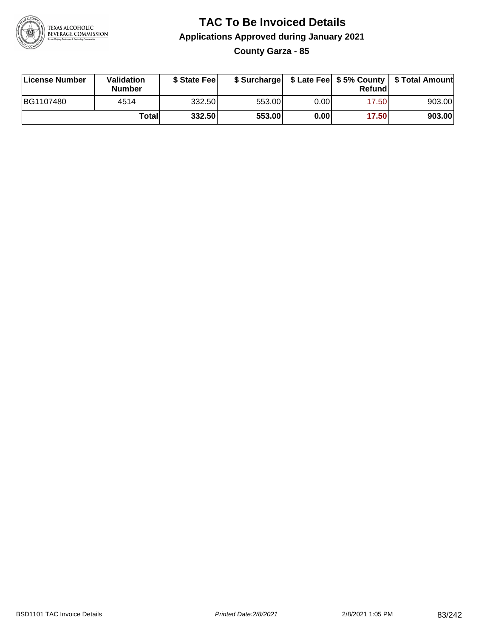

# **TAC To Be Invoiced Details Applications Approved during January 2021 County Garza - 85**

| License Number | Validation<br>Number | \$ State Fee |        |       | Refundl | \$ Surcharge   \$ Late Fee   \$5% County   \$ Total Amount |
|----------------|----------------------|--------------|--------|-------|---------|------------------------------------------------------------|
| BG1107480      | 4514                 | 332.50       | 553.00 | 0.001 | 17.50   | 903.00                                                     |
|                | Totall               | 332.50       | 553.00 | 0.001 | 17.50   | 903.00                                                     |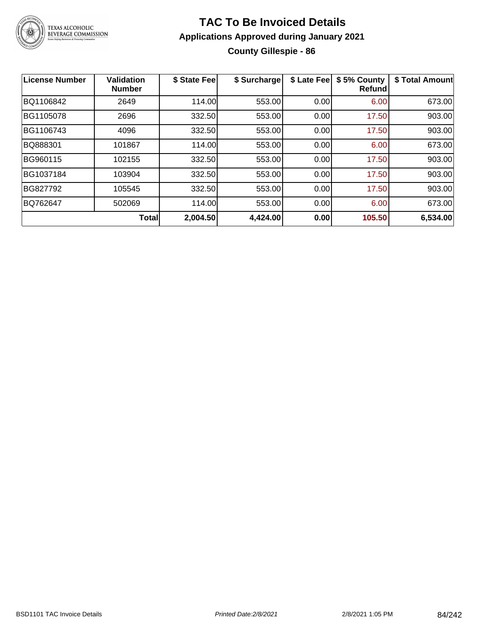

# **TAC To Be Invoiced Details Applications Approved during January 2021 County Gillespie - 86**

| <b>License Number</b> | <b>Validation</b><br><b>Number</b> | \$ State Fee | \$ Surcharge | \$ Late Fee | \$5% County<br><b>Refund</b> | \$ Total Amount |
|-----------------------|------------------------------------|--------------|--------------|-------------|------------------------------|-----------------|
| BQ1106842             | 2649                               | 114.00       | 553.00       | 0.00        | 6.00                         | 673.00          |
| BG1105078             | 2696                               | 332.50       | 553.00       | 0.00        | 17.50                        | 903.00          |
| BG1106743             | 4096                               | 332.50       | 553.00       | 0.00        | 17.50                        | 903.00          |
| BQ888301              | 101867                             | 114.00       | 553.00       | 0.00        | 6.00                         | 673.00          |
| BG960115              | 102155                             | 332.50       | 553.00       | 0.00        | 17.50                        | 903.00          |
| BG1037184             | 103904                             | 332.50       | 553.00       | 0.00        | 17.50                        | 903.00          |
| BG827792              | 105545                             | 332.50       | 553.00       | 0.00        | 17.50                        | 903.00          |
| BQ762647              | 502069                             | 114.00       | 553.00       | 0.00        | 6.00                         | 673.00          |
|                       | <b>Total</b>                       | 2,004.50     | 4,424.00     | 0.00        | 105.50                       | 6,534.00        |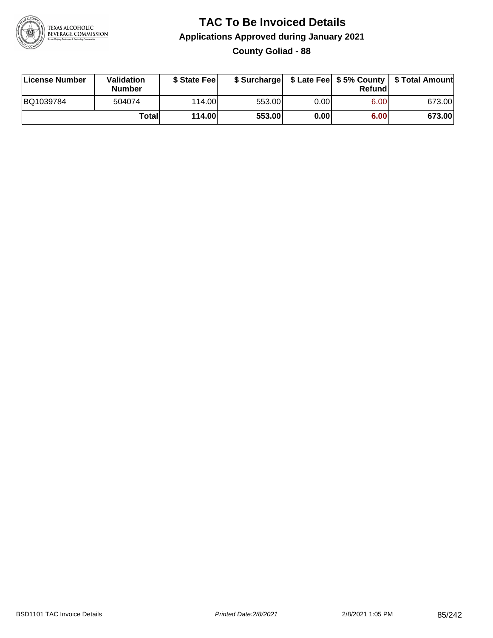

# **TAC To Be Invoiced Details Applications Approved during January 2021 County Goliad - 88**

| License Number | Validation<br>Number | \$ State Fee  | \$ Surcharge |      | Refund | \$ Late Fee   \$5% County   \$ Total Amount |
|----------------|----------------------|---------------|--------------|------|--------|---------------------------------------------|
| BQ1039784      | 504074               | 114.00        | 553.00       | 0.00 | 6.00   | 673.00                                      |
|                | Totall               | <b>114.00</b> | 553.00       | 0.00 | 6.00   | 673.00                                      |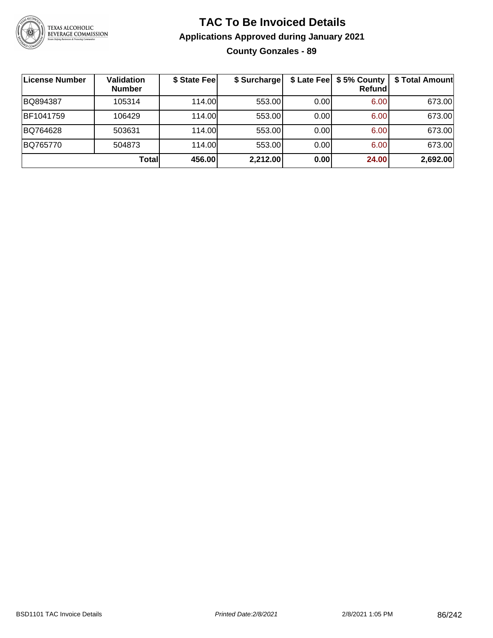

# **TAC To Be Invoiced Details Applications Approved during January 2021 County Gonzales - 89**

| <b>License Number</b> | <b>Validation</b><br><b>Number</b> | \$ State Fee | \$ Surcharge |      | \$ Late Fee   \$5% County<br><b>Refund</b> | \$ Total Amount |
|-----------------------|------------------------------------|--------------|--------------|------|--------------------------------------------|-----------------|
| BQ894387              | 105314                             | 114.00L      | 553.00       | 0.00 | 6.00                                       | 673.00          |
| BF1041759             | 106429                             | 114.00L      | 553.00       | 0.00 | 6.00                                       | 673.00          |
| BQ764628              | 503631                             | 114.00       | 553.00       | 0.00 | 6.00                                       | 673.00          |
| BQ765770              | 504873                             | 114.00L      | 553.00       | 0.00 | 6.00                                       | 673.00          |
|                       | Totall                             | 456.00       | 2,212.00     | 0.00 | 24.00                                      | 2,692.00        |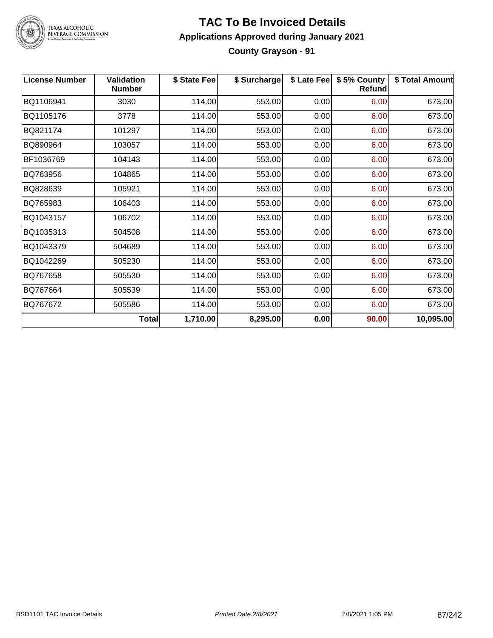

# **TAC To Be Invoiced Details Applications Approved during January 2021 County Grayson - 91**

| <b>License Number</b> | <b>Validation</b><br><b>Number</b> | \$ State Fee | \$ Surcharge | \$ Late Fee | \$5% County<br><b>Refund</b> | \$ Total Amount |
|-----------------------|------------------------------------|--------------|--------------|-------------|------------------------------|-----------------|
| BQ1106941             | 3030                               | 114.00       | 553.00       | 0.00        | 6.00                         | 673.00          |
| BQ1105176             | 3778                               | 114.00       | 553.00       | 0.00        | 6.00                         | 673.00          |
| BQ821174              | 101297                             | 114.00       | 553.00       | 0.00        | 6.00                         | 673.00          |
| BQ890964              | 103057                             | 114.00       | 553.00       | 0.00        | 6.00                         | 673.00          |
| BF1036769             | 104143                             | 114.00       | 553.00       | 0.00        | 6.00                         | 673.00          |
| BQ763956              | 104865                             | 114.00       | 553.00       | 0.00        | 6.00                         | 673.00          |
| BQ828639              | 105921                             | 114.00       | 553.00       | 0.00        | 6.00                         | 673.00          |
| BQ765983              | 106403                             | 114.00       | 553.00       | 0.00        | 6.00                         | 673.00          |
| BQ1043157             | 106702                             | 114.00       | 553.00       | 0.00        | 6.00                         | 673.00          |
| BQ1035313             | 504508                             | 114.00       | 553.00       | 0.00        | 6.00                         | 673.00          |
| BQ1043379             | 504689                             | 114.00       | 553.00       | 0.00        | 6.00                         | 673.00          |
| BQ1042269             | 505230                             | 114.00       | 553.00       | 0.00        | 6.00                         | 673.00          |
| BQ767658              | 505530                             | 114.00       | 553.00       | 0.00        | 6.00                         | 673.00          |
| BQ767664              | 505539                             | 114.00       | 553.00       | 0.00        | 6.00                         | 673.00          |
| BQ767672              | 505586                             | 114.00       | 553.00       | 0.00        | 6.00                         | 673.00          |
|                       | <b>Total</b>                       | 1,710.00     | 8,295.00     | 0.00        | 90.00                        | 10,095.00       |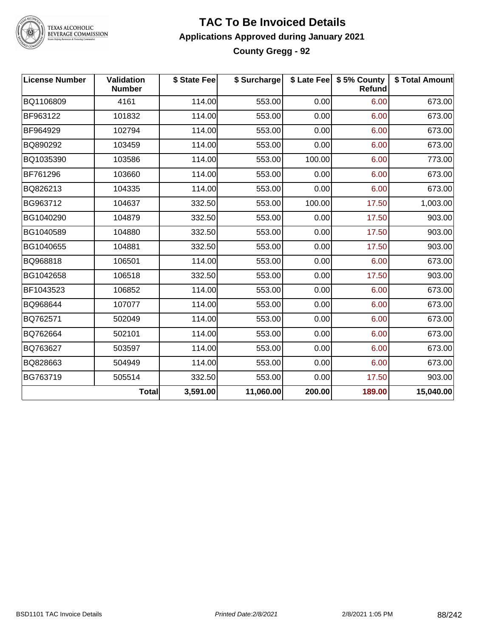

# **TAC To Be Invoiced Details Applications Approved during January 2021 County Gregg - 92**

| License Number | <b>Validation</b><br><b>Number</b> | \$ State Fee | \$ Surcharge |        | \$ Late Fee   \$5% County<br><b>Refund</b> | \$ Total Amount |
|----------------|------------------------------------|--------------|--------------|--------|--------------------------------------------|-----------------|
| BQ1106809      | 4161                               | 114.00       | 553.00       | 0.00   | 6.00                                       | 673.00          |
| BF963122       | 101832                             | 114.00       | 553.00       | 0.00   | 6.00                                       | 673.00          |
| BF964929       | 102794                             | 114.00       | 553.00       | 0.00   | 6.00                                       | 673.00          |
| BQ890292       | 103459                             | 114.00       | 553.00       | 0.00   | 6.00                                       | 673.00          |
| BQ1035390      | 103586                             | 114.00       | 553.00       | 100.00 | 6.00                                       | 773.00          |
| BF761296       | 103660                             | 114.00       | 553.00       | 0.00   | 6.00                                       | 673.00          |
| BQ826213       | 104335                             | 114.00       | 553.00       | 0.00   | 6.00                                       | 673.00          |
| BG963712       | 104637                             | 332.50       | 553.00       | 100.00 | 17.50                                      | 1,003.00        |
| BG1040290      | 104879                             | 332.50       | 553.00       | 0.00   | 17.50                                      | 903.00          |
| BG1040589      | 104880                             | 332.50       | 553.00       | 0.00   | 17.50                                      | 903.00          |
| BG1040655      | 104881                             | 332.50       | 553.00       | 0.00   | 17.50                                      | 903.00          |
| BQ968818       | 106501                             | 114.00       | 553.00       | 0.00   | 6.00                                       | 673.00          |
| BG1042658      | 106518                             | 332.50       | 553.00       | 0.00   | 17.50                                      | 903.00          |
| BF1043523      | 106852                             | 114.00       | 553.00       | 0.00   | 6.00                                       | 673.00          |
| BQ968644       | 107077                             | 114.00       | 553.00       | 0.00   | 6.00                                       | 673.00          |
| BQ762571       | 502049                             | 114.00       | 553.00       | 0.00   | 6.00                                       | 673.00          |
| BQ762664       | 502101                             | 114.00       | 553.00       | 0.00   | 6.00                                       | 673.00          |
| BQ763627       | 503597                             | 114.00       | 553.00       | 0.00   | 6.00                                       | 673.00          |
| BQ828663       | 504949                             | 114.00       | 553.00       | 0.00   | 6.00                                       | 673.00          |
| BG763719       | 505514                             | 332.50       | 553.00       | 0.00   | 17.50                                      | 903.00          |
|                | <b>Total</b>                       | 3,591.00     | 11,060.00    | 200.00 | 189.00                                     | 15,040.00       |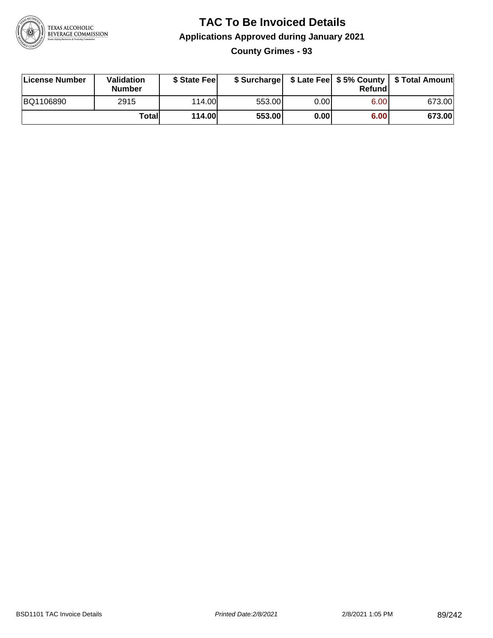

# **TAC To Be Invoiced Details Applications Approved during January 2021 County Grimes - 93**

| License Number | Validation<br><b>Number</b> | \$ State Fee  |        |      | Refund | \$ Surcharge   \$ Late Fee   \$5% County   \$ Total Amount |
|----------------|-----------------------------|---------------|--------|------|--------|------------------------------------------------------------|
| BQ1106890      | 2915                        | 114.00        | 553.00 | 0.00 | 6.00   | 673.00                                                     |
|                | Totall                      | <b>114.00</b> | 553.00 | 0.00 | 6.00   | 673.00                                                     |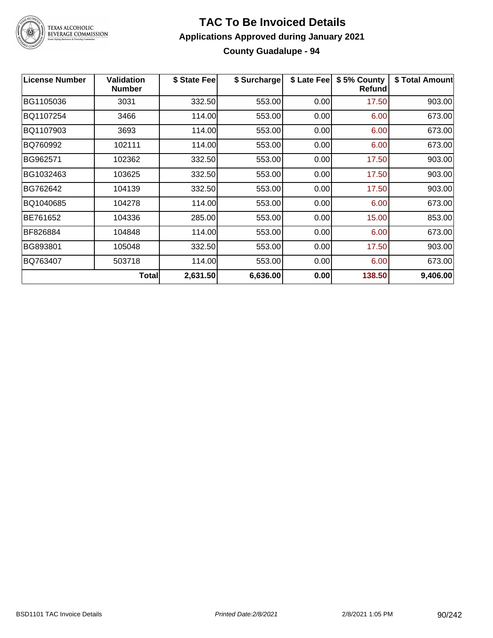

#### **TAC To Be Invoiced Details Applications Approved during January 2021 County Guadalupe - 94**

| <b>License Number</b> | <b>Validation</b><br><b>Number</b> | \$ State Fee | \$ Surcharge | \$ Late Fee | \$5% County<br>Refund | \$ Total Amount |
|-----------------------|------------------------------------|--------------|--------------|-------------|-----------------------|-----------------|
| BG1105036             | 3031                               | 332.50       | 553.00       | 0.00        | 17.50                 | 903.00          |
| BQ1107254             | 3466                               | 114.00       | 553.00       | 0.00        | 6.00                  | 673.00          |
| BQ1107903             | 3693                               | 114.00       | 553.00       | 0.00        | 6.00                  | 673.00          |
| BQ760992              | 102111                             | 114.00       | 553.00       | 0.00        | 6.00                  | 673.00          |
| BG962571              | 102362                             | 332.50       | 553.00       | 0.00        | 17.50                 | 903.00          |
| BG1032463             | 103625                             | 332.50       | 553.00       | 0.00        | 17.50                 | 903.00          |
| BG762642              | 104139                             | 332.50       | 553.00       | 0.00        | 17.50                 | 903.00          |
| BQ1040685             | 104278                             | 114.00       | 553.00       | 0.00        | 6.00                  | 673.00          |
| BE761652              | 104336                             | 285.00       | 553.00       | 0.00        | 15.00                 | 853.00          |
| BF826884              | 104848                             | 114.00       | 553.00       | 0.00        | 6.00                  | 673.00          |
| BG893801              | 105048                             | 332.50       | 553.00       | 0.00        | 17.50                 | 903.00          |
| BQ763407              | 503718                             | 114.00       | 553.00       | 0.00        | 6.00                  | 673.00          |
|                       | Total                              | 2,631.50     | 6,636.00     | 0.00        | 138.50                | 9,406.00        |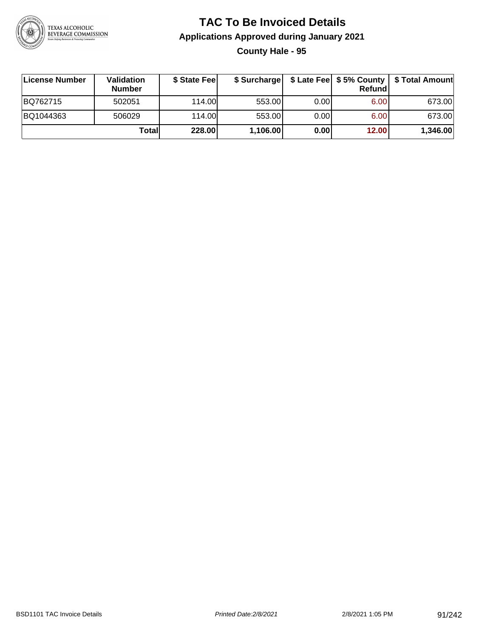

# **TAC To Be Invoiced Details Applications Approved during January 2021 County Hale - 95**

| License Number | Validation<br><b>Number</b> | \$ State Fee |          |      | Refund | \$ Surcharge   \$ Late Fee   \$5% County   \$ Total Amount |
|----------------|-----------------------------|--------------|----------|------|--------|------------------------------------------------------------|
| BQ762715       | 502051                      | 114.00       | 553.00   | 0.00 | 6.00   | 673.00                                                     |
| BQ1044363      | 506029                      | 114.00       | 553.00   | 0.00 | 6.00   | 673.00                                                     |
|                | Totall                      | 228.00       | 1,106.00 | 0.00 | 12.00  | 1,346.00                                                   |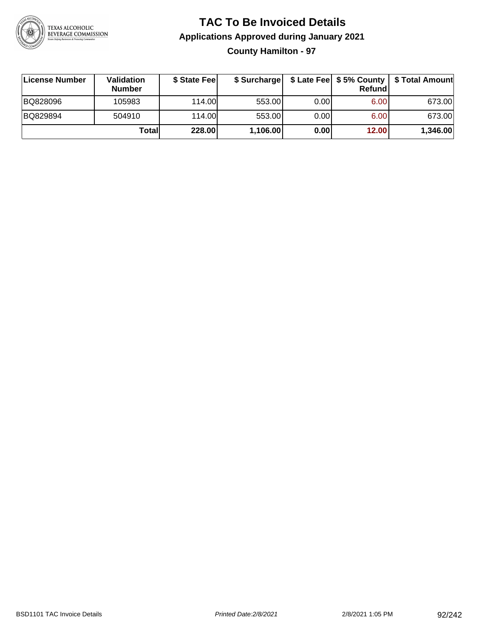

# **TAC To Be Invoiced Details Applications Approved during January 2021 County Hamilton - 97**

| License Number | Validation<br><b>Number</b> | \$ State Feel | \$ Surcharge |      | Refund | \$ Late Fee   \$5% County   \$ Total Amount |
|----------------|-----------------------------|---------------|--------------|------|--------|---------------------------------------------|
| BQ828096       | 105983                      | 114.00L       | 553.00       | 0.00 | 6.00   | 673.00                                      |
| BQ829894       | 504910                      | 114.00        | 553.00       | 0.00 | 6.00   | 673.00                                      |
|                | Totall                      | 228.00        | 1,106.00     | 0.00 | 12.00  | 1,346.00                                    |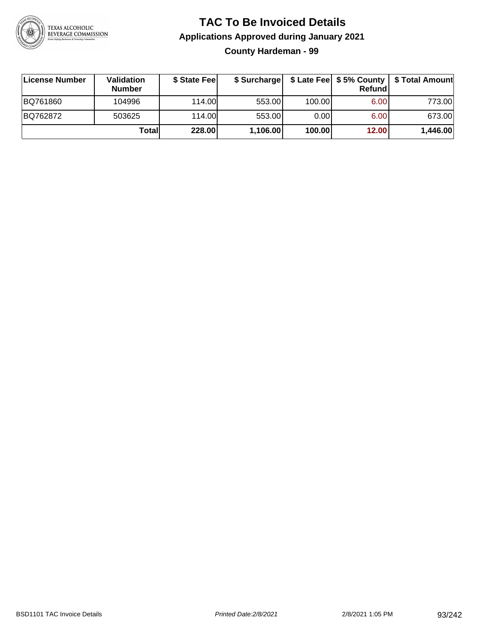

# **TAC To Be Invoiced Details Applications Approved during January 2021 County Hardeman - 99**

| License Number | Validation<br><b>Number</b> | \$ State Fee | \$ Surcharge |        | Refund | \$ Late Fee   \$5% County   \$ Total Amount |
|----------------|-----------------------------|--------------|--------------|--------|--------|---------------------------------------------|
| BQ761860       | 104996                      | 114.00L      | 553.00       | 100.00 | 6.00   | 773.00                                      |
| BQ762872       | 503625                      | 114.00       | 553.00       | 0.00   | 6.00   | 673.00                                      |
|                | Totall                      | 228.00       | 1,106.00     | 100.00 | 12.00  | 1,446.00                                    |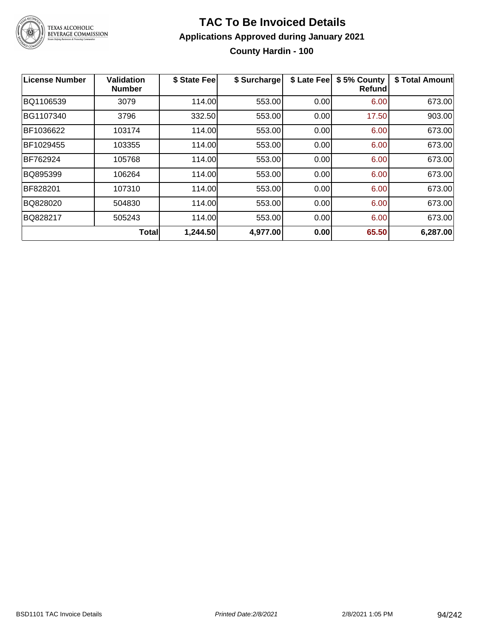

# **TAC To Be Invoiced Details Applications Approved during January 2021 County Hardin - 100**

| License Number | <b>Validation</b><br><b>Number</b> | \$ State Fee | \$ Surcharge | \$ Late Fee | \$5% County<br>Refundl | \$ Total Amount |
|----------------|------------------------------------|--------------|--------------|-------------|------------------------|-----------------|
| BQ1106539      | 3079                               | 114.00       | 553.00       | 0.00        | 6.00                   | 673.00          |
| BG1107340      | 3796                               | 332.50       | 553.00       | 0.00        | 17.50                  | 903.00          |
| BF1036622      | 103174                             | 114.00       | 553.00       | 0.00        | 6.00                   | 673.00          |
| BF1029455      | 103355                             | 114.00       | 553.00       | 0.00        | 6.00                   | 673.00          |
| BF762924       | 105768                             | 114.00       | 553.00       | 0.00        | 6.00                   | 673.00          |
| BQ895399       | 106264                             | 114.00       | 553.00       | 0.00        | 6.00                   | 673.00          |
| BF828201       | 107310                             | 114.00       | 553.00       | 0.00        | 6.00                   | 673.00          |
| BQ828020       | 504830                             | 114.00       | 553.00       | 0.00        | 6.00                   | 673.00          |
| BQ828217       | 505243                             | 114.00       | 553.00       | 0.00        | 6.00                   | 673.00          |
|                | <b>Total</b>                       | 1,244.50     | 4,977.00     | 0.00        | 65.50                  | 6,287.00        |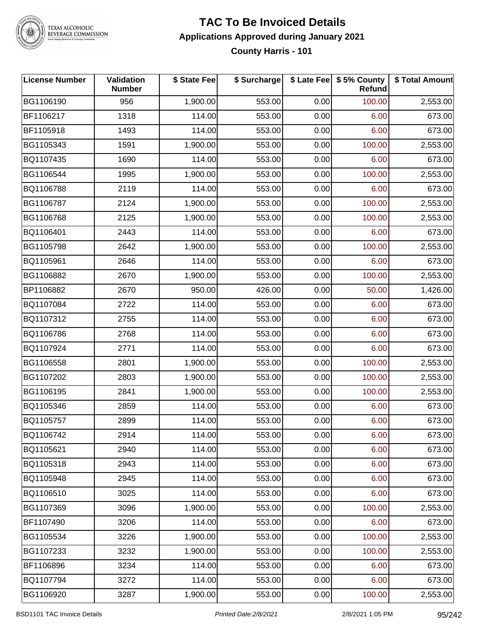

#### **TAC To Be Invoiced Details Applications Approved during January 2021 County Harris - 101**

| <b>License Number</b> | Validation<br><b>Number</b> | \$ State Fee | \$ Surcharge |      | \$ Late Fee   \$5% County<br>Refund | \$ Total Amount |
|-----------------------|-----------------------------|--------------|--------------|------|-------------------------------------|-----------------|
| BG1106190             | 956                         | 1,900.00     | 553.00       | 0.00 | 100.00                              | 2,553.00        |
| BF1106217             | 1318                        | 114.00       | 553.00       | 0.00 | 6.00                                | 673.00          |
| BF1105918             | 1493                        | 114.00       | 553.00       | 0.00 | 6.00                                | 673.00          |
| BG1105343             | 1591                        | 1,900.00     | 553.00       | 0.00 | 100.00                              | 2,553.00        |
| BQ1107435             | 1690                        | 114.00       | 553.00       | 0.00 | 6.00                                | 673.00          |
| BG1106544             | 1995                        | 1,900.00     | 553.00       | 0.00 | 100.00                              | 2,553.00        |
| BQ1106788             | 2119                        | 114.00       | 553.00       | 0.00 | 6.00                                | 673.00          |
| BG1106787             | 2124                        | 1,900.00     | 553.00       | 0.00 | 100.00                              | 2,553.00        |
| BG1106768             | 2125                        | 1,900.00     | 553.00       | 0.00 | 100.00                              | 2,553.00        |
| BQ1106401             | 2443                        | 114.00       | 553.00       | 0.00 | 6.00                                | 673.00          |
| BG1105798             | 2642                        | 1,900.00     | 553.00       | 0.00 | 100.00                              | 2,553.00        |
| BQ1105961             | 2646                        | 114.00       | 553.00       | 0.00 | 6.00                                | 673.00          |
| BG1106882             | 2670                        | 1,900.00     | 553.00       | 0.00 | 100.00                              | 2,553.00        |
| BP1106882             | 2670                        | 950.00       | 426.00       | 0.00 | 50.00                               | 1,426.00        |
| BQ1107084             | 2722                        | 114.00       | 553.00       | 0.00 | 6.00                                | 673.00          |
| BQ1107312             | 2755                        | 114.00       | 553.00       | 0.00 | 6.00                                | 673.00          |
| BQ1106786             | 2768                        | 114.00       | 553.00       | 0.00 | 6.00                                | 673.00          |
| BQ1107924             | 2771                        | 114.00       | 553.00       | 0.00 | 6.00                                | 673.00          |
| BG1106558             | 2801                        | 1,900.00     | 553.00       | 0.00 | 100.00                              | 2,553.00        |
| BG1107202             | 2803                        | 1,900.00     | 553.00       | 0.00 | 100.00                              | 2,553.00        |
| BG1106195             | 2841                        | 1,900.00     | 553.00       | 0.00 | 100.00                              | 2,553.00        |
| BQ1105346             | 2859                        | 114.00       | 553.00       | 0.00 | 6.00                                | 673.00          |
| BQ1105757             | 2899                        | 114.00       | 553.00       | 0.00 | 6.00                                | 673.00          |
| BQ1106742             | 2914                        | 114.00       | 553.00       | 0.00 | 6.00                                | 673.00          |
| BQ1105621             | 2940                        | 114.00       | 553.00       | 0.00 | 6.00                                | 673.00          |
| BQ1105318             | 2943                        | 114.00       | 553.00       | 0.00 | 6.00                                | 673.00          |
| BQ1105948             | 2945                        | 114.00       | 553.00       | 0.00 | 6.00                                | 673.00          |
| BQ1106510             | 3025                        | 114.00       | 553.00       | 0.00 | 6.00                                | 673.00          |
| BG1107369             | 3096                        | 1,900.00     | 553.00       | 0.00 | 100.00                              | 2,553.00        |
| BF1107490             | 3206                        | 114.00       | 553.00       | 0.00 | 6.00                                | 673.00          |
| BG1105534             | 3226                        | 1,900.00     | 553.00       | 0.00 | 100.00                              | 2,553.00        |
| BG1107233             | 3232                        | 1,900.00     | 553.00       | 0.00 | 100.00                              | 2,553.00        |
| BF1106896             | 3234                        | 114.00       | 553.00       | 0.00 | 6.00                                | 673.00          |
| BQ1107794             | 3272                        | 114.00       | 553.00       | 0.00 | 6.00                                | 673.00          |
| BG1106920             | 3287                        | 1,900.00     | 553.00       | 0.00 | 100.00                              | 2,553.00        |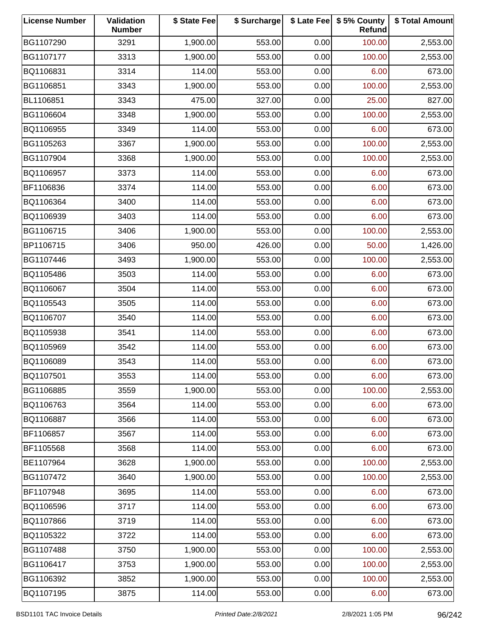| <b>License Number</b> | Validation<br><b>Number</b> | \$ State Fee | \$ Surcharge |      | \$ Late Fee   \$5% County<br>Refund | \$ Total Amount |
|-----------------------|-----------------------------|--------------|--------------|------|-------------------------------------|-----------------|
| BG1107290             | 3291                        | 1,900.00     | 553.00       | 0.00 | 100.00                              | 2,553.00        |
| BG1107177             | 3313                        | 1,900.00     | 553.00       | 0.00 | 100.00                              | 2,553.00        |
| BQ1106831             | 3314                        | 114.00       | 553.00       | 0.00 | 6.00                                | 673.00          |
| BG1106851             | 3343                        | 1,900.00     | 553.00       | 0.00 | 100.00                              | 2,553.00        |
| BL1106851             | 3343                        | 475.00       | 327.00       | 0.00 | 25.00                               | 827.00          |
| BG1106604             | 3348                        | 1,900.00     | 553.00       | 0.00 | 100.00                              | 2,553.00        |
| BQ1106955             | 3349                        | 114.00       | 553.00       | 0.00 | 6.00                                | 673.00          |
| BG1105263             | 3367                        | 1,900.00     | 553.00       | 0.00 | 100.00                              | 2,553.00        |
| BG1107904             | 3368                        | 1,900.00     | 553.00       | 0.00 | 100.00                              | 2,553.00        |
| BQ1106957             | 3373                        | 114.00       | 553.00       | 0.00 | 6.00                                | 673.00          |
| BF1106836             | 3374                        | 114.00       | 553.00       | 0.00 | 6.00                                | 673.00          |
| BQ1106364             | 3400                        | 114.00       | 553.00       | 0.00 | 6.00                                | 673.00          |
| BQ1106939             | 3403                        | 114.00       | 553.00       | 0.00 | 6.00                                | 673.00          |
| BG1106715             | 3406                        | 1,900.00     | 553.00       | 0.00 | 100.00                              | 2,553.00        |
| BP1106715             | 3406                        | 950.00       | 426.00       | 0.00 | 50.00                               | 1,426.00        |
| BG1107446             | 3493                        | 1,900.00     | 553.00       | 0.00 | 100.00                              | 2,553.00        |
| BQ1105486             | 3503                        | 114.00       | 553.00       | 0.00 | 6.00                                | 673.00          |
| BQ1106067             | 3504                        | 114.00       | 553.00       | 0.00 | 6.00                                | 673.00          |
| BQ1105543             | 3505                        | 114.00       | 553.00       | 0.00 | 6.00                                | 673.00          |
| BQ1106707             | 3540                        | 114.00       | 553.00       | 0.00 | 6.00                                | 673.00          |
| BQ1105938             | 3541                        | 114.00       | 553.00       | 0.00 | 6.00                                | 673.00          |
| BQ1105969             | 3542                        | 114.00       | 553.00       | 0.00 | 6.00                                | 673.00          |
| BQ1106089             | 3543                        | 114.00       | 553.00       | 0.00 | 6.00                                | 673.00          |
| BQ1107501             | 3553                        | 114.00       | 553.00       | 0.00 | 6.00                                | 673.00          |
| BG1106885             | 3559                        | 1,900.00     | 553.00       | 0.00 | 100.00                              | 2,553.00        |
| BQ1106763             | 3564                        | 114.00       | 553.00       | 0.00 | 6.00                                | 673.00          |
| BQ1106887             | 3566                        | 114.00       | 553.00       | 0.00 | 6.00                                | 673.00          |
| BF1106857             | 3567                        | 114.00       | 553.00       | 0.00 | 6.00                                | 673.00          |
| BF1105568             | 3568                        | 114.00       | 553.00       | 0.00 | 6.00                                | 673.00          |
| BE1107964             | 3628                        | 1,900.00     | 553.00       | 0.00 | 100.00                              | 2,553.00        |
| BG1107472             | 3640                        | 1,900.00     | 553.00       | 0.00 | 100.00                              | 2,553.00        |
| BF1107948             | 3695                        | 114.00       | 553.00       | 0.00 | 6.00                                | 673.00          |
| BQ1106596             | 3717                        | 114.00       | 553.00       | 0.00 | 6.00                                | 673.00          |
| BQ1107866             | 3719                        | 114.00       | 553.00       | 0.00 | 6.00                                | 673.00          |
| BQ1105322             | 3722                        | 114.00       | 553.00       | 0.00 | 6.00                                | 673.00          |
| BG1107488             | 3750                        | 1,900.00     | 553.00       | 0.00 | 100.00                              | 2,553.00        |
| BG1106417             | 3753                        | 1,900.00     | 553.00       | 0.00 | 100.00                              | 2,553.00        |
| BG1106392             | 3852                        | 1,900.00     | 553.00       | 0.00 | 100.00                              | 2,553.00        |
| BQ1107195             | 3875                        | 114.00       | 553.00       | 0.00 | 6.00                                | 673.00          |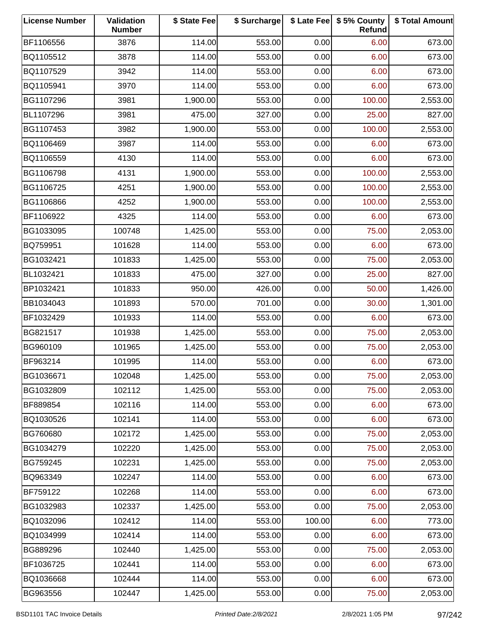| <b>License Number</b> | Validation<br><b>Number</b> | \$ State Fee | \$ Surcharge |        | \$ Late Fee   \$5% County<br>Refund | \$ Total Amount |
|-----------------------|-----------------------------|--------------|--------------|--------|-------------------------------------|-----------------|
| BF1106556             | 3876                        | 114.00       | 553.00       | 0.00   | 6.00                                | 673.00          |
| BQ1105512             | 3878                        | 114.00       | 553.00       | 0.00   | 6.00                                | 673.00          |
| BQ1107529             | 3942                        | 114.00       | 553.00       | 0.00   | 6.00                                | 673.00          |
| BQ1105941             | 3970                        | 114.00       | 553.00       | 0.00   | 6.00                                | 673.00          |
| BG1107296             | 3981                        | 1,900.00     | 553.00       | 0.00   | 100.00                              | 2,553.00        |
| BL1107296             | 3981                        | 475.00       | 327.00       | 0.00   | 25.00                               | 827.00          |
| BG1107453             | 3982                        | 1,900.00     | 553.00       | 0.00   | 100.00                              | 2,553.00        |
| BQ1106469             | 3987                        | 114.00       | 553.00       | 0.00   | 6.00                                | 673.00          |
| BQ1106559             | 4130                        | 114.00       | 553.00       | 0.00   | 6.00                                | 673.00          |
| BG1106798             | 4131                        | 1,900.00     | 553.00       | 0.00   | 100.00                              | 2,553.00        |
| BG1106725             | 4251                        | 1,900.00     | 553.00       | 0.00   | 100.00                              | 2,553.00        |
| BG1106866             | 4252                        | 1,900.00     | 553.00       | 0.00   | 100.00                              | 2,553.00        |
| BF1106922             | 4325                        | 114.00       | 553.00       | 0.00   | 6.00                                | 673.00          |
| BG1033095             | 100748                      | 1,425.00     | 553.00       | 0.00   | 75.00                               | 2,053.00        |
| BQ759951              | 101628                      | 114.00       | 553.00       | 0.00   | 6.00                                | 673.00          |
| BG1032421             | 101833                      | 1,425.00     | 553.00       | 0.00   | 75.00                               | 2,053.00        |
| BL1032421             | 101833                      | 475.00       | 327.00       | 0.00   | 25.00                               | 827.00          |
| BP1032421             | 101833                      | 950.00       | 426.00       | 0.00   | 50.00                               | 1,426.00        |
| BB1034043             | 101893                      | 570.00       | 701.00       | 0.00   | 30.00                               | 1,301.00        |
| BF1032429             | 101933                      | 114.00       | 553.00       | 0.00   | 6.00                                | 673.00          |
| BG821517              | 101938                      | 1,425.00     | 553.00       | 0.00   | 75.00                               | 2,053.00        |
| BG960109              | 101965                      | 1,425.00     | 553.00       | 0.00   | 75.00                               | 2,053.00        |
| BF963214              | 101995                      | 114.00       | 553.00       | 0.00   | 6.00                                | 673.00          |
| BG1036671             | 102048                      | 1,425.00     | 553.00       | 0.00   | 75.00                               | 2,053.00        |
| BG1032809             | 102112                      | 1,425.00     | 553.00       | 0.00   | 75.00                               | 2,053.00        |
| BF889854              | 102116                      | 114.00       | 553.00       | 0.00   | 6.00                                | 673.00          |
| BQ1030526             | 102141                      | 114.00       | 553.00       | 0.00   | 6.00                                | 673.00          |
| BG760680              | 102172                      | 1,425.00     | 553.00       | 0.00   | 75.00                               | 2,053.00        |
| BG1034279             | 102220                      | 1,425.00     | 553.00       | 0.00   | 75.00                               | 2,053.00        |
| BG759245              | 102231                      | 1,425.00     | 553.00       | 0.00   | 75.00                               | 2,053.00        |
| BQ963349              | 102247                      | 114.00       | 553.00       | 0.00   | 6.00                                | 673.00          |
| BF759122              | 102268                      | 114.00       | 553.00       | 0.00   | 6.00                                | 673.00          |
| BG1032983             | 102337                      | 1,425.00     | 553.00       | 0.00   | 75.00                               | 2,053.00        |
| BQ1032096             | 102412                      | 114.00       | 553.00       | 100.00 | 6.00                                | 773.00          |
| BQ1034999             | 102414                      | 114.00       | 553.00       | 0.00   | 6.00                                | 673.00          |
| BG889296              | 102440                      | 1,425.00     | 553.00       | 0.00   | 75.00                               | 2,053.00        |
| BF1036725             | 102441                      | 114.00       | 553.00       | 0.00   | 6.00                                | 673.00          |
| BQ1036668             | 102444                      | 114.00       | 553.00       | 0.00   | 6.00                                | 673.00          |
| BG963556              | 102447                      | 1,425.00     | 553.00       | 0.00   | 75.00                               | 2,053.00        |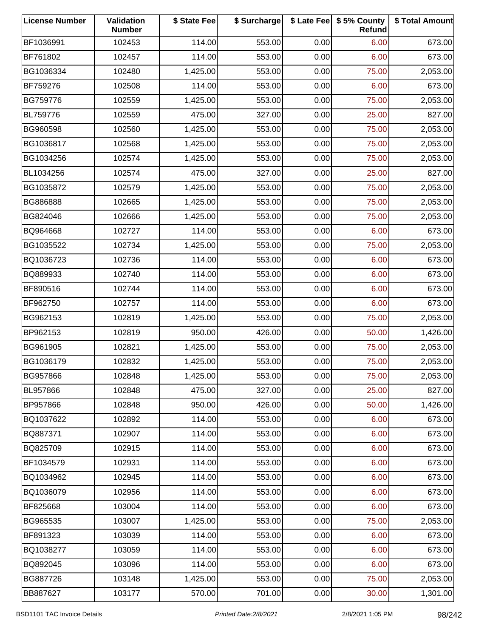| <b>License Number</b> | Validation<br><b>Number</b> | \$ State Fee | \$ Surcharge |      | \$ Late Fee   \$5% County<br>Refund | \$ Total Amount |
|-----------------------|-----------------------------|--------------|--------------|------|-------------------------------------|-----------------|
| BF1036991             | 102453                      | 114.00       | 553.00       | 0.00 | 6.00                                | 673.00          |
| BF761802              | 102457                      | 114.00       | 553.00       | 0.00 | 6.00                                | 673.00          |
| BG1036334             | 102480                      | 1,425.00     | 553.00       | 0.00 | 75.00                               | 2,053.00        |
| BF759276              | 102508                      | 114.00       | 553.00       | 0.00 | 6.00                                | 673.00          |
| BG759776              | 102559                      | 1,425.00     | 553.00       | 0.00 | 75.00                               | 2,053.00        |
| BL759776              | 102559                      | 475.00       | 327.00       | 0.00 | 25.00                               | 827.00          |
| BG960598              | 102560                      | 1,425.00     | 553.00       | 0.00 | 75.00                               | 2,053.00        |
| BG1036817             | 102568                      | 1,425.00     | 553.00       | 0.00 | 75.00                               | 2,053.00        |
| BG1034256             | 102574                      | 1,425.00     | 553.00       | 0.00 | 75.00                               | 2,053.00        |
| BL1034256             | 102574                      | 475.00       | 327.00       | 0.00 | 25.00                               | 827.00          |
| BG1035872             | 102579                      | 1,425.00     | 553.00       | 0.00 | 75.00                               | 2,053.00        |
| BG886888              | 102665                      | 1,425.00     | 553.00       | 0.00 | 75.00                               | 2,053.00        |
| BG824046              | 102666                      | 1,425.00     | 553.00       | 0.00 | 75.00                               | 2,053.00        |
| BQ964668              | 102727                      | 114.00       | 553.00       | 0.00 | 6.00                                | 673.00          |
| BG1035522             | 102734                      | 1,425.00     | 553.00       | 0.00 | 75.00                               | 2,053.00        |
| BQ1036723             | 102736                      | 114.00       | 553.00       | 0.00 | 6.00                                | 673.00          |
| BQ889933              | 102740                      | 114.00       | 553.00       | 0.00 | 6.00                                | 673.00          |
| BF890516              | 102744                      | 114.00       | 553.00       | 0.00 | 6.00                                | 673.00          |
| BF962750              | 102757                      | 114.00       | 553.00       | 0.00 | 6.00                                | 673.00          |
| BG962153              | 102819                      | 1,425.00     | 553.00       | 0.00 | 75.00                               | 2,053.00        |
| BP962153              | 102819                      | 950.00       | 426.00       | 0.00 | 50.00                               | 1,426.00        |
| BG961905              | 102821                      | 1,425.00     | 553.00       | 0.00 | 75.00                               | 2,053.00        |
| BG1036179             | 102832                      | 1,425.00     | 553.00       | 0.00 | 75.00                               | 2,053.00        |
| BG957866              | 102848                      | 1,425.00     | 553.00       | 0.00 | 75.00                               | 2,053.00        |
| BL957866              | 102848                      | 475.00       | 327.00       | 0.00 | 25.00                               | 827.00          |
| BP957866              | 102848                      | 950.00       | 426.00       | 0.00 | 50.00                               | 1,426.00        |
| BQ1037622             | 102892                      | 114.00       | 553.00       | 0.00 | 6.00                                | 673.00          |
| BQ887371              | 102907                      | 114.00       | 553.00       | 0.00 | 6.00                                | 673.00          |
| BQ825709              | 102915                      | 114.00       | 553.00       | 0.00 | 6.00                                | 673.00          |
| BF1034579             | 102931                      | 114.00       | 553.00       | 0.00 | 6.00                                | 673.00          |
| BQ1034962             | 102945                      | 114.00       | 553.00       | 0.00 | 6.00                                | 673.00          |
| BQ1036079             | 102956                      | 114.00       | 553.00       | 0.00 | 6.00                                | 673.00          |
| BF825668              | 103004                      | 114.00       | 553.00       | 0.00 | 6.00                                | 673.00          |
| BG965535              | 103007                      | 1,425.00     | 553.00       | 0.00 | 75.00                               | 2,053.00        |
| BF891323              | 103039                      | 114.00       | 553.00       | 0.00 | 6.00                                | 673.00          |
| BQ1038277             | 103059                      | 114.00       | 553.00       | 0.00 | 6.00                                | 673.00          |
| BQ892045              | 103096                      | 114.00       | 553.00       | 0.00 | 6.00                                | 673.00          |
| BG887726              | 103148                      | 1,425.00     | 553.00       | 0.00 | 75.00                               | 2,053.00        |
| BB887627              | 103177                      | 570.00       | 701.00       | 0.00 | 30.00                               | 1,301.00        |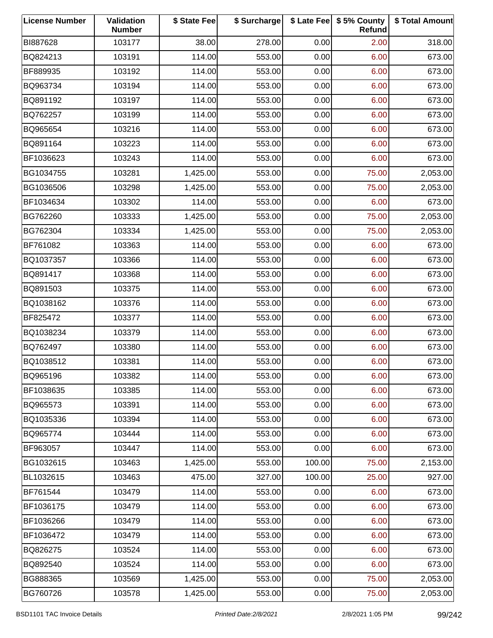| <b>License Number</b> | Validation<br><b>Number</b> | \$ State Fee | \$ Surcharge |        | \$ Late Fee   \$5% County<br>Refund | \$ Total Amount |
|-----------------------|-----------------------------|--------------|--------------|--------|-------------------------------------|-----------------|
| BI887628              | 103177                      | 38.00        | 278.00       | 0.00   | 2.00                                | 318.00          |
| BQ824213              | 103191                      | 114.00       | 553.00       | 0.00   | 6.00                                | 673.00          |
| BF889935              | 103192                      | 114.00       | 553.00       | 0.00   | 6.00                                | 673.00          |
| BQ963734              | 103194                      | 114.00       | 553.00       | 0.00   | 6.00                                | 673.00          |
| BQ891192              | 103197                      | 114.00       | 553.00       | 0.00   | 6.00                                | 673.00          |
| BQ762257              | 103199                      | 114.00       | 553.00       | 0.00   | 6.00                                | 673.00          |
| BQ965654              | 103216                      | 114.00       | 553.00       | 0.00   | 6.00                                | 673.00          |
| BQ891164              | 103223                      | 114.00       | 553.00       | 0.00   | 6.00                                | 673.00          |
| BF1036623             | 103243                      | 114.00       | 553.00       | 0.00   | 6.00                                | 673.00          |
| BG1034755             | 103281                      | 1,425.00     | 553.00       | 0.00   | 75.00                               | 2,053.00        |
| BG1036506             | 103298                      | 1,425.00     | 553.00       | 0.00   | 75.00                               | 2,053.00        |
| BF1034634             | 103302                      | 114.00       | 553.00       | 0.00   | 6.00                                | 673.00          |
| BG762260              | 103333                      | 1,425.00     | 553.00       | 0.00   | 75.00                               | 2,053.00        |
| BG762304              | 103334                      | 1,425.00     | 553.00       | 0.00   | 75.00                               | 2,053.00        |
| BF761082              | 103363                      | 114.00       | 553.00       | 0.00   | 6.00                                | 673.00          |
| BQ1037357             | 103366                      | 114.00       | 553.00       | 0.00   | 6.00                                | 673.00          |
| BQ891417              | 103368                      | 114.00       | 553.00       | 0.00   | 6.00                                | 673.00          |
| BQ891503              | 103375                      | 114.00       | 553.00       | 0.00   | 6.00                                | 673.00          |
| BQ1038162             | 103376                      | 114.00       | 553.00       | 0.00   | 6.00                                | 673.00          |
| BF825472              | 103377                      | 114.00       | 553.00       | 0.00   | 6.00                                | 673.00          |
| BQ1038234             | 103379                      | 114.00       | 553.00       | 0.00   | 6.00                                | 673.00          |
| BQ762497              | 103380                      | 114.00       | 553.00       | 0.00   | 6.00                                | 673.00          |
| BQ1038512             | 103381                      | 114.00       | 553.00       | 0.00   | 6.00                                | 673.00          |
| BQ965196              | 103382                      | 114.00       | 553.00       | 0.00   | 6.00                                | 673.00          |
| BF1038635             | 103385                      | 114.00       | 553.00       | 0.00   | 6.00                                | 673.00          |
| BQ965573              | 103391                      | 114.00       | 553.00       | 0.00   | 6.00                                | 673.00          |
| BQ1035336             | 103394                      | 114.00       | 553.00       | 0.00   | 6.00                                | 673.00          |
| BQ965774              | 103444                      | 114.00       | 553.00       | 0.00   | 6.00                                | 673.00          |
| BF963057              | 103447                      | 114.00       | 553.00       | 0.00   | 6.00                                | 673.00          |
| BG1032615             | 103463                      | 1,425.00     | 553.00       | 100.00 | 75.00                               | 2,153.00        |
| BL1032615             | 103463                      | 475.00       | 327.00       | 100.00 | 25.00                               | 927.00          |
| BF761544              | 103479                      | 114.00       | 553.00       | 0.00   | 6.00                                | 673.00          |
| BF1036175             | 103479                      | 114.00       | 553.00       | 0.00   | 6.00                                | 673.00          |
| BF1036266             | 103479                      | 114.00       | 553.00       | 0.00   | 6.00                                | 673.00          |
| BF1036472             | 103479                      | 114.00       | 553.00       | 0.00   | 6.00                                | 673.00          |
| BQ826275              | 103524                      | 114.00       | 553.00       | 0.00   | 6.00                                | 673.00          |
| BQ892540              | 103524                      | 114.00       | 553.00       | 0.00   | 6.00                                | 673.00          |
| BG888365              | 103569                      | 1,425.00     | 553.00       | 0.00   | 75.00                               | 2,053.00        |
| BG760726              | 103578                      | 1,425.00     | 553.00       | 0.00   | 75.00                               | 2,053.00        |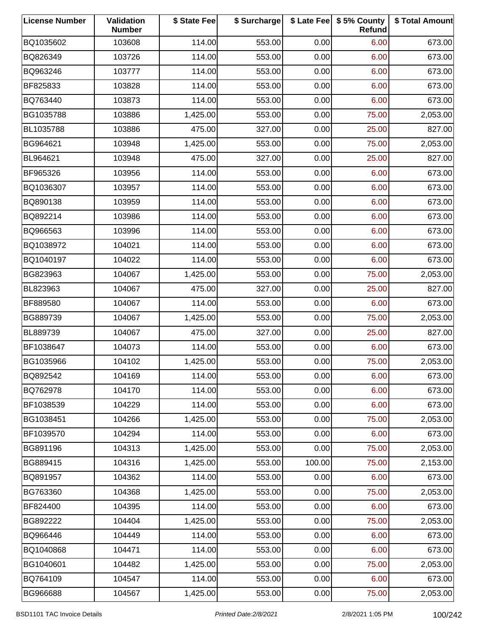| <b>License Number</b> | Validation<br><b>Number</b> | \$ State Fee | \$ Surcharge |        | \$ Late Fee   \$5% County<br>Refund | \$ Total Amount |
|-----------------------|-----------------------------|--------------|--------------|--------|-------------------------------------|-----------------|
| BQ1035602             | 103608                      | 114.00       | 553.00       | 0.00   | 6.00                                | 673.00          |
| BQ826349              | 103726                      | 114.00       | 553.00       | 0.00   | 6.00                                | 673.00          |
| BQ963246              | 103777                      | 114.00       | 553.00       | 0.00   | 6.00                                | 673.00          |
| BF825833              | 103828                      | 114.00       | 553.00       | 0.00   | 6.00                                | 673.00          |
| BQ763440              | 103873                      | 114.00       | 553.00       | 0.00   | 6.00                                | 673.00          |
| BG1035788             | 103886                      | 1,425.00     | 553.00       | 0.00   | 75.00                               | 2,053.00        |
| BL1035788             | 103886                      | 475.00       | 327.00       | 0.00   | 25.00                               | 827.00          |
| BG964621              | 103948                      | 1,425.00     | 553.00       | 0.00   | 75.00                               | 2,053.00        |
| BL964621              | 103948                      | 475.00       | 327.00       | 0.00   | 25.00                               | 827.00          |
| BF965326              | 103956                      | 114.00       | 553.00       | 0.00   | 6.00                                | 673.00          |
| BQ1036307             | 103957                      | 114.00       | 553.00       | 0.00   | 6.00                                | 673.00          |
| BQ890138              | 103959                      | 114.00       | 553.00       | 0.00   | 6.00                                | 673.00          |
| BQ892214              | 103986                      | 114.00       | 553.00       | 0.00   | 6.00                                | 673.00          |
| BQ966563              | 103996                      | 114.00       | 553.00       | 0.00   | 6.00                                | 673.00          |
| BQ1038972             | 104021                      | 114.00       | 553.00       | 0.00   | 6.00                                | 673.00          |
| BQ1040197             | 104022                      | 114.00       | 553.00       | 0.00   | 6.00                                | 673.00          |
| BG823963              | 104067                      | 1,425.00     | 553.00       | 0.00   | 75.00                               | 2,053.00        |
| BL823963              | 104067                      | 475.00       | 327.00       | 0.00   | 25.00                               | 827.00          |
| BF889580              | 104067                      | 114.00       | 553.00       | 0.00   | 6.00                                | 673.00          |
| BG889739              | 104067                      | 1,425.00     | 553.00       | 0.00   | 75.00                               | 2,053.00        |
| BL889739              | 104067                      | 475.00       | 327.00       | 0.00   | 25.00                               | 827.00          |
| BF1038647             | 104073                      | 114.00       | 553.00       | 0.00   | 6.00                                | 673.00          |
| BG1035966             | 104102                      | 1,425.00     | 553.00       | 0.00   | 75.00                               | 2,053.00        |
| BQ892542              | 104169                      | 114.00       | 553.00       | 0.00   | 6.00                                | 673.00          |
| BQ762978              | 104170                      | 114.00       | 553.00       | 0.00   | 6.00                                | 673.00          |
| BF1038539             | 104229                      | 114.00       | 553.00       | 0.00   | 6.00                                | 673.00          |
| BG1038451             | 104266                      | 1,425.00     | 553.00       | 0.00   | 75.00                               | 2,053.00        |
| BF1039570             | 104294                      | 114.00       | 553.00       | 0.00   | 6.00                                | 673.00          |
| BG891196              | 104313                      | 1,425.00     | 553.00       | 0.00   | 75.00                               | 2,053.00        |
| BG889415              | 104316                      | 1,425.00     | 553.00       | 100.00 | 75.00                               | 2,153.00        |
| BQ891957              | 104362                      | 114.00       | 553.00       | 0.00   | 6.00                                | 673.00          |
| BG763360              | 104368                      | 1,425.00     | 553.00       | 0.00   | 75.00                               | 2,053.00        |
| BF824400              | 104395                      | 114.00       | 553.00       | 0.00   | 6.00                                | 673.00          |
| BG892222              | 104404                      | 1,425.00     | 553.00       | 0.00   | 75.00                               | 2,053.00        |
| BQ966446              | 104449                      | 114.00       | 553.00       | 0.00   | 6.00                                | 673.00          |
| BQ1040868             | 104471                      | 114.00       | 553.00       | 0.00   | 6.00                                | 673.00          |
| BG1040601             | 104482                      | 1,425.00     | 553.00       | 0.00   | 75.00                               | 2,053.00        |
| BQ764109              | 104547                      | 114.00       | 553.00       | 0.00   | 6.00                                | 673.00          |
| BG966688              | 104567                      | 1,425.00     | 553.00       | 0.00   | 75.00                               | 2,053.00        |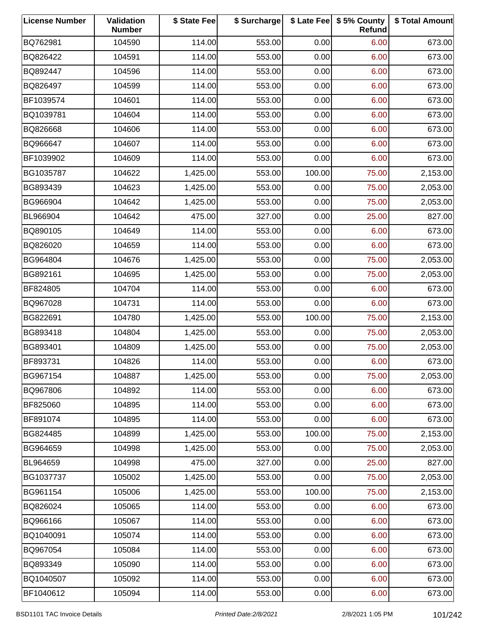| <b>License Number</b> | Validation<br><b>Number</b> | \$ State Fee | \$ Surcharge |        | \$ Late Fee   \$5% County<br>Refund | \$ Total Amount |
|-----------------------|-----------------------------|--------------|--------------|--------|-------------------------------------|-----------------|
| BQ762981              | 104590                      | 114.00       | 553.00       | 0.00   | 6.00                                | 673.00          |
| BQ826422              | 104591                      | 114.00       | 553.00       | 0.00   | 6.00                                | 673.00          |
| BQ892447              | 104596                      | 114.00       | 553.00       | 0.00   | 6.00                                | 673.00          |
| BQ826497              | 104599                      | 114.00       | 553.00       | 0.00   | 6.00                                | 673.00          |
| BF1039574             | 104601                      | 114.00       | 553.00       | 0.00   | 6.00                                | 673.00          |
| BQ1039781             | 104604                      | 114.00       | 553.00       | 0.00   | 6.00                                | 673.00          |
| BQ826668              | 104606                      | 114.00       | 553.00       | 0.00   | 6.00                                | 673.00          |
| BQ966647              | 104607                      | 114.00       | 553.00       | 0.00   | 6.00                                | 673.00          |
| BF1039902             | 104609                      | 114.00       | 553.00       | 0.00   | 6.00                                | 673.00          |
| BG1035787             | 104622                      | 1,425.00     | 553.00       | 100.00 | 75.00                               | 2,153.00        |
| BG893439              | 104623                      | 1,425.00     | 553.00       | 0.00   | 75.00                               | 2,053.00        |
| BG966904              | 104642                      | 1,425.00     | 553.00       | 0.00   | 75.00                               | 2,053.00        |
| BL966904              | 104642                      | 475.00       | 327.00       | 0.00   | 25.00                               | 827.00          |
| BQ890105              | 104649                      | 114.00       | 553.00       | 0.00   | 6.00                                | 673.00          |
| BQ826020              | 104659                      | 114.00       | 553.00       | 0.00   | 6.00                                | 673.00          |
| BG964804              | 104676                      | 1,425.00     | 553.00       | 0.00   | 75.00                               | 2,053.00        |
| BG892161              | 104695                      | 1,425.00     | 553.00       | 0.00   | 75.00                               | 2,053.00        |
| BF824805              | 104704                      | 114.00       | 553.00       | 0.00   | 6.00                                | 673.00          |
| BQ967028              | 104731                      | 114.00       | 553.00       | 0.00   | 6.00                                | 673.00          |
| BG822691              | 104780                      | 1,425.00     | 553.00       | 100.00 | 75.00                               | 2,153.00        |
| BG893418              | 104804                      | 1,425.00     | 553.00       | 0.00   | 75.00                               | 2,053.00        |
| BG893401              | 104809                      | 1,425.00     | 553.00       | 0.00   | 75.00                               | 2,053.00        |
| BF893731              | 104826                      | 114.00       | 553.00       | 0.00   | 6.00                                | 673.00          |
| BG967154              | 104887                      | 1,425.00     | 553.00       | 0.00   | 75.00                               | 2,053.00        |
| BQ967806              | 104892                      | 114.00       | 553.00       | 0.00   | 6.00                                | 673.00          |
| BF825060              | 104895                      | 114.00       | 553.00       | 0.00   | 6.00                                | 673.00          |
| BF891074              | 104895                      | 114.00       | 553.00       | 0.00   | 6.00                                | 673.00          |
| BG824485              | 104899                      | 1,425.00     | 553.00       | 100.00 | 75.00                               | 2,153.00        |
| BG964659              | 104998                      | 1,425.00     | 553.00       | 0.00   | 75.00                               | 2,053.00        |
| BL964659              | 104998                      | 475.00       | 327.00       | 0.00   | 25.00                               | 827.00          |
| BG1037737             | 105002                      | 1,425.00     | 553.00       | 0.00   | 75.00                               | 2,053.00        |
| BG961154              | 105006                      | 1,425.00     | 553.00       | 100.00 | 75.00                               | 2,153.00        |
| BQ826024              | 105065                      | 114.00       | 553.00       | 0.00   | 6.00                                | 673.00          |
| BQ966166              | 105067                      | 114.00       | 553.00       | 0.00   | 6.00                                | 673.00          |
| BQ1040091             | 105074                      | 114.00       | 553.00       | 0.00   | 6.00                                | 673.00          |
| BQ967054              | 105084                      | 114.00       | 553.00       | 0.00   | 6.00                                | 673.00          |
| BQ893349              | 105090                      | 114.00       | 553.00       | 0.00   | 6.00                                | 673.00          |
| BQ1040507             | 105092                      | 114.00       | 553.00       | 0.00   | 6.00                                | 673.00          |
| BF1040612             | 105094                      | 114.00       | 553.00       | 0.00   | 6.00                                | 673.00          |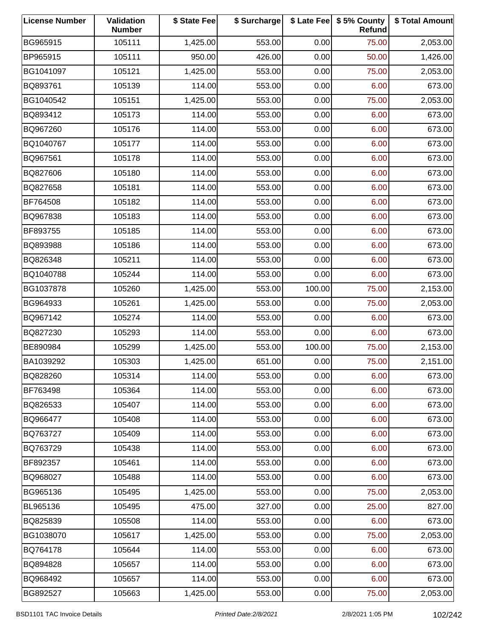| <b>License Number</b> | Validation<br><b>Number</b> | \$ State Fee | \$ Surcharge |        | \$ Late Fee   \$5% County<br>Refund | \$ Total Amount |
|-----------------------|-----------------------------|--------------|--------------|--------|-------------------------------------|-----------------|
| BG965915              | 105111                      | 1,425.00     | 553.00       | 0.00   | 75.00                               | 2,053.00        |
| BP965915              | 105111                      | 950.00       | 426.00       | 0.00   | 50.00                               | 1,426.00        |
| BG1041097             | 105121                      | 1,425.00     | 553.00       | 0.00   | 75.00                               | 2,053.00        |
| BQ893761              | 105139                      | 114.00       | 553.00       | 0.00   | 6.00                                | 673.00          |
| BG1040542             | 105151                      | 1,425.00     | 553.00       | 0.00   | 75.00                               | 2,053.00        |
| BQ893412              | 105173                      | 114.00       | 553.00       | 0.00   | 6.00                                | 673.00          |
| BQ967260              | 105176                      | 114.00       | 553.00       | 0.00   | 6.00                                | 673.00          |
| BQ1040767             | 105177                      | 114.00       | 553.00       | 0.00   | 6.00                                | 673.00          |
| BQ967561              | 105178                      | 114.00       | 553.00       | 0.00   | 6.00                                | 673.00          |
| BQ827606              | 105180                      | 114.00       | 553.00       | 0.00   | 6.00                                | 673.00          |
| BQ827658              | 105181                      | 114.00       | 553.00       | 0.00   | 6.00                                | 673.00          |
| BF764508              | 105182                      | 114.00       | 553.00       | 0.00   | 6.00                                | 673.00          |
| BQ967838              | 105183                      | 114.00       | 553.00       | 0.00   | 6.00                                | 673.00          |
| BF893755              | 105185                      | 114.00       | 553.00       | 0.00   | 6.00                                | 673.00          |
| BQ893988              | 105186                      | 114.00       | 553.00       | 0.00   | 6.00                                | 673.00          |
| BQ826348              | 105211                      | 114.00       | 553.00       | 0.00   | 6.00                                | 673.00          |
| BQ1040788             | 105244                      | 114.00       | 553.00       | 0.00   | 6.00                                | 673.00          |
| BG1037878             | 105260                      | 1,425.00     | 553.00       | 100.00 | 75.00                               | 2,153.00        |
| BG964933              | 105261                      | 1,425.00     | 553.00       | 0.00   | 75.00                               | 2,053.00        |
| BQ967142              | 105274                      | 114.00       | 553.00       | 0.00   | 6.00                                | 673.00          |
| BQ827230              | 105293                      | 114.00       | 553.00       | 0.00   | 6.00                                | 673.00          |
| BE890984              | 105299                      | 1,425.00     | 553.00       | 100.00 | 75.00                               | 2,153.00        |
| BA1039292             | 105303                      | 1,425.00     | 651.00       | 0.00   | 75.00                               | 2,151.00        |
| BQ828260              | 105314                      | 114.00       | 553.00       | 0.00   | 6.00                                | 673.00          |
| BF763498              | 105364                      | 114.00       | 553.00       | 0.00   | 6.00                                | 673.00          |
| BQ826533              | 105407                      | 114.00       | 553.00       | 0.00   | 6.00                                | 673.00          |
| BQ966477              | 105408                      | 114.00       | 553.00       | 0.00   | 6.00                                | 673.00          |
| BQ763727              | 105409                      | 114.00       | 553.00       | 0.00   | 6.00                                | 673.00          |
| BQ763729              | 105438                      | 114.00       | 553.00       | 0.00   | 6.00                                | 673.00          |
| BF892357              | 105461                      | 114.00       | 553.00       | 0.00   | 6.00                                | 673.00          |
| BQ968027              | 105488                      | 114.00       | 553.00       | 0.00   | 6.00                                | 673.00          |
| BG965136              | 105495                      | 1,425.00     | 553.00       | 0.00   | 75.00                               | 2,053.00        |
| BL965136              | 105495                      | 475.00       | 327.00       | 0.00   | 25.00                               | 827.00          |
| BQ825839              | 105508                      | 114.00       | 553.00       | 0.00   | 6.00                                | 673.00          |
| BG1038070             | 105617                      | 1,425.00     | 553.00       | 0.00   | 75.00                               | 2,053.00        |
| BQ764178              | 105644                      | 114.00       | 553.00       | 0.00   | 6.00                                | 673.00          |
| BQ894828              | 105657                      | 114.00       | 553.00       | 0.00   | 6.00                                | 673.00          |
| BQ968492              | 105657                      | 114.00       | 553.00       | 0.00   | 6.00                                | 673.00          |
| BG892527              | 105663                      | 1,425.00     | 553.00       | 0.00   | 75.00                               | 2,053.00        |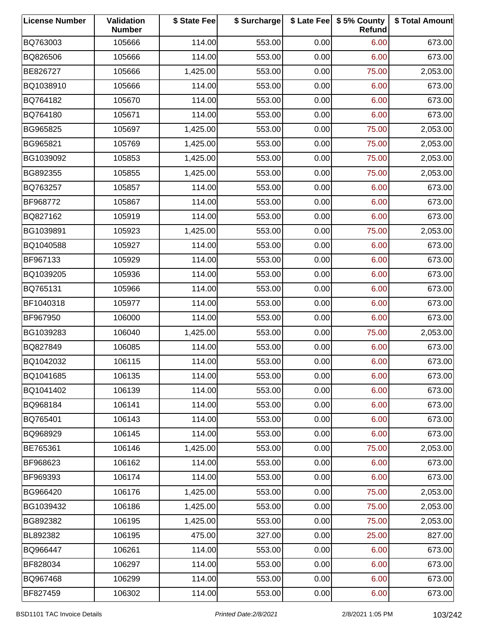| <b>License Number</b> | Validation<br><b>Number</b> | \$ State Fee | \$ Surcharge |      | \$ Late Fee   \$5% County<br>Refund | \$ Total Amount |
|-----------------------|-----------------------------|--------------|--------------|------|-------------------------------------|-----------------|
| BQ763003              | 105666                      | 114.00       | 553.00       | 0.00 | 6.00                                | 673.00          |
| BQ826506              | 105666                      | 114.00       | 553.00       | 0.00 | 6.00                                | 673.00          |
| BE826727              | 105666                      | 1,425.00     | 553.00       | 0.00 | 75.00                               | 2,053.00        |
| BQ1038910             | 105666                      | 114.00       | 553.00       | 0.00 | 6.00                                | 673.00          |
| BQ764182              | 105670                      | 114.00       | 553.00       | 0.00 | 6.00                                | 673.00          |
| BQ764180              | 105671                      | 114.00       | 553.00       | 0.00 | 6.00                                | 673.00          |
| BG965825              | 105697                      | 1,425.00     | 553.00       | 0.00 | 75.00                               | 2,053.00        |
| BG965821              | 105769                      | 1,425.00     | 553.00       | 0.00 | 75.00                               | 2,053.00        |
| BG1039092             | 105853                      | 1,425.00     | 553.00       | 0.00 | 75.00                               | 2,053.00        |
| BG892355              | 105855                      | 1,425.00     | 553.00       | 0.00 | 75.00                               | 2,053.00        |
| BQ763257              | 105857                      | 114.00       | 553.00       | 0.00 | 6.00                                | 673.00          |
| BF968772              | 105867                      | 114.00       | 553.00       | 0.00 | 6.00                                | 673.00          |
| BQ827162              | 105919                      | 114.00       | 553.00       | 0.00 | 6.00                                | 673.00          |
| BG1039891             | 105923                      | 1,425.00     | 553.00       | 0.00 | 75.00                               | 2,053.00        |
| BQ1040588             | 105927                      | 114.00       | 553.00       | 0.00 | 6.00                                | 673.00          |
| BF967133              | 105929                      | 114.00       | 553.00       | 0.00 | 6.00                                | 673.00          |
| BQ1039205             | 105936                      | 114.00       | 553.00       | 0.00 | 6.00                                | 673.00          |
| BQ765131              | 105966                      | 114.00       | 553.00       | 0.00 | 6.00                                | 673.00          |
| BF1040318             | 105977                      | 114.00       | 553.00       | 0.00 | 6.00                                | 673.00          |
| BF967950              | 106000                      | 114.00       | 553.00       | 0.00 | 6.00                                | 673.00          |
| BG1039283             | 106040                      | 1,425.00     | 553.00       | 0.00 | 75.00                               | 2,053.00        |
| BQ827849              | 106085                      | 114.00       | 553.00       | 0.00 | 6.00                                | 673.00          |
| BQ1042032             | 106115                      | 114.00       | 553.00       | 0.00 | 6.00                                | 673.00          |
| BQ1041685             | 106135                      | 114.00       | 553.00       | 0.00 | 6.00                                | 673.00          |
| BQ1041402             | 106139                      | 114.00       | 553.00       | 0.00 | 6.00                                | 673.00          |
| BQ968184              | 106141                      | 114.00       | 553.00       | 0.00 | 6.00                                | 673.00          |
| BQ765401              | 106143                      | 114.00       | 553.00       | 0.00 | 6.00                                | 673.00          |
| BQ968929              | 106145                      | 114.00       | 553.00       | 0.00 | 6.00                                | 673.00          |
| BE765361              | 106146                      | 1,425.00     | 553.00       | 0.00 | 75.00                               | 2,053.00        |
| BF968623              | 106162                      | 114.00       | 553.00       | 0.00 | 6.00                                | 673.00          |
| BF969393              | 106174                      | 114.00       | 553.00       | 0.00 | 6.00                                | 673.00          |
| BG966420              | 106176                      | 1,425.00     | 553.00       | 0.00 | 75.00                               | 2,053.00        |
| BG1039432             | 106186                      | 1,425.00     | 553.00       | 0.00 | 75.00                               | 2,053.00        |
| BG892382              | 106195                      | 1,425.00     | 553.00       | 0.00 | 75.00                               | 2,053.00        |
| BL892382              | 106195                      | 475.00       | 327.00       | 0.00 | 25.00                               | 827.00          |
| BQ966447              | 106261                      | 114.00       | 553.00       | 0.00 | 6.00                                | 673.00          |
| BF828034              | 106297                      | 114.00       | 553.00       | 0.00 | 6.00                                | 673.00          |
| BQ967468              | 106299                      | 114.00       | 553.00       | 0.00 | 6.00                                | 673.00          |
| BF827459              | 106302                      | 114.00       | 553.00       | 0.00 | 6.00                                | 673.00          |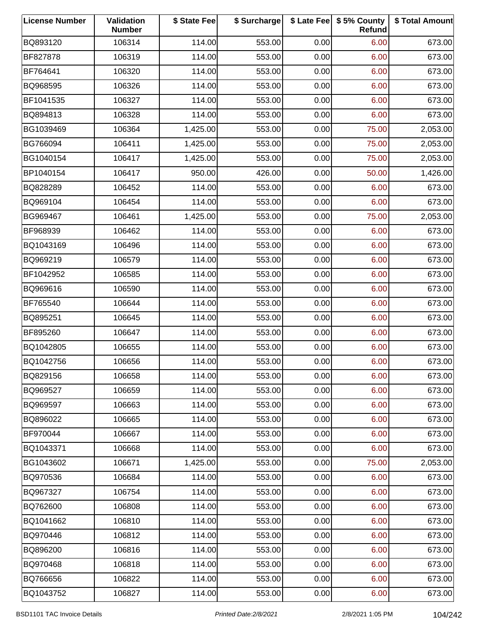| <b>License Number</b> | Validation<br><b>Number</b> | \$ State Fee | \$ Surcharge |      | \$ Late Fee   \$5% County<br>Refund | \$ Total Amount |
|-----------------------|-----------------------------|--------------|--------------|------|-------------------------------------|-----------------|
| BQ893120              | 106314                      | 114.00       | 553.00       | 0.00 | 6.00                                | 673.00          |
| BF827878              | 106319                      | 114.00       | 553.00       | 0.00 | 6.00                                | 673.00          |
| BF764641              | 106320                      | 114.00       | 553.00       | 0.00 | 6.00                                | 673.00          |
| BQ968595              | 106326                      | 114.00       | 553.00       | 0.00 | 6.00                                | 673.00          |
| BF1041535             | 106327                      | 114.00       | 553.00       | 0.00 | 6.00                                | 673.00          |
| BQ894813              | 106328                      | 114.00       | 553.00       | 0.00 | 6.00                                | 673.00          |
| BG1039469             | 106364                      | 1,425.00     | 553.00       | 0.00 | 75.00                               | 2,053.00        |
| BG766094              | 106411                      | 1,425.00     | 553.00       | 0.00 | 75.00                               | 2,053.00        |
| BG1040154             | 106417                      | 1,425.00     | 553.00       | 0.00 | 75.00                               | 2,053.00        |
| BP1040154             | 106417                      | 950.00       | 426.00       | 0.00 | 50.00                               | 1,426.00        |
| BQ828289              | 106452                      | 114.00       | 553.00       | 0.00 | 6.00                                | 673.00          |
| BQ969104              | 106454                      | 114.00       | 553.00       | 0.00 | 6.00                                | 673.00          |
| BG969467              | 106461                      | 1,425.00     | 553.00       | 0.00 | 75.00                               | 2,053.00        |
| BF968939              | 106462                      | 114.00       | 553.00       | 0.00 | 6.00                                | 673.00          |
| BQ1043169             | 106496                      | 114.00       | 553.00       | 0.00 | 6.00                                | 673.00          |
| BQ969219              | 106579                      | 114.00       | 553.00       | 0.00 | 6.00                                | 673.00          |
| BF1042952             | 106585                      | 114.00       | 553.00       | 0.00 | 6.00                                | 673.00          |
| BQ969616              | 106590                      | 114.00       | 553.00       | 0.00 | 6.00                                | 673.00          |
| BF765540              | 106644                      | 114.00       | 553.00       | 0.00 | 6.00                                | 673.00          |
| BQ895251              | 106645                      | 114.00       | 553.00       | 0.00 | 6.00                                | 673.00          |
| BF895260              | 106647                      | 114.00       | 553.00       | 0.00 | 6.00                                | 673.00          |
| BQ1042805             | 106655                      | 114.00       | 553.00       | 0.00 | 6.00                                | 673.00          |
| BQ1042756             | 106656                      | 114.00       | 553.00       | 0.00 | 6.00                                | 673.00          |
| BQ829156              | 106658                      | 114.00       | 553.00       | 0.00 | 6.00                                | 673.00          |
| BQ969527              | 106659                      | 114.00       | 553.00       | 0.00 | 6.00                                | 673.00          |
| BQ969597              | 106663                      | 114.00       | 553.00       | 0.00 | 6.00                                | 673.00          |
| BQ896022              | 106665                      | 114.00       | 553.00       | 0.00 | 6.00                                | 673.00          |
| BF970044              | 106667                      | 114.00       | 553.00       | 0.00 | 6.00                                | 673.00          |
| BQ1043371             | 106668                      | 114.00       | 553.00       | 0.00 | 6.00                                | 673.00          |
| BG1043602             | 106671                      | 1,425.00     | 553.00       | 0.00 | 75.00                               | 2,053.00        |
| BQ970536              | 106684                      | 114.00       | 553.00       | 0.00 | 6.00                                | 673.00          |
| BQ967327              | 106754                      | 114.00       | 553.00       | 0.00 | 6.00                                | 673.00          |
| BQ762600              | 106808                      | 114.00       | 553.00       | 0.00 | 6.00                                | 673.00          |
| BQ1041662             | 106810                      | 114.00       | 553.00       | 0.00 | 6.00                                | 673.00          |
| BQ970446              | 106812                      | 114.00       | 553.00       | 0.00 | 6.00                                | 673.00          |
| BQ896200              | 106816                      | 114.00       | 553.00       | 0.00 | 6.00                                | 673.00          |
| BQ970468              | 106818                      | 114.00       | 553.00       | 0.00 | 6.00                                | 673.00          |
| BQ766656              | 106822                      | 114.00       | 553.00       | 0.00 | 6.00                                | 673.00          |
| BQ1043752             | 106827                      | 114.00       | 553.00       | 0.00 | 6.00                                | 673.00          |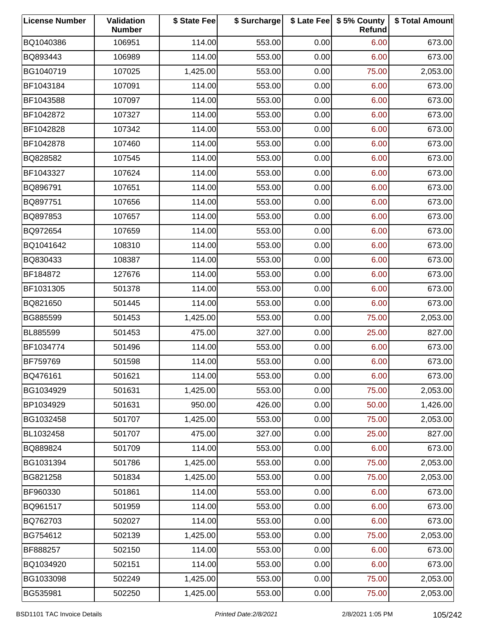| <b>License Number</b> | Validation<br><b>Number</b> | \$ State Fee | \$ Surcharge |      | \$ Late Fee   \$5% County<br>Refund | \$ Total Amount |
|-----------------------|-----------------------------|--------------|--------------|------|-------------------------------------|-----------------|
| BQ1040386             | 106951                      | 114.00       | 553.00       | 0.00 | 6.00                                | 673.00          |
| BQ893443              | 106989                      | 114.00       | 553.00       | 0.00 | 6.00                                | 673.00          |
| BG1040719             | 107025                      | 1,425.00     | 553.00       | 0.00 | 75.00                               | 2,053.00        |
| BF1043184             | 107091                      | 114.00       | 553.00       | 0.00 | 6.00                                | 673.00          |
| BF1043588             | 107097                      | 114.00       | 553.00       | 0.00 | 6.00                                | 673.00          |
| BF1042872             | 107327                      | 114.00       | 553.00       | 0.00 | 6.00                                | 673.00          |
| BF1042828             | 107342                      | 114.00       | 553.00       | 0.00 | 6.00                                | 673.00          |
| BF1042878             | 107460                      | 114.00       | 553.00       | 0.00 | 6.00                                | 673.00          |
| BQ828582              | 107545                      | 114.00       | 553.00       | 0.00 | 6.00                                | 673.00          |
| BF1043327             | 107624                      | 114.00       | 553.00       | 0.00 | 6.00                                | 673.00          |
| BQ896791              | 107651                      | 114.00       | 553.00       | 0.00 | 6.00                                | 673.00          |
| BQ897751              | 107656                      | 114.00       | 553.00       | 0.00 | 6.00                                | 673.00          |
| BQ897853              | 107657                      | 114.00       | 553.00       | 0.00 | 6.00                                | 673.00          |
| BQ972654              | 107659                      | 114.00       | 553.00       | 0.00 | 6.00                                | 673.00          |
| BQ1041642             | 108310                      | 114.00       | 553.00       | 0.00 | 6.00                                | 673.00          |
| BQ830433              | 108387                      | 114.00       | 553.00       | 0.00 | 6.00                                | 673.00          |
| BF184872              | 127676                      | 114.00       | 553.00       | 0.00 | 6.00                                | 673.00          |
| BF1031305             | 501378                      | 114.00       | 553.00       | 0.00 | 6.00                                | 673.00          |
| BQ821650              | 501445                      | 114.00       | 553.00       | 0.00 | 6.00                                | 673.00          |
| BG885599              | 501453                      | 1,425.00     | 553.00       | 0.00 | 75.00                               | 2,053.00        |
| BL885599              | 501453                      | 475.00       | 327.00       | 0.00 | 25.00                               | 827.00          |
| BF1034774             | 501496                      | 114.00       | 553.00       | 0.00 | 6.00                                | 673.00          |
| BF759769              | 501598                      | 114.00       | 553.00       | 0.00 | 6.00                                | 673.00          |
| BQ476161              | 501621                      | 114.00       | 553.00       | 0.00 | 6.00                                | 673.00          |
| BG1034929             | 501631                      | 1,425.00     | 553.00       | 0.00 | 75.00                               | 2,053.00        |
| BP1034929             | 501631                      | 950.00       | 426.00       | 0.00 | 50.00                               | 1,426.00        |
| BG1032458             | 501707                      | 1,425.00     | 553.00       | 0.00 | 75.00                               | 2,053.00        |
| BL1032458             | 501707                      | 475.00       | 327.00       | 0.00 | 25.00                               | 827.00          |
| BQ889824              | 501709                      | 114.00       | 553.00       | 0.00 | 6.00                                | 673.00          |
| BG1031394             | 501786                      | 1,425.00     | 553.00       | 0.00 | 75.00                               | 2,053.00        |
| BG821258              | 501834                      | 1,425.00     | 553.00       | 0.00 | 75.00                               | 2,053.00        |
| BF960330              | 501861                      | 114.00       | 553.00       | 0.00 | 6.00                                | 673.00          |
| BQ961517              | 501959                      | 114.00       | 553.00       | 0.00 | 6.00                                | 673.00          |
| BQ762703              | 502027                      | 114.00       | 553.00       | 0.00 | 6.00                                | 673.00          |
| BG754612              | 502139                      | 1,425.00     | 553.00       | 0.00 | 75.00                               | 2,053.00        |
| BF888257              | 502150                      | 114.00       | 553.00       | 0.00 | 6.00                                | 673.00          |
| BQ1034920             | 502151                      | 114.00       | 553.00       | 0.00 | 6.00                                | 673.00          |
| BG1033098             | 502249                      | 1,425.00     | 553.00       | 0.00 | 75.00                               | 2,053.00        |
| BG535981              | 502250                      | 1,425.00     | 553.00       | 0.00 | 75.00                               | 2,053.00        |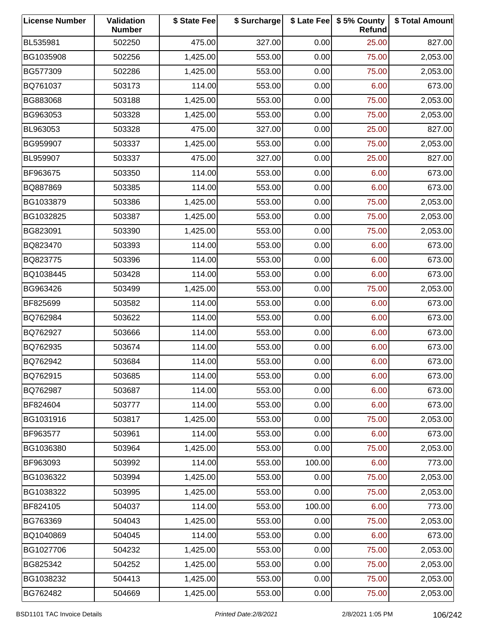| <b>License Number</b> | Validation<br><b>Number</b> | \$ State Fee | \$ Surcharge |        | \$ Late Fee   \$5% County<br>Refund | \$ Total Amount |
|-----------------------|-----------------------------|--------------|--------------|--------|-------------------------------------|-----------------|
| BL535981              | 502250                      | 475.00       | 327.00       | 0.00   | 25.00                               | 827.00          |
| BG1035908             | 502256                      | 1,425.00     | 553.00       | 0.00   | 75.00                               | 2,053.00        |
| BG577309              | 502286                      | 1,425.00     | 553.00       | 0.00   | 75.00                               | 2,053.00        |
| BQ761037              | 503173                      | 114.00       | 553.00       | 0.00   | 6.00                                | 673.00          |
| BG883068              | 503188                      | 1,425.00     | 553.00       | 0.00   | 75.00                               | 2,053.00        |
| BG963053              | 503328                      | 1,425.00     | 553.00       | 0.00   | 75.00                               | 2,053.00        |
| BL963053              | 503328                      | 475.00       | 327.00       | 0.00   | 25.00                               | 827.00          |
| BG959907              | 503337                      | 1,425.00     | 553.00       | 0.00   | 75.00                               | 2,053.00        |
| BL959907              | 503337                      | 475.00       | 327.00       | 0.00   | 25.00                               | 827.00          |
| BF963675              | 503350                      | 114.00       | 553.00       | 0.00   | 6.00                                | 673.00          |
| BQ887869              | 503385                      | 114.00       | 553.00       | 0.00   | 6.00                                | 673.00          |
| BG1033879             | 503386                      | 1,425.00     | 553.00       | 0.00   | 75.00                               | 2,053.00        |
| BG1032825             | 503387                      | 1,425.00     | 553.00       | 0.00   | 75.00                               | 2,053.00        |
| BG823091              | 503390                      | 1,425.00     | 553.00       | 0.00   | 75.00                               | 2,053.00        |
| BQ823470              | 503393                      | 114.00       | 553.00       | 0.00   | 6.00                                | 673.00          |
| BQ823775              | 503396                      | 114.00       | 553.00       | 0.00   | 6.00                                | 673.00          |
| BQ1038445             | 503428                      | 114.00       | 553.00       | 0.00   | 6.00                                | 673.00          |
| BG963426              | 503499                      | 1,425.00     | 553.00       | 0.00   | 75.00                               | 2,053.00        |
| BF825699              | 503582                      | 114.00       | 553.00       | 0.00   | 6.00                                | 673.00          |
| BQ762984              | 503622                      | 114.00       | 553.00       | 0.00   | 6.00                                | 673.00          |
| BQ762927              | 503666                      | 114.00       | 553.00       | 0.00   | 6.00                                | 673.00          |
| BQ762935              | 503674                      | 114.00       | 553.00       | 0.00   | 6.00                                | 673.00          |
| BQ762942              | 503684                      | 114.00       | 553.00       | 0.00   | 6.00                                | 673.00          |
| BQ762915              | 503685                      | 114.00       | 553.00       | 0.00   | 6.00                                | 673.00          |
| BQ762987              | 503687                      | 114.00       | 553.00       | 0.00   | 6.00                                | 673.00          |
| BF824604              | 503777                      | 114.00       | 553.00       | 0.00   | 6.00                                | 673.00          |
| BG1031916             | 503817                      | 1,425.00     | 553.00       | 0.00   | 75.00                               | 2,053.00        |
| BF963577              | 503961                      | 114.00       | 553.00       | 0.00   | 6.00                                | 673.00          |
| BG1036380             | 503964                      | 1,425.00     | 553.00       | 0.00   | 75.00                               | 2,053.00        |
| BF963093              | 503992                      | 114.00       | 553.00       | 100.00 | 6.00                                | 773.00          |
| BG1036322             | 503994                      | 1,425.00     | 553.00       | 0.00   | 75.00                               | 2,053.00        |
| BG1038322             | 503995                      | 1,425.00     | 553.00       | 0.00   | 75.00                               | 2,053.00        |
| BF824105              | 504037                      | 114.00       | 553.00       | 100.00 | 6.00                                | 773.00          |
| BG763369              | 504043                      | 1,425.00     | 553.00       | 0.00   | 75.00                               | 2,053.00        |
| BQ1040869             | 504045                      | 114.00       | 553.00       | 0.00   | 6.00                                | 673.00          |
| BG1027706             | 504232                      | 1,425.00     | 553.00       | 0.00   | 75.00                               | 2,053.00        |
| BG825342              | 504252                      | 1,425.00     | 553.00       | 0.00   | 75.00                               | 2,053.00        |
| BG1038232             | 504413                      | 1,425.00     | 553.00       | 0.00   | 75.00                               | 2,053.00        |
| BG762482              | 504669                      | 1,425.00     | 553.00       | 0.00   | 75.00                               | 2,053.00        |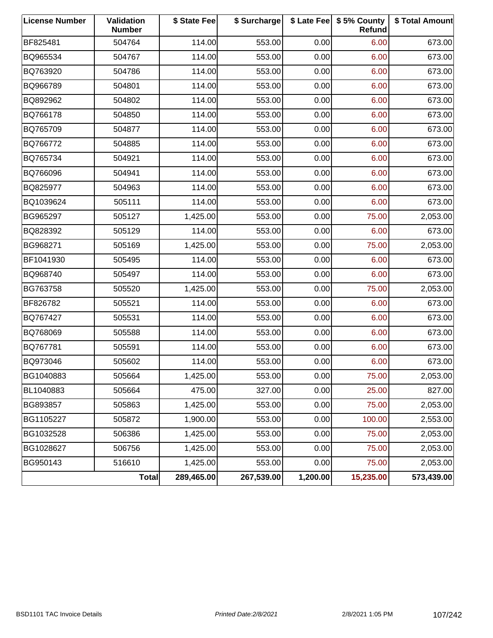| <b>License Number</b> | Validation<br><b>Number</b> | \$ State Fee | \$ Surcharge |          | \$ Late Fee   \$5% County<br><b>Refund</b> | \$ Total Amount |
|-----------------------|-----------------------------|--------------|--------------|----------|--------------------------------------------|-----------------|
| BF825481              | 504764                      | 114.00       | 553.00       | 0.00     | 6.00                                       | 673.00          |
| BQ965534              | 504767                      | 114.00       | 553.00       | 0.00     | 6.00                                       | 673.00          |
| BQ763920              | 504786                      | 114.00       | 553.00       | 0.00     | 6.00                                       | 673.00          |
| BQ966789              | 504801                      | 114.00       | 553.00       | 0.00     | 6.00                                       | 673.00          |
| BQ892962              | 504802                      | 114.00       | 553.00       | 0.00     | 6.00                                       | 673.00          |
| BQ766178              | 504850                      | 114.00       | 553.00       | 0.00     | 6.00                                       | 673.00          |
| BQ765709              | 504877                      | 114.00       | 553.00       | 0.00     | 6.00                                       | 673.00          |
| BQ766772              | 504885                      | 114.00       | 553.00       | 0.00     | 6.00                                       | 673.00          |
| BQ765734              | 504921                      | 114.00       | 553.00       | 0.00     | 6.00                                       | 673.00          |
| BQ766096              | 504941                      | 114.00       | 553.00       | 0.00     | 6.00                                       | 673.00          |
| BQ825977              | 504963                      | 114.00       | 553.00       | 0.00     | 6.00                                       | 673.00          |
| BQ1039624             | 505111                      | 114.00       | 553.00       | 0.00     | 6.00                                       | 673.00          |
| BG965297              | 505127                      | 1,425.00     | 553.00       | 0.00     | 75.00                                      | 2,053.00        |
| BQ828392              | 505129                      | 114.00       | 553.00       | 0.00     | 6.00                                       | 673.00          |
| BG968271              | 505169                      | 1,425.00     | 553.00       | 0.00     | 75.00                                      | 2,053.00        |
| BF1041930             | 505495                      | 114.00       | 553.00       | 0.00     | 6.00                                       | 673.00          |
| BQ968740              | 505497                      | 114.00       | 553.00       | 0.00     | 6.00                                       | 673.00          |
| BG763758              | 505520                      | 1,425.00     | 553.00       | 0.00     | 75.00                                      | 2,053.00        |
| BF826782              | 505521                      | 114.00       | 553.00       | 0.00     | 6.00                                       | 673.00          |
| BQ767427              | 505531                      | 114.00       | 553.00       | 0.00     | 6.00                                       | 673.00          |
| BQ768069              | 505588                      | 114.00       | 553.00       | 0.00     | 6.00                                       | 673.00          |
| BQ767781              | 505591                      | 114.00       | 553.00       | 0.00     | 6.00                                       | 673.00          |
| BQ973046              | 505602                      | 114.00       | 553.00       | 0.00     | 6.00                                       | 673.00          |
| BG1040883             | 505664                      | 1,425.00     | 553.00       | 0.00     | 75.00                                      | 2,053.00        |
| BL1040883             | 505664                      | 475.00       | 327.00       | 0.00     | 25.00                                      | 827.00          |
| BG893857              | 505863                      | 1,425.00     | 553.00       | 0.00     | 75.00                                      | 2,053.00        |
| BG1105227             | 505872                      | 1,900.00     | 553.00       | 0.00     | 100.00                                     | 2,553.00        |
| BG1032528             | 506386                      | 1,425.00     | 553.00       | 0.00     | 75.00                                      | 2,053.00        |
| BG1028627             | 506756                      | 1,425.00     | 553.00       | 0.00     | 75.00                                      | 2,053.00        |
| BG950143              | 516610                      | 1,425.00     | 553.00       | 0.00     | 75.00                                      | 2,053.00        |
|                       | <b>Total</b>                | 289,465.00   | 267,539.00   | 1,200.00 | 15,235.00                                  | 573,439.00      |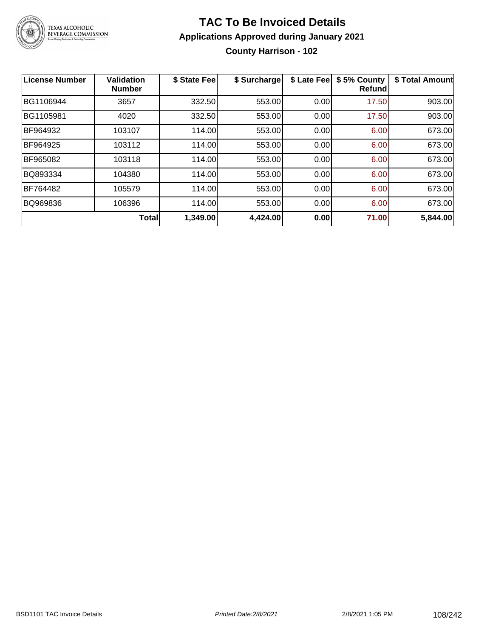

# **TAC To Be Invoiced Details Applications Approved during January 2021 County Harrison - 102**

| <b>License Number</b> | Validation<br><b>Number</b> | \$ State Fee | \$ Surcharge | \$ Late Fee | \$5% County<br>Refund | \$ Total Amount |
|-----------------------|-----------------------------|--------------|--------------|-------------|-----------------------|-----------------|
| BG1106944             | 3657                        | 332.50       | 553.00       | 0.00        | 17.50                 | 903.00          |
| BG1105981             | 4020                        | 332.50       | 553.00       | 0.00        | 17.50                 | 903.00          |
| BF964932              | 103107                      | 114.00       | 553.00       | 0.00        | 6.00                  | 673.00          |
| BF964925              | 103112                      | 114.00       | 553.00       | 0.00        | 6.00                  | 673.00          |
| BF965082              | 103118                      | 114.00       | 553.00       | 0.00        | 6.00                  | 673.00          |
| BQ893334              | 104380                      | 114.00       | 553.00       | 0.00        | 6.00                  | 673.00          |
| BF764482              | 105579                      | 114.00       | 553.00       | 0.00        | 6.00                  | 673.00          |
| BQ969836              | 106396                      | 114.00       | 553.00       | 0.00        | 6.00                  | 673.00          |
|                       | <b>Total</b>                | 1,349.00     | 4,424.00     | 0.00        | 71.00                 | 5,844.00        |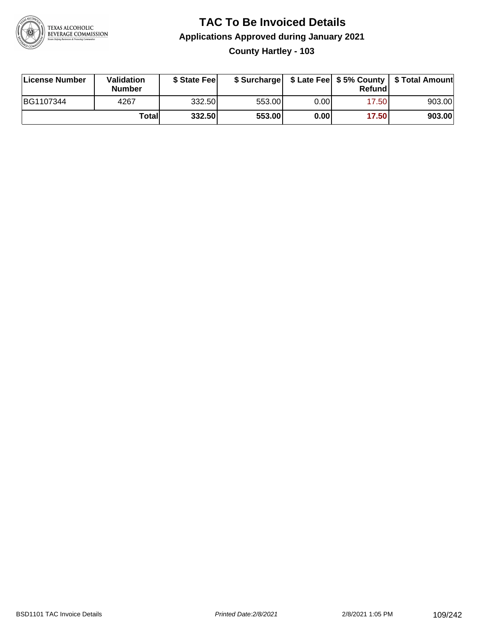

#### **TAC To Be Invoiced Details Applications Approved during January 2021 County Hartley - 103**

| License Number | Validation<br><b>Number</b> | \$ State Feel |        |       | Refundl | \$ Surcharge   \$ Late Fee   \$5% County   \$ Total Amount |
|----------------|-----------------------------|---------------|--------|-------|---------|------------------------------------------------------------|
| BG1107344      | 4267                        | 332.50        | 553.00 | 0.001 | 17.50   | 903.00                                                     |
|                | Totall                      | 332.50        | 553.00 | 0.00  | 17.50   | 903.00                                                     |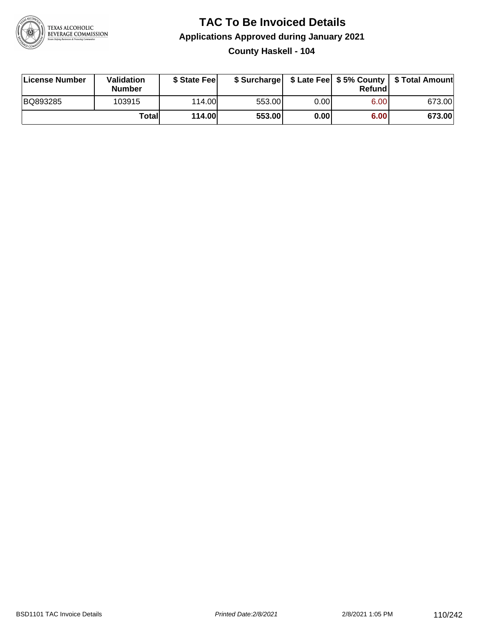

#### **TAC To Be Invoiced Details Applications Approved during January 2021 County Haskell - 104**

| License Number | <b>Validation</b><br><b>Number</b> | \$ State Fee  |        |      | Refund | \$ Surcharge   \$ Late Fee   \$5% County   \$ Total Amount |
|----------------|------------------------------------|---------------|--------|------|--------|------------------------------------------------------------|
| BQ893285       | 103915                             | 114.00        | 553.00 | 0.00 | 6.00   | 673.00                                                     |
|                | Totall                             | <b>114.00</b> | 553.00 | 0.00 | 6.00   | 673.00                                                     |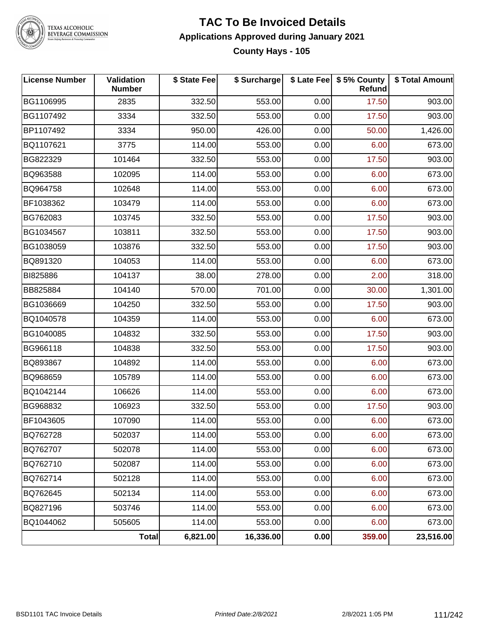

TEXAS ALCOHOLIC<br>BEVERAGE COMMISSION

#### **TAC To Be Invoiced Details Applications Approved during January 2021 County Hays - 105**

| <b>License Number</b> | <b>Validation</b><br><b>Number</b> | \$ State Fee | \$ Surcharge |      | \$ Late Fee   \$5% County  <br><b>Refund</b> | \$ Total Amount |
|-----------------------|------------------------------------|--------------|--------------|------|----------------------------------------------|-----------------|
| BG1106995             | 2835                               | 332.50       | 553.00       | 0.00 | 17.50                                        | 903.00          |
| BG1107492             | 3334                               | 332.50       | 553.00       | 0.00 | 17.50                                        | 903.00          |
| BP1107492             | 3334                               | 950.00       | 426.00       | 0.00 | 50.00                                        | 1,426.00        |
| BQ1107621             | 3775                               | 114.00       | 553.00       | 0.00 | 6.00                                         | 673.00          |
| BG822329              | 101464                             | 332.50       | 553.00       | 0.00 | 17.50                                        | 903.00          |
| BQ963588              | 102095                             | 114.00       | 553.00       | 0.00 | 6.00                                         | 673.00          |
| BQ964758              | 102648                             | 114.00       | 553.00       | 0.00 | 6.00                                         | 673.00          |
| BF1038362             | 103479                             | 114.00       | 553.00       | 0.00 | 6.00                                         | 673.00          |
| BG762083              | 103745                             | 332.50       | 553.00       | 0.00 | 17.50                                        | 903.00          |
| BG1034567             | 103811                             | 332.50       | 553.00       | 0.00 | 17.50                                        | 903.00          |
| BG1038059             | 103876                             | 332.50       | 553.00       | 0.00 | 17.50                                        | 903.00          |
| BQ891320              | 104053                             | 114.00       | 553.00       | 0.00 | 6.00                                         | 673.00          |
| BI825886              | 104137                             | 38.00        | 278.00       | 0.00 | 2.00                                         | 318.00          |
| BB825884              | 104140                             | 570.00       | 701.00       | 0.00 | 30.00                                        | 1,301.00        |
| BG1036669             | 104250                             | 332.50       | 553.00       | 0.00 | 17.50                                        | 903.00          |
| BQ1040578             | 104359                             | 114.00       | 553.00       | 0.00 | 6.00                                         | 673.00          |
| BG1040085             | 104832                             | 332.50       | 553.00       | 0.00 | 17.50                                        | 903.00          |
| BG966118              | 104838                             | 332.50       | 553.00       | 0.00 | 17.50                                        | 903.00          |
| BQ893867              | 104892                             | 114.00       | 553.00       | 0.00 | 6.00                                         | 673.00          |
| BQ968659              | 105789                             | 114.00       | 553.00       | 0.00 | 6.00                                         | 673.00          |
| BQ1042144             | 106626                             | 114.00       | 553.00       | 0.00 | 6.00                                         | 673.00          |
| BG968832              | 106923                             | 332.50       | 553.00       | 0.00 | 17.50                                        | 903.00          |
| BF1043605             | 107090                             | 114.00       | 553.00       | 0.00 | 6.00                                         | 673.00          |
| BQ762728              | 502037                             | 114.00       | 553.00       | 0.00 | 6.00                                         | 673.00          |
| BQ762707              | 502078                             | 114.00       | 553.00       | 0.00 | 6.00                                         | 673.00          |
| BQ762710              | 502087                             | 114.00       | 553.00       | 0.00 | 6.00                                         | 673.00          |
| BQ762714              | 502128                             | 114.00       | 553.00       | 0.00 | 6.00                                         | 673.00          |
| BQ762645              | 502134                             | 114.00       | 553.00       | 0.00 | 6.00                                         | 673.00          |
| BQ827196              | 503746                             | 114.00       | 553.00       | 0.00 | 6.00                                         | 673.00          |
| BQ1044062             | 505605                             | 114.00       | 553.00       | 0.00 | 6.00                                         | 673.00          |
|                       | Total                              | 6,821.00     | 16,336.00    | 0.00 | 359.00                                       | 23,516.00       |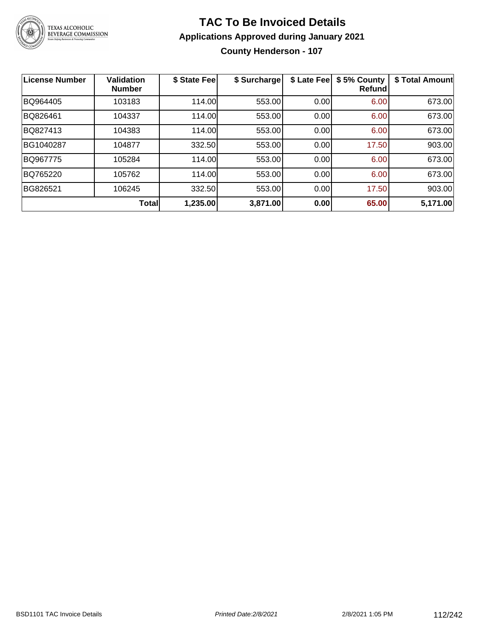

#### **TAC To Be Invoiced Details Applications Approved during January 2021 County Henderson - 107**

| <b>License Number</b> | <b>Validation</b><br><b>Number</b> | \$ State Fee | \$ Surcharge | \$ Late Fee | \$5% County<br><b>Refund</b> | \$ Total Amount |
|-----------------------|------------------------------------|--------------|--------------|-------------|------------------------------|-----------------|
| BQ964405              | 103183                             | 114.00       | 553.00       | 0.00        | 6.00                         | 673.00          |
| BQ826461              | 104337                             | 114.00       | 553.00       | 0.00        | 6.00                         | 673.00          |
| BQ827413              | 104383                             | 114.00       | 553.00       | 0.00        | 6.00                         | 673.00          |
| BG1040287             | 104877                             | 332.50       | 553.00       | 0.00        | 17.50                        | 903.00          |
| BQ967775              | 105284                             | 114.00       | 553.00       | 0.00        | 6.00                         | 673.00          |
| BQ765220              | 105762                             | 114.00       | 553.00       | 0.00        | 6.00                         | 673.00          |
| BG826521              | 106245                             | 332.50       | 553.00       | 0.00        | 17.50                        | 903.00          |
|                       | <b>Total</b>                       | 1,235.00     | 3,871.00     | 0.00        | 65.00                        | 5,171.00        |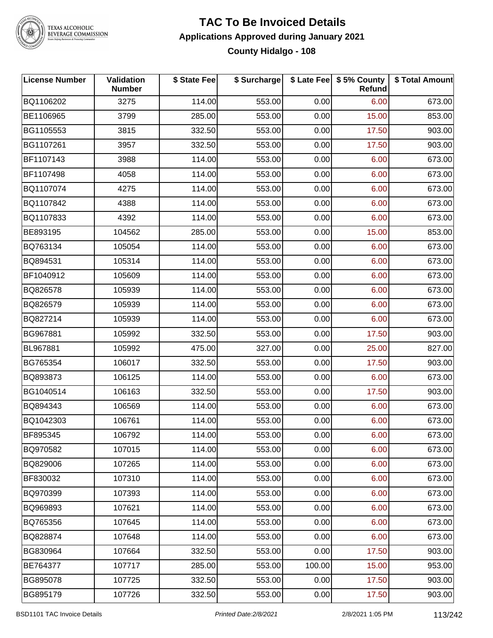

TEXAS ALCOHOLIC<br>BEVERAGE COMMISSION

#### **TAC To Be Invoiced Details Applications Approved during January 2021 County Hidalgo - 108**

| License Number | Validation<br><b>Number</b> | \$ State Fee | \$ Surcharge |        | \$ Late Fee   \$5% County<br><b>Refund</b> | \$ Total Amount |
|----------------|-----------------------------|--------------|--------------|--------|--------------------------------------------|-----------------|
| BQ1106202      | 3275                        | 114.00       | 553.00       | 0.00   | 6.00                                       | 673.00          |
| BE1106965      | 3799                        | 285.00       | 553.00       | 0.00   | 15.00                                      | 853.00          |
| BG1105553      | 3815                        | 332.50       | 553.00       | 0.00   | 17.50                                      | 903.00          |
| BG1107261      | 3957                        | 332.50       | 553.00       | 0.00   | 17.50                                      | 903.00          |
| BF1107143      | 3988                        | 114.00       | 553.00       | 0.00   | 6.00                                       | 673.00          |
| BF1107498      | 4058                        | 114.00       | 553.00       | 0.00   | 6.00                                       | 673.00          |
| BQ1107074      | 4275                        | 114.00       | 553.00       | 0.00   | 6.00                                       | 673.00          |
| BQ1107842      | 4388                        | 114.00       | 553.00       | 0.00   | 6.00                                       | 673.00          |
| BQ1107833      | 4392                        | 114.00       | 553.00       | 0.00   | 6.00                                       | 673.00          |
| BE893195       | 104562                      | 285.00       | 553.00       | 0.00   | 15.00                                      | 853.00          |
| BQ763134       | 105054                      | 114.00       | 553.00       | 0.00   | 6.00                                       | 673.00          |
| BQ894531       | 105314                      | 114.00       | 553.00       | 0.00   | 6.00                                       | 673.00          |
| BF1040912      | 105609                      | 114.00       | 553.00       | 0.00   | 6.00                                       | 673.00          |
| BQ826578       | 105939                      | 114.00       | 553.00       | 0.00   | 6.00                                       | 673.00          |
| BQ826579       | 105939                      | 114.00       | 553.00       | 0.00   | 6.00                                       | 673.00          |
| BQ827214       | 105939                      | 114.00       | 553.00       | 0.00   | 6.00                                       | 673.00          |
| BG967881       | 105992                      | 332.50       | 553.00       | 0.00   | 17.50                                      | 903.00          |
| BL967881       | 105992                      | 475.00       | 327.00       | 0.00   | 25.00                                      | 827.00          |
| BG765354       | 106017                      | 332.50       | 553.00       | 0.00   | 17.50                                      | 903.00          |
| BQ893873       | 106125                      | 114.00       | 553.00       | 0.00   | 6.00                                       | 673.00          |
| BG1040514      | 106163                      | 332.50       | 553.00       | 0.00   | 17.50                                      | 903.00          |
| BQ894343       | 106569                      | 114.00       | 553.00       | 0.00   | 6.00                                       | 673.00          |
| BQ1042303      | 106761                      | 114.00       | 553.00       | 0.00   | 6.00                                       | 673.00          |
| BF895345       | 106792                      | 114.00       | 553.00       | 0.00   | 6.00                                       | 673.00          |
| BQ970582       | 107015                      | 114.00       | 553.00       | 0.00   | 6.00                                       | 673.00          |
| BQ829006       | 107265                      | 114.00       | 553.00       | 0.00   | 6.00                                       | 673.00          |
| BF830032       | 107310                      | 114.00       | 553.00       | 0.00   | 6.00                                       | 673.00          |
| BQ970399       | 107393                      | 114.00       | 553.00       | 0.00   | 6.00                                       | 673.00          |
| BQ969893       | 107621                      | 114.00       | 553.00       | 0.00   | 6.00                                       | 673.00          |
| BQ765356       | 107645                      | 114.00       | 553.00       | 0.00   | 6.00                                       | 673.00          |
| BQ828874       | 107648                      | 114.00       | 553.00       | 0.00   | 6.00                                       | 673.00          |
| BG830964       | 107664                      | 332.50       | 553.00       | 0.00   | 17.50                                      | 903.00          |
| BE764377       | 107717                      | 285.00       | 553.00       | 100.00 | 15.00                                      | 953.00          |
| BG895078       | 107725                      | 332.50       | 553.00       | 0.00   | 17.50                                      | 903.00          |
| BG895179       | 107726                      | 332.50       | 553.00       | 0.00   | 17.50                                      | 903.00          |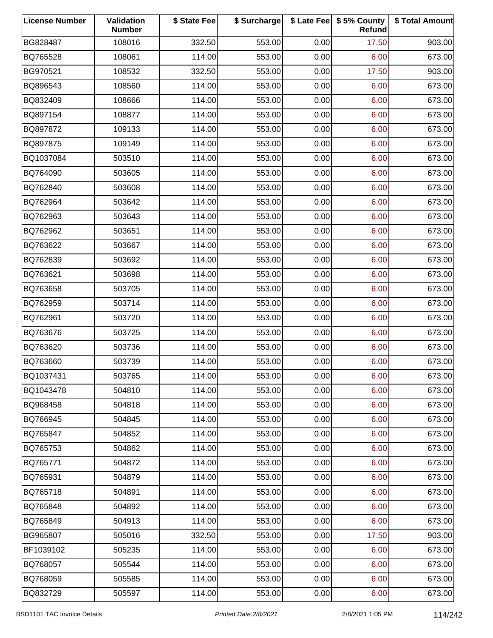| <b>License Number</b> | Validation<br><b>Number</b> | \$ State Fee | \$ Surcharge |      | \$ Late Fee   \$5% County<br>Refund | \$ Total Amount |
|-----------------------|-----------------------------|--------------|--------------|------|-------------------------------------|-----------------|
| BG828487              | 108016                      | 332.50       | 553.00       | 0.00 | 17.50                               | 903.00          |
| BQ765528              | 108061                      | 114.00       | 553.00       | 0.00 | 6.00                                | 673.00          |
| BG970521              | 108532                      | 332.50       | 553.00       | 0.00 | 17.50                               | 903.00          |
| BQ896543              | 108560                      | 114.00       | 553.00       | 0.00 | 6.00                                | 673.00          |
| BQ832409              | 108666                      | 114.00       | 553.00       | 0.00 | 6.00                                | 673.00          |
| BQ897154              | 108877                      | 114.00       | 553.00       | 0.00 | 6.00                                | 673.00          |
| BQ897872              | 109133                      | 114.00       | 553.00       | 0.00 | 6.00                                | 673.00          |
| BQ897875              | 109149                      | 114.00       | 553.00       | 0.00 | 6.00                                | 673.00          |
| BQ1037084             | 503510                      | 114.00       | 553.00       | 0.00 | 6.00                                | 673.00          |
| BQ764090              | 503605                      | 114.00       | 553.00       | 0.00 | 6.00                                | 673.00          |
| BQ762840              | 503608                      | 114.00       | 553.00       | 0.00 | 6.00                                | 673.00          |
| BQ762964              | 503642                      | 114.00       | 553.00       | 0.00 | 6.00                                | 673.00          |
| BQ762963              | 503643                      | 114.00       | 553.00       | 0.00 | 6.00                                | 673.00          |
| BQ762962              | 503651                      | 114.00       | 553.00       | 0.00 | 6.00                                | 673.00          |
| BQ763622              | 503667                      | 114.00       | 553.00       | 0.00 | 6.00                                | 673.00          |
| BQ762839              | 503692                      | 114.00       | 553.00       | 0.00 | 6.00                                | 673.00          |
| BQ763621              | 503698                      | 114.00       | 553.00       | 0.00 | 6.00                                | 673.00          |
| BQ763658              | 503705                      | 114.00       | 553.00       | 0.00 | 6.00                                | 673.00          |
| BQ762959              | 503714                      | 114.00       | 553.00       | 0.00 | 6.00                                | 673.00          |
| BQ762961              | 503720                      | 114.00       | 553.00       | 0.00 | 6.00                                | 673.00          |
| BQ763676              | 503725                      | 114.00       | 553.00       | 0.00 | 6.00                                | 673.00          |
| BQ763620              | 503736                      | 114.00       | 553.00       | 0.00 | 6.00                                | 673.00          |
| BQ763660              | 503739                      | 114.00       | 553.00       | 0.00 | 6.00                                | 673.00          |
| BQ1037431             | 503765                      | 114.00       | 553.00       | 0.00 | 6.00                                | 673.00          |
| BQ1043478             | 504810                      | 114.00       | 553.00       | 0.00 | 6.00                                | 673.00          |
| BQ968458              | 504818                      | 114.00       | 553.00       | 0.00 | 6.00                                | 673.00          |
| BQ766945              | 504845                      | 114.00       | 553.00       | 0.00 | 6.00                                | 673.00          |
| BQ765847              | 504852                      | 114.00       | 553.00       | 0.00 | 6.00                                | 673.00          |
| BQ765753              | 504862                      | 114.00       | 553.00       | 0.00 | 6.00                                | 673.00          |
| BQ765771              | 504872                      | 114.00       | 553.00       | 0.00 | 6.00                                | 673.00          |
| BQ765931              | 504879                      | 114.00       | 553.00       | 0.00 | 6.00                                | 673.00          |
| BQ765718              | 504891                      | 114.00       | 553.00       | 0.00 | 6.00                                | 673.00          |
| BQ765848              | 504892                      | 114.00       | 553.00       | 0.00 | 6.00                                | 673.00          |
| BQ765849              | 504913                      | 114.00       | 553.00       | 0.00 | 6.00                                | 673.00          |
| BG965807              | 505016                      | 332.50       | 553.00       | 0.00 | 17.50                               | 903.00          |
| BF1039102             | 505235                      | 114.00       | 553.00       | 0.00 | 6.00                                | 673.00          |
| BQ768057              | 505544                      | 114.00       | 553.00       | 0.00 | 6.00                                | 673.00          |
| BQ768059              | 505585                      | 114.00       | 553.00       | 0.00 | 6.00                                | 673.00          |
| BQ832729              | 505597                      | 114.00       | 553.00       | 0.00 | 6.00                                | 673.00          |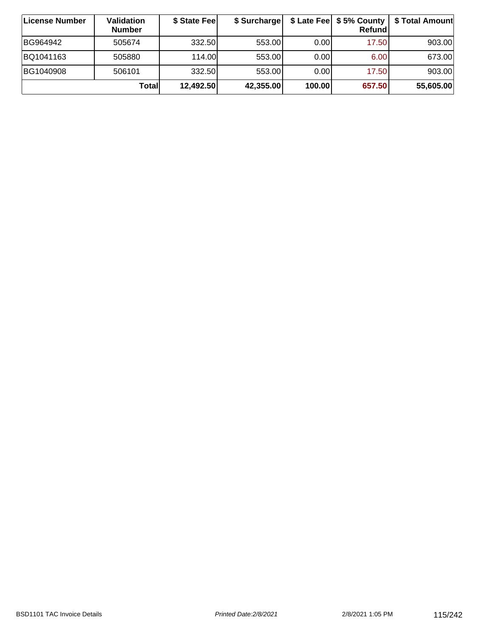| ∣License Number | Validation<br><b>Number</b> | \$ State Fee | \$ Surcharge |        | \$ Late Fee   \$5% County  <br>Refundl | \$ Total Amount |
|-----------------|-----------------------------|--------------|--------------|--------|----------------------------------------|-----------------|
| BG964942        | 505674                      | 332.50       | 553.00       | 0.001  | 17.50                                  | 903.00          |
| BQ1041163       | 505880                      | 114.00       | 553.00       | 0.00   | 6.00                                   | 673.00          |
| BG1040908       | 506101                      | 332.50       | 553.00       | 0.00   | 17.50                                  | 903.00          |
|                 | <b>Total</b>                | 12,492.50    | 42,355.00    | 100.00 | 657.50                                 | 55,605.00       |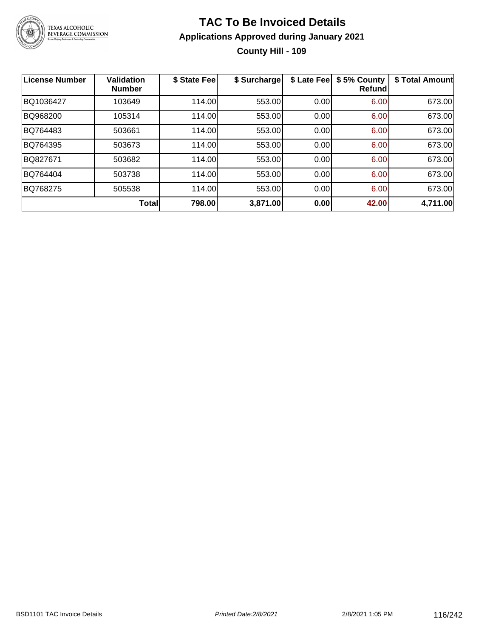

#### **TAC To Be Invoiced Details Applications Approved during January 2021 County Hill - 109**

| <b>License Number</b> | <b>Validation</b><br><b>Number</b> | \$ State Fee | \$ Surcharge | \$ Late Fee | \$5% County<br>Refund | \$ Total Amount |
|-----------------------|------------------------------------|--------------|--------------|-------------|-----------------------|-----------------|
| BQ1036427             | 103649                             | 114.00       | 553.00       | 0.00        | 6.00                  | 673.00          |
| BQ968200              | 105314                             | 114.00       | 553.00       | 0.00        | 6.00                  | 673.00          |
| BQ764483              | 503661                             | 114.00       | 553.00       | 0.00        | 6.00                  | 673.00          |
| BQ764395              | 503673                             | 114.00       | 553.00       | 0.00        | 6.00                  | 673.00          |
| BQ827671              | 503682                             | 114.00       | 553.00       | 0.00        | 6.00                  | 673.00          |
| BQ764404              | 503738                             | 114.00       | 553.00       | 0.00        | 6.00                  | 673.00          |
| BQ768275              | 505538                             | 114.00       | 553.00       | 0.00        | 6.00                  | 673.00          |
|                       | <b>Total</b>                       | 798.00       | 3,871.00     | 0.00        | 42.00                 | 4,711.00        |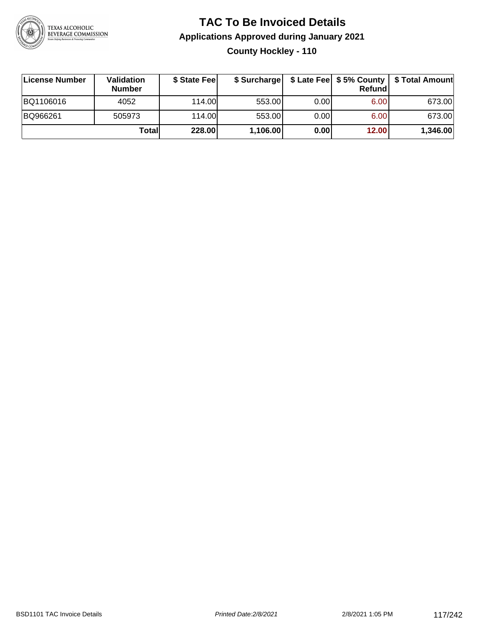

#### **TAC To Be Invoiced Details Applications Approved during January 2021 County Hockley - 110**

| License Number | Validation<br><b>Number</b> | \$ State Feel |          |       | Refundl | \$ Surcharge   \$ Late Fee   \$5% County   \$ Total Amount |
|----------------|-----------------------------|---------------|----------|-------|---------|------------------------------------------------------------|
| BQ1106016      | 4052                        | 114.00        | 553.00   | 0.001 | 6.00    | 673.00                                                     |
| BQ966261       | 505973                      | 114.00        | 553.00   | 0.00  | 6.00    | 673.00                                                     |
|                | Totall                      | 228.00        | 1,106.00 | 0.00  | 12.00   | 1,346.00                                                   |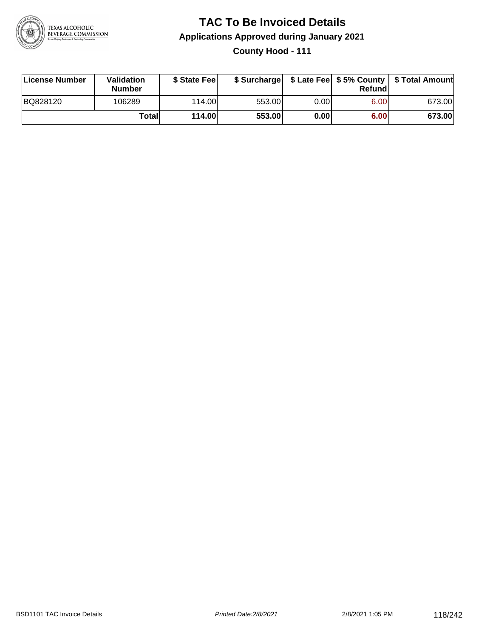

#### **TAC To Be Invoiced Details Applications Approved during January 2021 County Hood - 111**

| License Number | Validation<br>Number | \$ State Feel |        |      | Refund | \$ Surcharge   \$ Late Fee   \$5% County   \$ Total Amount |
|----------------|----------------------|---------------|--------|------|--------|------------------------------------------------------------|
| BQ828120       | 106289               | 114.00        | 553.00 | 0.00 | 6.00   | 673.00                                                     |
|                | Totall               | <b>114.00</b> | 553.00 | 0.00 | 6.00   | 673.00                                                     |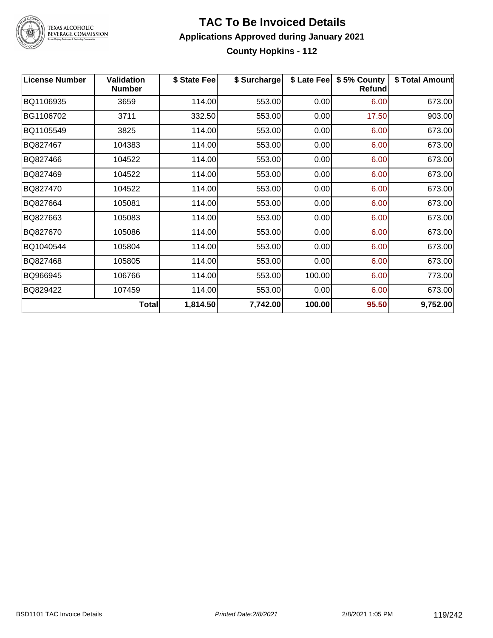

# TEXAS ALCOHOLIC<br>BEVERAGE COMMISSION

#### **TAC To Be Invoiced Details Applications Approved during January 2021 County Hopkins - 112**

| <b>License Number</b> | <b>Validation</b><br><b>Number</b> | \$ State Fee | \$ Surcharge | \$ Late Fee | \$5% County<br>Refund | \$ Total Amount |
|-----------------------|------------------------------------|--------------|--------------|-------------|-----------------------|-----------------|
| BQ1106935             | 3659                               | 114.00       | 553.00       | 0.00        | 6.00                  | 673.00          |
| BG1106702             | 3711                               | 332.50       | 553.00       | 0.00        | 17.50                 | 903.00          |
| BQ1105549             | 3825                               | 114.00       | 553.00       | 0.00        | 6.00                  | 673.00          |
| BQ827467              | 104383                             | 114.00       | 553.00       | 0.00        | 6.00                  | 673.00          |
| BQ827466              | 104522                             | 114.00       | 553.00       | 0.00        | 6.00                  | 673.00          |
| BQ827469              | 104522                             | 114.00       | 553.00       | 0.00        | 6.00                  | 673.00          |
| BQ827470              | 104522                             | 114.00       | 553.00       | 0.00        | 6.00                  | 673.00          |
| BQ827664              | 105081                             | 114.00       | 553.00       | 0.00        | 6.00                  | 673.00          |
| BQ827663              | 105083                             | 114.00       | 553.00       | 0.00        | 6.00                  | 673.00          |
| BQ827670              | 105086                             | 114.00       | 553.00       | 0.00        | 6.00                  | 673.00          |
| BQ1040544             | 105804                             | 114.00       | 553.00       | 0.00        | 6.00                  | 673.00          |
| BQ827468              | 105805                             | 114.00       | 553.00       | 0.00        | 6.00                  | 673.00          |
| BQ966945              | 106766                             | 114.00       | 553.00       | 100.00      | 6.00                  | 773.00          |
| BQ829422              | 107459                             | 114.00       | 553.00       | 0.00        | 6.00                  | 673.00          |
|                       | <b>Total</b>                       | 1,814.50     | 7,742.00     | 100.00      | 95.50                 | 9,752.00        |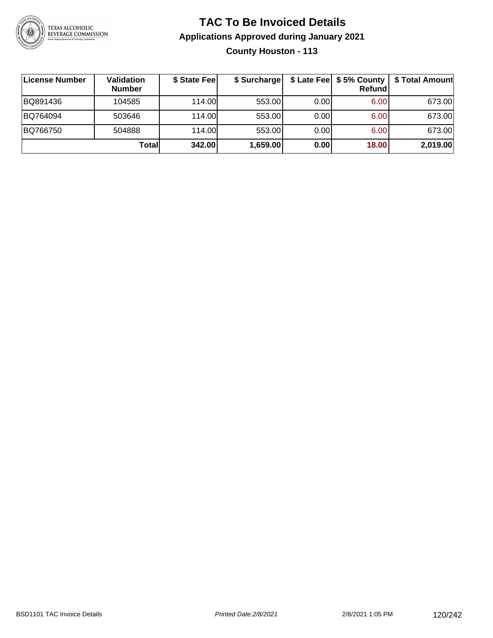

#### **TAC To Be Invoiced Details Applications Approved during January 2021 County Houston - 113**

| ∣License Number | Validation<br><b>Number</b> | \$ State Fee | \$ Surcharge |      | \$ Late Fee   \$5% County  <br>Refundl | \$ Total Amount |
|-----------------|-----------------------------|--------------|--------------|------|----------------------------------------|-----------------|
| BQ891436        | 104585                      | 114.00       | 553.00       | 0.00 | 6.00                                   | 673.00          |
| BQ764094        | 503646                      | 114.00       | 553.00       | 0.00 | 6.00                                   | 673.00          |
| BQ766750        | 504888                      | 114.00       | 553.00       | 0.00 | 6.00                                   | 673.00          |
|                 | Totall                      | 342.00       | 1,659.00     | 0.00 | 18.00                                  | 2,019.00        |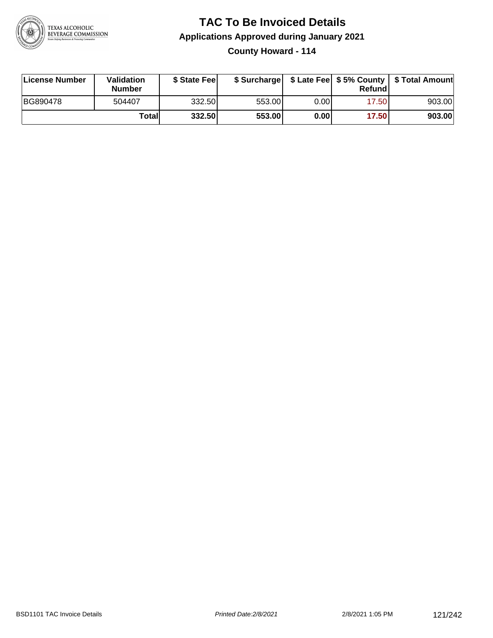

#### **TAC To Be Invoiced Details Applications Approved during January 2021 County Howard - 114**

| License Number | <b>Validation</b><br><b>Number</b> | \$ State Fee |        |       | Refundl | \$ Surcharge   \$ Late Fee   \$5% County   \$ Total Amount |
|----------------|------------------------------------|--------------|--------|-------|---------|------------------------------------------------------------|
| BG890478       | 504407                             | 332.50       | 553.00 | 0.00I | 17.50   | 903.00                                                     |
|                | Totall                             | 332.50       | 553.00 | 0.00  | 17.50   | 903.00                                                     |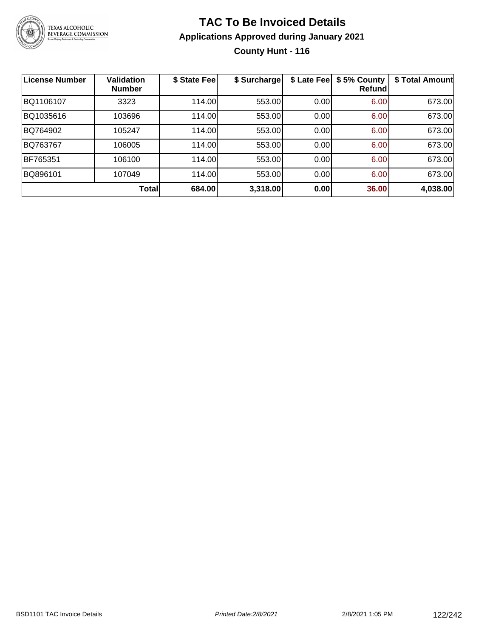

#### **TAC To Be Invoiced Details Applications Approved during January 2021 County Hunt - 116**

| <b>License Number</b> | <b>Validation</b><br><b>Number</b> | \$ State Fee | \$ Surcharge | \$ Late Fee | \$5% County<br>Refundl | \$ Total Amount |
|-----------------------|------------------------------------|--------------|--------------|-------------|------------------------|-----------------|
| BQ1106107             | 3323                               | 114.00       | 553.00       | 0.00        | 6.00                   | 673.00          |
| BQ1035616             | 103696                             | 114.00       | 553.00       | 0.00        | 6.00                   | 673.00          |
| BQ764902              | 105247                             | 114.00       | 553.00       | 0.00        | 6.00                   | 673.00          |
| BQ763767              | 106005                             | 114.00       | 553.00       | 0.00        | 6.00                   | 673.00          |
| BF765351              | 106100                             | 114.00       | 553.00       | 0.00        | 6.00                   | 673.00          |
| BQ896101              | 107049                             | 114.00       | 553.00       | 0.00        | 6.00                   | 673.00          |
|                       | Total                              | 684.00       | 3,318.00     | 0.00        | 36.00                  | 4,038.00        |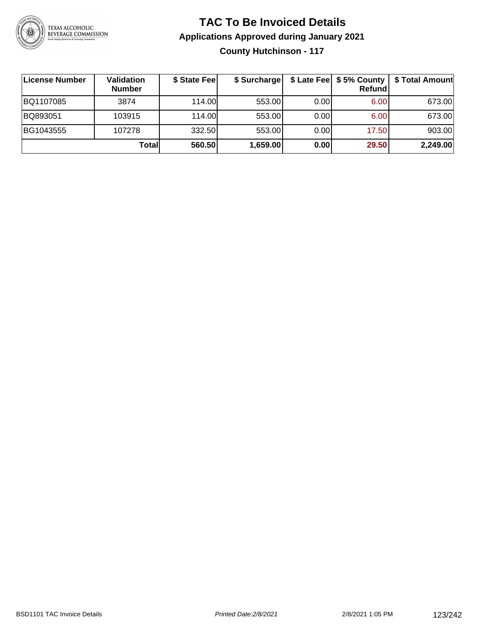

#### **TAC To Be Invoiced Details Applications Approved during January 2021 County Hutchinson - 117**

| License Number | Validation<br><b>Number</b> | \$ State Fee | \$ Surcharge |      | $$$ Late Fee $$5%$ County<br>Refundl | \$ Total Amount |
|----------------|-----------------------------|--------------|--------------|------|--------------------------------------|-----------------|
| BQ1107085      | 3874                        | 114.00       | 553.00       | 0.00 | 6.00                                 | 673.00          |
| BQ893051       | 103915                      | 114.00       | 553.00       | 0.00 | 6.00                                 | 673.00          |
| BG1043555      | 107278                      | 332.50       | 553.00       | 0.00 | 17.50                                | 903.00          |
|                | Totall                      | 560.50       | 1,659.00     | 0.00 | 29.50                                | 2,249.00        |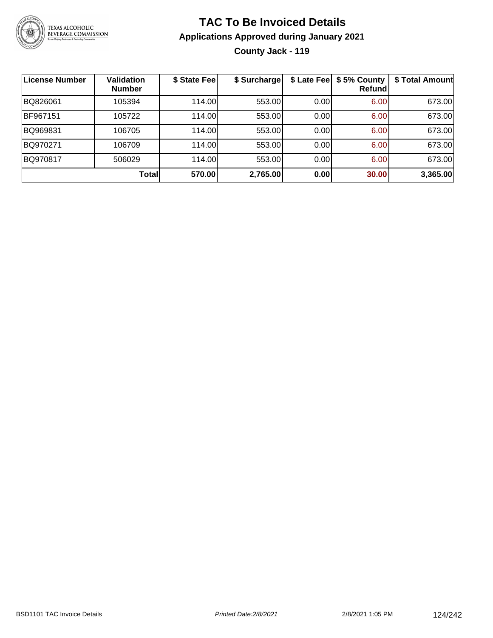

#### **TAC To Be Invoiced Details Applications Approved during January 2021 County Jack - 119**

| <b>License Number</b> | <b>Validation</b><br><b>Number</b> | \$ State Fee | \$ Surcharge |      | \$ Late Fee   \$5% County<br>Refundl | \$ Total Amount |
|-----------------------|------------------------------------|--------------|--------------|------|--------------------------------------|-----------------|
| BQ826061              | 105394                             | 114.00       | 553.00       | 0.00 | 6.00                                 | 673.00          |
| BF967151              | 105722                             | 114.00       | 553.00       | 0.00 | 6.00                                 | 673.00          |
| BQ969831              | 106705                             | 114.00       | 553.00       | 0.00 | 6.00                                 | 673.00          |
| BQ970271              | 106709                             | 114.00       | 553.00       | 0.00 | 6.00                                 | 673.00          |
| BQ970817              | 506029                             | 114.00       | 553.00       | 0.00 | 6.00                                 | 673.00          |
|                       | <b>Total</b>                       | 570.00       | 2,765.00     | 0.00 | 30.00                                | 3,365.00        |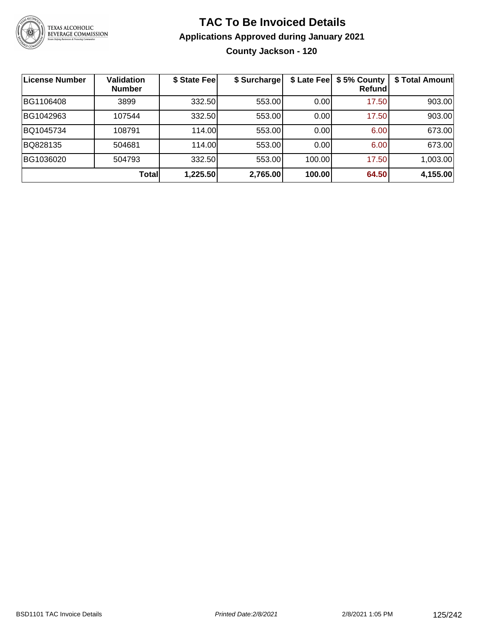

#### **TAC To Be Invoiced Details Applications Approved during January 2021 County Jackson - 120**

| License Number | <b>Validation</b><br><b>Number</b> | \$ State Fee | \$ Surcharge |        | \$ Late Fee   \$5% County<br>Refundl | \$ Total Amount |
|----------------|------------------------------------|--------------|--------------|--------|--------------------------------------|-----------------|
| BG1106408      | 3899                               | 332.50       | 553.00       | 0.00   | 17.50                                | 903.00          |
| BG1042963      | 107544                             | 332.50       | 553.00       | 0.00   | 17.50                                | 903.00          |
| BQ1045734      | 108791                             | 114.00       | 553.00       | 0.00   | 6.00                                 | 673.00          |
| BQ828135       | 504681                             | 114.00       | 553.00       | 0.00   | 6.00                                 | 673.00          |
| BG1036020      | 504793                             | 332.50       | 553.00       | 100.00 | 17.50                                | 1,003.00        |
|                | Total                              | 1,225.50     | 2,765.00     | 100.00 | 64.50                                | 4,155.00        |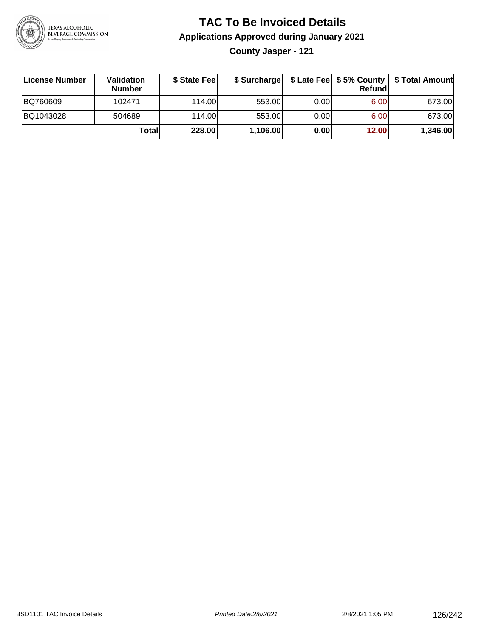

## **TAC To Be Invoiced Details Applications Approved during January 2021**

**County Jasper - 121**

| ∣License Number | Validation<br><b>Number</b> | \$ State Fee | \$ Surcharge |       | <b>Refund</b>     | \$ Late Fee   \$5% County   \$ Total Amount |
|-----------------|-----------------------------|--------------|--------------|-------|-------------------|---------------------------------------------|
| BQ760609        | 102471                      | 114.00       | 553.00       | 0.00  | 6.00              | 673.00                                      |
| BQ1043028       | 504689                      | 114.00L      | 553.00       | 0.001 | 6.00 <sub>1</sub> | 673.00                                      |
|                 | Totall                      | 228.00       | 1,106.00     | 0.00  | 12.00             | 1,346.00                                    |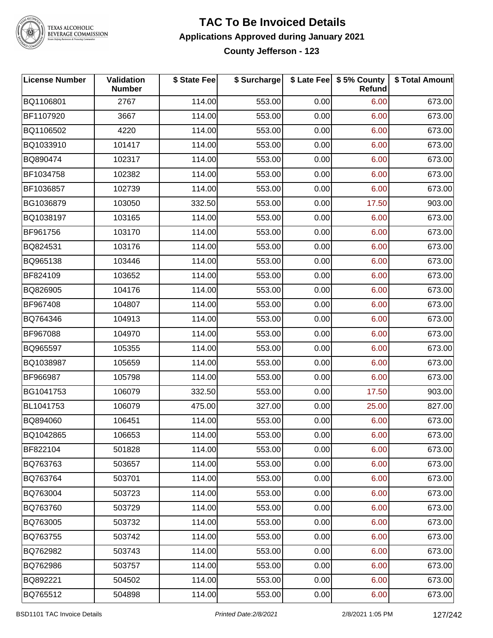

TEXAS ALCOHOLIC<br>BEVERAGE COMMISSION

#### **TAC To Be Invoiced Details Applications Approved during January 2021 County Jefferson - 123**

| <b>License Number</b> | Validation<br><b>Number</b> | \$ State Fee | \$ Surcharge |      | \$ Late Fee   \$5% County<br><b>Refund</b> | \$ Total Amount |
|-----------------------|-----------------------------|--------------|--------------|------|--------------------------------------------|-----------------|
| BQ1106801             | 2767                        | 114.00       | 553.00       | 0.00 | 6.00                                       | 673.00          |
| BF1107920             | 3667                        | 114.00       | 553.00       | 0.00 | 6.00                                       | 673.00          |
| BQ1106502             | 4220                        | 114.00       | 553.00       | 0.00 | 6.00                                       | 673.00          |
| BQ1033910             | 101417                      | 114.00       | 553.00       | 0.00 | 6.00                                       | 673.00          |
| BQ890474              | 102317                      | 114.00       | 553.00       | 0.00 | 6.00                                       | 673.00          |
| BF1034758             | 102382                      | 114.00       | 553.00       | 0.00 | 6.00                                       | 673.00          |
| BF1036857             | 102739                      | 114.00       | 553.00       | 0.00 | 6.00                                       | 673.00          |
| BG1036879             | 103050                      | 332.50       | 553.00       | 0.00 | 17.50                                      | 903.00          |
| BQ1038197             | 103165                      | 114.00       | 553.00       | 0.00 | 6.00                                       | 673.00          |
| BF961756              | 103170                      | 114.00       | 553.00       | 0.00 | 6.00                                       | 673.00          |
| BQ824531              | 103176                      | 114.00       | 553.00       | 0.00 | 6.00                                       | 673.00          |
| BQ965138              | 103446                      | 114.00       | 553.00       | 0.00 | 6.00                                       | 673.00          |
| BF824109              | 103652                      | 114.00       | 553.00       | 0.00 | 6.00                                       | 673.00          |
| BQ826905              | 104176                      | 114.00       | 553.00       | 0.00 | 6.00                                       | 673.00          |
| BF967408              | 104807                      | 114.00       | 553.00       | 0.00 | 6.00                                       | 673.00          |
| BQ764346              | 104913                      | 114.00       | 553.00       | 0.00 | 6.00                                       | 673.00          |
| BF967088              | 104970                      | 114.00       | 553.00       | 0.00 | 6.00                                       | 673.00          |
| BQ965597              | 105355                      | 114.00       | 553.00       | 0.00 | 6.00                                       | 673.00          |
| BQ1038987             | 105659                      | 114.00       | 553.00       | 0.00 | 6.00                                       | 673.00          |
| BF966987              | 105798                      | 114.00       | 553.00       | 0.00 | 6.00                                       | 673.00          |
| BG1041753             | 106079                      | 332.50       | 553.00       | 0.00 | 17.50                                      | 903.00          |
| BL1041753             | 106079                      | 475.00       | 327.00       | 0.00 | 25.00                                      | 827.00          |
| BQ894060              | 106451                      | 114.00       | 553.00       | 0.00 | 6.00                                       | 673.00          |
| BQ1042865             | 106653                      | 114.00       | 553.00       | 0.00 | 6.00                                       | 673.00          |
| BF822104              | 501828                      | 114.00       | 553.00       | 0.00 | 6.00                                       | 673.00          |
| BQ763763              | 503657                      | 114.00       | 553.00       | 0.00 | 6.00                                       | 673.00          |
| BQ763764              | 503701                      | 114.00       | 553.00       | 0.00 | 6.00                                       | 673.00          |
| BQ763004              | 503723                      | 114.00       | 553.00       | 0.00 | 6.00                                       | 673.00          |
| BQ763760              | 503729                      | 114.00       | 553.00       | 0.00 | 6.00                                       | 673.00          |
| BQ763005              | 503732                      | 114.00       | 553.00       | 0.00 | 6.00                                       | 673.00          |
| BQ763755              | 503742                      | 114.00       | 553.00       | 0.00 | 6.00                                       | 673.00          |
| BQ762982              | 503743                      | 114.00       | 553.00       | 0.00 | 6.00                                       | 673.00          |
| BQ762986              | 503757                      | 114.00       | 553.00       | 0.00 | 6.00                                       | 673.00          |
| BQ892221              | 504502                      | 114.00       | 553.00       | 0.00 | 6.00                                       | 673.00          |
| BQ765512              | 504898                      | 114.00       | 553.00       | 0.00 | 6.00                                       | 673.00          |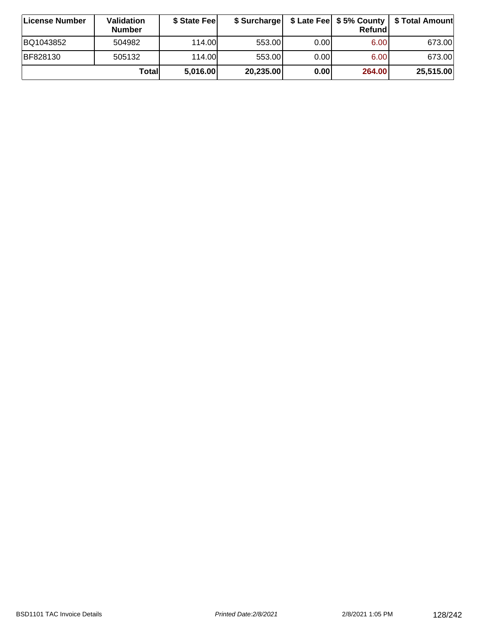| ∣License Number | Validation<br><b>Number</b> | \$ State Feel | \$ Surcharge |       | Refundl | \$ Late Fee   \$5% County   \$ Total Amount |
|-----------------|-----------------------------|---------------|--------------|-------|---------|---------------------------------------------|
| BQ1043852       | 504982                      | 114.00        | 553.00       | 0.00  | 6.00    | 673.00                                      |
| BF828130        | 505132                      | 114.00        | 553.00       | 0.001 | 6.00    | 673.00                                      |
|                 | Totall                      | 5,016.00      | 20,235.00    | 0.00  | 264.00  | 25,515.00                                   |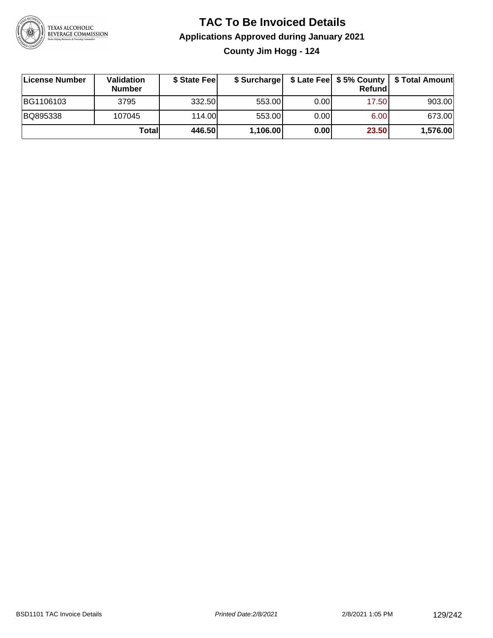

#### **TAC To Be Invoiced Details Applications Approved during January 2021 County Jim Hogg - 124**

| License Number | <b>Validation</b><br><b>Number</b> | \$ State Fee | \$ Surcharge |       | Refund | \$ Late Fee   \$5% County   \$ Total Amount |
|----------------|------------------------------------|--------------|--------------|-------|--------|---------------------------------------------|
| BG1106103      | 3795                               | 332.50       | 553.00       | 0.00  | 17.50  | 903.00                                      |
| BQ895338       | 107045                             | 114.00       | 553.00       | 0.001 | 6.00   | 673.00                                      |
|                | Totall                             | 446.50       | 1,106.00     | 0.00  | 23.50  | 1,576.00                                    |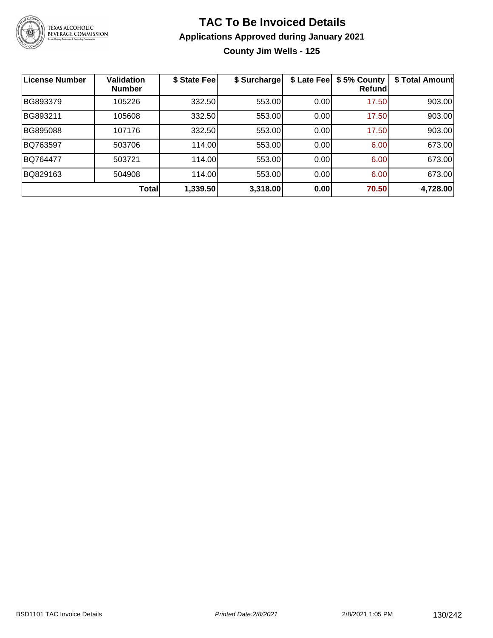

## **TAC To Be Invoiced Details Applications Approved during January 2021**

**County Jim Wells - 125**

| License Number | <b>Validation</b><br><b>Number</b> | \$ State Fee | \$ Surcharge | \$ Late Fee | \$5% County<br>Refundl | \$ Total Amount |
|----------------|------------------------------------|--------------|--------------|-------------|------------------------|-----------------|
| BG893379       | 105226                             | 332.50       | 553.00       | 0.00        | 17.50                  | 903.00          |
| BG893211       | 105608                             | 332.50       | 553.00       | 0.00        | 17.50                  | 903.00          |
| BG895088       | 107176                             | 332.50       | 553.00       | 0.00        | 17.50                  | 903.00          |
| BQ763597       | 503706                             | 114.00       | 553.00       | 0.00        | 6.00                   | 673.00          |
| BQ764477       | 503721                             | 114.00       | 553.00       | 0.00        | 6.00                   | 673.00          |
| BQ829163       | 504908                             | 114.00       | 553.00       | 0.00        | 6.00                   | 673.00          |
|                | <b>Total</b>                       | 1,339.50     | 3,318.00     | 0.00        | 70.50                  | 4,728.00        |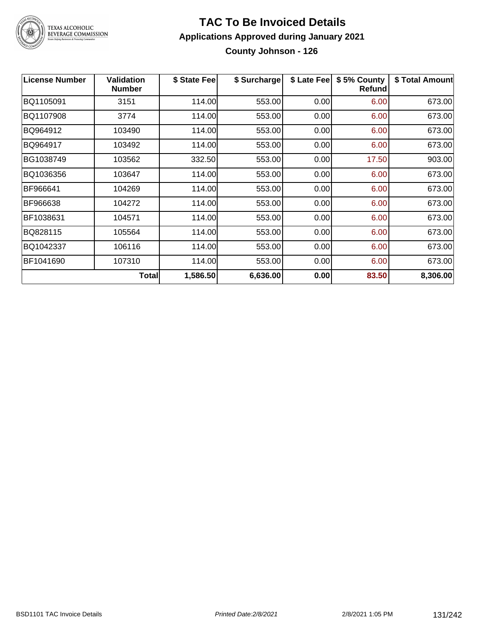

TEXAS ALCOHOLIC<br>BEVERAGE COMMISSION

#### **TAC To Be Invoiced Details Applications Approved during January 2021 County Johnson - 126**

| <b>License Number</b> | <b>Validation</b><br><b>Number</b> | \$ State Fee | \$ Surcharge | \$ Late Fee | \$5% County<br><b>Refund</b> | \$ Total Amount |
|-----------------------|------------------------------------|--------------|--------------|-------------|------------------------------|-----------------|
| BQ1105091             | 3151                               | 114.00       | 553.00       | 0.00        | 6.00                         | 673.00          |
| BQ1107908             | 3774                               | 114.00       | 553.00       | 0.00        | 6.00                         | 673.00          |
| BQ964912              | 103490                             | 114.00       | 553.00       | 0.00        | 6.00                         | 673.00          |
| BQ964917              | 103492                             | 114.00       | 553.00       | 0.00        | 6.00                         | 673.00          |
| BG1038749             | 103562                             | 332.50       | 553.00       | 0.00        | 17.50                        | 903.00          |
| BQ1036356             | 103647                             | 114.00       | 553.00       | 0.00        | 6.00                         | 673.00          |
| BF966641              | 104269                             | 114.00       | 553.00       | 0.00        | 6.00                         | 673.00          |
| BF966638              | 104272                             | 114.00       | 553.00       | 0.00        | 6.00                         | 673.00          |
| BF1038631             | 104571                             | 114.00       | 553.00       | 0.00        | 6.00                         | 673.00          |
| BQ828115              | 105564                             | 114.00       | 553.00       | 0.00        | 6.00                         | 673.00          |
| BQ1042337             | 106116                             | 114.00       | 553.00       | 0.00        | 6.00                         | 673.00          |
| BF1041690             | 107310                             | 114.00       | 553.00       | 0.00        | 6.00                         | 673.00          |
|                       | Total                              | 1,586.50     | 6,636.00     | 0.00        | 83.50                        | 8,306.00        |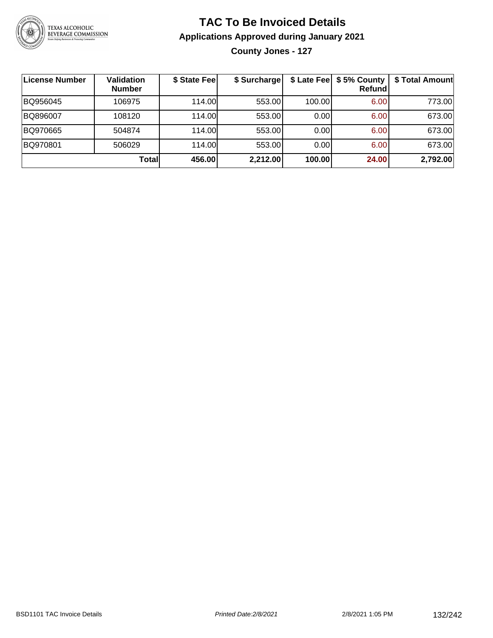

## **TAC To Be Invoiced Details Applications Approved during January 2021**

**County Jones - 127**

| License Number | <b>Validation</b><br><b>Number</b> | \$ State Fee | \$ Surcharge |        | \$ Late Fee   \$5% County  <br><b>Refund</b> | \$ Total Amount |
|----------------|------------------------------------|--------------|--------------|--------|----------------------------------------------|-----------------|
| BQ956045       | 106975                             | 114.00L      | 553.00       | 100.00 | 6.00                                         | 773.00          |
| BQ896007       | 108120                             | 114.00L      | 553.00       | 0.00   | 6.00                                         | 673.00          |
| BQ970665       | 504874                             | 114.00L      | 553.00       | 0.00   | 6.00                                         | 673.00          |
| BQ970801       | 506029                             | 114.00       | 553.00       | 0.00   | 6.00                                         | 673.00          |
|                | Totall                             | 456.00       | 2,212.00     | 100.00 | 24.00                                        | 2,792.00        |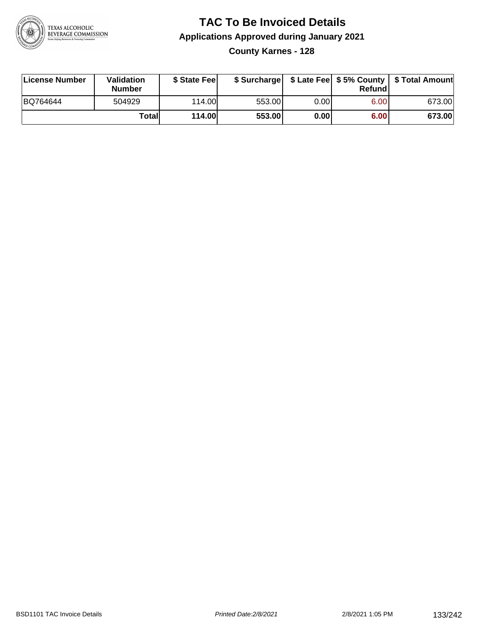

#### **TAC To Be Invoiced Details Applications Approved during January 2021 County Karnes - 128**

| License Number | <b>Validation</b><br><b>Number</b> | \$ State Feel |        |      | Refundl | \$ Surcharge   \$ Late Fee   \$5% County   \$ Total Amount |
|----------------|------------------------------------|---------------|--------|------|---------|------------------------------------------------------------|
| BQ764644       | 504929                             | 114.00L       | 553.00 | 0.00 | 6.00    | 673.00                                                     |
|                | Totall                             | <b>114.00</b> | 553.00 | 0.00 | 6.00    | 673.00                                                     |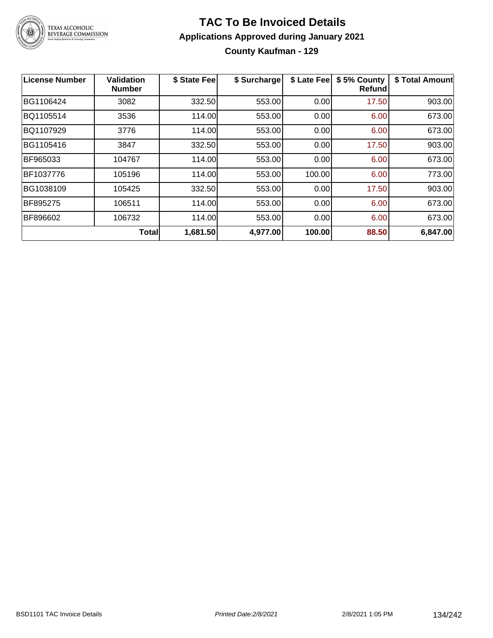

#### **TAC To Be Invoiced Details Applications Approved during January 2021 County Kaufman - 129**

| License Number | <b>Validation</b><br><b>Number</b> | \$ State Fee | \$ Surcharge | \$ Late Fee | \$5% County<br>Refund | \$ Total Amount |
|----------------|------------------------------------|--------------|--------------|-------------|-----------------------|-----------------|
| BG1106424      | 3082                               | 332.50       | 553.00       | 0.00        | 17.50                 | 903.00          |
| BQ1105514      | 3536                               | 114.00       | 553.00       | 0.00        | 6.00                  | 673.00          |
| BQ1107929      | 3776                               | 114.00       | 553.00       | 0.00        | 6.00                  | 673.00          |
| BG1105416      | 3847                               | 332.50       | 553.00       | 0.00        | 17.50                 | 903.00          |
| BF965033       | 104767                             | 114.00       | 553.00       | 0.00        | 6.00                  | 673.00          |
| BF1037776      | 105196                             | 114.00       | 553.00       | 100.00      | 6.00                  | 773.00          |
| BG1038109      | 105425                             | 332.50       | 553.00       | 0.00        | 17.50                 | 903.00          |
| BF895275       | 106511                             | 114.00       | 553.00       | 0.00        | 6.00                  | 673.00          |
| BF896602       | 106732                             | 114.00       | 553.00       | 0.00        | 6.00                  | 673.00          |
|                | <b>Total</b>                       | 1,681.50     | 4,977.00     | 100.00      | 88.50                 | 6,847.00        |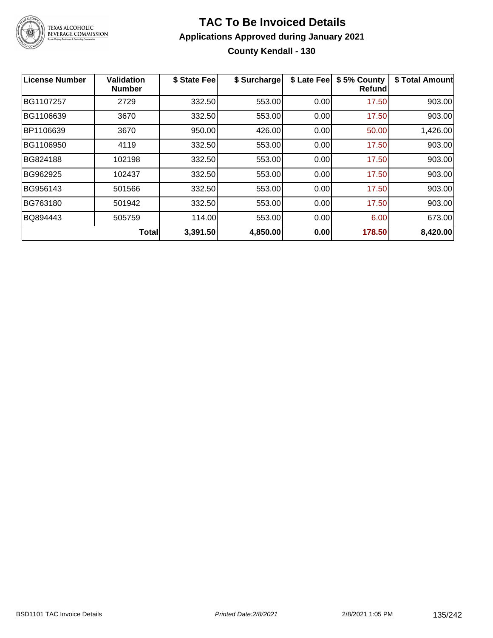

#### **TAC To Be Invoiced Details Applications Approved during January 2021 County Kendall - 130**

| <b>License Number</b> | <b>Validation</b><br><b>Number</b> | \$ State Fee | \$ Surcharge | \$ Late Fee | \$5% County<br>Refundl | \$ Total Amount |
|-----------------------|------------------------------------|--------------|--------------|-------------|------------------------|-----------------|
| BG1107257             | 2729                               | 332.50       | 553.00       | 0.00        | 17.50                  | 903.00          |
| BG1106639             | 3670                               | 332.50       | 553.00       | 0.00        | 17.50                  | 903.00          |
| BP1106639             | 3670                               | 950.00       | 426.00       | 0.00        | 50.00                  | 1,426.00        |
| BG1106950             | 4119                               | 332.50       | 553.00       | 0.00        | 17.50                  | 903.00          |
| BG824188              | 102198                             | 332.50       | 553.00       | 0.00        | 17.50                  | 903.00          |
| BG962925              | 102437                             | 332.50       | 553.00       | 0.00        | 17.50                  | 903.00          |
| BG956143              | 501566                             | 332.50       | 553.00       | 0.00        | 17.50                  | 903.00          |
| BG763180              | 501942                             | 332.50       | 553.00       | 0.00        | 17.50                  | 903.00          |
| BQ894443              | 505759                             | 114.00       | 553.00       | 0.00        | 6.00                   | 673.00          |
|                       | <b>Total</b>                       | 3,391.50     | 4,850.00     | 0.00        | 178.50                 | 8,420.00        |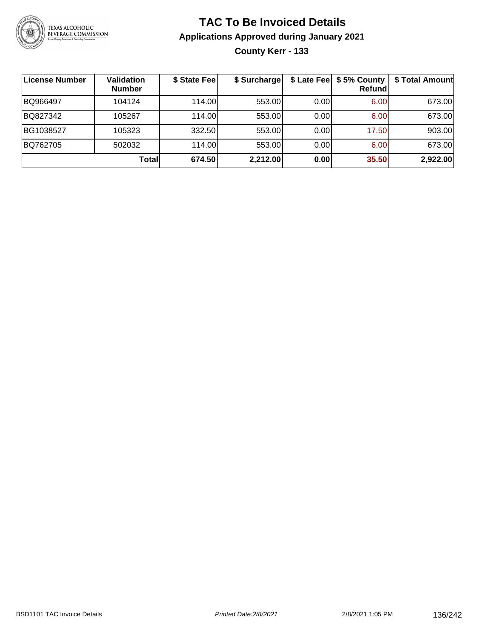

#### **TAC To Be Invoiced Details Applications Approved during January 2021 County Kerr - 133**

| License Number | <b>Validation</b><br><b>Number</b> | \$ State Fee | \$ Surcharge |      | \$ Late Fee   \$5% County  <br><b>Refund</b> | \$ Total Amount |
|----------------|------------------------------------|--------------|--------------|------|----------------------------------------------|-----------------|
| BQ966497       | 104124                             | 114.00       | 553.00       | 0.00 | 6.00                                         | 673.00          |
| BQ827342       | 105267                             | 114.00L      | 553.00       | 0.00 | 6.00                                         | 673.00          |
| BG1038527      | 105323                             | 332.50       | 553.00       | 0.00 | 17.50                                        | 903.00          |
| BQ762705       | 502032                             | 114.00L      | 553.00       | 0.00 | 6.00                                         | 673.00          |
|                | Totall                             | 674.50       | 2,212.00     | 0.00 | 35.50                                        | 2,922.00        |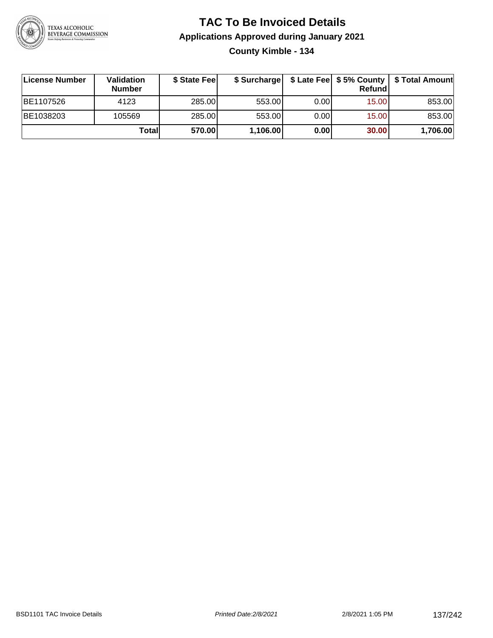

#### **TAC To Be Invoiced Details Applications Approved during January 2021 County Kimble - 134**

| License Number | <b>Validation</b><br><b>Number</b> | \$ State Feel |          |       | Refund | \$ Surcharge   \$ Late Fee   \$5% County   \$ Total Amount |
|----------------|------------------------------------|---------------|----------|-------|--------|------------------------------------------------------------|
| BE1107526      | 4123                               | 285.00        | 553.00   | 0.001 | 15.00  | 853.00                                                     |
| BE1038203      | 105569                             | 285.00        | 553.00   | 0.001 | 15.00  | 853.00                                                     |
|                | Totall                             | 570.00        | 1,106.00 | 0.00  | 30.00  | 1,706.00                                                   |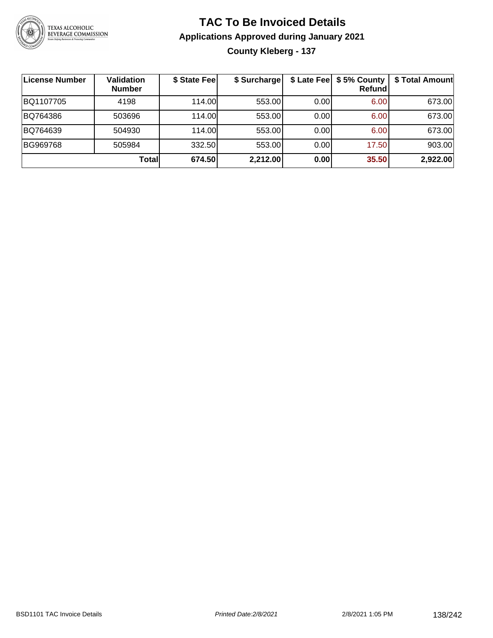

#### **TAC To Be Invoiced Details Applications Approved during January 2021 County Kleberg - 137**

| License Number | Validation<br><b>Number</b> | \$ State Fee | \$ Surcharge |      | \$ Late Fee   \$5% County<br><b>Refund</b> | \$ Total Amount |
|----------------|-----------------------------|--------------|--------------|------|--------------------------------------------|-----------------|
| BQ1107705      | 4198                        | 114.00       | 553.00       | 0.00 | 6.00                                       | 673.00          |
| BQ764386       | 503696                      | 114.00       | 553.00       | 0.00 | 6.00                                       | 673.00          |
| BQ764639       | 504930                      | 114.00L      | 553.00       | 0.00 | 6.00                                       | 673.00          |
| BG969768       | 505984                      | 332.50       | 553.00       | 0.00 | 17.50                                      | 903.00          |
|                | Totall                      | 674.50       | 2,212.00     | 0.00 | 35.50                                      | 2,922.00        |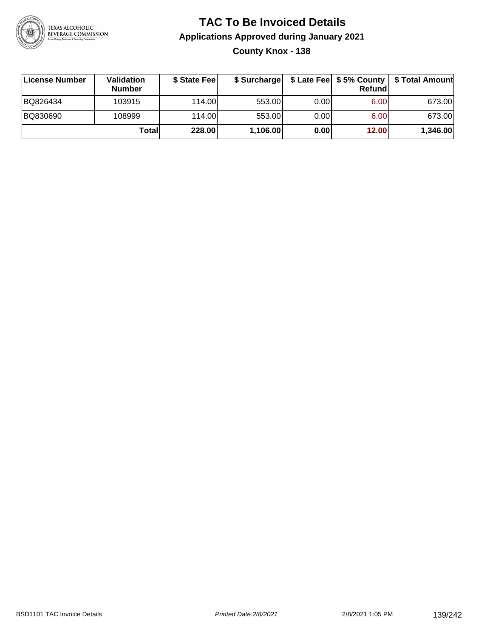

#### **TAC To Be Invoiced Details Applications Approved during January 2021 County Knox - 138**

| License Number | Validation<br><b>Number</b> | \$ State Fee | \$ Surcharge |      | Refund | \$ Late Fee   \$5% County   \$ Total Amount |
|----------------|-----------------------------|--------------|--------------|------|--------|---------------------------------------------|
| BQ826434       | 103915                      | 114.00       | 553.00       | 0.00 | 6.00   | 673.00                                      |
| BQ830690       | 108999                      | 114.00       | 553.00       | 0.00 | 6.00   | 673.00                                      |
|                | Totall                      | 228.00       | 1,106.00     | 0.00 | 12.00  | 1,346.00                                    |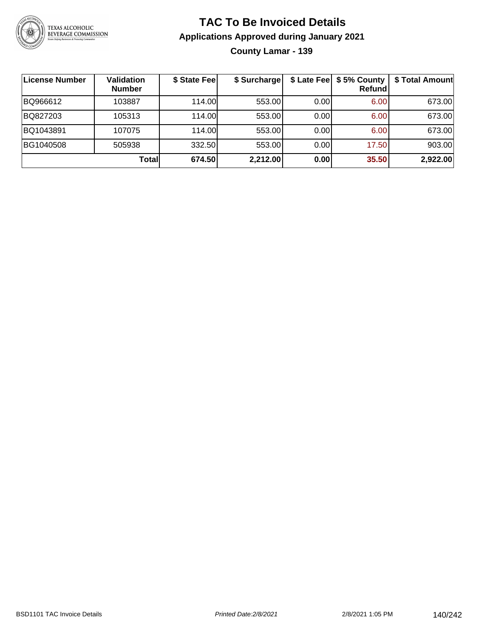

# **TAC To Be Invoiced Details Applications Approved during January 2021**

**County Lamar - 139**

| ∣License Number | Validation<br><b>Number</b> | \$ State Fee | \$ Surcharge |      | \$ Late Fee   \$5% County  <br>Refundl | \$ Total Amount |
|-----------------|-----------------------------|--------------|--------------|------|----------------------------------------|-----------------|
| BQ966612        | 103887                      | 114.00       | 553.00       | 0.00 | 6.00                                   | 673.00          |
| BQ827203        | 105313                      | 114.00       | 553.00       | 0.00 | 6.00                                   | 673.00          |
| BQ1043891       | 107075                      | 114.00       | 553.00       | 0.00 | 6.00                                   | 673.00          |
| BG1040508       | 505938                      | 332.50       | 553.00       | 0.00 | 17.50                                  | 903.00          |
|                 | Total                       | 674.50       | 2,212.00     | 0.00 | 35.50                                  | 2,922.00        |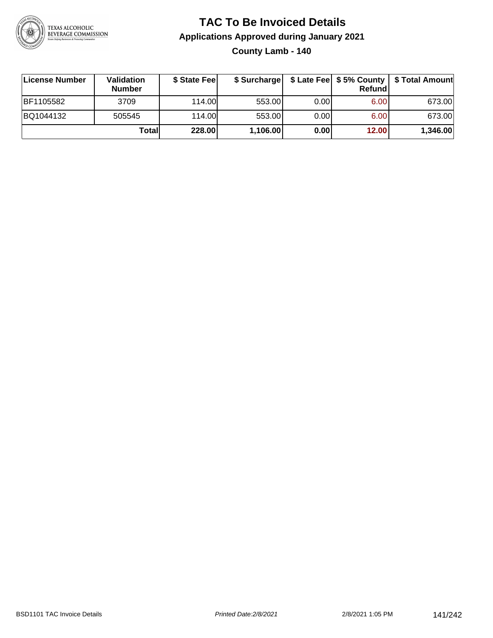

#### **TAC To Be Invoiced Details Applications Approved during January 2021 County Lamb - 140**

| License Number | Validation<br><b>Number</b> | \$ State Fee |          |      | Refundl | \$ Surcharge   \$ Late Fee   \$5% County   \$ Total Amount |
|----------------|-----------------------------|--------------|----------|------|---------|------------------------------------------------------------|
| BF1105582      | 3709                        | 114.00L      | 553.00   | 0.00 | 6.00    | 673.00                                                     |
| BQ1044132      | 505545                      | 114.00       | 553.00   | 0.00 | 6.00    | 673.00                                                     |
|                | Totall                      | 228.00       | 1,106.00 | 0.00 | 12.00   | 1,346.00                                                   |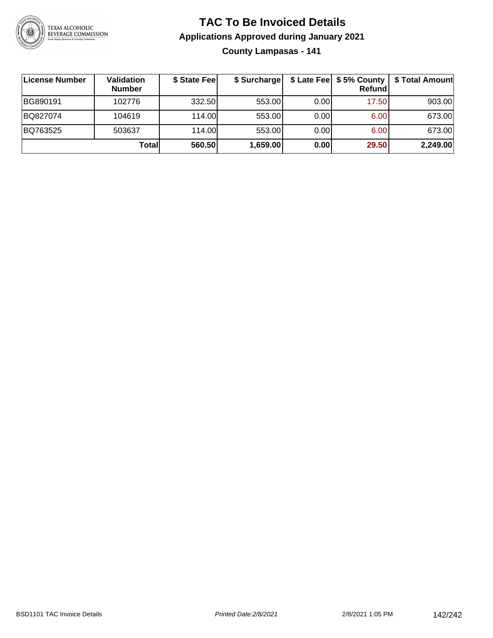

## **TAC To Be Invoiced Details Applications Approved during January 2021**

**County Lampasas - 141**

| <b>License Number</b> | Validation<br><b>Number</b> | \$ State Fee | \$ Surcharge |       | Refundl | \$ Late Fee   \$5% County   \$ Total Amount |
|-----------------------|-----------------------------|--------------|--------------|-------|---------|---------------------------------------------|
| BG890191              | 102776                      | 332.50       | 553.00       | 0.001 | 17.50   | 903.00                                      |
| BQ827074              | 104619                      | 114.00       | 553.00       | 0.00  | 6.00    | 673.00                                      |
| BQ763525              | 503637                      | 114.00       | 553.00       | 0.00  | 6.00    | 673.00                                      |
|                       | Total                       | 560.50       | 1,659.00     | 0.00  | 29.50   | 2,249.00                                    |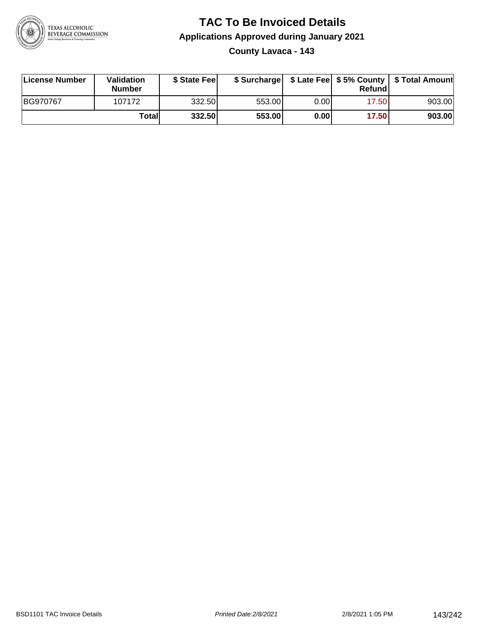

#### **TAC To Be Invoiced Details Applications Approved during January 2021 County Lavaca - 143**

| License Number | <b>Validation</b><br><b>Number</b> | \$ State Feel |        |       | Refund | \$ Surcharge   \$ Late Fee   \$5% County   \$ Total Amount |
|----------------|------------------------------------|---------------|--------|-------|--------|------------------------------------------------------------|
| BG970767       | 107172                             | 332.50        | 553.00 | 0.001 | 17.50  | 903.00                                                     |
|                | Totall                             | 332.50        | 553.00 | 0.00  | 17.50  | 903.00                                                     |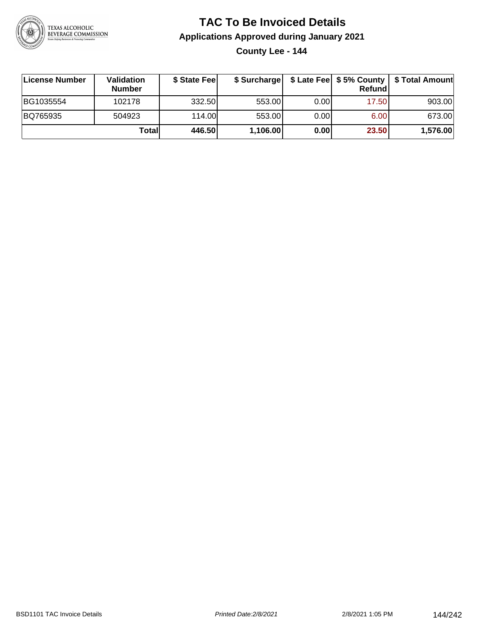

# **TAC To Be Invoiced Details Applications Approved during January 2021**

**County Lee - 144**

| ∣License Number | <b>Validation</b><br><b>Number</b> | \$ State Fee | \$ Surcharge |       | Refundl | \$ Late Fee   \$5% County   \$ Total Amount |
|-----------------|------------------------------------|--------------|--------------|-------|---------|---------------------------------------------|
| BG1035554       | 102178                             | 332.50       | 553.00       | 0.001 | 17.50   | 903.00                                      |
| BQ765935        | 504923                             | 114.00       | 553.00       | 0.001 | 6.00    | 673.00                                      |
|                 | Totall                             | 446.50       | 1,106.00     | 0.00  | 23.50   | 1,576.00                                    |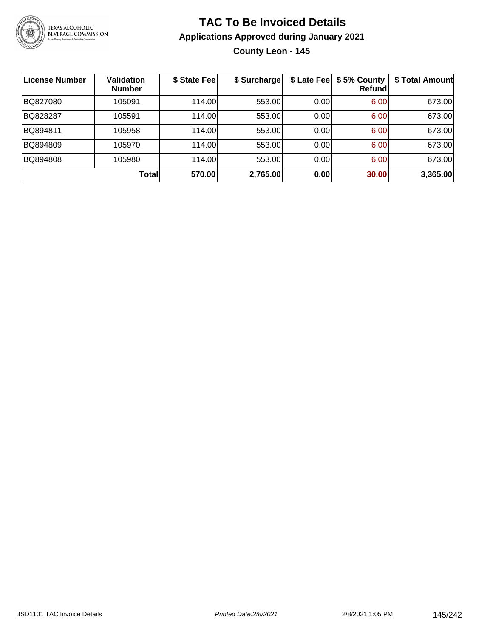

### **TAC To Be Invoiced Details Applications Approved during January 2021 County Leon - 145**

| License Number | <b>Validation</b><br><b>Number</b> | \$ State Feel | \$ Surcharge | \$ Late Fee | \$5% County<br>Refundl | \$ Total Amount |
|----------------|------------------------------------|---------------|--------------|-------------|------------------------|-----------------|
| BQ827080       | 105091                             | 114.00L       | 553.00       | 0.00        | 6.00                   | 673.00          |
| BQ828287       | 105591                             | 114.00        | 553.00       | 0.00        | 6.00                   | 673.00          |
| BQ894811       | 105958                             | 114.00L       | 553.00       | 0.00        | 6.00                   | 673.00          |
| BQ894809       | 105970                             | 114.00        | 553.00       | 0.00        | 6.00                   | 673.00          |
| BQ894808       | 105980                             | 114.00L       | 553.00       | 0.00        | 6.00                   | 673.00          |
|                | Total                              | 570.00        | 2,765.00     | 0.00        | 30.00                  | 3,365.00        |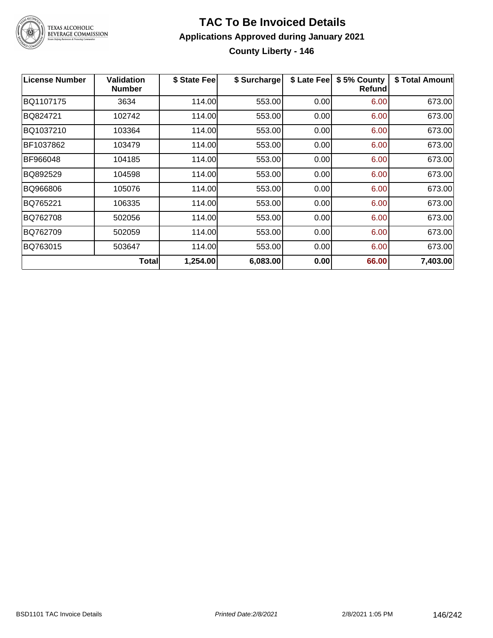

#### **TAC To Be Invoiced Details Applications Approved during January 2021 County Liberty - 146**

| <b>License Number</b> | <b>Validation</b><br><b>Number</b> | \$ State Fee | \$ Surcharge | \$ Late Fee | \$5% County<br><b>Refund</b> | \$ Total Amount |
|-----------------------|------------------------------------|--------------|--------------|-------------|------------------------------|-----------------|
| BQ1107175             | 3634                               | 114.00       | 553.00       | 0.00        | 6.00                         | 673.00          |
| BQ824721              | 102742                             | 114.00       | 553.00       | 0.00        | 6.00                         | 673.00          |
| BQ1037210             | 103364                             | 114.00       | 553.00       | 0.00        | 6.00                         | 673.00          |
| BF1037862             | 103479                             | 114.00       | 553.00       | 0.00        | 6.00                         | 673.00          |
| BF966048              | 104185                             | 114.00       | 553.00       | 0.00        | 6.00                         | 673.00          |
| BQ892529              | 104598                             | 114.00       | 553.00       | 0.00        | 6.00                         | 673.00          |
| BQ966806              | 105076                             | 114.00       | 553.00       | 0.00        | 6.00                         | 673.00          |
| BQ765221              | 106335                             | 114.00       | 553.00       | 0.00        | 6.00                         | 673.00          |
| BQ762708              | 502056                             | 114.00       | 553.00       | 0.00        | 6.00                         | 673.00          |
| BQ762709              | 502059                             | 114.00       | 553.00       | 0.00        | 6.00                         | 673.00          |
| BQ763015              | 503647                             | 114.00       | 553.00       | 0.00        | 6.00                         | 673.00          |
|                       | Total                              | 1,254.00     | 6,083.00     | 0.00        | 66.00                        | 7,403.00        |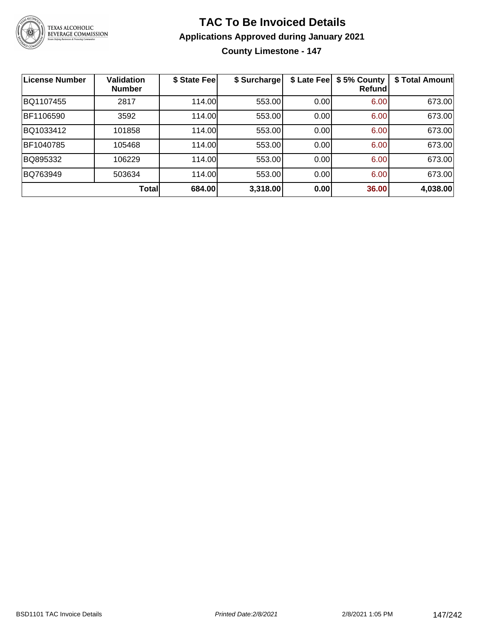

## **TAC To Be Invoiced Details Applications Approved during January 2021**

**County Limestone - 147**

| <b>License Number</b> | <b>Validation</b><br><b>Number</b> | \$ State Fee | \$ Surcharge | \$ Late Fee | \$5% County<br>Refundl | \$ Total Amount |
|-----------------------|------------------------------------|--------------|--------------|-------------|------------------------|-----------------|
| BQ1107455             | 2817                               | 114.00       | 553.00       | 0.00        | 6.00                   | 673.00          |
| BF1106590             | 3592                               | 114.00       | 553.00       | 0.00        | 6.00                   | 673.00          |
| BQ1033412             | 101858                             | 114.00       | 553.00       | 0.00        | 6.00                   | 673.00          |
| BF1040785             | 105468                             | 114.00       | 553.00       | 0.00        | 6.00                   | 673.00          |
| BQ895332              | 106229                             | 114.00       | 553.00       | 0.00        | 6.00                   | 673.00          |
| BQ763949              | 503634                             | 114.00       | 553.00       | 0.00        | 6.00                   | 673.00          |
|                       | <b>Total</b>                       | 684.00       | 3,318.00     | 0.00        | 36.00                  | 4,038.00        |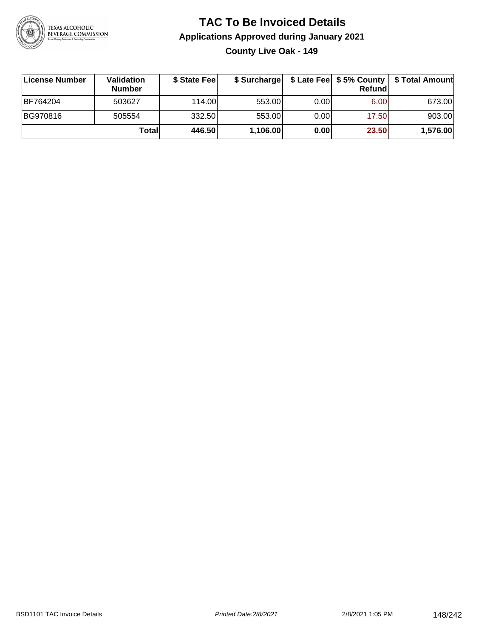

#### **TAC To Be Invoiced Details Applications Approved during January 2021 County Live Oak - 149**

| License Number  | Validation<br><b>Number</b> | \$ State Fee |          |       | Refundl | \$ Surcharge   \$ Late Fee   \$5% County   \$ Total Amount |
|-----------------|-----------------------------|--------------|----------|-------|---------|------------------------------------------------------------|
| <b>BF764204</b> | 503627                      | 114.00L      | 553.00   | 0.00  | 6.00    | 673.00                                                     |
| BG970816        | 505554                      | 332.50       | 553.00   | 0.001 | 17.50   | 903.00                                                     |
|                 | Totall                      | 446.50       | 1,106.00 | 0.00  | 23.50   | 1,576.00                                                   |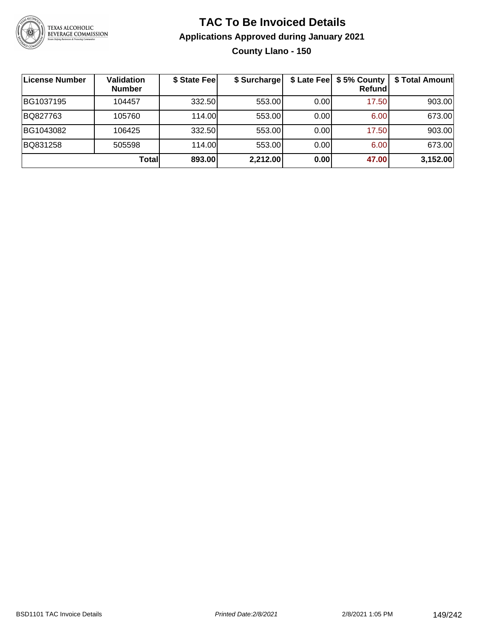

### **TAC To Be Invoiced Details Applications Approved during January 2021 County Llano - 150**

| ∣License Number | <b>Validation</b><br><b>Number</b> | \$ State Fee | \$ Surcharge |      | \$ Late Fee   \$5% County<br><b>Refund</b> | \$ Total Amount |
|-----------------|------------------------------------|--------------|--------------|------|--------------------------------------------|-----------------|
| BG1037195       | 104457                             | 332.50       | 553.00       | 0.00 | 17.50                                      | 903.00          |
| BQ827763        | 105760                             | 114.00L      | 553.00       | 0.00 | 6.00                                       | 673.00          |
| BG1043082       | 106425                             | 332.50       | 553.00       | 0.00 | 17.50                                      | 903.00          |
| BQ831258        | 505598                             | 114.00L      | 553.00       | 0.00 | 6.00                                       | 673.00          |
|                 | Totall                             | 893.00       | 2,212.00     | 0.00 | 47.00                                      | 3,152.00        |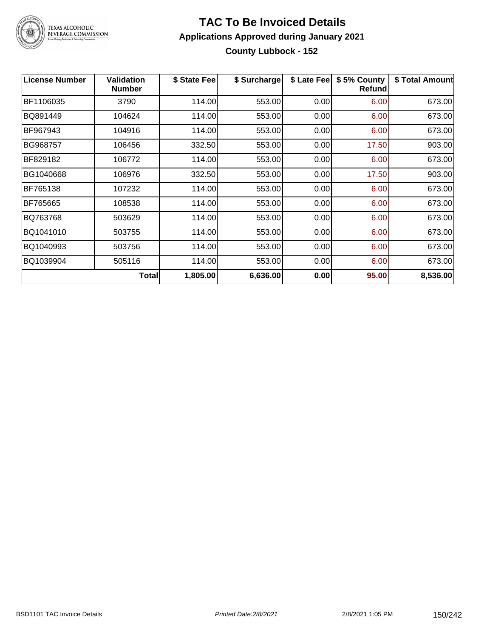

TEXAS ALCOHOLIC<br>BEVERAGE COMMISSION

#### **TAC To Be Invoiced Details Applications Approved during January 2021 County Lubbock - 152**

| <b>License Number</b> | <b>Validation</b><br><b>Number</b> | \$ State Fee | \$ Surcharge | \$ Late Fee | \$5% County<br><b>Refund</b> | \$ Total Amount |
|-----------------------|------------------------------------|--------------|--------------|-------------|------------------------------|-----------------|
| BF1106035             | 3790                               | 114.00       | 553.00       | 0.00        | 6.00                         | 673.00          |
| BQ891449              | 104624                             | 114.00       | 553.00       | 0.00        | 6.00                         | 673.00          |
| BF967943              | 104916                             | 114.00       | 553.00       | 0.00        | 6.00                         | 673.00          |
| BG968757              | 106456                             | 332.50       | 553.00       | 0.00        | 17.50                        | 903.00          |
| BF829182              | 106772                             | 114.00       | 553.00       | 0.00        | 6.00                         | 673.00          |
| BG1040668             | 106976                             | 332.50       | 553.00       | 0.00        | 17.50                        | 903.00          |
| BF765138              | 107232                             | 114.00       | 553.00       | 0.00        | 6.00                         | 673.00          |
| BF765665              | 108538                             | 114.00       | 553.00       | 0.00        | 6.00                         | 673.00          |
| BQ763768              | 503629                             | 114.00       | 553.00       | 0.00        | 6.00                         | 673.00          |
| BQ1041010             | 503755                             | 114.00       | 553.00       | 0.00        | 6.00                         | 673.00          |
| BQ1040993             | 503756                             | 114.00       | 553.00       | 0.00        | 6.00                         | 673.00          |
| BQ1039904             | 505116                             | 114.00       | 553.00       | 0.00        | 6.00                         | 673.00          |
|                       | Total                              | 1,805.00     | 6,636.00     | 0.00        | 95.00                        | 8,536.00        |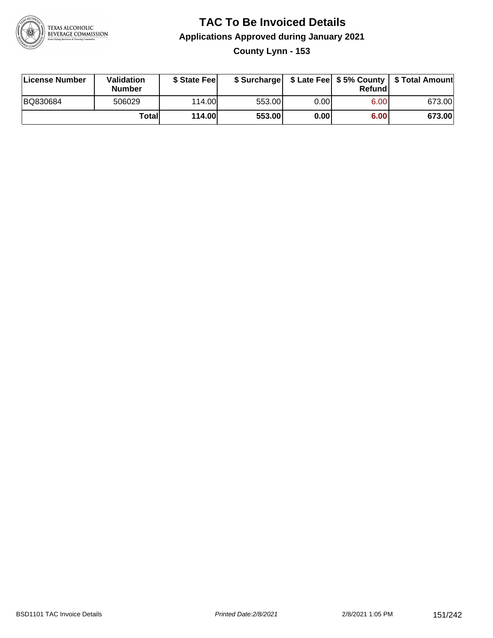

#### **TAC To Be Invoiced Details Applications Approved during January 2021 County Lynn - 153**

| License Number | <b>Validation</b><br><b>Number</b> | \$ State Feel |        |      | Refundl | \$ Surcharge   \$ Late Fee   \$5% County   \$ Total Amount |
|----------------|------------------------------------|---------------|--------|------|---------|------------------------------------------------------------|
| BQ830684       | 506029                             | 114.00L       | 553.00 | 0.00 | 6.00    | 673.00                                                     |
|                | <b>Totall</b>                      | <b>114.00</b> | 553.00 | 0.00 | 6.00    | 673.00                                                     |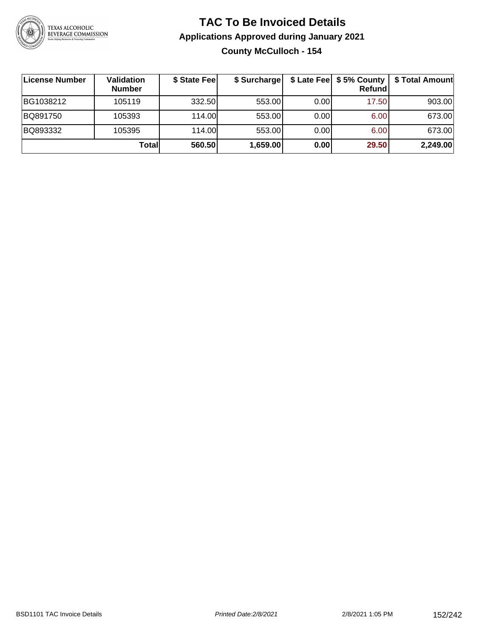

#### **TAC To Be Invoiced Details Applications Approved during January 2021 County McCulloch - 154**

| License Number | Validation<br><b>Number</b> | \$ State Fee | \$ Surcharge |      | $$$ Late Fee $$$ \$ 5% County $ $<br>Refundl | \$ Total Amount |
|----------------|-----------------------------|--------------|--------------|------|----------------------------------------------|-----------------|
| BG1038212      | 105119                      | 332.50       | 553.00       | 0.00 | 17.50                                        | 903.00          |
| BQ891750       | 105393                      | 114.00       | 553.00       | 0.00 | 6.00                                         | 673.00          |
| BQ893332       | 105395                      | 114.00       | 553.00       | 0.00 | 6.00                                         | 673.00          |
|                | Totall                      | 560.50       | 1,659.00     | 0.00 | 29.50                                        | 2,249.00        |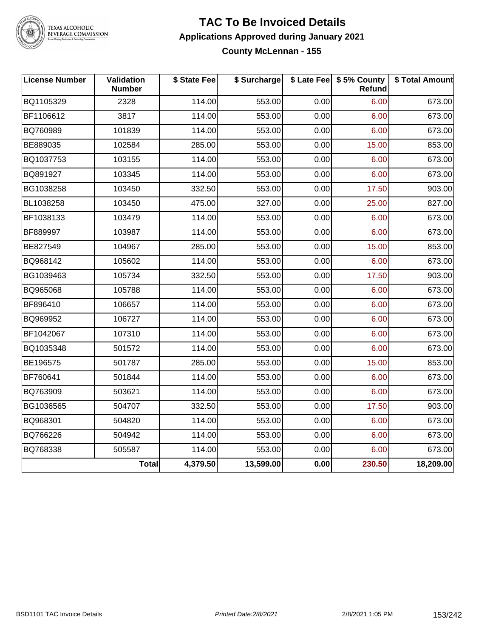

TEXAS ALCOHOLIC<br>BEVERAGE COMMISSION

#### **TAC To Be Invoiced Details Applications Approved during January 2021 County McLennan - 155**

| <b>License Number</b> | Validation<br><b>Number</b> | \$ State Fee | \$ Surcharge |      | \$ Late Fee   \$5% County<br>Refund | \$ Total Amount |
|-----------------------|-----------------------------|--------------|--------------|------|-------------------------------------|-----------------|
| BQ1105329             | 2328                        | 114.00       | 553.00       | 0.00 | 6.00                                | 673.00          |
| BF1106612             | 3817                        | 114.00       | 553.00       | 0.00 | 6.00                                | 673.00          |
| BQ760989              | 101839                      | 114.00       | 553.00       | 0.00 | 6.00                                | 673.00          |
| BE889035              | 102584                      | 285.00       | 553.00       | 0.00 | 15.00                               | 853.00          |
| BQ1037753             | 103155                      | 114.00       | 553.00       | 0.00 | 6.00                                | 673.00          |
| BQ891927              | 103345                      | 114.00       | 553.00       | 0.00 | 6.00                                | 673.00          |
| BG1038258             | 103450                      | 332.50       | 553.00       | 0.00 | 17.50                               | 903.00          |
| BL1038258             | 103450                      | 475.00       | 327.00       | 0.00 | 25.00                               | 827.00          |
| BF1038133             | 103479                      | 114.00       | 553.00       | 0.00 | 6.00                                | 673.00          |
| BF889997              | 103987                      | 114.00       | 553.00       | 0.00 | 6.00                                | 673.00          |
| BE827549              | 104967                      | 285.00       | 553.00       | 0.00 | 15.00                               | 853.00          |
| BQ968142              | 105602                      | 114.00       | 553.00       | 0.00 | 6.00                                | 673.00          |
| BG1039463             | 105734                      | 332.50       | 553.00       | 0.00 | 17.50                               | 903.00          |
| BQ965068              | 105788                      | 114.00       | 553.00       | 0.00 | 6.00                                | 673.00          |
| BF896410              | 106657                      | 114.00       | 553.00       | 0.00 | 6.00                                | 673.00          |
| BQ969952              | 106727                      | 114.00       | 553.00       | 0.00 | 6.00                                | 673.00          |
| BF1042067             | 107310                      | 114.00       | 553.00       | 0.00 | 6.00                                | 673.00          |
| BQ1035348             | 501572                      | 114.00       | 553.00       | 0.00 | 6.00                                | 673.00          |
| BE196575              | 501787                      | 285.00       | 553.00       | 0.00 | 15.00                               | 853.00          |
| BF760641              | 501844                      | 114.00       | 553.00       | 0.00 | 6.00                                | 673.00          |
| BQ763909              | 503621                      | 114.00       | 553.00       | 0.00 | 6.00                                | 673.00          |
| BG1036565             | 504707                      | 332.50       | 553.00       | 0.00 | 17.50                               | 903.00          |
| BQ968301              | 504820                      | 114.00       | 553.00       | 0.00 | 6.00                                | 673.00          |
| BQ766226              | 504942                      | 114.00       | 553.00       | 0.00 | 6.00                                | 673.00          |
| BQ768338              | 505587                      | 114.00       | 553.00       | 0.00 | 6.00                                | 673.00          |
|                       | <b>Total</b>                | 4,379.50     | 13,599.00    | 0.00 | 230.50                              | 18,209.00       |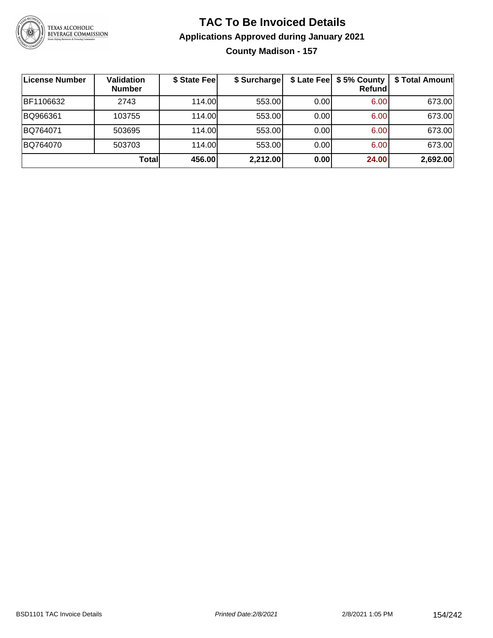

### **TAC To Be Invoiced Details Applications Approved during January 2021 County Madison - 157**

| ∣License Number | <b>Validation</b><br><b>Number</b> | \$ State Fee | \$ Surcharge |      | \$ Late Fee   \$5% County  <br><b>Refund</b> | \$ Total Amount |
|-----------------|------------------------------------|--------------|--------------|------|----------------------------------------------|-----------------|
| BF1106632       | 2743                               | 114.00       | 553.00       | 0.00 | 6.00                                         | 673.00          |
| BQ966361        | 103755                             | 114.00       | 553.00       | 0.00 | 6.00                                         | 673.00          |
| BQ764071        | 503695                             | 114.00       | 553.00       | 0.00 | 6.00                                         | 673.00          |
| BQ764070        | 503703                             | 114.00       | 553.00       | 0.00 | 6.00                                         | 673.00          |
|                 | <b>Total</b>                       | 456.00       | 2,212.00     | 0.00 | 24.00                                        | 2,692.00        |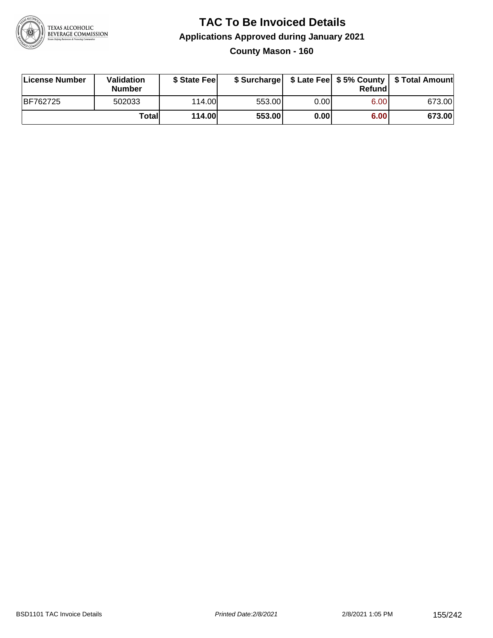

#### **TAC To Be Invoiced Details Applications Approved during January 2021 County Mason - 160**

| License Number | Validation<br><b>Number</b> | \$ State Fee   |        |      | Refundl           | \$ Surcharge   \$ Late Fee   \$5% County   \$ Total Amount |
|----------------|-----------------------------|----------------|--------|------|-------------------|------------------------------------------------------------|
| BF762725       | 502033                      | 114.00         | 553.00 | 0.00 | 6.00 <sub>1</sub> | 673.00                                                     |
|                | Totall                      | <b>114.00L</b> | 553.00 | 0.00 | 6.00              | 673.00                                                     |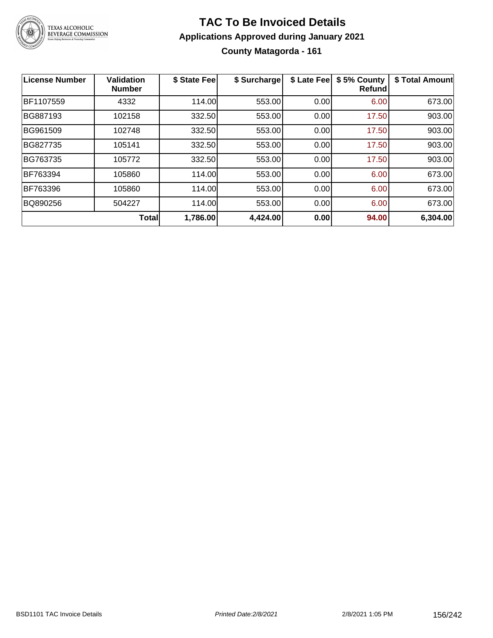

#### **TAC To Be Invoiced Details Applications Approved during January 2021 County Matagorda - 161**

| <b>License Number</b> | <b>Validation</b><br><b>Number</b> | \$ State Fee | \$ Surcharge | \$ Late Fee | \$5% County<br><b>Refund</b> | \$ Total Amount |
|-----------------------|------------------------------------|--------------|--------------|-------------|------------------------------|-----------------|
| BF1107559             | 4332                               | 114.00       | 553.00       | 0.00        | 6.00                         | 673.00          |
| BG887193              | 102158                             | 332.50       | 553.00       | 0.00        | 17.50                        | 903.00          |
| BG961509              | 102748                             | 332.50       | 553.00       | 0.00        | 17.50                        | 903.00          |
| BG827735              | 105141                             | 332.50       | 553.00       | 0.00        | 17.50                        | 903.00          |
| BG763735              | 105772                             | 332.50       | 553.00       | 0.00        | 17.50                        | 903.00          |
| BF763394              | 105860                             | 114.00       | 553.00       | 0.00        | 6.00                         | 673.00          |
| BF763396              | 105860                             | 114.00       | 553.00       | 0.00        | 6.00                         | 673.00          |
| BQ890256              | 504227                             | 114.00       | 553.00       | 0.00        | 6.00                         | 673.00          |
|                       | <b>Total</b>                       | 1,786.00     | 4,424.00     | 0.00        | 94.00                        | 6,304.00        |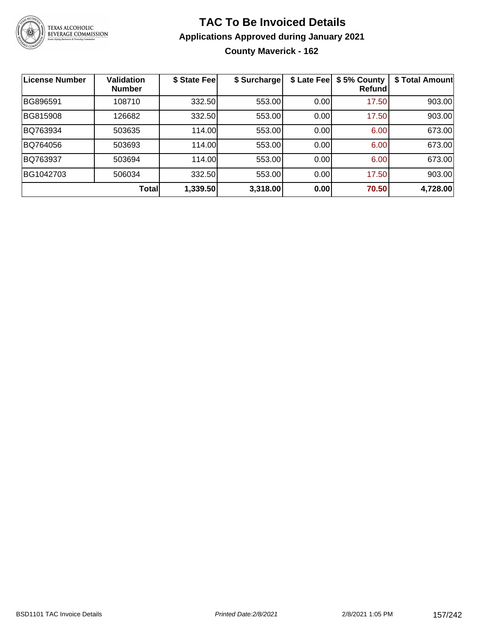

#### **TAC To Be Invoiced Details Applications Approved during January 2021 County Maverick - 162**

| <b>License Number</b> | <b>Validation</b><br><b>Number</b> | \$ State Fee | \$ Surcharge | \$ Late Fee | \$5% County<br>Refundl | \$ Total Amount |
|-----------------------|------------------------------------|--------------|--------------|-------------|------------------------|-----------------|
| BG896591              | 108710                             | 332.50       | 553.00       | 0.00        | 17.50                  | 903.00          |
| BG815908              | 126682                             | 332.50       | 553.00       | 0.00        | 17.50                  | 903.00          |
| BQ763934              | 503635                             | 114.00       | 553.00       | 0.00        | 6.00                   | 673.00          |
| BQ764056              | 503693                             | 114.00       | 553.00       | 0.00        | 6.00                   | 673.00          |
| BQ763937              | 503694                             | 114.00       | 553.00       | 0.00        | 6.00                   | 673.00          |
| BG1042703             | 506034                             | 332.50       | 553.00       | 0.00        | 17.50                  | 903.00          |
|                       | <b>Total</b>                       | 1,339.50     | 3,318.00     | 0.00        | 70.50                  | 4,728.00        |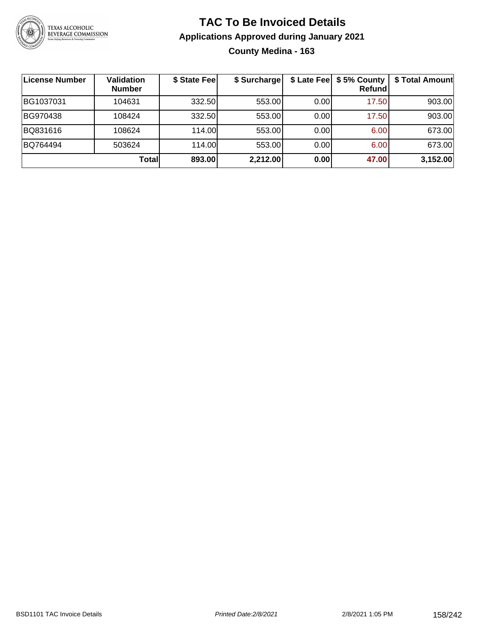

#### **TAC To Be Invoiced Details Applications Approved during January 2021 County Medina - 163**

| License Number | <b>Validation</b><br><b>Number</b> | \$ State Fee | \$ Surcharge |      | \$ Late Fee   \$5% County<br><b>Refund</b> | \$ Total Amount |
|----------------|------------------------------------|--------------|--------------|------|--------------------------------------------|-----------------|
| BG1037031      | 104631                             | 332.50       | 553.00       | 0.00 | 17.50                                      | 903.00          |
| BG970438       | 108424                             | 332.50       | 553.00       | 0.00 | 17.50                                      | 903.00          |
| BQ831616       | 108624                             | 114.00       | 553.00       | 0.00 | 6.00                                       | 673.00          |
| BQ764494       | 503624                             | 114.00       | 553.00       | 0.00 | 6.00                                       | 673.00          |
|                | <b>Total</b>                       | 893.00       | 2,212.00     | 0.00 | 47.00                                      | 3,152.00        |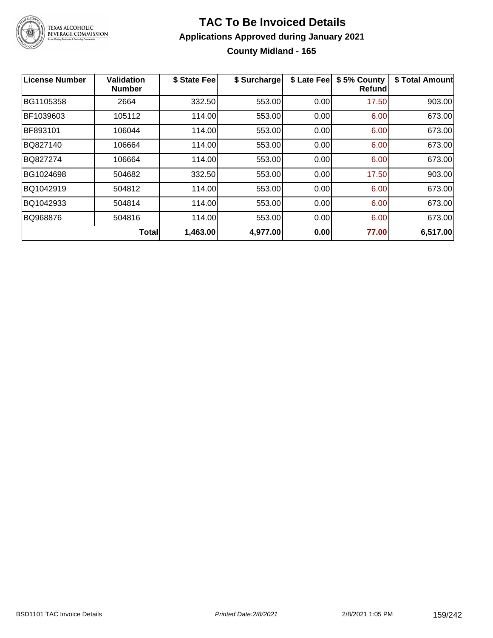

### **TAC To Be Invoiced Details Applications Approved during January 2021 County Midland - 165**

| <b>License Number</b> | <b>Validation</b><br><b>Number</b> | \$ State Fee | \$ Surcharge | \$ Late Fee | \$5% County<br>Refund | \$ Total Amount |
|-----------------------|------------------------------------|--------------|--------------|-------------|-----------------------|-----------------|
| BG1105358             | 2664                               | 332.50       | 553.00       | 0.00        | 17.50                 | 903.00          |
| BF1039603             | 105112                             | 114.00       | 553.00       | 0.00        | 6.00                  | 673.00          |
| BF893101              | 106044                             | 114.00       | 553.00       | 0.00        | 6.00                  | 673.00          |
| BQ827140              | 106664                             | 114.00       | 553.00       | 0.00        | 6.00                  | 673.00          |
| BQ827274              | 106664                             | 114.00       | 553.00       | 0.00        | 6.00                  | 673.00          |
| BG1024698             | 504682                             | 332.50       | 553.00       | 0.00        | 17.50                 | 903.00          |
| BQ1042919             | 504812                             | 114.00       | 553.00       | 0.00        | 6.00                  | 673.00          |
| BQ1042933             | 504814                             | 114.00       | 553.00       | 0.00        | 6.00                  | 673.00          |
| BQ968876              | 504816                             | 114.00       | 553.00       | 0.00        | 6.00                  | 673.00          |
|                       | <b>Total</b>                       | 1,463.00     | 4,977.00     | 0.00        | 77.00                 | 6,517.00        |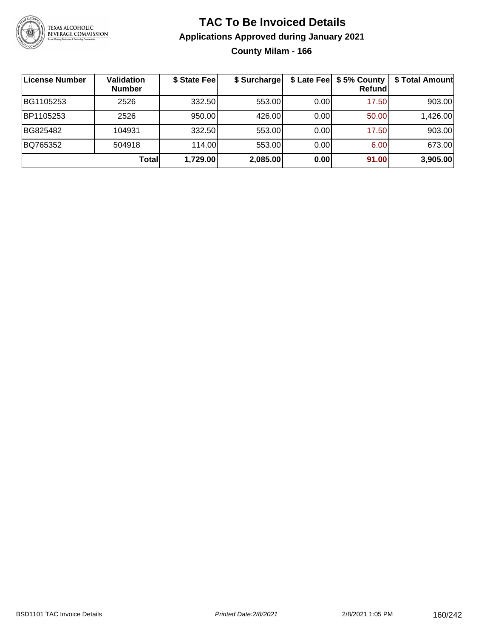

### **TAC To Be Invoiced Details Applications Approved during January 2021 County Milam - 166**

| License Number | <b>Validation</b><br><b>Number</b> | \$ State Fee | \$ Surcharge | \$ Late Fee | \$5% County<br>Refund | \$ Total Amount |
|----------------|------------------------------------|--------------|--------------|-------------|-----------------------|-----------------|
| BG1105253      | 2526                               | 332.50       | 553.00       | 0.00        | 17.50                 | 903.00          |
| BP1105253      | 2526                               | 950.00       | 426.00       | 0.00        | 50.00                 | 1,426.00        |
| BG825482       | 104931                             | 332.50       | 553.00       | 0.00        | 17.50                 | 903.00          |
| BQ765352       | 504918                             | 114.00       | 553.00       | 0.00        | 6.00                  | 673.00          |
|                | Totall                             | 1,729.00     | 2,085.00     | 0.00        | 91.00                 | 3,905.00        |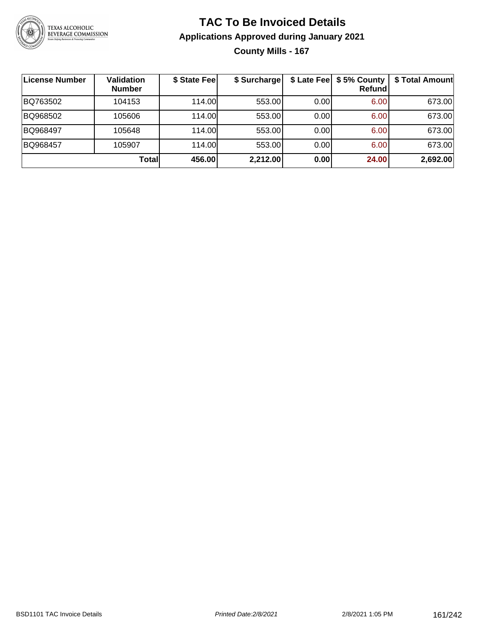

### **TAC To Be Invoiced Details Applications Approved during January 2021 County Mills - 167**

| License Number | <b>Validation</b><br><b>Number</b> | \$ State Fee | \$ Surcharge |      | \$ Late Fee   \$5% County  <br>Refundl | \$ Total Amount |
|----------------|------------------------------------|--------------|--------------|------|----------------------------------------|-----------------|
| BQ763502       | 104153                             | 114.00       | 553.00       | 0.00 | 6.00                                   | 673.00          |
| BQ968502       | 105606                             | 114.00       | 553.00       | 0.00 | 6.00                                   | 673.00          |
| BQ968497       | 105648                             | 114.00L      | 553.00       | 0.00 | 6.00                                   | 673.00          |
| BQ968457       | 105907                             | 114.00       | 553.00       | 0.00 | 6.00                                   | 673.00          |
|                | Totall                             | 456.00       | 2,212.00     | 0.00 | 24.00                                  | 2,692.00        |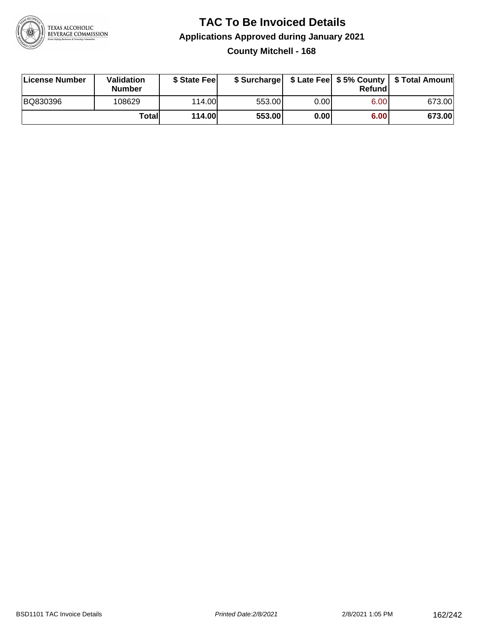

#### **TAC To Be Invoiced Details Applications Approved during January 2021 County Mitchell - 168**

| License Number | <b>Validation</b><br><b>Number</b> | \$ State Feel |        |      | Refundl | \$ Surcharge   \$ Late Fee   \$5% County   \$ Total Amount |
|----------------|------------------------------------|---------------|--------|------|---------|------------------------------------------------------------|
| BQ830396       | 108629                             | 114.00L       | 553.00 | 0.00 | 6.00    | 673.00                                                     |
|                | Totall                             | <b>114.00</b> | 553.00 | 0.00 | 6.00    | 673.00                                                     |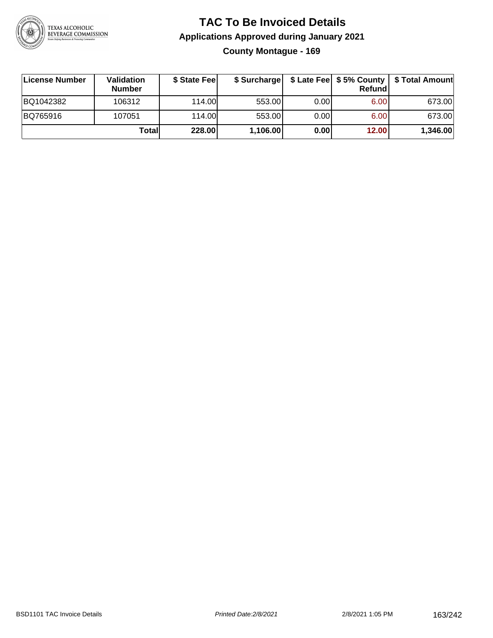

#### **TAC To Be Invoiced Details Applications Approved during January 2021 County Montague - 169**

| License Number | <b>Validation</b><br><b>Number</b> | \$ State Feel | \$ Surcharge |      | Refundl | \$ Late Fee   \$5% County   \$ Total Amount |
|----------------|------------------------------------|---------------|--------------|------|---------|---------------------------------------------|
| BQ1042382      | 106312                             | 114.00L       | 553.00       | 0.00 | 6.00    | 673.00                                      |
| BQ765916       | 107051                             | 114.00        | 553.00       | 0.00 | 6.00    | 673.00                                      |
|                | Totall                             | <b>228.00</b> | 1,106.00     | 0.00 | 12.00   | 1,346.00                                    |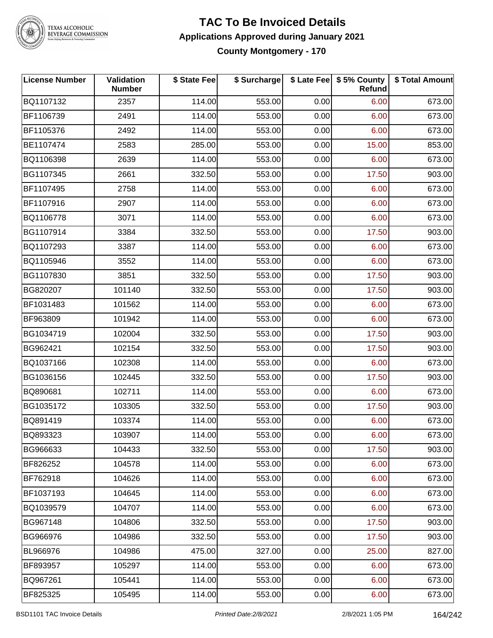

TEXAS ALCOHOLIC<br>BEVERAGE COMMISSION

#### **TAC To Be Invoiced Details Applications Approved during January 2021 County Montgomery - 170**

| <b>License Number</b> | Validation<br><b>Number</b> | \$ State Fee | \$ Surcharge |      | \$ Late Fee   \$5% County<br><b>Refund</b> | \$ Total Amount |
|-----------------------|-----------------------------|--------------|--------------|------|--------------------------------------------|-----------------|
| BQ1107132             | 2357                        | 114.00       | 553.00       | 0.00 | 6.00                                       | 673.00          |
| BF1106739             | 2491                        | 114.00       | 553.00       | 0.00 | 6.00                                       | 673.00          |
| BF1105376             | 2492                        | 114.00       | 553.00       | 0.00 | 6.00                                       | 673.00          |
| BE1107474             | 2583                        | 285.00       | 553.00       | 0.00 | 15.00                                      | 853.00          |
| BQ1106398             | 2639                        | 114.00       | 553.00       | 0.00 | 6.00                                       | 673.00          |
| BG1107345             | 2661                        | 332.50       | 553.00       | 0.00 | 17.50                                      | 903.00          |
| BF1107495             | 2758                        | 114.00       | 553.00       | 0.00 | 6.00                                       | 673.00          |
| BF1107916             | 2907                        | 114.00       | 553.00       | 0.00 | 6.00                                       | 673.00          |
| BQ1106778             | 3071                        | 114.00       | 553.00       | 0.00 | 6.00                                       | 673.00          |
| BG1107914             | 3384                        | 332.50       | 553.00       | 0.00 | 17.50                                      | 903.00          |
| BQ1107293             | 3387                        | 114.00       | 553.00       | 0.00 | 6.00                                       | 673.00          |
| BQ1105946             | 3552                        | 114.00       | 553.00       | 0.00 | 6.00                                       | 673.00          |
| BG1107830             | 3851                        | 332.50       | 553.00       | 0.00 | 17.50                                      | 903.00          |
| BG820207              | 101140                      | 332.50       | 553.00       | 0.00 | 17.50                                      | 903.00          |
| BF1031483             | 101562                      | 114.00       | 553.00       | 0.00 | 6.00                                       | 673.00          |
| BF963809              | 101942                      | 114.00       | 553.00       | 0.00 | 6.00                                       | 673.00          |
| BG1034719             | 102004                      | 332.50       | 553.00       | 0.00 | 17.50                                      | 903.00          |
| BG962421              | 102154                      | 332.50       | 553.00       | 0.00 | 17.50                                      | 903.00          |
| BQ1037166             | 102308                      | 114.00       | 553.00       | 0.00 | 6.00                                       | 673.00          |
| BG1036156             | 102445                      | 332.50       | 553.00       | 0.00 | 17.50                                      | 903.00          |
| BQ890681              | 102711                      | 114.00       | 553.00       | 0.00 | 6.00                                       | 673.00          |
| BG1035172             | 103305                      | 332.50       | 553.00       | 0.00 | 17.50                                      | 903.00          |
| BQ891419              | 103374                      | 114.00       | 553.00       | 0.00 | 6.00                                       | 673.00          |
| BQ893323              | 103907                      | 114.00       | 553.00       | 0.00 | 6.00                                       | 673.00          |
| BG966633              | 104433                      | 332.50       | 553.00       | 0.00 | 17.50                                      | 903.00          |
| BF826252              | 104578                      | 114.00       | 553.00       | 0.00 | 6.00                                       | 673.00          |
| BF762918              | 104626                      | 114.00       | 553.00       | 0.00 | 6.00                                       | 673.00          |
| BF1037193             | 104645                      | 114.00       | 553.00       | 0.00 | 6.00                                       | 673.00          |
| BQ1039579             | 104707                      | 114.00       | 553.00       | 0.00 | 6.00                                       | 673.00          |
| BG967148              | 104806                      | 332.50       | 553.00       | 0.00 | 17.50                                      | 903.00          |
| BG966976              | 104986                      | 332.50       | 553.00       | 0.00 | 17.50                                      | 903.00          |
| BL966976              | 104986                      | 475.00       | 327.00       | 0.00 | 25.00                                      | 827.00          |
| BF893957              | 105297                      | 114.00       | 553.00       | 0.00 | 6.00                                       | 673.00          |
| BQ967261              | 105441                      | 114.00       | 553.00       | 0.00 | 6.00                                       | 673.00          |
| BF825325              | 105495                      | 114.00       | 553.00       | 0.00 | 6.00                                       | 673.00          |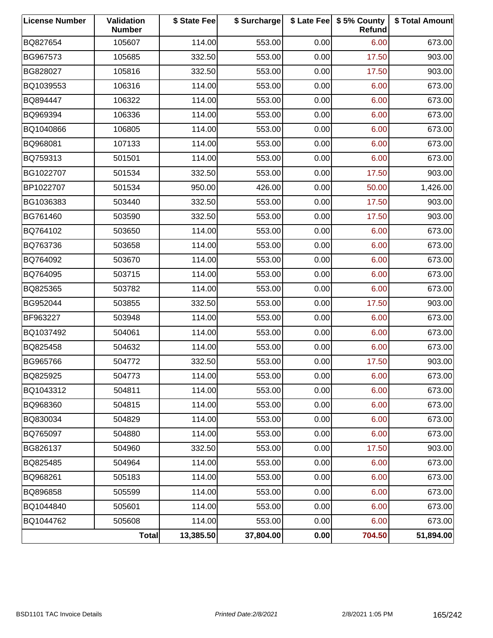| <b>License Number</b> | <b>Validation</b><br><b>Number</b> | \$ State Fee | \$ Surcharge |      | \$ Late Fee   \$5% County<br><b>Refund</b> | \$ Total Amount |
|-----------------------|------------------------------------|--------------|--------------|------|--------------------------------------------|-----------------|
| BQ827654              | 105607                             | 114.00       | 553.00       | 0.00 | 6.00                                       | 673.00          |
| BG967573              | 105685                             | 332.50       | 553.00       | 0.00 | 17.50                                      | 903.00          |
| BG828027              | 105816                             | 332.50       | 553.00       | 0.00 | 17.50                                      | 903.00          |
| BQ1039553             | 106316                             | 114.00       | 553.00       | 0.00 | 6.00                                       | 673.00          |
| BQ894447              | 106322                             | 114.00       | 553.00       | 0.00 | 6.00                                       | 673.00          |
| BQ969394              | 106336                             | 114.00       | 553.00       | 0.00 | 6.00                                       | 673.00          |
| BQ1040866             | 106805                             | 114.00       | 553.00       | 0.00 | 6.00                                       | 673.00          |
| BQ968081              | 107133                             | 114.00       | 553.00       | 0.00 | 6.00                                       | 673.00          |
| BQ759313              | 501501                             | 114.00       | 553.00       | 0.00 | 6.00                                       | 673.00          |
| BG1022707             | 501534                             | 332.50       | 553.00       | 0.00 | 17.50                                      | 903.00          |
| BP1022707             | 501534                             | 950.00       | 426.00       | 0.00 | 50.00                                      | 1,426.00        |
| BG1036383             | 503440                             | 332.50       | 553.00       | 0.00 | 17.50                                      | 903.00          |
| BG761460              | 503590                             | 332.50       | 553.00       | 0.00 | 17.50                                      | 903.00          |
| BQ764102              | 503650                             | 114.00       | 553.00       | 0.00 | 6.00                                       | 673.00          |
| BQ763736              | 503658                             | 114.00       | 553.00       | 0.00 | 6.00                                       | 673.00          |
| BQ764092              | 503670                             | 114.00       | 553.00       | 0.00 | 6.00                                       | 673.00          |
| BQ764095              | 503715                             | 114.00       | 553.00       | 0.00 | 6.00                                       | 673.00          |
| BQ825365              | 503782                             | 114.00       | 553.00       | 0.00 | 6.00                                       | 673.00          |
| BG952044              | 503855                             | 332.50       | 553.00       | 0.00 | 17.50                                      | 903.00          |
| BF963227              | 503948                             | 114.00       | 553.00       | 0.00 | 6.00                                       | 673.00          |
| BQ1037492             | 504061                             | 114.00       | 553.00       | 0.00 | 6.00                                       | 673.00          |
| BQ825458              | 504632                             | 114.00       | 553.00       | 0.00 | 6.00                                       | 673.00          |
| BG965766              | 504772                             | 332.50       | 553.00       | 0.00 | 17.50                                      | 903.00          |
| BQ825925              | 504773                             | 114.00       | 553.00       | 0.00 | 6.00                                       | 673.00          |
| BQ1043312             | 504811                             | 114.00       | 553.00       | 0.00 | 6.00                                       | 673.00          |
| BQ968360              | 504815                             | 114.00       | 553.00       | 0.00 | 6.00                                       | 673.00          |
| BQ830034              | 504829                             | 114.00       | 553.00       | 0.00 | 6.00                                       | 673.00          |
| BQ765097              | 504880                             | 114.00       | 553.00       | 0.00 | 6.00                                       | 673.00          |
| BG826137              | 504960                             | 332.50       | 553.00       | 0.00 | 17.50                                      | 903.00          |
| BQ825485              | 504964                             | 114.00       | 553.00       | 0.00 | 6.00                                       | 673.00          |
| BQ968261              | 505183                             | 114.00       | 553.00       | 0.00 | 6.00                                       | 673.00          |
| BQ896858              | 505599                             | 114.00       | 553.00       | 0.00 | 6.00                                       | 673.00          |
| BQ1044840             | 505601                             | 114.00       | 553.00       | 0.00 | 6.00                                       | 673.00          |
| BQ1044762             | 505608                             | 114.00       | 553.00       | 0.00 | 6.00                                       | 673.00          |
|                       | Total                              | 13,385.50    | 37,804.00    | 0.00 | 704.50                                     | 51,894.00       |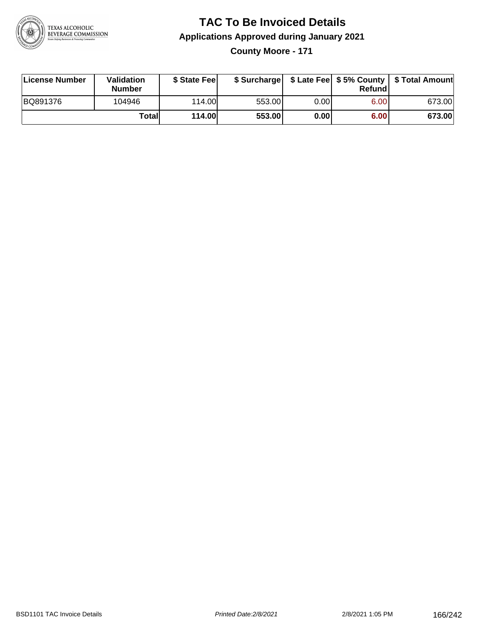

#### **TAC To Be Invoiced Details Applications Approved during January 2021 County Moore - 171**

| License Number | Validation<br><b>Number</b> | \$ State Feel |        |      | Refund | \$ Surcharge   \$ Late Fee   \$5% County   \$ Total Amount |
|----------------|-----------------------------|---------------|--------|------|--------|------------------------------------------------------------|
| BQ891376       | 104946                      | 114.00L       | 553.00 | 0.00 | 6.00   | 673.00                                                     |
|                | Totall                      | <b>114.00</b> | 553.00 | 0.00 | 6.00   | 673.00                                                     |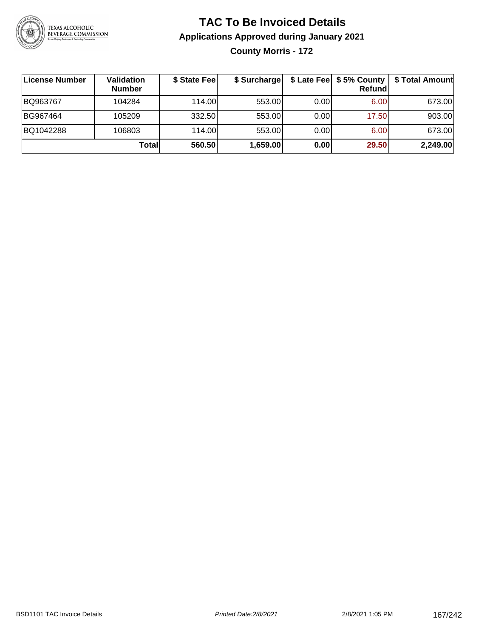

### **TAC To Be Invoiced Details Applications Approved during January 2021 County Morris - 172**

| License Number | Validation<br><b>Number</b> | \$ State Fee | \$ Surcharge |       | \$ Late Fee   \$5% County  <br>Refundl | \$ Total Amount |
|----------------|-----------------------------|--------------|--------------|-------|----------------------------------------|-----------------|
| BQ963767       | 104284                      | 114.00L      | 553.00       | 0.001 | 6.00                                   | 673.00          |
| BG967464       | 105209                      | 332.50       | 553.00       | 0.00  | 17.50                                  | 903.00          |
| BQ1042288      | 106803                      | 114.00       | 553.00       | 0.00  | 6.00                                   | 673.00          |
|                | Totall                      | 560.50       | 1,659.00     | 0.00  | 29.50                                  | 2,249.00        |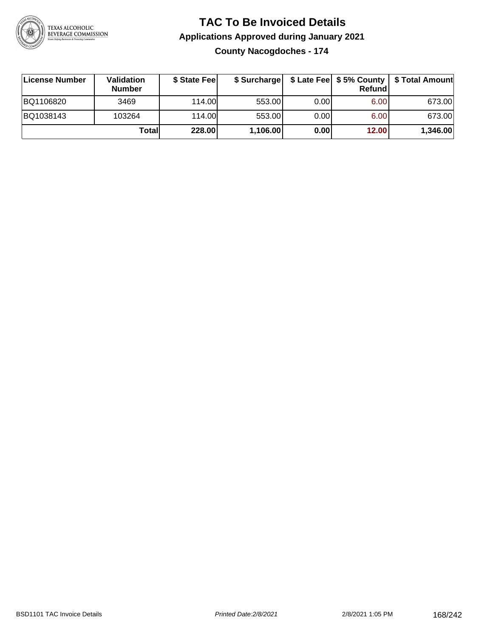

## **TAC To Be Invoiced Details Applications Approved during January 2021**

**County Nacogdoches - 174**

| ∣License Number | Validation<br><b>Number</b> | \$ State Fee |          |       | Refundl | \$ Surcharge   \$ Late Fee   \$5% County   \$ Total Amount |
|-----------------|-----------------------------|--------------|----------|-------|---------|------------------------------------------------------------|
| BQ1106820       | 3469                        | 114.00       | 553.00   | 0.001 | 6.00    | 673.00                                                     |
| BQ1038143       | 103264                      | 114.00       | 553.00   | 0.001 | 6.00    | 673.00                                                     |
|                 | Totall                      | 228.00       | 1,106.00 | 0.00  | 12.00   | 1,346.00                                                   |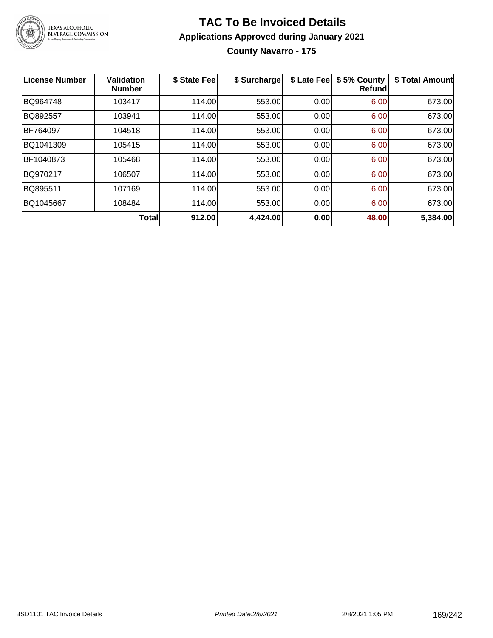

#### **TAC To Be Invoiced Details Applications Approved during January 2021 County Navarro - 175**

| License Number | Validation<br><b>Number</b> | \$ State Fee | \$ Surcharge | \$ Late Fee | \$5% County<br><b>Refund</b> | \$ Total Amount |
|----------------|-----------------------------|--------------|--------------|-------------|------------------------------|-----------------|
| BQ964748       | 103417                      | 114.00       | 553.00       | 0.00        | 6.00                         | 673.00          |
| BQ892557       | 103941                      | 114.00       | 553.00       | 0.00        | 6.00                         | 673.00          |
| BF764097       | 104518                      | 114.00       | 553.00       | 0.00        | 6.00                         | 673.00          |
| BQ1041309      | 105415                      | 114.00       | 553.00       | 0.00        | 6.00                         | 673.00          |
| BF1040873      | 105468                      | 114.00       | 553.00       | 0.00        | 6.00                         | 673.00          |
| BQ970217       | 106507                      | 114.00       | 553.00       | 0.00        | 6.00                         | 673.00          |
| BQ895511       | 107169                      | 114.00       | 553.00       | 0.00        | 6.00                         | 673.00          |
| BQ1045667      | 108484                      | 114.00       | 553.00       | 0.00        | 6.00                         | 673.00          |
|                | <b>Total</b>                | 912.00       | 4,424.00     | 0.00        | 48.00                        | 5,384.00        |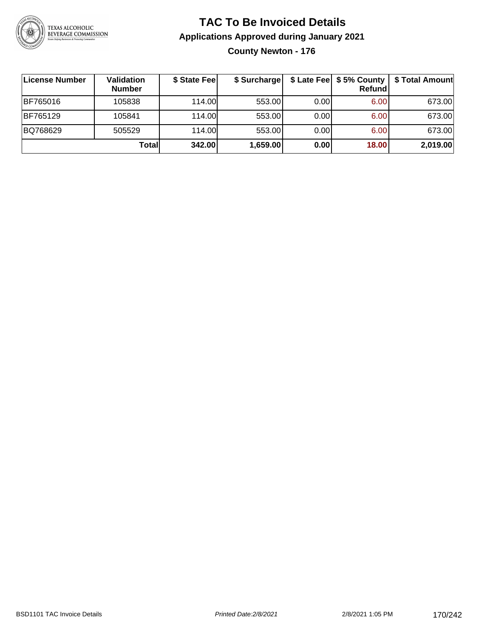

#### **TAC To Be Invoiced Details Applications Approved during January 2021 County Newton - 176**

| License Number | Validation<br><b>Number</b> | \$ State Fee | \$ Surcharge |      | $$$ Late Fee $$5%$ County<br><b>Refund</b> | \$ Total Amount |
|----------------|-----------------------------|--------------|--------------|------|--------------------------------------------|-----------------|
| BF765016       | 105838                      | 114.00L      | 553.00       | 0.00 | 6.00                                       | 673.00          |
| BF765129       | 105841                      | 114.00       | 553.00       | 0.00 | 6.00                                       | 673.00          |
| BQ768629       | 505529                      | 114.00L      | 553.00       | 0.00 | 6.00                                       | 673.00          |
|                | Total                       | 342.00       | 1,659.00     | 0.00 | 18.00                                      | 2,019.00        |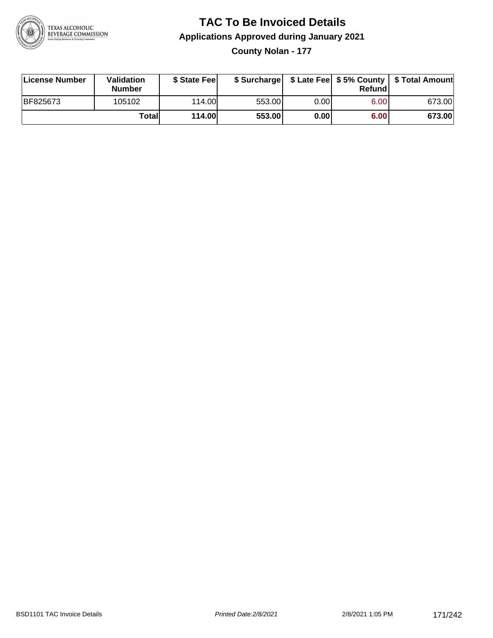

## **TAC To Be Invoiced Details Applications Approved during January 2021**

**County Nolan - 177**

| License Number | <b>Validation</b><br>Number | \$ State Feel | \$ Surcharge |       | Refundl | \$ Late Fee   \$5% County   \$ Total Amount |
|----------------|-----------------------------|---------------|--------------|-------|---------|---------------------------------------------|
| BF825673       | 105102                      | 114.00L       | 553.00       | 0.001 | 6.00    | 673.00                                      |
|                | Totall                      | <b>114.00</b> | 553.00       | 0.00  | 6.00    | 673.00                                      |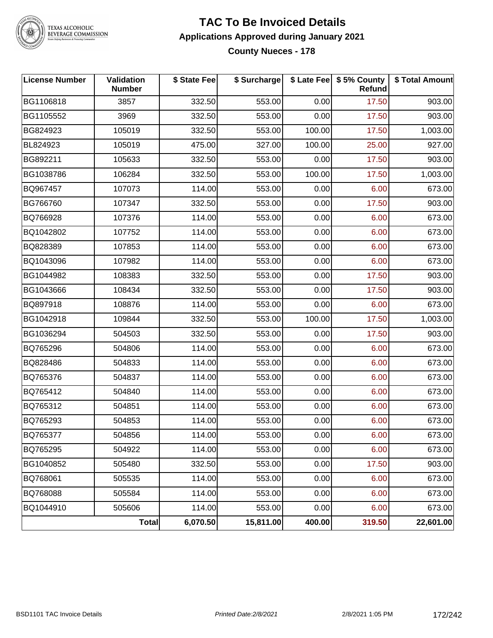

TEXAS ALCOHOLIC<br>BEVERAGE COMMISSION

#### **TAC To Be Invoiced Details Applications Approved during January 2021 County Nueces - 178**

| <b>License Number</b> | Validation<br><b>Number</b> | \$ State Fee | \$ Surcharge |        | \$ Late Fee   \$5% County  <br><b>Refund</b> | \$ Total Amount |
|-----------------------|-----------------------------|--------------|--------------|--------|----------------------------------------------|-----------------|
| BG1106818             | 3857                        | 332.50       | 553.00       | 0.00   | 17.50                                        | 903.00          |
| BG1105552             | 3969                        | 332.50       | 553.00       | 0.00   | 17.50                                        | 903.00          |
| BG824923              | 105019                      | 332.50       | 553.00       | 100.00 | 17.50                                        | 1,003.00        |
| BL824923              | 105019                      | 475.00       | 327.00       | 100.00 | 25.00                                        | 927.00          |
| BG892211              | 105633                      | 332.50       | 553.00       | 0.00   | 17.50                                        | 903.00          |
| BG1038786             | 106284                      | 332.50       | 553.00       | 100.00 | 17.50                                        | 1,003.00        |
| BQ967457              | 107073                      | 114.00       | 553.00       | 0.00   | 6.00                                         | 673.00          |
| BG766760              | 107347                      | 332.50       | 553.00       | 0.00   | 17.50                                        | 903.00          |
| BQ766928              | 107376                      | 114.00       | 553.00       | 0.00   | 6.00                                         | 673.00          |
| BQ1042802             | 107752                      | 114.00       | 553.00       | 0.00   | 6.00                                         | 673.00          |
| BQ828389              | 107853                      | 114.00       | 553.00       | 0.00   | 6.00                                         | 673.00          |
| BQ1043096             | 107982                      | 114.00       | 553.00       | 0.00   | 6.00                                         | 673.00          |
| BG1044982             | 108383                      | 332.50       | 553.00       | 0.00   | 17.50                                        | 903.00          |
| BG1043666             | 108434                      | 332.50       | 553.00       | 0.00   | 17.50                                        | 903.00          |
| BQ897918              | 108876                      | 114.00       | 553.00       | 0.00   | 6.00                                         | 673.00          |
| BG1042918             | 109844                      | 332.50       | 553.00       | 100.00 | 17.50                                        | 1,003.00        |
| BG1036294             | 504503                      | 332.50       | 553.00       | 0.00   | 17.50                                        | 903.00          |
| BQ765296              | 504806                      | 114.00       | 553.00       | 0.00   | 6.00                                         | 673.00          |
| BQ828486              | 504833                      | 114.00       | 553.00       | 0.00   | 6.00                                         | 673.00          |
| BQ765376              | 504837                      | 114.00       | 553.00       | 0.00   | 6.00                                         | 673.00          |
| BQ765412              | 504840                      | 114.00       | 553.00       | 0.00   | 6.00                                         | 673.00          |
| BQ765312              | 504851                      | 114.00       | 553.00       | 0.00   | 6.00                                         | 673.00          |
| BQ765293              | 504853                      | 114.00       | 553.00       | 0.00   | 6.00                                         | 673.00          |
| BQ765377              | 504856                      | 114.00       | 553.00       | 0.00   | 6.00                                         | 673.00          |
| BQ765295              | 504922                      | 114.00       | 553.00       | 0.00   | 6.00                                         | 673.00          |
| BG1040852             | 505480                      | 332.50       | 553.00       | 0.00   | 17.50                                        | 903.00          |
| BQ768061              | 505535                      | 114.00       | 553.00       | 0.00   | 6.00                                         | 673.00          |
| BQ768088              | 505584                      | 114.00       | 553.00       | 0.00   | 6.00                                         | 673.00          |
| BQ1044910             | 505606                      | 114.00       | 553.00       | 0.00   | 6.00                                         | 673.00          |
|                       | <b>Total</b>                | 6,070.50     | 15,811.00    | 400.00 | 319.50                                       | 22,601.00       |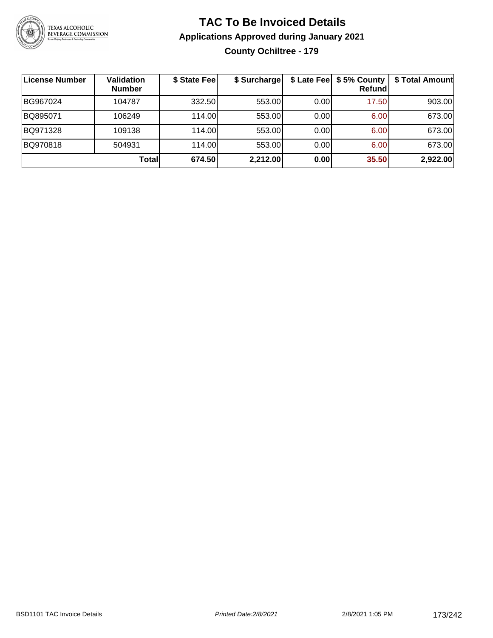

### **TAC To Be Invoiced Details Applications Approved during January 2021 County Ochiltree - 179**

| <b>License Number</b> | Validation<br><b>Number</b> | \$ State Fee | \$ Surcharge |      | \$ Late Fee   \$5% County  <br><b>Refund</b> | \$ Total Amount |
|-----------------------|-----------------------------|--------------|--------------|------|----------------------------------------------|-----------------|
| BG967024              | 104787                      | 332.50       | 553.00       | 0.00 | 17.50                                        | 903.00          |
| BQ895071              | 106249                      | 114.00L      | 553.00       | 0.00 | 6.00                                         | 673.00          |
| BQ971328              | 109138                      | 114.00       | 553.00       | 0.00 | 6.00                                         | 673.00          |
| BQ970818              | 504931                      | 114.00L      | 553.00       | 0.00 | 6.00                                         | 673.00          |
|                       | Totall                      | 674.50       | 2,212.00     | 0.00 | 35.50                                        | 2,922.00        |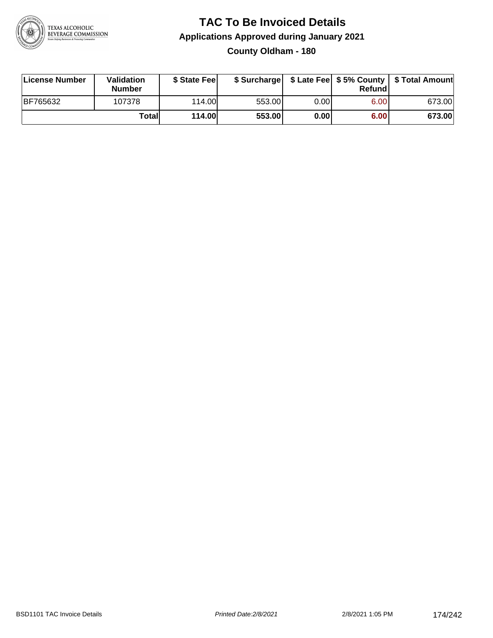

#### **TAC To Be Invoiced Details Applications Approved during January 2021 County Oldham - 180**

| License Number  | Validation<br><b>Number</b> | \$ State Fee  |        |       | Refundl           | \$ Surcharge   \$ Late Fee   \$5% County   \$ Total Amount |
|-----------------|-----------------------------|---------------|--------|-------|-------------------|------------------------------------------------------------|
| <b>BF765632</b> | 107378                      | 114.00L       | 553.00 | 0.001 | 6.00 <sub>1</sub> | 673.00                                                     |
|                 | Totall                      | <b>114.00</b> | 553.00 | 0.00  | 6.00              | 673.00                                                     |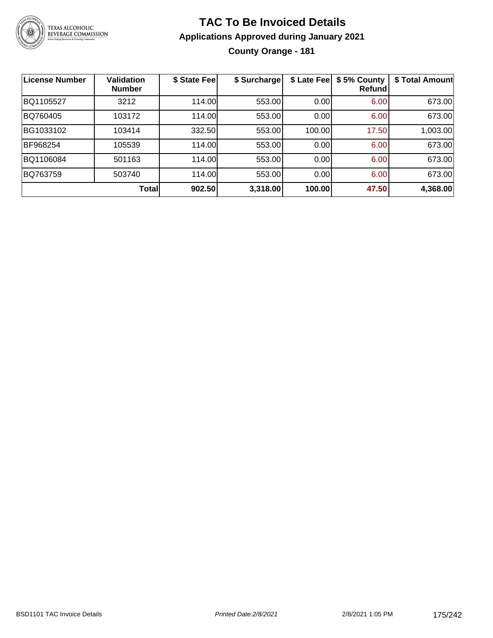

### **TAC To Be Invoiced Details Applications Approved during January 2021 County Orange - 181**

| <b>License Number</b> | <b>Validation</b><br><b>Number</b> | \$ State Fee | \$ Surcharge | \$ Late Fee | \$5% County<br>Refundl | \$ Total Amount |
|-----------------------|------------------------------------|--------------|--------------|-------------|------------------------|-----------------|
| BQ1105527             | 3212                               | 114.00       | 553.00       | 0.00        | 6.00                   | 673.00          |
| BQ760405              | 103172                             | 114.00       | 553.00       | 0.00        | 6.00                   | 673.00          |
| BG1033102             | 103414                             | 332.50       | 553.00       | 100.00      | 17.50                  | 1,003.00        |
| BF968254              | 105539                             | 114.00       | 553.00       | 0.00        | 6.00                   | 673.00          |
| BQ1106084             | 501163                             | 114.00       | 553.00       | 0.00        | 6.00                   | 673.00          |
| BQ763759              | 503740                             | 114.00       | 553.00       | 0.00        | 6.00                   | 673.00          |
|                       | <b>Total</b>                       | 902.50       | 3,318.00     | 100.00      | 47.50                  | 4,368.00        |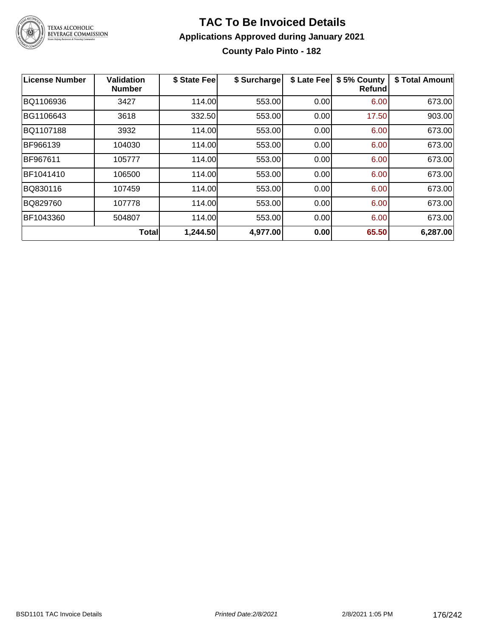

#### **TAC To Be Invoiced Details Applications Approved during January 2021 County Palo Pinto - 182**

| <b>License Number</b> | <b>Validation</b><br><b>Number</b> | \$ State Fee | \$ Surcharge | \$ Late Fee | \$5% County<br>Refund | \$ Total Amount |
|-----------------------|------------------------------------|--------------|--------------|-------------|-----------------------|-----------------|
| BQ1106936             | 3427                               | 114.00       | 553.00       | 0.00        | 6.00                  | 673.00          |
| BG1106643             | 3618                               | 332.50       | 553.00       | 0.00        | 17.50                 | 903.00          |
| BQ1107188             | 3932                               | 114.00       | 553.00       | 0.00        | 6.00                  | 673.00          |
| BF966139              | 104030                             | 114.00       | 553.00       | 0.00        | 6.00                  | 673.00          |
| BF967611              | 105777                             | 114.00       | 553.00       | 0.00        | 6.00                  | 673.00          |
| BF1041410             | 106500                             | 114.00       | 553.00       | 0.00        | 6.00                  | 673.00          |
| BQ830116              | 107459                             | 114.00       | 553.00       | 0.00        | 6.00                  | 673.00          |
| BQ829760              | 107778                             | 114.00       | 553.00       | 0.00        | 6.00                  | 673.00          |
| BF1043360             | 504807                             | 114.00       | 553.00       | 0.00        | 6.00                  | 673.00          |
|                       | <b>Total</b>                       | 1,244.50     | 4,977.00     | 0.00        | 65.50                 | 6,287.00        |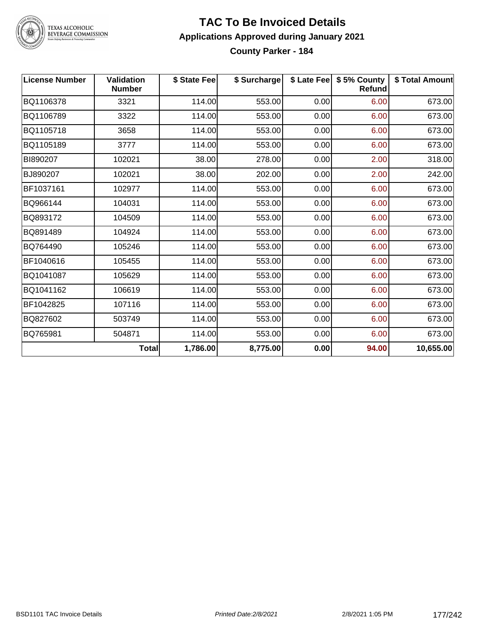

TEXAS ALCOHOLIC<br>BEVERAGE COMMISSION

#### **TAC To Be Invoiced Details Applications Approved during January 2021 County Parker - 184**

| <b>License Number</b> | Validation<br><b>Number</b> | \$ State Fee | \$ Surcharge |      | \$ Late Fee   \$5% County<br><b>Refund</b> | \$ Total Amount |
|-----------------------|-----------------------------|--------------|--------------|------|--------------------------------------------|-----------------|
| BQ1106378             | 3321                        | 114.00       | 553.00       | 0.00 | 6.00                                       | 673.00          |
| BQ1106789             | 3322                        | 114.00       | 553.00       | 0.00 | 6.00                                       | 673.00          |
| BQ1105718             | 3658                        | 114.00       | 553.00       | 0.00 | 6.00                                       | 673.00          |
| BQ1105189             | 3777                        | 114.00       | 553.00       | 0.00 | 6.00                                       | 673.00          |
| BI890207              | 102021                      | 38.00        | 278.00       | 0.00 | 2.00                                       | 318.00          |
| BJ890207              | 102021                      | 38.00        | 202.00       | 0.00 | 2.00                                       | 242.00          |
| BF1037161             | 102977                      | 114.00       | 553.00       | 0.00 | 6.00                                       | 673.00          |
| BQ966144              | 104031                      | 114.00       | 553.00       | 0.00 | 6.00                                       | 673.00          |
| BQ893172              | 104509                      | 114.00       | 553.00       | 0.00 | 6.00                                       | 673.00          |
| BQ891489              | 104924                      | 114.00       | 553.00       | 0.00 | 6.00                                       | 673.00          |
| BQ764490              | 105246                      | 114.00       | 553.00       | 0.00 | 6.00                                       | 673.00          |
| BF1040616             | 105455                      | 114.00       | 553.00       | 0.00 | 6.00                                       | 673.00          |
| BQ1041087             | 105629                      | 114.00       | 553.00       | 0.00 | 6.00                                       | 673.00          |
| BQ1041162             | 106619                      | 114.00       | 553.00       | 0.00 | 6.00                                       | 673.00          |
| BF1042825             | 107116                      | 114.00       | 553.00       | 0.00 | 6.00                                       | 673.00          |
| BQ827602              | 503749                      | 114.00       | 553.00       | 0.00 | 6.00                                       | 673.00          |
| BQ765981              | 504871                      | 114.00       | 553.00       | 0.00 | 6.00                                       | 673.00          |
|                       | <b>Total</b>                | 1,786.00     | 8,775.00     | 0.00 | 94.00                                      | 10,655.00       |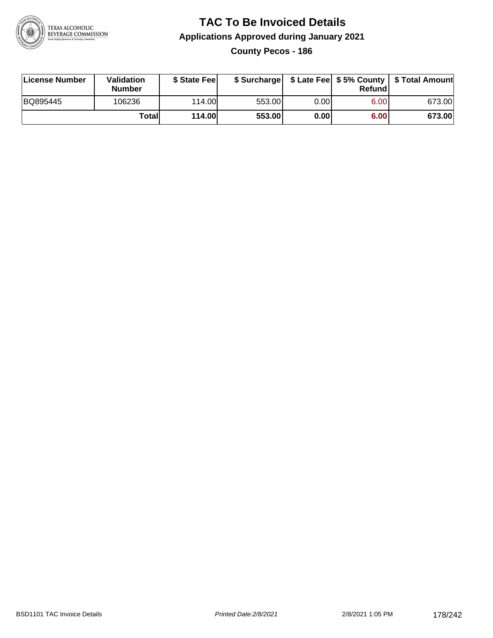

## **TAC To Be Invoiced Details Applications Approved during January 2021**

**County Pecos - 186**

| License Number | <b>Validation</b><br><b>Number</b> | \$ State Feel | \$ Surcharge |       | Refundl           | \$ Late Fee   \$5% County   \$ Total Amount |
|----------------|------------------------------------|---------------|--------------|-------|-------------------|---------------------------------------------|
| BQ895445       | 106236                             | 114.00        | 553.00       | 0.001 | 6.00 <sub>1</sub> | 673.00                                      |
|                | Totall                             | <b>114.00</b> | 553.00       | 0.00  | 6.00              | 673.00                                      |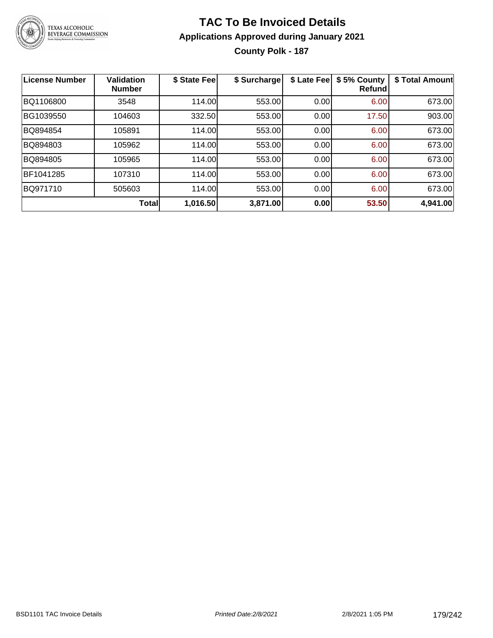

### **TAC To Be Invoiced Details Applications Approved during January 2021 County Polk - 187**

| <b>License Number</b> | Validation<br><b>Number</b> | \$ State Fee | \$ Surcharge | \$ Late Fee | \$5% County<br><b>Refund</b> | \$ Total Amount |
|-----------------------|-----------------------------|--------------|--------------|-------------|------------------------------|-----------------|
| BQ1106800             | 3548                        | 114.00       | 553.00       | 0.00        | 6.00                         | 673.00          |
| BG1039550             | 104603                      | 332.50       | 553.00       | 0.00        | 17.50                        | 903.00          |
| BQ894854              | 105891                      | 114.00       | 553.00       | 0.00        | 6.00                         | 673.00          |
| BQ894803              | 105962                      | 114.00       | 553.00       | 0.00        | 6.00                         | 673.00          |
| BQ894805              | 105965                      | 114.00       | 553.00       | 0.00        | 6.00                         | 673.00          |
| BF1041285             | 107310                      | 114.00       | 553.00       | 0.00        | 6.00                         | 673.00          |
| BQ971710              | 505603                      | 114.00       | 553.00       | 0.00        | 6.00                         | 673.00          |
|                       | <b>Total</b>                | 1,016.50     | 3,871.00     | 0.00        | 53.50                        | 4,941.00        |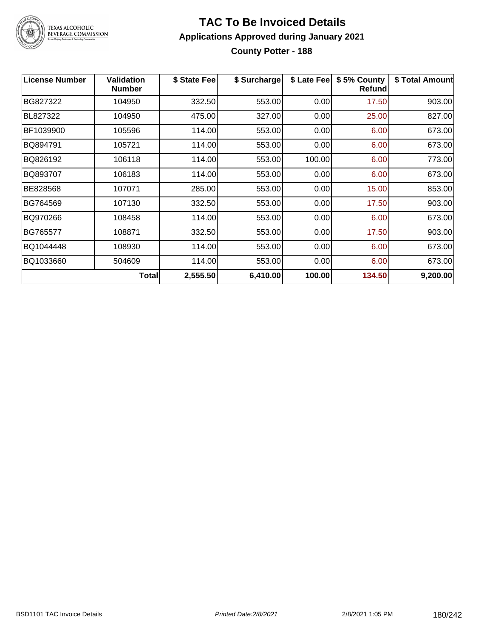

# TEXAS ALCOHOLIC<br>BEVERAGE COMMISSION

#### **TAC To Be Invoiced Details Applications Approved during January 2021 County Potter - 188**

| <b>License Number</b> | <b>Validation</b><br><b>Number</b> | \$ State Fee | \$ Surcharge | \$ Late Fee | \$5% County<br>Refund | \$ Total Amount |
|-----------------------|------------------------------------|--------------|--------------|-------------|-----------------------|-----------------|
| BG827322              | 104950                             | 332.50       | 553.00       | 0.00        | 17.50                 | 903.00          |
| BL827322              | 104950                             | 475.00       | 327.00       | 0.00        | 25.00                 | 827.00          |
| BF1039900             | 105596                             | 114.00       | 553.00       | 0.00        | 6.00                  | 673.00          |
| BQ894791              | 105721                             | 114.00       | 553.00       | 0.00        | 6.00                  | 673.00          |
| BQ826192              | 106118                             | 114.00       | 553.00       | 100.00      | 6.00                  | 773.00          |
| BQ893707              | 106183                             | 114.00       | 553.00       | 0.00        | 6.00                  | 673.00          |
| BE828568              | 107071                             | 285.00       | 553.00       | 0.00        | 15.00                 | 853.00          |
| BG764569              | 107130                             | 332.50       | 553.00       | 0.00        | 17.50                 | 903.00          |
| BQ970266              | 108458                             | 114.00       | 553.00       | 0.00        | 6.00                  | 673.00          |
| BG765577              | 108871                             | 332.50       | 553.00       | 0.00        | 17.50                 | 903.00          |
| BQ1044448             | 108930                             | 114.00       | 553.00       | 0.00        | 6.00                  | 673.00          |
| BQ1033660             | 504609                             | 114.00       | 553.00       | 0.00        | 6.00                  | 673.00          |
|                       | Total                              | 2,555.50     | 6,410.00     | 100.00      | 134.50                | 9,200.00        |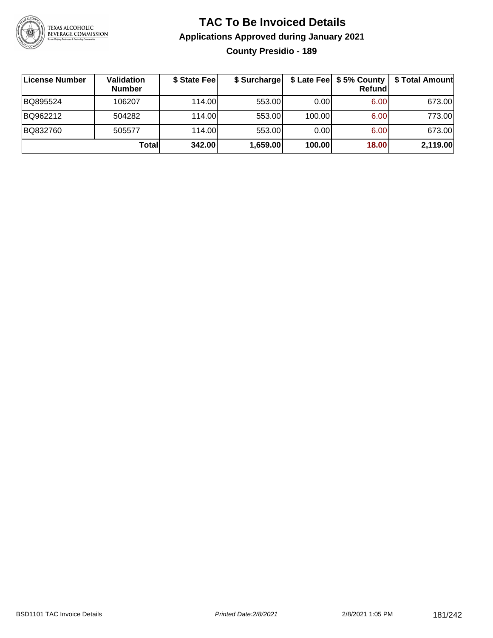

# **TAC To Be Invoiced Details Applications Approved during January 2021 County Presidio - 189**

| License Number | Validation<br><b>Number</b> | \$ State Fee | \$ Surcharge |        | <b>Refund</b> | \$ Late Fee   \$5% County   \$ Total Amount |
|----------------|-----------------------------|--------------|--------------|--------|---------------|---------------------------------------------|
| BQ895524       | 106207                      | 114.00L      | 553.00       | 0.00   | 6.00          | 673.00                                      |
| BQ962212       | 504282                      | 114.00L      | 553.00       | 100.00 | 6.00          | 773.00                                      |
| BQ832760       | 505577                      | 114.00L      | 553.00       | 0.00   | 6.00          | 673.00                                      |
|                | Totall                      | 342.00       | 1,659.00     | 100.00 | 18.00         | 2,119.00                                    |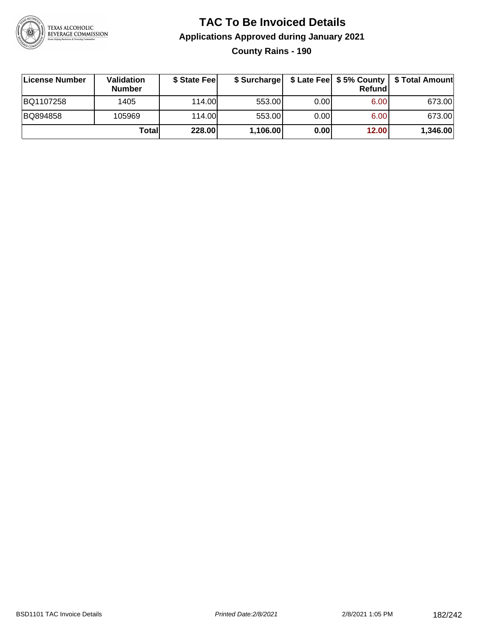

## **TAC To Be Invoiced Details Applications Approved during January 2021 County Rains - 190**

| License Number | <b>Validation</b><br><b>Number</b> | \$ State Fee | \$ Surcharge |      | <b>Refund</b> | \$ Late Fee   \$5% County   \$ Total Amount |
|----------------|------------------------------------|--------------|--------------|------|---------------|---------------------------------------------|
| BQ1107258      | 1405                               | 114.00L      | 553.00       | 0.00 | 6.00          | 673.00                                      |
| BQ894858       | 105969                             | 114.00       | 553.00       | 0.00 | 6.00          | 673.00                                      |
|                | Totall                             | 228.00       | 1,106.00     | 0.00 | 12.00         | 1,346.00                                    |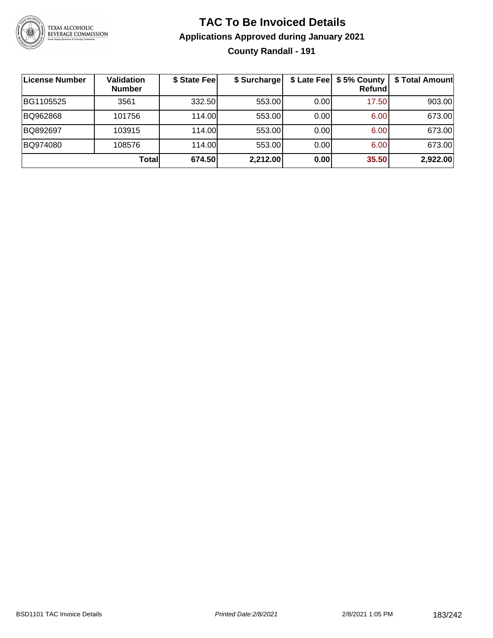

# **TAC To Be Invoiced Details Applications Approved during January 2021 County Randall - 191**

| License Number | <b>Validation</b><br><b>Number</b> | \$ State Fee | \$ Surcharge |      | \$ Late Fee   \$5% County<br><b>Refund</b> | \$ Total Amount |
|----------------|------------------------------------|--------------|--------------|------|--------------------------------------------|-----------------|
| BG1105525      | 3561                               | 332.50       | 553.00       | 0.00 | 17.50                                      | 903.00          |
| BQ962868       | 101756                             | 114.00       | 553.00       | 0.00 | 6.00                                       | 673.00          |
| BQ892697       | 103915                             | 114.00       | 553.00       | 0.00 | 6.00                                       | 673.00          |
| BQ974080       | 108576                             | 114.00       | 553.00       | 0.00 | 6.00                                       | 673.00          |
|                | Totall                             | 674.50       | 2,212.00     | 0.00 | 35.50                                      | 2,922.00        |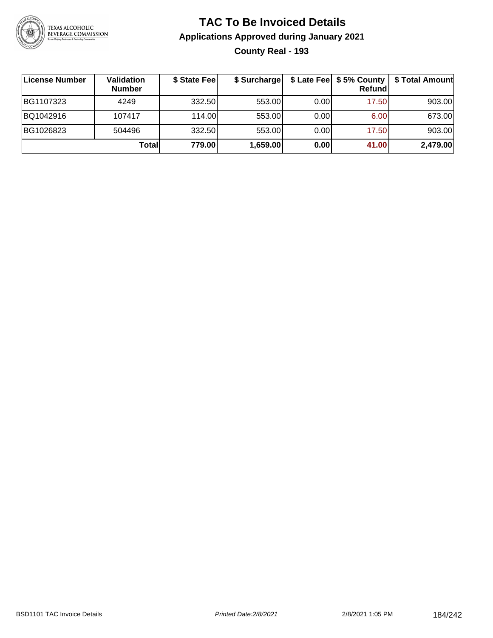

# **TAC To Be Invoiced Details Applications Approved during January 2021 County Real - 193**

| License Number | Validation<br><b>Number</b> | \$ State Fee | \$ Surcharge |      | \$ Late Fee   \$5% County<br>Refundl | \$ Total Amount |
|----------------|-----------------------------|--------------|--------------|------|--------------------------------------|-----------------|
| BG1107323      | 4249                        | 332.50       | 553.00       | 0.00 | 17.50                                | 903.00          |
| BQ1042916      | 107417                      | 114.00L      | 553.00       | 0.00 | 6.00                                 | 673.00          |
| BG1026823      | 504496                      | 332.50       | 553.00       | 0.00 | 17.50                                | 903.00          |
|                | Totall                      | 779.00       | 1,659.00     | 0.00 | 41.00                                | 2,479.00        |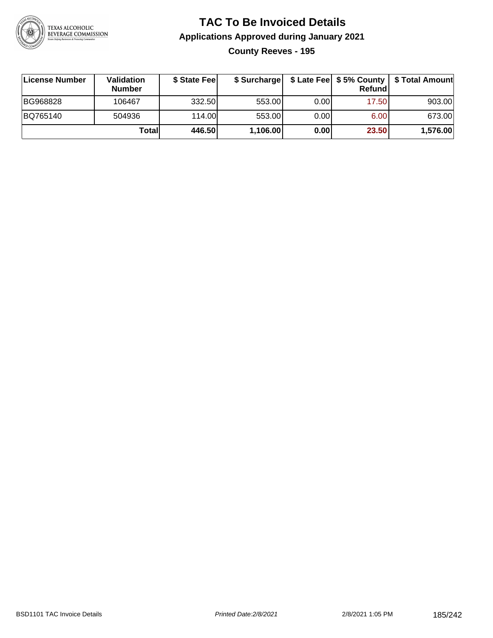

## **TAC To Be Invoiced Details Applications Approved during January 2021 County Reeves - 195**

| License Number | <b>Validation</b><br><b>Number</b> | \$ State Feel |          |       | Refundl | \$ Surcharge   \$ Late Fee   \$5% County   \$ Total Amount |
|----------------|------------------------------------|---------------|----------|-------|---------|------------------------------------------------------------|
| BG968828       | 106467                             | 332.50        | 553.00   | 0.001 | 17.50   | 903.00                                                     |
| BQ765140       | 504936                             | 114.00        | 553.00   | 0.00  | 6.00    | 673.00                                                     |
|                | Totall                             | 446.50        | 1,106.00 | 0.00  | 23.50   | 1,576.00                                                   |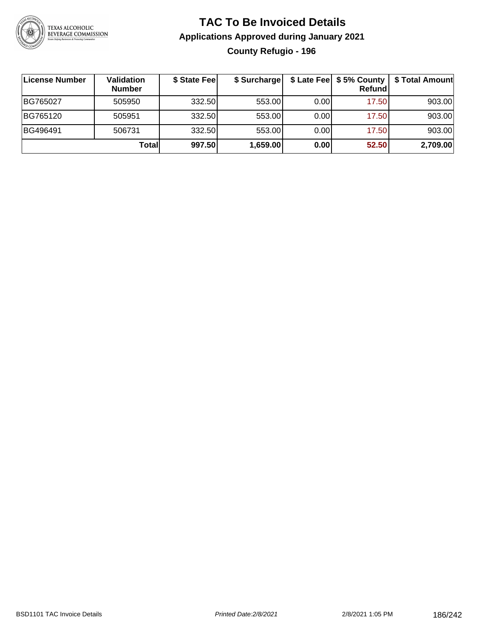

# **TAC To Be Invoiced Details Applications Approved during January 2021 County Refugio - 196**

| ∣License Number | Validation<br><b>Number</b> | \$ State Feel | \$ Surcharge |      | Refundl | \$ Late Fee   \$5% County   \$ Total Amount |
|-----------------|-----------------------------|---------------|--------------|------|---------|---------------------------------------------|
| BG765027        | 505950                      | 332.50        | 553.00       | 0.00 | 17.50   | 903.00                                      |
| BG765120        | 505951                      | 332.50        | 553.00       | 0.00 | 17.50   | 903.00                                      |
| BG496491        | 506731                      | 332.50        | 553.00       | 0.00 | 17.50   | 903.00                                      |
|                 | Totall                      | 997.50        | 1,659.00     | 0.00 | 52.50   | 2,709.00                                    |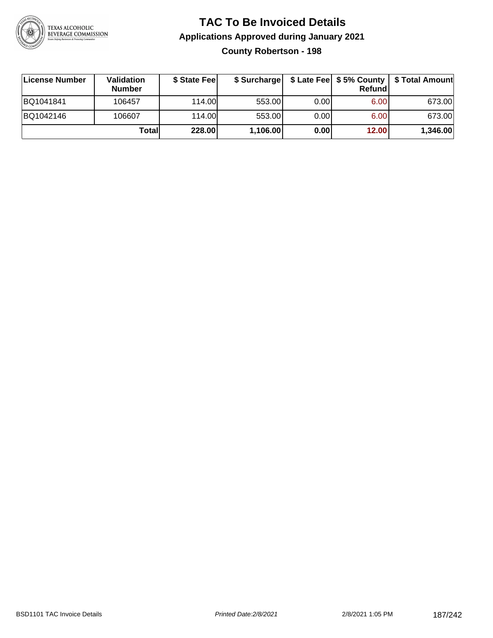

#### **TAC To Be Invoiced Details Applications Approved during January 2021 County Robertson - 198**

| License Number | Validation<br><b>Number</b> | \$ State Feel | \$ Surcharge |      | Refund |          |
|----------------|-----------------------------|---------------|--------------|------|--------|----------|
| BQ1041841      | 106457                      | 114.00L       | 553.00       | 0.00 | 6.00   | 673.00   |
| BQ1042146      | 106607                      | 114.00L       | 553.00       | 0.00 | 6.00   | 673.00   |
|                | Totall                      | 228.00        | 1,106.00     | 0.00 | 12.00  | 1,346.00 |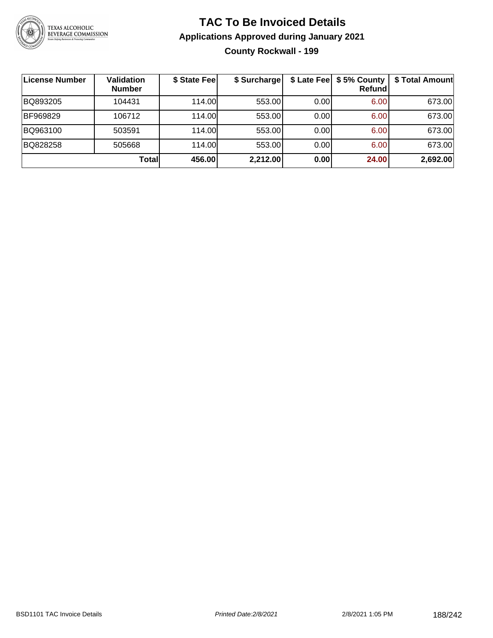

# **TAC To Be Invoiced Details Applications Approved during January 2021 County Rockwall - 199**

| License Number | <b>Validation</b><br><b>Number</b> | \$ State Fee | \$ Surcharge |       | \$ Late Fee   \$5% County  <br>Refundl | \$ Total Amount |
|----------------|------------------------------------|--------------|--------------|-------|----------------------------------------|-----------------|
| BQ893205       | 104431                             | 114.00       | 553.00       | 0.00  | 6.00                                   | 673.00          |
| BF969829       | 106712                             | 114.00L      | 553.00       | 0.001 | 6.00                                   | 673.00          |
| BQ963100       | 503591                             | 114.00       | 553.00       | 0.00  | 6.00                                   | 673.00          |
| BQ828258       | 505668                             | 114.00       | 553.00       | 0.00  | 6.00                                   | 673.00          |
|                | <b>Total</b>                       | 456.00       | 2,212.00     | 0.00  | 24.00                                  | 2,692.00        |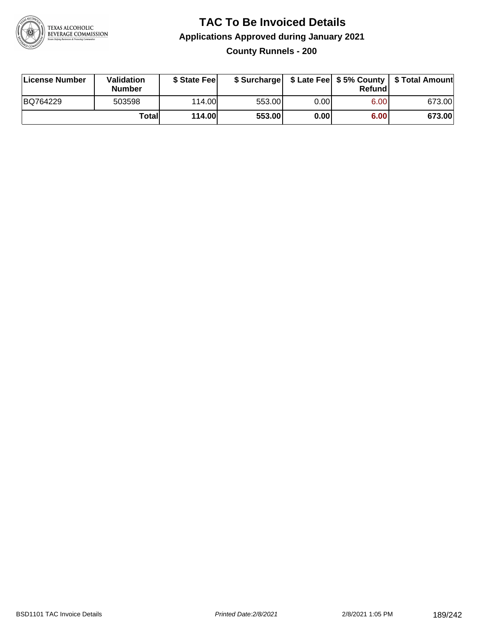

### **TAC To Be Invoiced Details Applications Approved during January 2021 County Runnels - 200**

| License Number | Validation<br><b>Number</b> | \$ State Fee |        |       | Refund | \$ Surcharge   \$ Late Fee   \$5% County   \$ Total Amount |
|----------------|-----------------------------|--------------|--------|-------|--------|------------------------------------------------------------|
| BQ764229       | 503598                      | 114.00L      | 553.00 | 0.001 | 6.00   | 673.00                                                     |
|                | Totall                      | 114.00       | 553.00 | 0.00  | 6.00   | 673.00                                                     |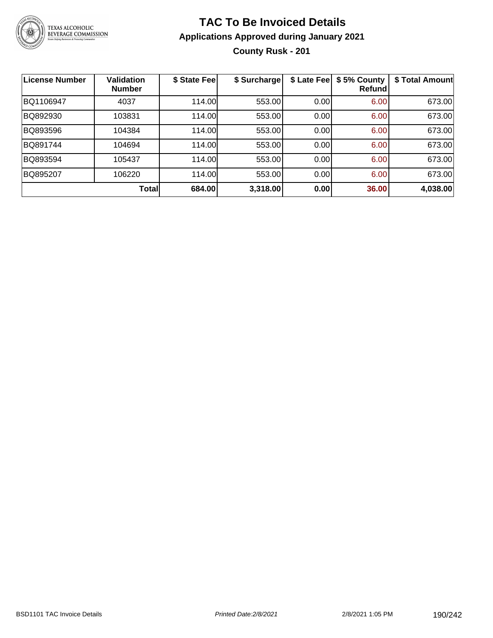

# **TAC To Be Invoiced Details Applications Approved during January 2021 County Rusk - 201**

| <b>License Number</b> | <b>Validation</b><br><b>Number</b> | \$ State Fee | \$ Surcharge | \$ Late Fee | \$5% County<br>Refund | \$ Total Amount |
|-----------------------|------------------------------------|--------------|--------------|-------------|-----------------------|-----------------|
| BQ1106947             | 4037                               | 114.00       | 553.00       | 0.00        | 6.00                  | 673.00          |
| BQ892930              | 103831                             | 114.00       | 553.00       | 0.00        | 6.00                  | 673.00          |
| BQ893596              | 104384                             | 114.00       | 553.00       | 0.00        | 6.00                  | 673.00          |
| BQ891744              | 104694                             | 114.00       | 553.00       | 0.00        | 6.00                  | 673.00          |
| BQ893594              | 105437                             | 114.00       | 553.00       | 0.00        | 6.00                  | 673.00          |
| BQ895207              | 106220                             | 114.00       | 553.00       | 0.00        | 6.00                  | 673.00          |
|                       | <b>Total</b>                       | 684.00       | 3,318.00     | 0.00        | 36.00                 | 4,038.00        |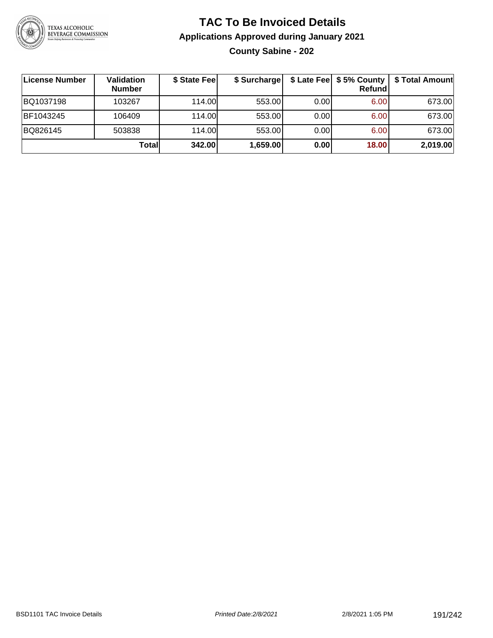

# **TAC To Be Invoiced Details Applications Approved during January 2021 County Sabine - 202**

| License Number | Validation<br><b>Number</b> | \$ State Fee | \$ Surcharge |      | $$$ Late Fee $$5%$ County<br>Refund | \$ Total Amount |
|----------------|-----------------------------|--------------|--------------|------|-------------------------------------|-----------------|
| BQ1037198      | 103267                      | 114.00L      | 553.00       | 0.00 | 6.00                                | 673.00          |
| BF1043245      | 106409                      | 114.00L      | 553.00       | 0.00 | 6.00                                | 673.00          |
| BQ826145       | 503838                      | 114.00L      | 553.00       | 0.00 | 6.00                                | 673.00          |
|                | Totall                      | 342.00       | 1,659.00     | 0.00 | 18.00                               | 2,019.00        |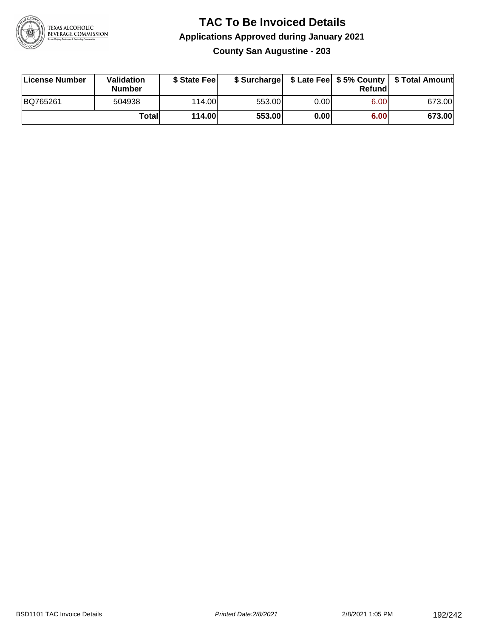

#### **TAC To Be Invoiced Details Applications Approved during January 2021 County San Augustine - 203**

| License Number | Validation<br><b>Number</b> | \$ State Fee |        |      | Refund | \$ Surcharge   \$ Late Fee   \$5% County   \$ Total Amount |
|----------------|-----------------------------|--------------|--------|------|--------|------------------------------------------------------------|
| BQ765261       | 504938                      | 114.00       | 553.00 | 0.00 | 6.00   | 673.00                                                     |
|                | Totall                      | 114.00       | 553.00 | 0.00 | 6.00   | 673.00                                                     |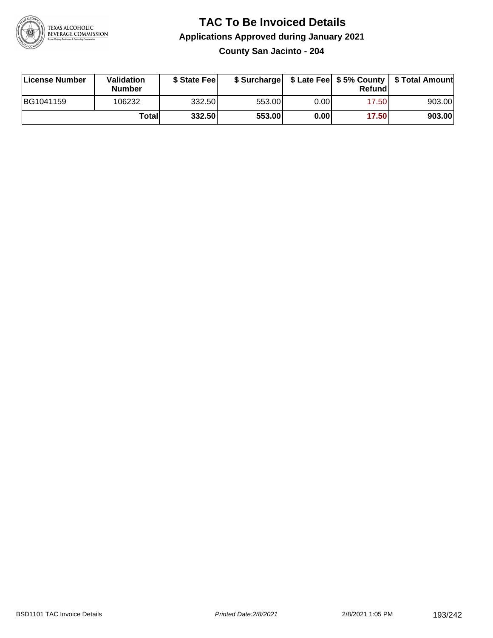

#### **TAC To Be Invoiced Details Applications Approved during January 2021 County San Jacinto - 204**

| License Number | Validation<br><b>Number</b> | \$ State Feel |        |      | Refund | \$ Surcharge   \$ Late Fee   \$5% County   \$ Total Amount |
|----------------|-----------------------------|---------------|--------|------|--------|------------------------------------------------------------|
| BG1041159      | 106232                      | 332.50        | 553.00 | 0.00 | 17.50  | 903.00                                                     |
|                | Totall                      | 332.50        | 553.00 | 0.00 | 17.50  | 903.00                                                     |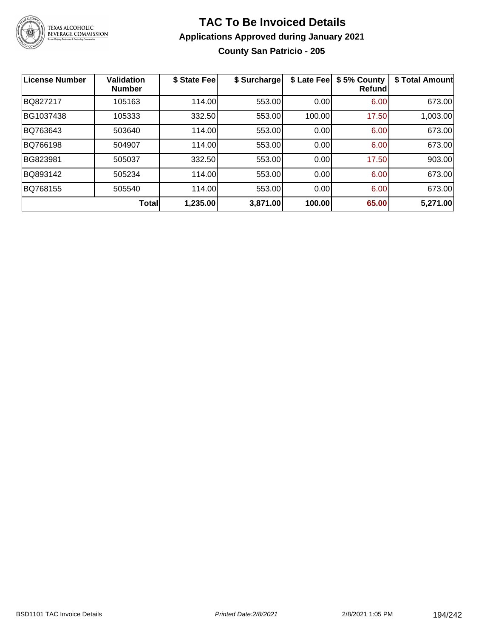

#### **TAC To Be Invoiced Details Applications Approved during January 2021 County San Patricio - 205**

| <b>License Number</b> | <b>Validation</b><br><b>Number</b> | \$ State Fee | \$ Surcharge | \$ Late Fee | \$5% County<br><b>Refund</b> | \$ Total Amount |
|-----------------------|------------------------------------|--------------|--------------|-------------|------------------------------|-----------------|
| BQ827217              | 105163                             | 114.00       | 553.00       | 0.00        | 6.00                         | 673.00          |
| BG1037438             | 105333                             | 332.50       | 553.00       | 100.00      | 17.50                        | 1,003.00        |
| BQ763643              | 503640                             | 114.00       | 553.00       | 0.00        | 6.00                         | 673.00          |
| BQ766198              | 504907                             | 114.00       | 553.00       | 0.00        | 6.00                         | 673.00          |
| BG823981              | 505037                             | 332.50       | 553.00       | 0.00        | 17.50                        | 903.00          |
| BQ893142              | 505234                             | 114.00       | 553.00       | 0.00        | 6.00                         | 673.00          |
| BQ768155              | 505540                             | 114.00       | 553.00       | 0.00        | 6.00                         | 673.00          |
|                       | Total                              | 1,235.00     | 3,871.00     | 100.00      | 65.00                        | 5,271.00        |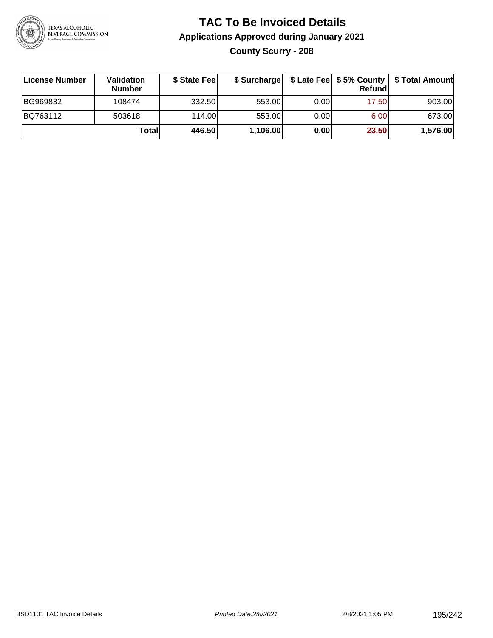

# **TAC To Be Invoiced Details Applications Approved during January 2021 County Scurry - 208**

| ∣License Number | Validation<br><b>Number</b> | \$ State Feel |          |      | Refundl | \$ Surcharge   \$ Late Fee   \$5% County   \$ Total Amount |
|-----------------|-----------------------------|---------------|----------|------|---------|------------------------------------------------------------|
| BG969832        | 108474                      | 332.50        | 553.00   | 0.00 | 17.50   | 903.00                                                     |
| BQ763112        | 503618                      | 114.00L       | 553.00   | 0.00 | 6.00    | 673.00                                                     |
|                 | Totall                      | 446.50        | 1,106.00 | 0.00 | 23.50   | 1,576.00                                                   |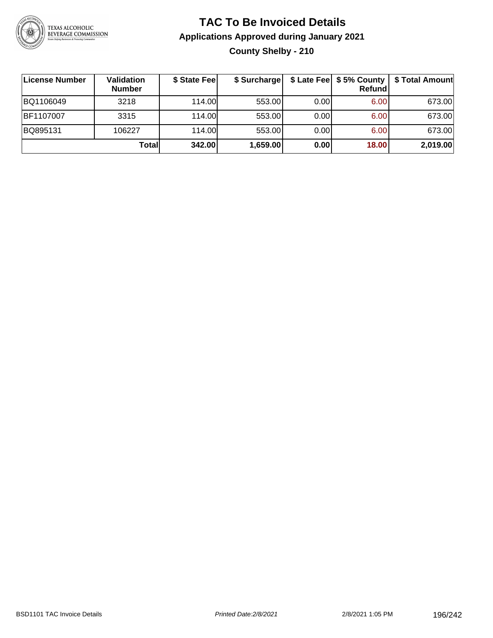

# **TAC To Be Invoiced Details Applications Approved during January 2021 County Shelby - 210**

| License Number | Validation<br><b>Number</b> | \$ State Fee | \$ Surcharge |      | <b>Refund</b> | \$ Late Fee   \$5% County   \$ Total Amount |
|----------------|-----------------------------|--------------|--------------|------|---------------|---------------------------------------------|
| BQ1106049      | 3218                        | 114.00L      | 553.00       | 0.00 | 6.00          | 673.00                                      |
| BF1107007      | 3315                        | 114.00L      | 553.00       | 0.00 | 6.00          | 673.00                                      |
| BQ895131       | 106227                      | 114.00       | 553.00       | 0.00 | 6.00          | 673.00                                      |
|                | Total                       | 342.00       | 1,659.00     | 0.00 | 18.00         | 2,019.00                                    |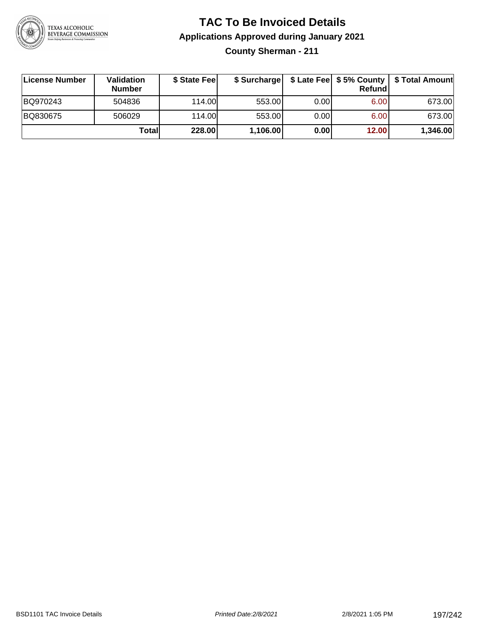

## **TAC To Be Invoiced Details Applications Approved during January 2021 County Sherman - 211**

| <b>∣License Number</b> | <b>Validation</b><br><b>Number</b> | \$ State Feel | \$ Surcharge |      | Refund |          |
|------------------------|------------------------------------|---------------|--------------|------|--------|----------|
| BQ970243               | 504836                             | 114.00L       | 553.00       | 0.00 | 6.00   | 673.00   |
| BQ830675               | 506029                             | 114.00L       | 553.00       | 0.00 | 6.00   | 673.00   |
|                        | Totall                             | 228.00        | 1,106.00     | 0.00 | 12.00  | 1,346.00 |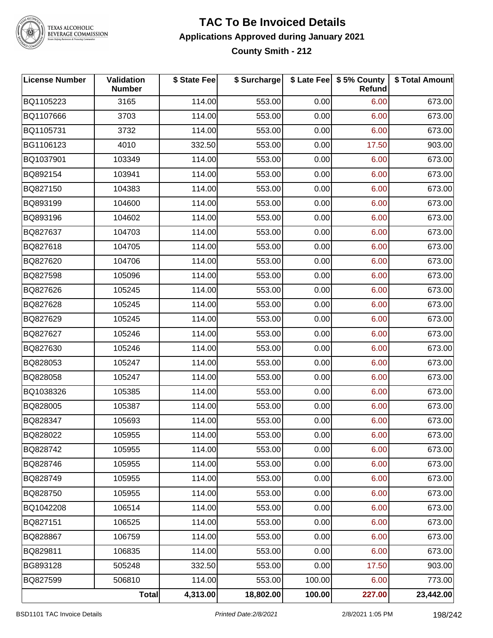

TEXAS ALCOHOLIC<br>BEVERAGE COMMISSION

#### **TAC To Be Invoiced Details Applications Approved during January 2021 County Smith - 212**

| <b>License Number</b> | Validation<br><b>Number</b> | \$ State Fee | \$ Surcharge |        | \$ Late Fee   \$5% County<br>Refund | \$ Total Amount |
|-----------------------|-----------------------------|--------------|--------------|--------|-------------------------------------|-----------------|
| BQ1105223             | 3165                        | 114.00       | 553.00       | 0.00   | 6.00                                | 673.00          |
| BQ1107666             | 3703                        | 114.00       | 553.00       | 0.00   | 6.00                                | 673.00          |
| BQ1105731             | 3732                        | 114.00       | 553.00       | 0.00   | 6.00                                | 673.00          |
| BG1106123             | 4010                        | 332.50       | 553.00       | 0.00   | 17.50                               | 903.00          |
| BQ1037901             | 103349                      | 114.00       | 553.00       | 0.00   | 6.00                                | 673.00          |
| BQ892154              | 103941                      | 114.00       | 553.00       | 0.00   | 6.00                                | 673.00          |
| BQ827150              | 104383                      | 114.00       | 553.00       | 0.00   | 6.00                                | 673.00          |
| BQ893199              | 104600                      | 114.00       | 553.00       | 0.00   | 6.00                                | 673.00          |
| BQ893196              | 104602                      | 114.00       | 553.00       | 0.00   | 6.00                                | 673.00          |
| BQ827637              | 104703                      | 114.00       | 553.00       | 0.00   | 6.00                                | 673.00          |
| BQ827618              | 104705                      | 114.00       | 553.00       | 0.00   | 6.00                                | 673.00          |
| BQ827620              | 104706                      | 114.00       | 553.00       | 0.00   | 6.00                                | 673.00          |
| BQ827598              | 105096                      | 114.00       | 553.00       | 0.00   | 6.00                                | 673.00          |
| BQ827626              | 105245                      | 114.00       | 553.00       | 0.00   | 6.00                                | 673.00          |
| BQ827628              | 105245                      | 114.00       | 553.00       | 0.00   | 6.00                                | 673.00          |
| BQ827629              | 105245                      | 114.00       | 553.00       | 0.00   | 6.00                                | 673.00          |
| BQ827627              | 105246                      | 114.00       | 553.00       | 0.00   | 6.00                                | 673.00          |
| BQ827630              | 105246                      | 114.00       | 553.00       | 0.00   | 6.00                                | 673.00          |
| BQ828053              | 105247                      | 114.00       | 553.00       | 0.00   | 6.00                                | 673.00          |
| BQ828058              | 105247                      | 114.00       | 553.00       | 0.00   | 6.00                                | 673.00          |
| BQ1038326             | 105385                      | 114.00       | 553.00       | 0.00   | 6.00                                | 673.00          |
| BQ828005              | 105387                      | 114.00       | 553.00       | 0.00   | 6.00                                | 673.00          |
| BQ828347              | 105693                      | 114.00       | 553.00       | 0.00   | 6.00                                | 673.00          |
| BQ828022              | 105955                      | 114.00       | 553.00       | 0.00   | 6.00                                | 673.00          |
| BQ828742              | 105955                      | 114.00       | 553.00       | 0.00   | 6.00                                | 673.00          |
| BQ828746              | 105955                      | 114.00       | 553.00       | 0.00   | 6.00                                | 673.00          |
| BQ828749              | 105955                      | 114.00       | 553.00       | 0.00   | 6.00                                | 673.00          |
| BQ828750              | 105955                      | 114.00       | 553.00       | 0.00   | 6.00                                | 673.00          |
| BQ1042208             | 106514                      | 114.00       | 553.00       | 0.00   | 6.00                                | 673.00          |
| BQ827151              | 106525                      | 114.00       | 553.00       | 0.00   | 6.00                                | 673.00          |
| BQ828867              | 106759                      | 114.00       | 553.00       | 0.00   | 6.00                                | 673.00          |
| BQ829811              | 106835                      | 114.00       | 553.00       | 0.00   | 6.00                                | 673.00          |
| BG893128              | 505248                      | 332.50       | 553.00       | 0.00   | 17.50                               | 903.00          |
| BQ827599              | 506810                      | 114.00       | 553.00       | 100.00 | 6.00                                | 773.00          |
|                       | Total                       | 4,313.00     | 18,802.00    | 100.00 | 227.00                              | 23,442.00       |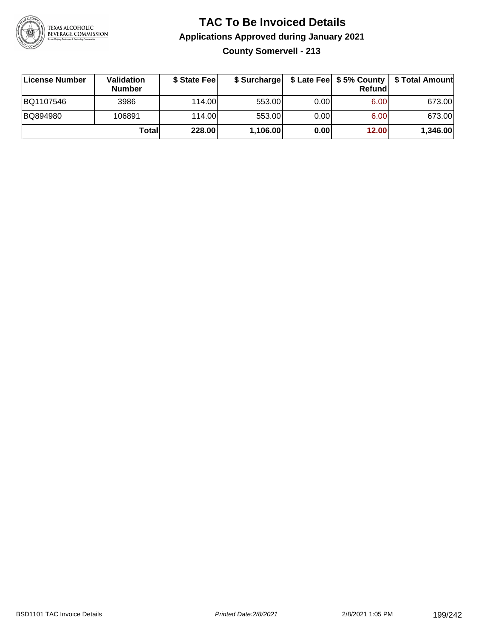

## **TAC To Be Invoiced Details Applications Approved during January 2021 County Somervell - 213**

| ∣License Number | Validation<br><b>Number</b> | \$ State Feel | \$ Surcharge |      | Refundl           |          |
|-----------------|-----------------------------|---------------|--------------|------|-------------------|----------|
| BQ1107546       | 3986                        | 114.00        | 553.00       | 0.00 | 6.00              | 673.00   |
| BQ894980        | 106891                      | 114.00        | 553.00       | 0.00 | 6.00 <sub>1</sub> | 673.00   |
|                 | Totall                      | 228.00        | 1,106.00     | 0.00 | 12.00             | 1,346.00 |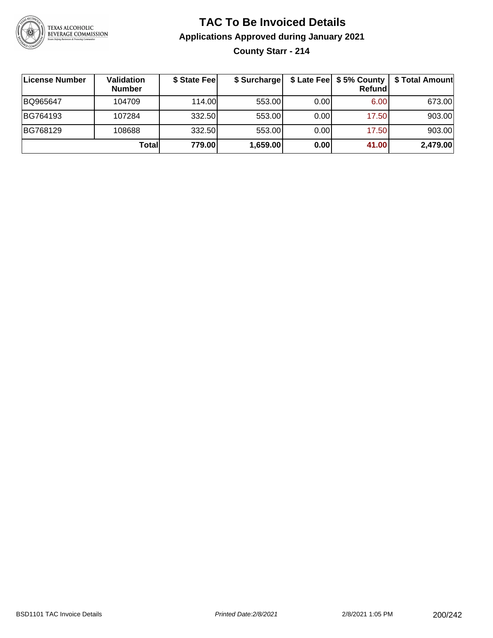

# **TAC To Be Invoiced Details Applications Approved during January 2021 County Starr - 214**

| ∣License Number | Validation<br><b>Number</b> | \$ State Fee | \$ Surcharge |      | \$ Late Fee   \$5% County<br>Refundl | \$ Total Amount |
|-----------------|-----------------------------|--------------|--------------|------|--------------------------------------|-----------------|
| BQ965647        | 104709                      | 114.00       | 553.00       | 0.00 | 6.00                                 | 673.00          |
| BG764193        | 107284                      | 332.50       | 553.00       | 0.00 | 17.50                                | 903.00          |
| BG768129        | 108688                      | 332.50       | 553.00       | 0.00 | 17.50                                | 903.00          |
|                 | Totall                      | 779.00       | 1,659.00     | 0.00 | 41.00                                | 2,479.00        |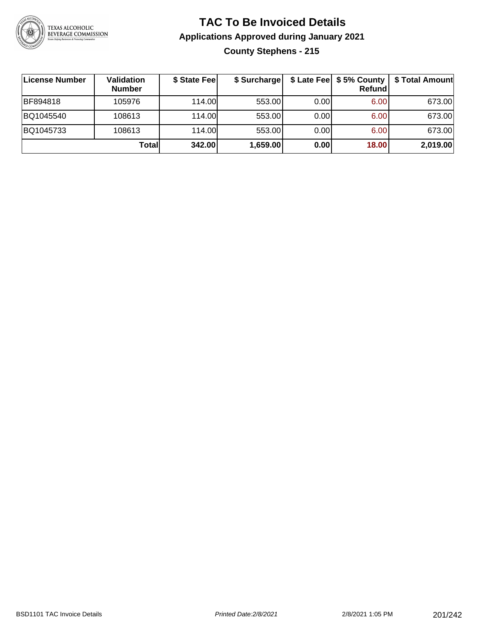

### **TAC To Be Invoiced Details Applications Approved during January 2021 County Stephens - 215**

| ∣License Number | <b>Validation</b><br><b>Number</b> | \$ State Fee | \$ Surcharge |       | Refund | \$ Late Fee   \$5% County   \$ Total Amount |
|-----------------|------------------------------------|--------------|--------------|-------|--------|---------------------------------------------|
| BF894818        | 105976                             | 114.00       | 553.00       | 0.001 | 6.00   | 673.00                                      |
| BQ1045540       | 108613                             | 114.00L      | 553.00       | 0.001 | 6.00   | 673.00                                      |
| BQ1045733       | 108613                             | 114.00       | 553.00       | 0.001 | 6.00   | 673.00                                      |
|                 | Totall                             | 342.00       | 1,659.00     | 0.00  | 18.00  | 2,019.00                                    |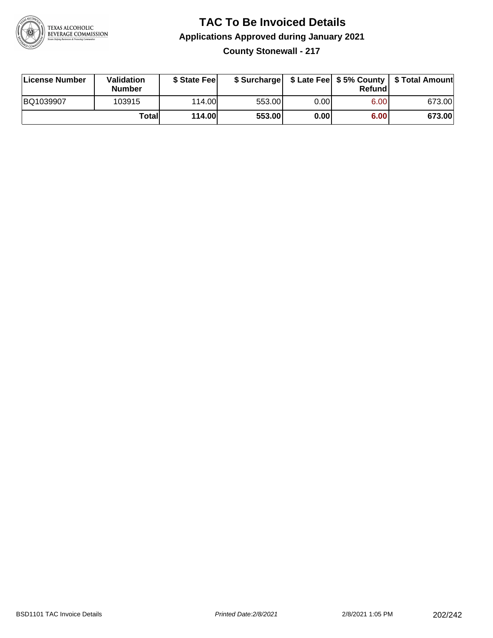

#### **TAC To Be Invoiced Details Applications Approved during January 2021 County Stonewall - 217**

| License Number | Validation<br><b>Number</b> | \$ State Feel |        |      | Refundl | \$ Surcharge   \$ Late Fee   \$5% County   \$ Total Amount |
|----------------|-----------------------------|---------------|--------|------|---------|------------------------------------------------------------|
| BQ1039907      | 103915                      | 114.00        | 553.00 | 0.00 | 6.00    | 673.00                                                     |
|                | Totall                      | <b>114.00</b> | 553.00 | 0.00 | 6.00    | 673.00                                                     |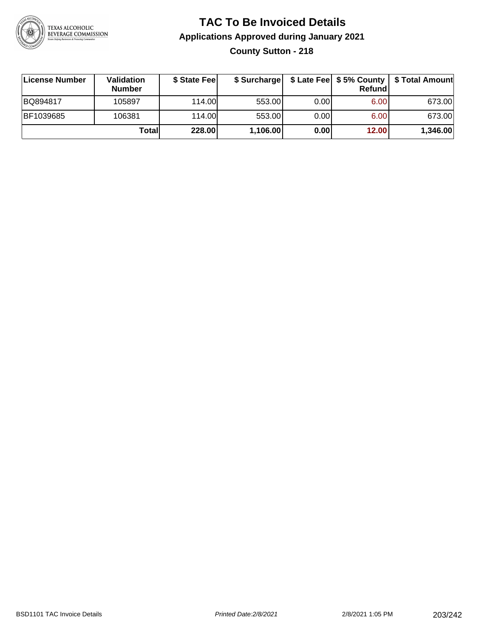

## **TAC To Be Invoiced Details Applications Approved during January 2021 County Sutton - 218**

| License Number | <b>Validation</b><br><b>Number</b> | \$ State Fee |          |       | Refundl | \$ Surcharge   \$ Late Fee   \$5% County   \$ Total Amount |
|----------------|------------------------------------|--------------|----------|-------|---------|------------------------------------------------------------|
| BQ894817       | 105897                             | 114.00       | 553.00   | 0.001 | 6.00    | 673.00                                                     |
| BF1039685      | 106381                             | 114.00       | 553.00   | 0.00  | 6.00    | 673.00                                                     |
|                | Totall                             | 228.00       | 1,106.00 | 0.00  | 12.00   | 1,346.00                                                   |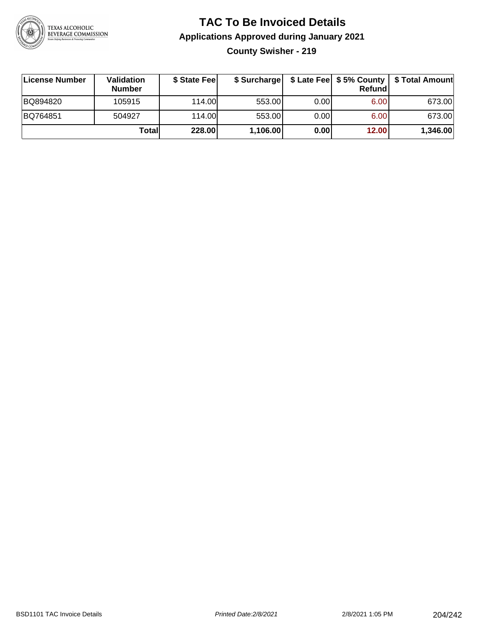

# **TAC To Be Invoiced Details Applications Approved during January 2021 County Swisher - 219**

| License Number | <b>Validation</b><br><b>Number</b> | \$ State Feel | \$ Surcharge |      | Refund | \$ Late Fee   \$5% County   \$ Total Amount |
|----------------|------------------------------------|---------------|--------------|------|--------|---------------------------------------------|
| BQ894820       | 105915                             | 114.00        | 553.00       | 0.00 | 6.00   | 673.00                                      |
| BQ764851       | 504927                             | 114.00        | 553.00       | 0.00 | 6.00   | 673.00                                      |
|                | Total                              | <b>228.00</b> | 1,106.00     | 0.00 | 12.00  | 1,346.00                                    |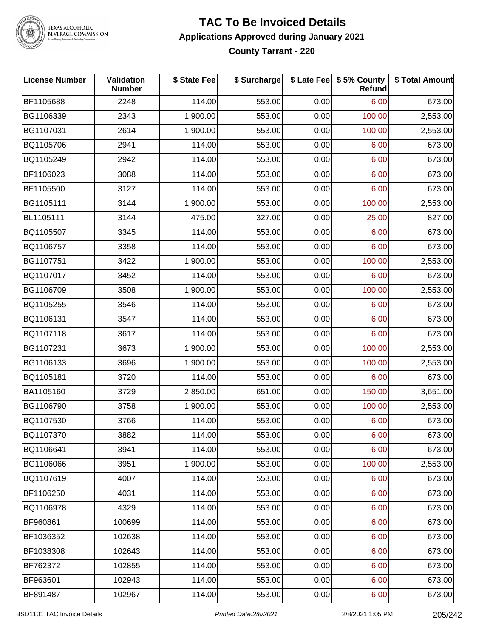

TEXAS ALCOHOLIC<br>BEVERAGE COMMISSION

#### **TAC To Be Invoiced Details Applications Approved during January 2021 County Tarrant - 220**

| <b>License Number</b> | Validation<br><b>Number</b> | \$ State Fee | \$ Surcharge |      | \$ Late Fee   \$5% County<br>Refund | \$ Total Amount |
|-----------------------|-----------------------------|--------------|--------------|------|-------------------------------------|-----------------|
| BF1105688             | 2248                        | 114.00       | 553.00       | 0.00 | 6.00                                | 673.00          |
| BG1106339             | 2343                        | 1,900.00     | 553.00       | 0.00 | 100.00                              | 2,553.00        |
| BG1107031             | 2614                        | 1,900.00     | 553.00       | 0.00 | 100.00                              | 2,553.00        |
| BQ1105706             | 2941                        | 114.00       | 553.00       | 0.00 | 6.00                                | 673.00          |
| BQ1105249             | 2942                        | 114.00       | 553.00       | 0.00 | 6.00                                | 673.00          |
| BF1106023             | 3088                        | 114.00       | 553.00       | 0.00 | 6.00                                | 673.00          |
| BF1105500             | 3127                        | 114.00       | 553.00       | 0.00 | 6.00                                | 673.00          |
| BG1105111             | 3144                        | 1,900.00     | 553.00       | 0.00 | 100.00                              | 2,553.00        |
| BL1105111             | 3144                        | 475.00       | 327.00       | 0.00 | 25.00                               | 827.00          |
| BQ1105507             | 3345                        | 114.00       | 553.00       | 0.00 | 6.00                                | 673.00          |
| BQ1106757             | 3358                        | 114.00       | 553.00       | 0.00 | 6.00                                | 673.00          |
| BG1107751             | 3422                        | 1,900.00     | 553.00       | 0.00 | 100.00                              | 2,553.00        |
| BQ1107017             | 3452                        | 114.00       | 553.00       | 0.00 | 6.00                                | 673.00          |
| BG1106709             | 3508                        | 1,900.00     | 553.00       | 0.00 | 100.00                              | 2,553.00        |
| BQ1105255             | 3546                        | 114.00       | 553.00       | 0.00 | 6.00                                | 673.00          |
| BQ1106131             | 3547                        | 114.00       | 553.00       | 0.00 | 6.00                                | 673.00          |
| BQ1107118             | 3617                        | 114.00       | 553.00       | 0.00 | 6.00                                | 673.00          |
| BG1107231             | 3673                        | 1,900.00     | 553.00       | 0.00 | 100.00                              | 2,553.00        |
| BG1106133             | 3696                        | 1,900.00     | 553.00       | 0.00 | 100.00                              | 2,553.00        |
| BQ1105181             | 3720                        | 114.00       | 553.00       | 0.00 | 6.00                                | 673.00          |
| BA1105160             | 3729                        | 2,850.00     | 651.00       | 0.00 | 150.00                              | 3,651.00        |
| BG1106790             | 3758                        | 1,900.00     | 553.00       | 0.00 | 100.00                              | 2,553.00        |
| BQ1107530             | 3766                        | 114.00       | 553.00       | 0.00 | 6.00                                | 673.00          |
| BQ1107370             | 3882                        | 114.00       | 553.00       | 0.00 | 6.00                                | 673.00          |
| BQ1106641             | 3941                        | 114.00       | 553.00       | 0.00 | 6.00                                | 673.00          |
| BG1106066             | 3951                        | 1,900.00     | 553.00       | 0.00 | 100.00                              | 2,553.00        |
| BQ1107619             | 4007                        | 114.00       | 553.00       | 0.00 | 6.00                                | 673.00          |
| BF1106250             | 4031                        | 114.00       | 553.00       | 0.00 | 6.00                                | 673.00          |
| BQ1106978             | 4329                        | 114.00       | 553.00       | 0.00 | 6.00                                | 673.00          |
| BF960861              | 100699                      | 114.00       | 553.00       | 0.00 | 6.00                                | 673.00          |
| BF1036352             | 102638                      | 114.00       | 553.00       | 0.00 | 6.00                                | 673.00          |
| BF1038308             | 102643                      | 114.00       | 553.00       | 0.00 | 6.00                                | 673.00          |
| BF762372              | 102855                      | 114.00       | 553.00       | 0.00 | 6.00                                | 673.00          |
| BF963601              | 102943                      | 114.00       | 553.00       | 0.00 | 6.00                                | 673.00          |
| BF891487              | 102967                      | 114.00       | 553.00       | 0.00 | 6.00                                | 673.00          |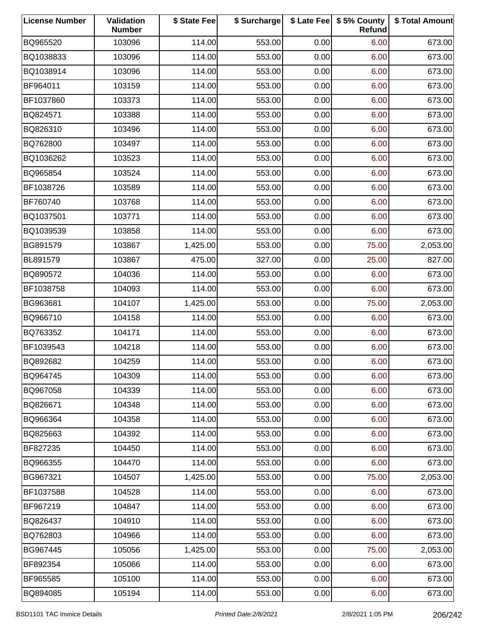| <b>License Number</b> | Validation<br><b>Number</b> | \$ State Fee | \$ Surcharge |      | \$ Late Fee   \$5% County<br>Refund | \$ Total Amount |
|-----------------------|-----------------------------|--------------|--------------|------|-------------------------------------|-----------------|
| BQ965520              | 103096                      | 114.00       | 553.00       | 0.00 | 6.00                                | 673.00          |
| BQ1038833             | 103096                      | 114.00       | 553.00       | 0.00 | 6.00                                | 673.00          |
| BQ1038914             | 103096                      | 114.00       | 553.00       | 0.00 | 6.00                                | 673.00          |
| BF964011              | 103159                      | 114.00       | 553.00       | 0.00 | 6.00                                | 673.00          |
| BF1037860             | 103373                      | 114.00       | 553.00       | 0.00 | 6.00                                | 673.00          |
| BQ824571              | 103388                      | 114.00       | 553.00       | 0.00 | 6.00                                | 673.00          |
| BQ826310              | 103496                      | 114.00       | 553.00       | 0.00 | 6.00                                | 673.00          |
| BQ762800              | 103497                      | 114.00       | 553.00       | 0.00 | 6.00                                | 673.00          |
| BQ1036262             | 103523                      | 114.00       | 553.00       | 0.00 | 6.00                                | 673.00          |
| BQ965854              | 103524                      | 114.00       | 553.00       | 0.00 | 6.00                                | 673.00          |
| BF1038726             | 103589                      | 114.00       | 553.00       | 0.00 | 6.00                                | 673.00          |
| BF760740              | 103768                      | 114.00       | 553.00       | 0.00 | 6.00                                | 673.00          |
| BQ1037501             | 103771                      | 114.00       | 553.00       | 0.00 | 6.00                                | 673.00          |
| BQ1039539             | 103858                      | 114.00       | 553.00       | 0.00 | 6.00                                | 673.00          |
| BG891579              | 103867                      | 1,425.00     | 553.00       | 0.00 | 75.00                               | 2,053.00        |
| BL891579              | 103867                      | 475.00       | 327.00       | 0.00 | 25.00                               | 827.00          |
| BQ890572              | 104036                      | 114.00       | 553.00       | 0.00 | 6.00                                | 673.00          |
| BF1038758             | 104093                      | 114.00       | 553.00       | 0.00 | 6.00                                | 673.00          |
| BG963681              | 104107                      | 1,425.00     | 553.00       | 0.00 | 75.00                               | 2,053.00        |
| BQ966710              | 104158                      | 114.00       | 553.00       | 0.00 | 6.00                                | 673.00          |
| BQ763352              | 104171                      | 114.00       | 553.00       | 0.00 | 6.00                                | 673.00          |
| BF1039543             | 104218                      | 114.00       | 553.00       | 0.00 | 6.00                                | 673.00          |
| BQ892682              | 104259                      | 114.00       | 553.00       | 0.00 | 6.00                                | 673.00          |
| BQ964745              | 104309                      | 114.00       | 553.00       | 0.00 | 6.00                                | 673.00          |
| BQ967058              | 104339                      | 114.00       | 553.00       | 0.00 | 6.00                                | 673.00          |
| BQ826671              | 104348                      | 114.00       | 553.00       | 0.00 | 6.00                                | 673.00          |
| BQ966364              | 104358                      | 114.00       | 553.00       | 0.00 | 6.00                                | 673.00          |
| BQ825663              | 104392                      | 114.00       | 553.00       | 0.00 | 6.00                                | 673.00          |
| BF827235              | 104450                      | 114.00       | 553.00       | 0.00 | 6.00                                | 673.00          |
| BQ966355              | 104470                      | 114.00       | 553.00       | 0.00 | 6.00                                | 673.00          |
| BG967321              | 104507                      | 1,425.00     | 553.00       | 0.00 | 75.00                               | 2,053.00        |
| BF1037588             | 104528                      | 114.00       | 553.00       | 0.00 | 6.00                                | 673.00          |
| BF967219              | 104847                      | 114.00       | 553.00       | 0.00 | 6.00                                | 673.00          |
| BQ826437              | 104910                      | 114.00       | 553.00       | 0.00 | 6.00                                | 673.00          |
| BQ762803              | 104966                      | 114.00       | 553.00       | 0.00 | 6.00                                | 673.00          |
| BG967445              | 105056                      | 1,425.00     | 553.00       | 0.00 | 75.00                               | 2,053.00        |
| BF892354              | 105066                      | 114.00       | 553.00       | 0.00 | 6.00                                | 673.00          |
| BF965585              | 105100                      | 114.00       | 553.00       | 0.00 | 6.00                                | 673.00          |
| BQ894085              | 105194                      | 114.00       | 553.00       | 0.00 | 6.00                                | 673.00          |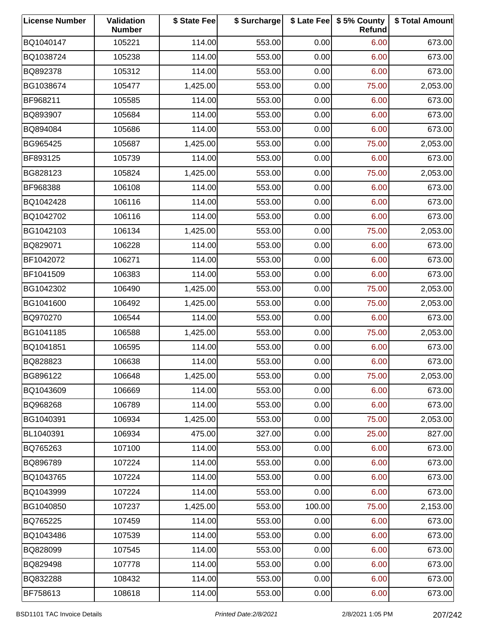| <b>License Number</b> | Validation<br><b>Number</b> | \$ State Fee | \$ Surcharge |        | \$ Late Fee   \$5% County<br>Refund | \$ Total Amount |
|-----------------------|-----------------------------|--------------|--------------|--------|-------------------------------------|-----------------|
| BQ1040147             | 105221                      | 114.00       | 553.00       | 0.00   | 6.00                                | 673.00          |
| BQ1038724             | 105238                      | 114.00       | 553.00       | 0.00   | 6.00                                | 673.00          |
| BQ892378              | 105312                      | 114.00       | 553.00       | 0.00   | 6.00                                | 673.00          |
| BG1038674             | 105477                      | 1,425.00     | 553.00       | 0.00   | 75.00                               | 2,053.00        |
| BF968211              | 105585                      | 114.00       | 553.00       | 0.00   | 6.00                                | 673.00          |
| BQ893907              | 105684                      | 114.00       | 553.00       | 0.00   | 6.00                                | 673.00          |
| BQ894084              | 105686                      | 114.00       | 553.00       | 0.00   | 6.00                                | 673.00          |
| BG965425              | 105687                      | 1,425.00     | 553.00       | 0.00   | 75.00                               | 2,053.00        |
| BF893125              | 105739                      | 114.00       | 553.00       | 0.00   | 6.00                                | 673.00          |
| BG828123              | 105824                      | 1,425.00     | 553.00       | 0.00   | 75.00                               | 2,053.00        |
| BF968388              | 106108                      | 114.00       | 553.00       | 0.00   | 6.00                                | 673.00          |
| BQ1042428             | 106116                      | 114.00       | 553.00       | 0.00   | 6.00                                | 673.00          |
| BQ1042702             | 106116                      | 114.00       | 553.00       | 0.00   | 6.00                                | 673.00          |
| BG1042103             | 106134                      | 1,425.00     | 553.00       | 0.00   | 75.00                               | 2,053.00        |
| BQ829071              | 106228                      | 114.00       | 553.00       | 0.00   | 6.00                                | 673.00          |
| BF1042072             | 106271                      | 114.00       | 553.00       | 0.00   | 6.00                                | 673.00          |
| BF1041509             | 106383                      | 114.00       | 553.00       | 0.00   | 6.00                                | 673.00          |
| BG1042302             | 106490                      | 1,425.00     | 553.00       | 0.00   | 75.00                               | 2,053.00        |
| BG1041600             | 106492                      | 1,425.00     | 553.00       | 0.00   | 75.00                               | 2,053.00        |
| BQ970270              | 106544                      | 114.00       | 553.00       | 0.00   | 6.00                                | 673.00          |
| BG1041185             | 106588                      | 1,425.00     | 553.00       | 0.00   | 75.00                               | 2,053.00        |
| BQ1041851             | 106595                      | 114.00       | 553.00       | 0.00   | 6.00                                | 673.00          |
| BQ828823              | 106638                      | 114.00       | 553.00       | 0.00   | 6.00                                | 673.00          |
| BG896122              | 106648                      | 1,425.00     | 553.00       | 0.00   | 75.00                               | 2,053.00        |
| BQ1043609             | 106669                      | 114.00       | 553.00       | 0.00   | 6.00                                | 673.00          |
| BQ968268              | 106789                      | 114.00       | 553.00       | 0.00   | 6.00                                | 673.00          |
| BG1040391             | 106934                      | 1,425.00     | 553.00       | 0.00   | 75.00                               | 2,053.00        |
| BL1040391             | 106934                      | 475.00       | 327.00       | 0.00   | 25.00                               | 827.00          |
| BQ765263              | 107100                      | 114.00       | 553.00       | 0.00   | 6.00                                | 673.00          |
| BQ896789              | 107224                      | 114.00       | 553.00       | 0.00   | 6.00                                | 673.00          |
| BQ1043765             | 107224                      | 114.00       | 553.00       | 0.00   | 6.00                                | 673.00          |
| BQ1043999             | 107224                      | 114.00       | 553.00       | 0.00   | 6.00                                | 673.00          |
| BG1040850             | 107237                      | 1,425.00     | 553.00       | 100.00 | 75.00                               | 2,153.00        |
| BQ765225              | 107459                      | 114.00       | 553.00       | 0.00   | 6.00                                | 673.00          |
| BQ1043486             | 107539                      | 114.00       | 553.00       | 0.00   | 6.00                                | 673.00          |
| BQ828099              | 107545                      | 114.00       | 553.00       | 0.00   | 6.00                                | 673.00          |
| BQ829498              | 107778                      | 114.00       | 553.00       | 0.00   | 6.00                                | 673.00          |
| BQ832288              | 108432                      | 114.00       | 553.00       | 0.00   | 6.00                                | 673.00          |
| BF758613              | 108618                      | 114.00       | 553.00       | 0.00   | 6.00                                | 673.00          |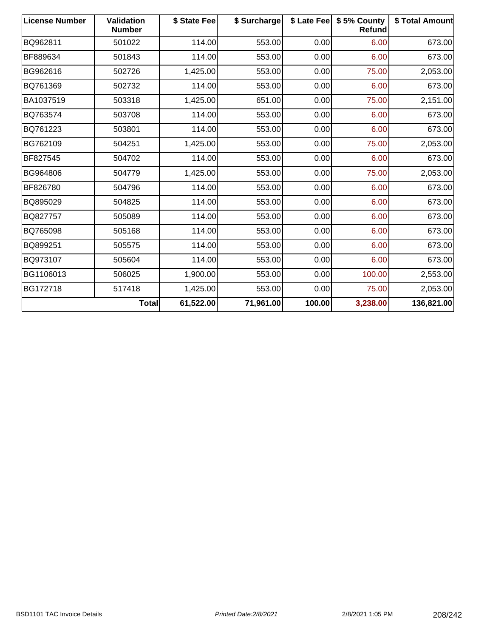| <b>License Number</b> | <b>Validation</b><br><b>Number</b> | \$ State Fee | \$ Surcharge |        | \$ Late Fee   \$5% County<br>Refund | \$ Total Amount |
|-----------------------|------------------------------------|--------------|--------------|--------|-------------------------------------|-----------------|
| BQ962811              | 501022                             | 114.00       | 553.00       | 0.00   | 6.00                                | 673.00          |
| BF889634              | 501843                             | 114.00       | 553.00       | 0.00   | 6.00                                | 673.00          |
| BG962616              | 502726                             | 1,425.00     | 553.00       | 0.00   | 75.00                               | 2,053.00        |
| BQ761369              | 502732                             | 114.00       | 553.00       | 0.00   | 6.00                                | 673.00          |
| BA1037519             | 503318                             | 1,425.00     | 651.00       | 0.00   | 75.00                               | 2,151.00        |
| BQ763574              | 503708                             | 114.00       | 553.00       | 0.00   | 6.00                                | 673.00          |
| BQ761223              | 503801                             | 114.00       | 553.00       | 0.00   | 6.00                                | 673.00          |
| BG762109              | 504251                             | 1,425.00     | 553.00       | 0.00   | 75.00                               | 2,053.00        |
| BF827545              | 504702                             | 114.00       | 553.00       | 0.00   | 6.00                                | 673.00          |
| BG964806              | 504779                             | 1,425.00     | 553.00       | 0.00   | 75.00                               | 2,053.00        |
| BF826780              | 504796                             | 114.00       | 553.00       | 0.00   | 6.00                                | 673.00          |
| BQ895029              | 504825                             | 114.00       | 553.00       | 0.00   | 6.00                                | 673.00          |
| BQ827757              | 505089                             | 114.00       | 553.00       | 0.00   | 6.00                                | 673.00          |
| BQ765098              | 505168                             | 114.00       | 553.00       | 0.00   | 6.00                                | 673.00          |
| BQ899251              | 505575                             | 114.00       | 553.00       | 0.00   | 6.00                                | 673.00          |
| BQ973107              | 505604                             | 114.00       | 553.00       | 0.00   | 6.00                                | 673.00          |
| BG1106013             | 506025                             | 1,900.00     | 553.00       | 0.00   | 100.00                              | 2,553.00        |
| BG172718              | 517418                             | 1,425.00     | 553.00       | 0.00   | 75.00                               | 2,053.00        |
|                       | <b>Total</b>                       | 61,522.00    | 71,961.00    | 100.00 | 3,238.00                            | 136,821.00      |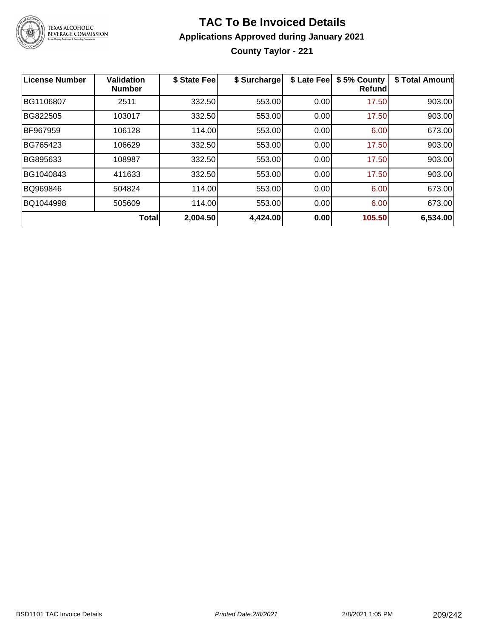

# **TAC To Be Invoiced Details Applications Approved during January 2021 County Taylor - 221**

| <b>License Number</b> | <b>Validation</b><br><b>Number</b> | \$ State Fee | \$ Surcharge | \$ Late Fee | \$5% County<br><b>Refund</b> | \$ Total Amount |
|-----------------------|------------------------------------|--------------|--------------|-------------|------------------------------|-----------------|
| BG1106807             | 2511                               | 332.50       | 553.00       | 0.00        | 17.50                        | 903.00          |
| BG822505              | 103017                             | 332.50       | 553.00       | 0.00        | 17.50                        | 903.00          |
| BF967959              | 106128                             | 114.00       | 553.00       | 0.00        | 6.00                         | 673.00          |
| BG765423              | 106629                             | 332.50       | 553.00       | 0.00        | 17.50                        | 903.00          |
| BG895633              | 108987                             | 332.50       | 553.00       | 0.00        | 17.50                        | 903.00          |
| BG1040843             | 411633                             | 332.50       | 553.00       | 0.00        | 17.50                        | 903.00          |
| BQ969846              | 504824                             | 114.00       | 553.00       | 0.00        | 6.00                         | 673.00          |
| BQ1044998             | 505609                             | 114.00       | 553.00       | 0.00        | 6.00                         | 673.00          |
|                       | <b>Total</b>                       | 2,004.50     | 4,424.00     | 0.00        | 105.50                       | 6,534.00        |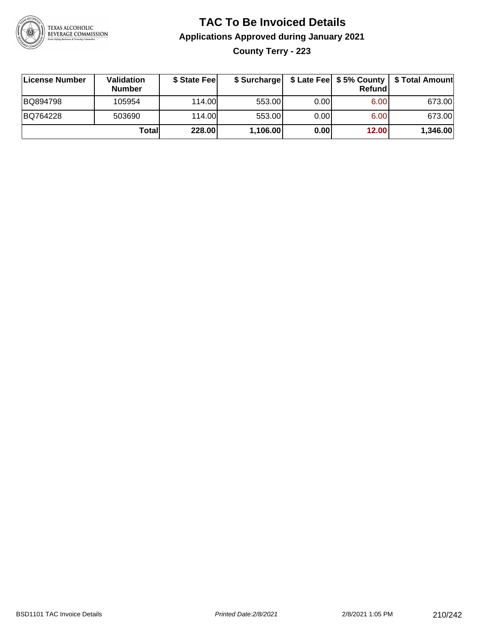

# **TAC To Be Invoiced Details Applications Approved during January 2021 County Terry - 223**

| License Number | <b>Validation</b><br><b>Number</b> | \$ State Fee | \$ Surcharge |      | Refund | \$ Late Fee   \$5% County   \$ Total Amount |
|----------------|------------------------------------|--------------|--------------|------|--------|---------------------------------------------|
| BQ894798       | 105954                             | 114.00       | 553.00       | 0.00 | 6.00   | 673.00                                      |
| BQ764228       | 503690                             | 114.00       | 553.00       | 0.00 | 6.00   | 673.00                                      |
|                | Total                              | 228.00       | 1,106.00     | 0.00 | 12.00  | 1,346.00                                    |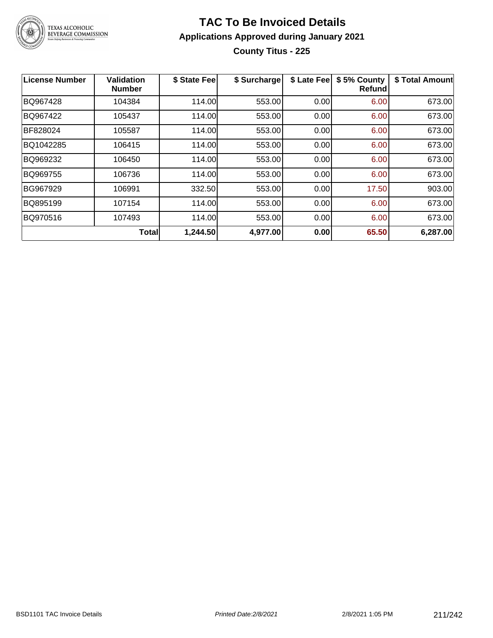

## **TAC To Be Invoiced Details Applications Approved during January 2021 County Titus - 225**

| <b>License Number</b> | <b>Validation</b><br><b>Number</b> | \$ State Fee | \$ Surcharge | \$ Late Fee | \$5% County<br><b>Refund</b> | \$ Total Amount |
|-----------------------|------------------------------------|--------------|--------------|-------------|------------------------------|-----------------|
| BQ967428              | 104384                             | 114.00       | 553.00       | 0.00        | 6.00                         | 673.00          |
| BQ967422              | 105437                             | 114.00       | 553.00       | 0.00        | 6.00                         | 673.00          |
| BF828024              | 105587                             | 114.00       | 553.00       | 0.00        | 6.00                         | 673.00          |
| BQ1042285             | 106415                             | 114.00       | 553.00       | 0.00        | 6.00                         | 673.00          |
| BQ969232              | 106450                             | 114.00       | 553.00       | 0.00        | 6.00                         | 673.00          |
| BQ969755              | 106736                             | 114.00       | 553.00       | 0.00        | 6.00                         | 673.00          |
| BG967929              | 106991                             | 332.50       | 553.00       | 0.00        | 17.50                        | 903.00          |
| BQ895199              | 107154                             | 114.00       | 553.00       | 0.00        | 6.00                         | 673.00          |
| BQ970516              | 107493                             | 114.00       | 553.00       | 0.00        | 6.00                         | 673.00          |
|                       | <b>Total</b>                       | 1,244.50     | 4,977.00     | 0.00        | 65.50                        | 6,287.00        |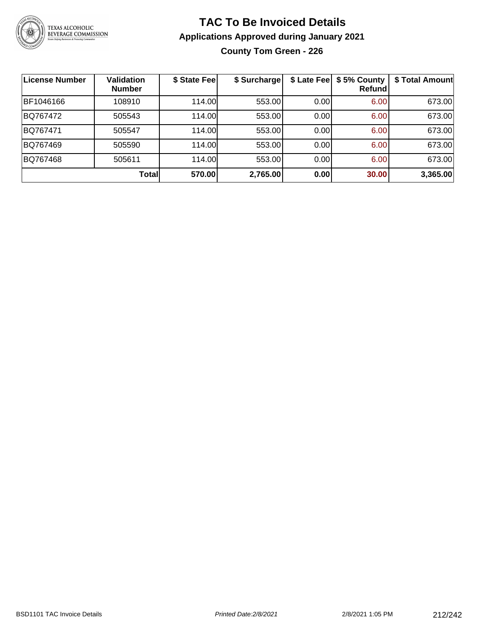

## **TAC To Be Invoiced Details Applications Approved during January 2021 County Tom Green - 226**

| License Number | <b>Validation</b><br><b>Number</b> | \$ State Fee | \$ Surcharge | \$ Late Fee | \$5% County<br>Refundl | \$ Total Amount |
|----------------|------------------------------------|--------------|--------------|-------------|------------------------|-----------------|
| BF1046166      | 108910                             | 114.00       | 553.00       | 0.00        | 6.00                   | 673.00          |
| BQ767472       | 505543                             | 114.00       | 553.00       | 0.00        | 6.00                   | 673.00          |
| BQ767471       | 505547                             | 114.00       | 553.00       | 0.00        | 6.00                   | 673.00          |
| BQ767469       | 505590                             | 114.00       | 553.00       | 0.00        | 6.00                   | 673.00          |
| BQ767468       | 505611                             | 114.00       | 553.00       | 0.00        | 6.00                   | 673.00          |
|                | Total                              | 570.00       | 2,765.00     | 0.00        | 30.00                  | 3,365.00        |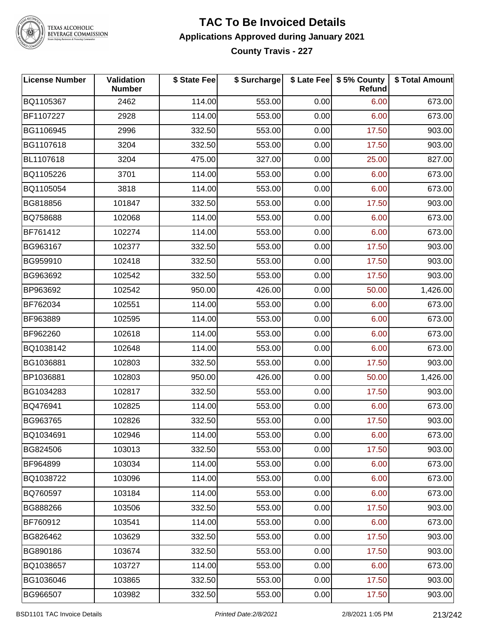

# TEXAS ALCOHOLIC<br>BEVERAGE COMMISSION

#### **TAC To Be Invoiced Details Applications Approved during January 2021 County Travis - 227**

| <b>License Number</b> | Validation<br><b>Number</b> | \$ State Fee | \$ Surcharge |      | \$ Late Fee   \$5% County<br><b>Refund</b> | \$ Total Amount |
|-----------------------|-----------------------------|--------------|--------------|------|--------------------------------------------|-----------------|
| BQ1105367             | 2462                        | 114.00       | 553.00       | 0.00 | 6.00                                       | 673.00          |
| BF1107227             | 2928                        | 114.00       | 553.00       | 0.00 | 6.00                                       | 673.00          |
| BG1106945             | 2996                        | 332.50       | 553.00       | 0.00 | 17.50                                      | 903.00          |
| BG1107618             | 3204                        | 332.50       | 553.00       | 0.00 | 17.50                                      | 903.00          |
| BL1107618             | 3204                        | 475.00       | 327.00       | 0.00 | 25.00                                      | 827.00          |
| BQ1105226             | 3701                        | 114.00       | 553.00       | 0.00 | 6.00                                       | 673.00          |
| BQ1105054             | 3818                        | 114.00       | 553.00       | 0.00 | 6.00                                       | 673.00          |
| BG818856              | 101847                      | 332.50       | 553.00       | 0.00 | 17.50                                      | 903.00          |
| BQ758688              | 102068                      | 114.00       | 553.00       | 0.00 | 6.00                                       | 673.00          |
| BF761412              | 102274                      | 114.00       | 553.00       | 0.00 | 6.00                                       | 673.00          |
| BG963167              | 102377                      | 332.50       | 553.00       | 0.00 | 17.50                                      | 903.00          |
| BG959910              | 102418                      | 332.50       | 553.00       | 0.00 | 17.50                                      | 903.00          |
| BG963692              | 102542                      | 332.50       | 553.00       | 0.00 | 17.50                                      | 903.00          |
| BP963692              | 102542                      | 950.00       | 426.00       | 0.00 | 50.00                                      | 1,426.00        |
| BF762034              | 102551                      | 114.00       | 553.00       | 0.00 | 6.00                                       | 673.00          |
| BF963889              | 102595                      | 114.00       | 553.00       | 0.00 | 6.00                                       | 673.00          |
| BF962260              | 102618                      | 114.00       | 553.00       | 0.00 | 6.00                                       | 673.00          |
| BQ1038142             | 102648                      | 114.00       | 553.00       | 0.00 | 6.00                                       | 673.00          |
| BG1036881             | 102803                      | 332.50       | 553.00       | 0.00 | 17.50                                      | 903.00          |
| BP1036881             | 102803                      | 950.00       | 426.00       | 0.00 | 50.00                                      | 1,426.00        |
| BG1034283             | 102817                      | 332.50       | 553.00       | 0.00 | 17.50                                      | 903.00          |
| BQ476941              | 102825                      | 114.00       | 553.00       | 0.00 | 6.00                                       | 673.00          |
| BG963765              | 102826                      | 332.50       | 553.00       | 0.00 | 17.50                                      | 903.00          |
| BQ1034691             | 102946                      | 114.00       | 553.00       | 0.00 | 6.00                                       | 673.00          |
| BG824506              | 103013                      | 332.50       | 553.00       | 0.00 | 17.50                                      | 903.00          |
| BF964899              | 103034                      | 114.00       | 553.00       | 0.00 | 6.00                                       | 673.00          |
| BQ1038722             | 103096                      | 114.00       | 553.00       | 0.00 | 6.00                                       | 673.00          |
| BQ760597              | 103184                      | 114.00       | 553.00       | 0.00 | 6.00                                       | 673.00          |
| BG888266              | 103506                      | 332.50       | 553.00       | 0.00 | 17.50                                      | 903.00          |
| BF760912              | 103541                      | 114.00       | 553.00       | 0.00 | 6.00                                       | 673.00          |
| BG826462              | 103629                      | 332.50       | 553.00       | 0.00 | 17.50                                      | 903.00          |
| BG890186              | 103674                      | 332.50       | 553.00       | 0.00 | 17.50                                      | 903.00          |
| BQ1038657             | 103727                      | 114.00       | 553.00       | 0.00 | 6.00                                       | 673.00          |
| BG1036046             | 103865                      | 332.50       | 553.00       | 0.00 | 17.50                                      | 903.00          |
| BG966507              | 103982                      | 332.50       | 553.00       | 0.00 | 17.50                                      | 903.00          |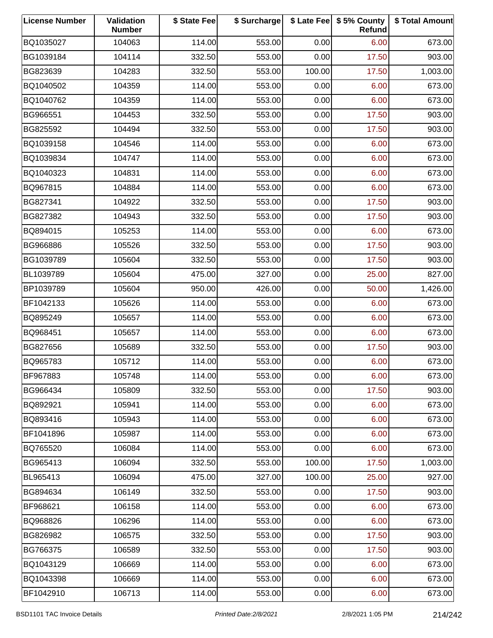| <b>License Number</b> | Validation<br><b>Number</b> | \$ State Fee | \$ Surcharge |        | \$ Late Fee   \$5% County<br>Refund | \$ Total Amount |
|-----------------------|-----------------------------|--------------|--------------|--------|-------------------------------------|-----------------|
| BQ1035027             | 104063                      | 114.00       | 553.00       | 0.00   | 6.00                                | 673.00          |
| BG1039184             | 104114                      | 332.50       | 553.00       | 0.00   | 17.50                               | 903.00          |
| BG823639              | 104283                      | 332.50       | 553.00       | 100.00 | 17.50                               | 1,003.00        |
| BQ1040502             | 104359                      | 114.00       | 553.00       | 0.00   | 6.00                                | 673.00          |
| BQ1040762             | 104359                      | 114.00       | 553.00       | 0.00   | 6.00                                | 673.00          |
| BG966551              | 104453                      | 332.50       | 553.00       | 0.00   | 17.50                               | 903.00          |
| BG825592              | 104494                      | 332.50       | 553.00       | 0.00   | 17.50                               | 903.00          |
| BQ1039158             | 104546                      | 114.00       | 553.00       | 0.00   | 6.00                                | 673.00          |
| BQ1039834             | 104747                      | 114.00       | 553.00       | 0.00   | 6.00                                | 673.00          |
| BQ1040323             | 104831                      | 114.00       | 553.00       | 0.00   | 6.00                                | 673.00          |
| BQ967815              | 104884                      | 114.00       | 553.00       | 0.00   | 6.00                                | 673.00          |
| BG827341              | 104922                      | 332.50       | 553.00       | 0.00   | 17.50                               | 903.00          |
| BG827382              | 104943                      | 332.50       | 553.00       | 0.00   | 17.50                               | 903.00          |
| BQ894015              | 105253                      | 114.00       | 553.00       | 0.00   | 6.00                                | 673.00          |
| BG966886              | 105526                      | 332.50       | 553.00       | 0.00   | 17.50                               | 903.00          |
| BG1039789             | 105604                      | 332.50       | 553.00       | 0.00   | 17.50                               | 903.00          |
| BL1039789             | 105604                      | 475.00       | 327.00       | 0.00   | 25.00                               | 827.00          |
| BP1039789             | 105604                      | 950.00       | 426.00       | 0.00   | 50.00                               | 1,426.00        |
| BF1042133             | 105626                      | 114.00       | 553.00       | 0.00   | 6.00                                | 673.00          |
| BQ895249              | 105657                      | 114.00       | 553.00       | 0.00   | 6.00                                | 673.00          |
| BQ968451              | 105657                      | 114.00       | 553.00       | 0.00   | 6.00                                | 673.00          |
| BG827656              | 105689                      | 332.50       | 553.00       | 0.00   | 17.50                               | 903.00          |
| BQ965783              | 105712                      | 114.00       | 553.00       | 0.00   | 6.00                                | 673.00          |
| BF967883              | 105748                      | 114.00       | 553.00       | 0.00   | 6.00                                | 673.00          |
| BG966434              | 105809                      | 332.50       | 553.00       | 0.00   | 17.50                               | 903.00          |
| BQ892921              | 105941                      | 114.00       | 553.00       | 0.00   | 6.00                                | 673.00          |
| BQ893416              | 105943                      | 114.00       | 553.00       | 0.00   | 6.00                                | 673.00          |
| BF1041896             | 105987                      | 114.00       | 553.00       | 0.00   | 6.00                                | 673.00          |
| BQ765520              | 106084                      | 114.00       | 553.00       | 0.00   | 6.00                                | 673.00          |
| BG965413              | 106094                      | 332.50       | 553.00       | 100.00 | 17.50                               | 1,003.00        |
| BL965413              | 106094                      | 475.00       | 327.00       | 100.00 | 25.00                               | 927.00          |
| BG894634              | 106149                      | 332.50       | 553.00       | 0.00   | 17.50                               | 903.00          |
| BF968621              | 106158                      | 114.00       | 553.00       | 0.00   | 6.00                                | 673.00          |
| BQ968826              | 106296                      | 114.00       | 553.00       | 0.00   | 6.00                                | 673.00          |
| BG826982              | 106575                      | 332.50       | 553.00       | 0.00   | 17.50                               | 903.00          |
| BG766375              | 106589                      | 332.50       | 553.00       | 0.00   | 17.50                               | 903.00          |
| BQ1043129             | 106669                      | 114.00       | 553.00       | 0.00   | 6.00                                | 673.00          |
| BQ1043398             | 106669                      | 114.00       | 553.00       | 0.00   | 6.00                                | 673.00          |
| BF1042910             | 106713                      | 114.00       | 553.00       | 0.00   | 6.00                                | 673.00          |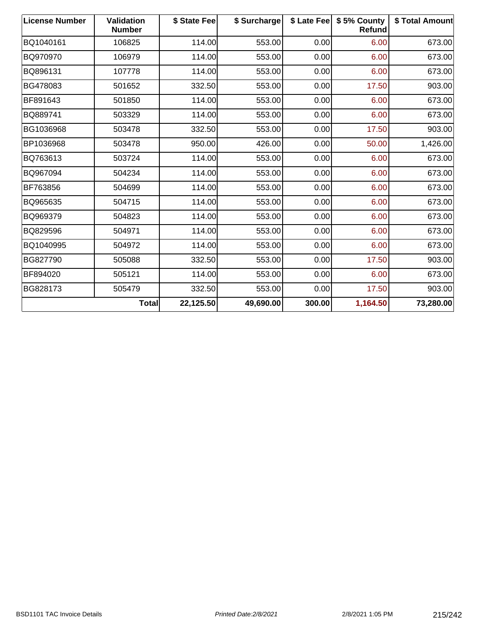| <b>License Number</b> | Validation<br><b>Number</b> | \$ State Fee | \$ Surcharge |        | \$ Late Fee   \$5% County<br>Refund | \$ Total Amount |
|-----------------------|-----------------------------|--------------|--------------|--------|-------------------------------------|-----------------|
| BQ1040161             | 106825                      | 114.00       | 553.00       | 0.00   | 6.00                                | 673.00          |
| BQ970970              | 106979                      | 114.00       | 553.00       | 0.00   | 6.00                                | 673.00          |
| BQ896131              | 107778                      | 114.00       | 553.00       | 0.00   | 6.00                                | 673.00          |
| BG478083              | 501652                      | 332.50       | 553.00       | 0.00   | 17.50                               | 903.00          |
| BF891643              | 501850                      | 114.00       | 553.00       | 0.00   | 6.00                                | 673.00          |
| BQ889741              | 503329                      | 114.00       | 553.00       | 0.00   | 6.00                                | 673.00          |
| BG1036968             | 503478                      | 332.50       | 553.00       | 0.00   | 17.50                               | 903.00          |
| BP1036968             | 503478                      | 950.00       | 426.00       | 0.00   | 50.00                               | 1,426.00        |
| BQ763613              | 503724                      | 114.00       | 553.00       | 0.00   | 6.00                                | 673.00          |
| BQ967094              | 504234                      | 114.00       | 553.00       | 0.00   | 6.00                                | 673.00          |
| BF763856              | 504699                      | 114.00       | 553.00       | 0.00   | 6.00                                | 673.00          |
| BQ965635              | 504715                      | 114.00       | 553.00       | 0.00   | 6.00                                | 673.00          |
| BQ969379              | 504823                      | 114.00       | 553.00       | 0.00   | 6.00                                | 673.00          |
| BQ829596              | 504971                      | 114.00       | 553.00       | 0.00   | 6.00                                | 673.00          |
| BQ1040995             | 504972                      | 114.00       | 553.00       | 0.00   | 6.00                                | 673.00          |
| BG827790              | 505088                      | 332.50       | 553.00       | 0.00   | 17.50                               | 903.00          |
| BF894020              | 505121                      | 114.00       | 553.00       | 0.00   | 6.00                                | 673.00          |
| BG828173              | 505479                      | 332.50       | 553.00       | 0.00   | 17.50                               | 903.00          |
|                       | <b>Total</b>                | 22,125.50    | 49,690.00    | 300.00 | 1,164.50                            | 73,280.00       |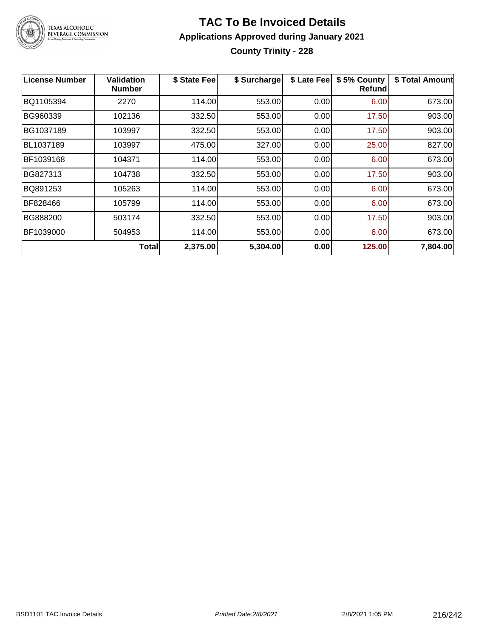

# TEXAS ALCOHOLIC<br>BEVERAGE COMMISSION

### **TAC To Be Invoiced Details Applications Approved during January 2021 County Trinity - 228**

| License Number | Validation<br><b>Number</b> | \$ State Fee | \$ Surcharge | \$ Late Fee | \$5% County<br>Refundl | \$ Total Amount |
|----------------|-----------------------------|--------------|--------------|-------------|------------------------|-----------------|
| BQ1105394      | 2270                        | 114.00       | 553.00       | 0.00        | 6.00                   | 673.00          |
| BG960339       | 102136                      | 332.50       | 553.00       | 0.00        | 17.50                  | 903.00          |
| BG1037189      | 103997                      | 332.50       | 553.00       | 0.00        | 17.50                  | 903.00          |
| BL1037189      | 103997                      | 475.00       | 327.00       | 0.00        | 25.00                  | 827.00          |
| BF1039168      | 104371                      | 114.00       | 553.00       | 0.00        | 6.00                   | 673.00          |
| BG827313       | 104738                      | 332.50       | 553.00       | 0.00        | 17.50                  | 903.00          |
| BQ891253       | 105263                      | 114.00       | 553.00       | 0.00        | 6.00                   | 673.00          |
| BF828466       | 105799                      | 114.00       | 553.00       | 0.00        | 6.00                   | 673.00          |
| BG888200       | 503174                      | 332.50       | 553.00       | 0.00        | 17.50                  | 903.00          |
| BF1039000      | 504953                      | 114.00       | 553.00       | 0.00        | 6.00                   | 673.00          |
|                | <b>Total</b>                | 2,375.00     | 5,304.00     | 0.00        | 125.00                 | 7,804.00        |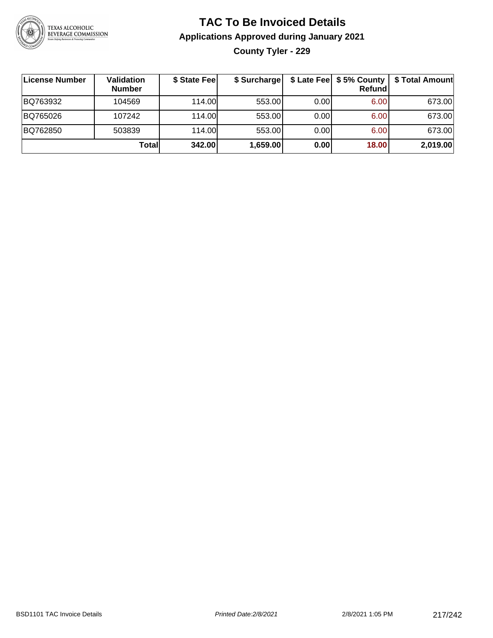

# **TAC To Be Invoiced Details Applications Approved during January 2021 County Tyler - 229**

| <b>License Number</b> | Validation<br><b>Number</b> | \$ State Fee | \$ Surcharge |      | $$$ Late Fee $$5%$ County<br>Refundl | \$ Total Amount |
|-----------------------|-----------------------------|--------------|--------------|------|--------------------------------------|-----------------|
| BQ763932              | 104569                      | 114.00       | 553.00       | 0.00 | 6.00                                 | 673.00          |
| BQ765026              | 107242                      | 114.00L      | 553.00       | 0.00 | 6.00                                 | 673.00          |
| BQ762850              | 503839                      | 114.00       | 553.00       | 0.00 | 6.00                                 | 673.00          |
|                       | Totall                      | 342.00       | 1,659.00     | 0.00 | 18.00                                | 2,019.00        |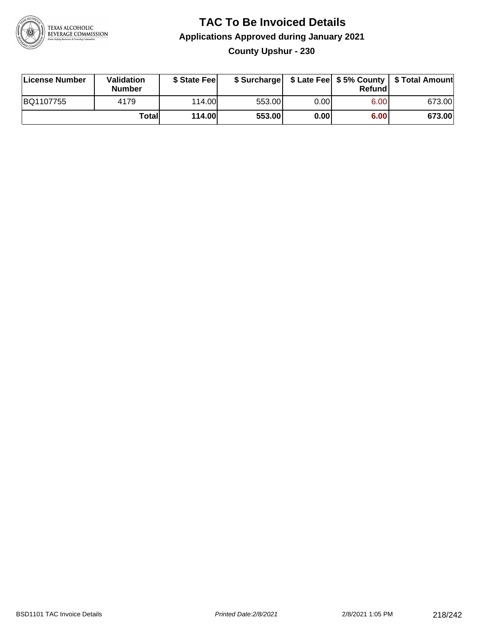

#### **TAC To Be Invoiced Details Applications Approved during January 2021 County Upshur - 230**

| License Number | <b>Validation</b><br><b>Number</b> | \$ State Feel |        |       | Refundl | \$ Surcharge   \$ Late Fee   \$5% County   \$ Total Amount |
|----------------|------------------------------------|---------------|--------|-------|---------|------------------------------------------------------------|
| BQ1107755      | 4179                               | 114.00L       | 553.00 | 0.00  | 6.00    | 673.00                                                     |
|                | Totall                             | 114.00        | 553.00 | 0.001 | 6.00    | 673.00                                                     |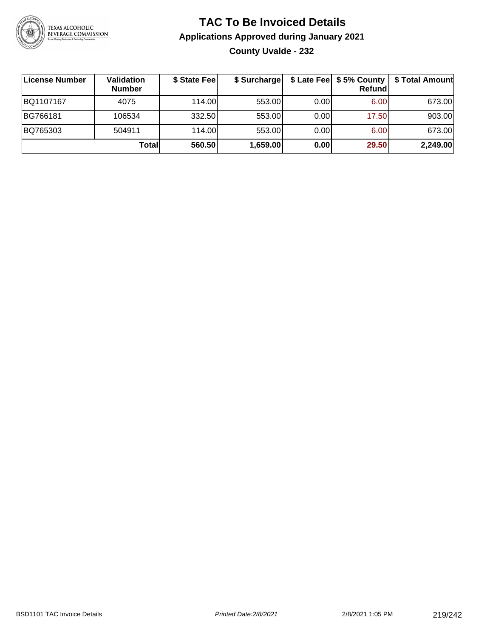

## **TAC To Be Invoiced Details Applications Approved during January 2021 County Uvalde - 232**

| License Number | Validation<br><b>Number</b> | \$ State Fee | \$ Surcharge |       | Refundl | \$ Late Fee   \$5% County   \$ Total Amount |
|----------------|-----------------------------|--------------|--------------|-------|---------|---------------------------------------------|
| BQ1107167      | 4075                        | 114.00       | 553.00       | 0.001 | 6.00    | 673.00                                      |
| BG766181       | 106534                      | 332.50       | 553.00       | 0.001 | 17.50   | 903.00                                      |
| BQ765303       | 504911                      | 114.00       | 553.00       | 0.001 | 6.00    | 673.00                                      |
|                | Totall                      | 560.50       | 1,659.00     | 0.00  | 29.50   | 2,249.00                                    |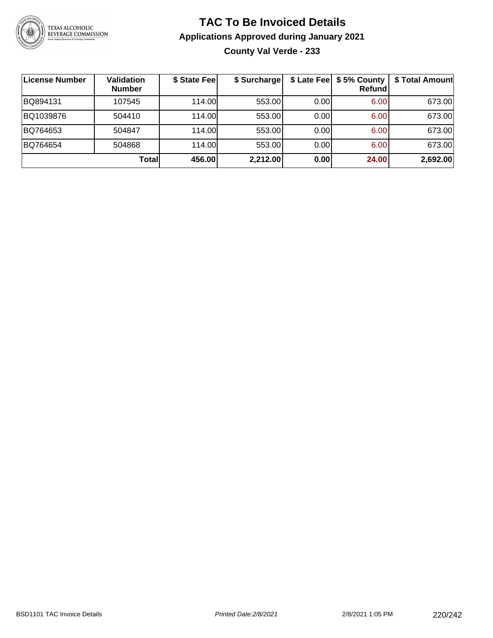

# **TAC To Be Invoiced Details Applications Approved during January 2021 County Val Verde - 233**

| License Number | <b>Validation</b><br><b>Number</b> | \$ State Fee | \$ Surcharge |      | \$ Late Fee   \$5% County<br><b>Refund</b> | \$ Total Amount |
|----------------|------------------------------------|--------------|--------------|------|--------------------------------------------|-----------------|
| BQ894131       | 107545                             | 114.00       | 553.00       | 0.00 | 6.00                                       | 673.00          |
| BQ1039876      | 504410                             | 114.00L      | 553.00       | 0.00 | 6.00                                       | 673.00          |
| BQ764653       | 504847                             | 114.00       | 553.00       | 0.00 | 6.00                                       | 673.00          |
| BQ764654       | 504868                             | 114.00L      | 553.00       | 0.00 | 6.00                                       | 673.00          |
|                | Totall                             | 456.00       | 2,212.00     | 0.00 | 24.00                                      | 2,692.00        |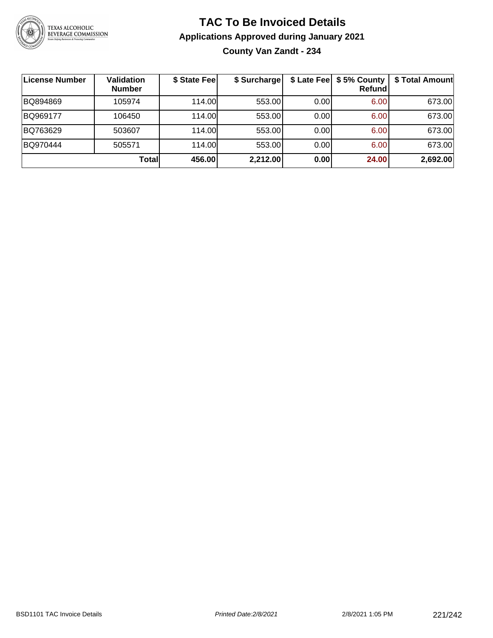

# **TAC To Be Invoiced Details Applications Approved during January 2021 County Van Zandt - 234**

| License Number | Validation<br><b>Number</b> | \$ State Fee | \$ Surcharge |      | \$ Late Fee   \$5% County<br><b>Refund</b> | \$ Total Amount |
|----------------|-----------------------------|--------------|--------------|------|--------------------------------------------|-----------------|
| BQ894869       | 105974                      | 114.00L      | 553.00       | 0.00 | 6.00                                       | 673.00          |
| BQ969177       | 106450                      | 114.00L      | 553.00       | 0.00 | 6.00                                       | 673.00          |
| BQ763629       | 503607                      | 114.00       | 553.00       | 0.00 | 6.00                                       | 673.00          |
| BQ970444       | 505571                      | 114.00L      | 553.00       | 0.00 | 6.00                                       | 673.00          |
|                | Total                       | 456.00       | 2,212.00     | 0.00 | 24.00                                      | 2,692.00        |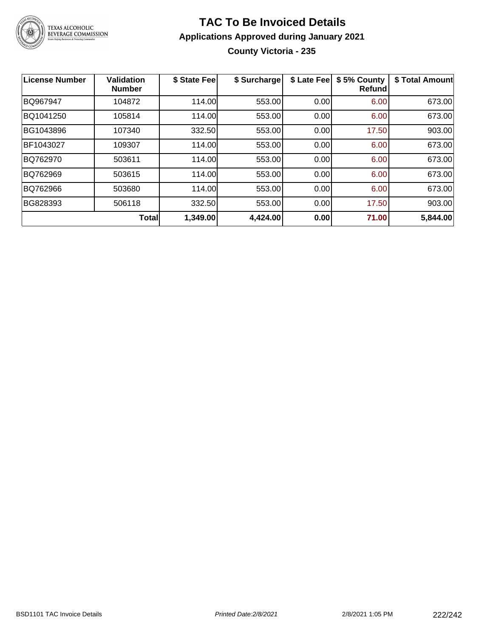

# **TAC To Be Invoiced Details Applications Approved during January 2021 County Victoria - 235**

| License Number | <b>Validation</b><br><b>Number</b> | \$ State Fee | \$ Surcharge | \$ Late Fee | \$5% County<br><b>Refund</b> | \$ Total Amount |
|----------------|------------------------------------|--------------|--------------|-------------|------------------------------|-----------------|
| BQ967947       | 104872                             | 114.00       | 553.00       | 0.00        | 6.00                         | 673.00          |
| BQ1041250      | 105814                             | 114.00       | 553.00       | 0.00        | 6.00                         | 673.00          |
| BG1043896      | 107340                             | 332.50       | 553.00       | 0.00        | 17.50                        | 903.00          |
| BF1043027      | 109307                             | 114.00       | 553.00       | 0.00        | 6.00                         | 673.00          |
| BQ762970       | 503611                             | 114.00       | 553.00       | 0.00        | 6.00                         | 673.00          |
| BQ762969       | 503615                             | 114.00       | 553.00       | 0.00        | 6.00                         | 673.00          |
| BQ762966       | 503680                             | 114.00       | 553.00       | 0.00        | 6.00                         | 673.00          |
| BG828393       | 506118                             | 332.50       | 553.00       | 0.00        | 17.50                        | 903.00          |
|                | Total                              | 1,349.00     | 4,424.00     | 0.00        | 71.00                        | 5,844.00        |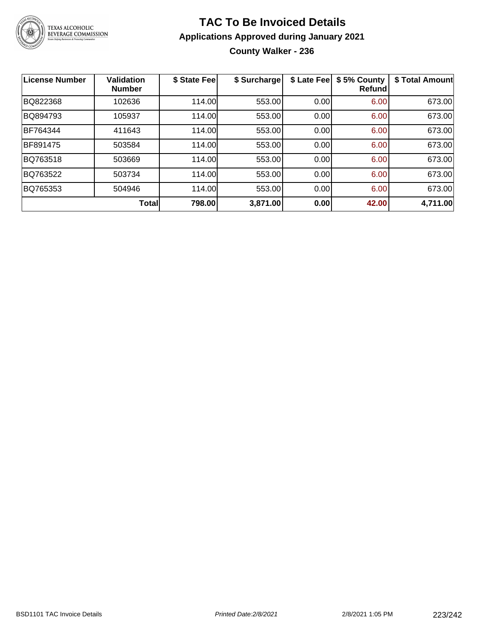

# **TAC To Be Invoiced Details Applications Approved during January 2021 County Walker - 236**

| <b>License Number</b> | <b>Validation</b><br><b>Number</b> | \$ State Fee | \$ Surcharge | \$ Late Fee | \$5% County<br><b>Refund</b> | \$ Total Amount |
|-----------------------|------------------------------------|--------------|--------------|-------------|------------------------------|-----------------|
| BQ822368              | 102636                             | 114.00       | 553.00       | 0.00        | 6.00                         | 673.00          |
| BQ894793              | 105937                             | 114.00       | 553.00       | 0.00        | 6.00                         | 673.00          |
| BF764344              | 411643                             | 114.00       | 553.00       | 0.00        | 6.00                         | 673.00          |
| BF891475              | 503584                             | 114.00       | 553.00       | 0.00        | 6.00                         | 673.00          |
| BQ763518              | 503669                             | 114.00       | 553.00       | 0.00        | 6.00                         | 673.00          |
| BQ763522              | 503734                             | 114.00       | 553.00       | 0.00        | 6.00                         | 673.00          |
| BQ765353              | 504946                             | 114.00       | 553.00       | 0.00        | 6.00                         | 673.00          |
|                       | <b>Total</b>                       | 798.00       | 3,871.00     | 0.00        | 42.00                        | 4,711.00        |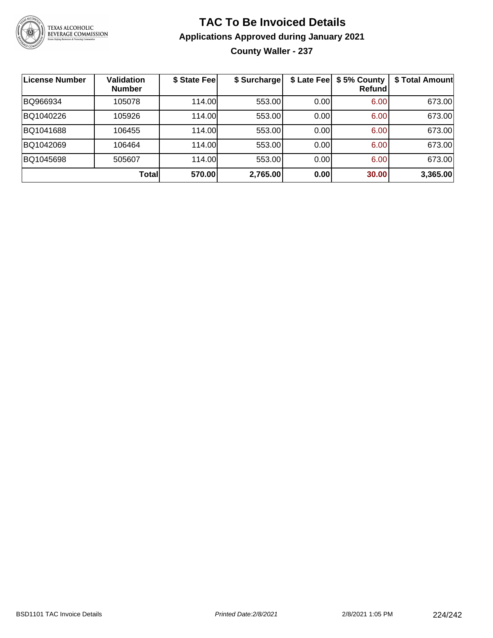

# **TAC To Be Invoiced Details Applications Approved during January 2021**

**County Waller - 237**

| <b>License Number</b> | <b>Validation</b><br><b>Number</b> | \$ State Fee | \$ Surcharge | \$ Late Fee | \$5% County<br>Refundl | \$ Total Amount |
|-----------------------|------------------------------------|--------------|--------------|-------------|------------------------|-----------------|
| BQ966934              | 105078                             | 114.00       | 553.00       | 0.00        | 6.00                   | 673.00          |
| BQ1040226             | 105926                             | 114.00       | 553.00       | 0.00        | 6.00                   | 673.00          |
| BQ1041688             | 106455                             | 114.00       | 553.00       | 0.00        | 6.00                   | 673.00          |
| BQ1042069             | 106464                             | 114.00       | 553.00       | 0.00        | 6.00                   | 673.00          |
| BQ1045698             | 505607                             | 114.00       | 553.00       | 0.00        | 6.00                   | 673.00          |
|                       | Totall                             | 570.00       | 2,765.00     | 0.00        | 30.00                  | 3,365.00        |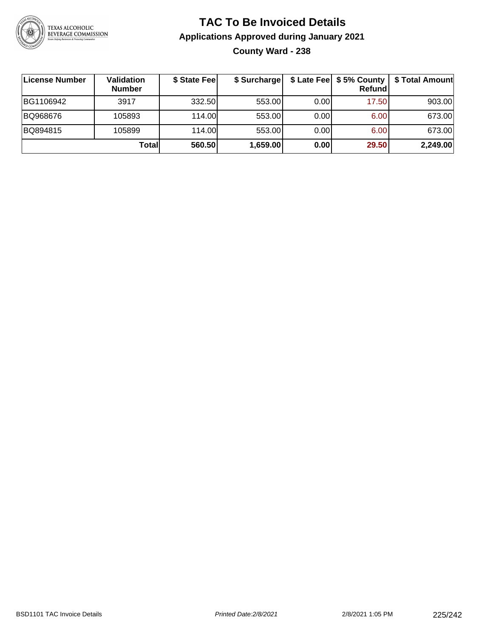

# **TAC To Be Invoiced Details Applications Approved during January 2021 County Ward - 238**

| License Number | Validation<br><b>Number</b> | \$ State Fee | \$ Surcharge |      | $$$ Late Fee $$5%$ County<br>Refund | \$ Total Amount |
|----------------|-----------------------------|--------------|--------------|------|-------------------------------------|-----------------|
| BG1106942      | 3917                        | 332.50       | 553.00       | 0.00 | 17.50                               | 903.00          |
| BQ968676       | 105893                      | 114.00L      | 553.00       | 0.00 | 6.00                                | 673.00          |
| BQ894815       | 105899                      | 114.00L      | 553.00       | 0.00 | 6.00                                | 673.00          |
|                | Totall                      | 560.50       | 1,659.00     | 0.00 | 29.50                               | 2,249.00        |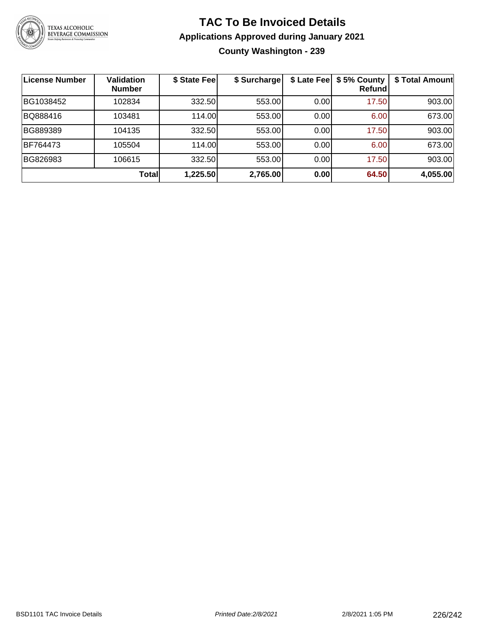

#### **TAC To Be Invoiced Details Applications Approved during January 2021 County Washington - 239**

| <b>License Number</b> | Validation<br><b>Number</b> | \$ State Fee | \$ Surcharge | \$ Late Fee | \$5% County<br>Refundl | \$ Total Amount |
|-----------------------|-----------------------------|--------------|--------------|-------------|------------------------|-----------------|
| BG1038452             | 102834                      | 332.50       | 553.00       | 0.00        | 17.50                  | 903.00          |
| BQ888416              | 103481                      | 114.00       | 553.00       | 0.00        | 6.00                   | 673.00          |
| BG889389              | 104135                      | 332.50       | 553.00       | 0.00        | 17.50                  | 903.00          |
| BF764473              | 105504                      | 114.00       | 553.00       | 0.00        | 6.00                   | 673.00          |
| BG826983              | 106615                      | 332.50       | 553.00       | 0.00        | 17.50                  | 903.00          |
|                       | Total                       | 1,225.50     | 2,765.00     | 0.00        | 64.50                  | 4,055.00        |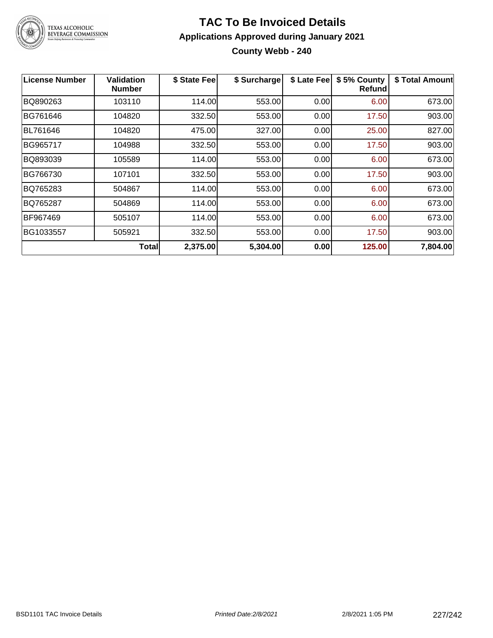

# **TAC To Be Invoiced Details Applications Approved during January 2021 County Webb - 240**

| License Number | Validation<br><b>Number</b> | \$ State Fee | \$ Surcharge | \$ Late Fee | \$5% County<br>Refundl | \$ Total Amount |
|----------------|-----------------------------|--------------|--------------|-------------|------------------------|-----------------|
| BQ890263       | 103110                      | 114.00       | 553.00       | 0.00        | 6.00                   | 673.00          |
| BG761646       | 104820                      | 332.50       | 553.00       | 0.00        | 17.50                  | 903.00          |
| BL761646       | 104820                      | 475.00       | 327.00       | 0.00        | 25.00                  | 827.00          |
| BG965717       | 104988                      | 332.50       | 553.00       | 0.00        | 17.50                  | 903.00          |
| BQ893039       | 105589                      | 114.00       | 553.00       | 0.00        | 6.00                   | 673.00          |
| BG766730       | 107101                      | 332.50       | 553.00       | 0.00        | 17.50                  | 903.00          |
| BQ765283       | 504867                      | 114.00       | 553.00       | 0.00        | 6.00                   | 673.00          |
| BQ765287       | 504869                      | 114.00       | 553.00       | 0.00        | 6.00                   | 673.00          |
| BF967469       | 505107                      | 114.00       | 553.00       | 0.00        | 6.00                   | 673.00          |
| BG1033557      | 505921                      | 332.50       | 553.00       | 0.00        | 17.50                  | 903.00          |
|                | <b>Total</b>                | 2,375.00     | 5,304.00     | 0.00        | 125.00                 | 7,804.00        |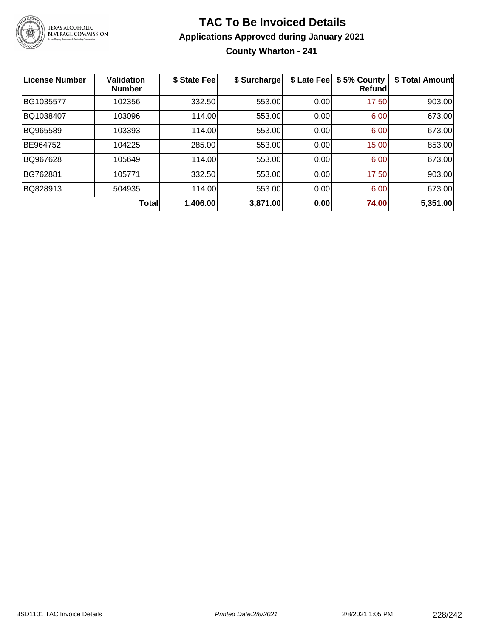

# **TAC To Be Invoiced Details Applications Approved during January 2021 County Wharton - 241**

| <b>License Number</b> | <b>Validation</b><br><b>Number</b> | \$ State Fee | \$ Surcharge | \$ Late Fee | \$5% County<br><b>Refund</b> | \$ Total Amount |
|-----------------------|------------------------------------|--------------|--------------|-------------|------------------------------|-----------------|
| BG1035577             | 102356                             | 332.50       | 553.00       | 0.00        | 17.50                        | 903.00          |
| BQ1038407             | 103096                             | 114.00       | 553.00       | 0.00        | 6.00                         | 673.00          |
| BQ965589              | 103393                             | 114.00       | 553.00       | 0.00        | 6.00                         | 673.00          |
| BE964752              | 104225                             | 285.00       | 553.00       | 0.00        | 15.00                        | 853.00          |
| BQ967628              | 105649                             | 114.00       | 553.00       | 0.00        | 6.00                         | 673.00          |
| BG762881              | 105771                             | 332.50       | 553.00       | 0.00        | 17.50                        | 903.00          |
| BQ828913              | 504935                             | 114.00       | 553.00       | 0.00        | 6.00                         | 673.00          |
|                       | Total                              | 1,406.00     | 3,871.00     | 0.00        | 74.00                        | 5,351.00        |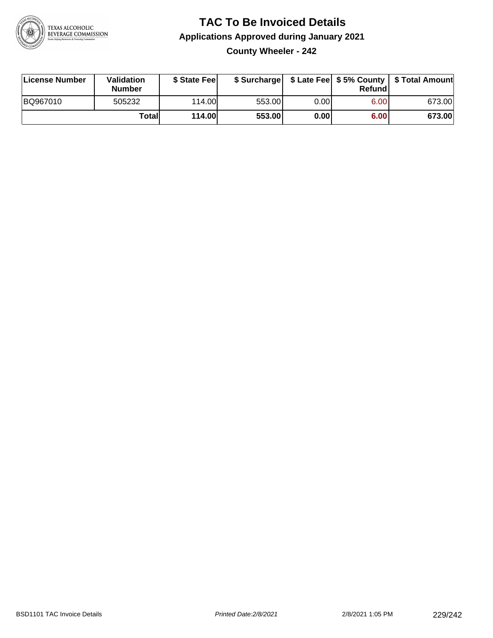

#### **TAC To Be Invoiced Details Applications Approved during January 2021 County Wheeler - 242**

| License Number | <b>Validation</b><br><b>Number</b> | \$ State Fee  |        |      | Refundl           | \$ Surcharge   \$ Late Fee   \$5% County   \$ Total Amount |
|----------------|------------------------------------|---------------|--------|------|-------------------|------------------------------------------------------------|
| BQ967010       | 505232                             | 114.00L       | 553.00 | 0.00 | 6.00 <sub>1</sub> | 673.00                                                     |
|                | Totall                             | <b>114.00</b> | 553.00 | 0.00 | 6.00              | 673.00                                                     |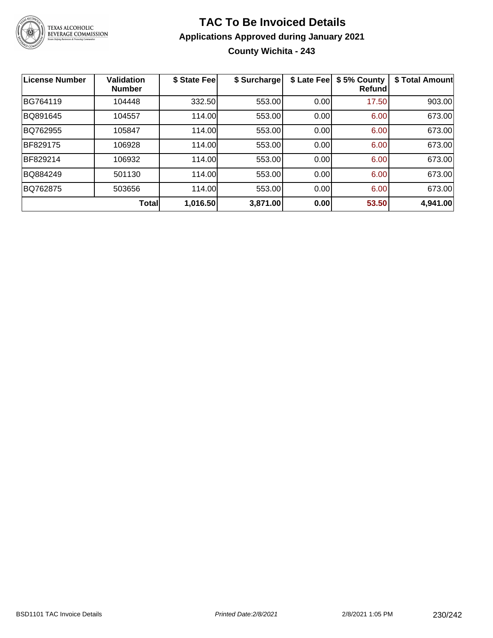

# **TAC To Be Invoiced Details Applications Approved during January 2021 County Wichita - 243**

| <b>License Number</b> | <b>Validation</b><br><b>Number</b> | \$ State Fee | \$ Surcharge | \$ Late Fee | \$5% County<br><b>Refund</b> | \$ Total Amount |
|-----------------------|------------------------------------|--------------|--------------|-------------|------------------------------|-----------------|
| BG764119              | 104448                             | 332.50       | 553.00       | 0.00        | 17.50                        | 903.00          |
| BQ891645              | 104557                             | 114.00       | 553.00       | 0.00        | 6.00                         | 673.00          |
| BQ762955              | 105847                             | 114.00       | 553.00       | 0.00        | 6.00                         | 673.00          |
| <b>BF829175</b>       | 106928                             | 114.00       | 553.00       | 0.00        | 6.00                         | 673.00          |
| BF829214              | 106932                             | 114.00       | 553.00       | 0.00        | 6.00                         | 673.00          |
| BQ884249              | 501130                             | 114.00       | 553.00       | 0.00        | 6.00                         | 673.00          |
| BQ762875              | 503656                             | 114.00       | 553.00       | 0.00        | 6.00                         | 673.00          |
|                       | <b>Total</b>                       | 1,016.50     | 3,871.00     | 0.00        | 53.50                        | 4,941.00        |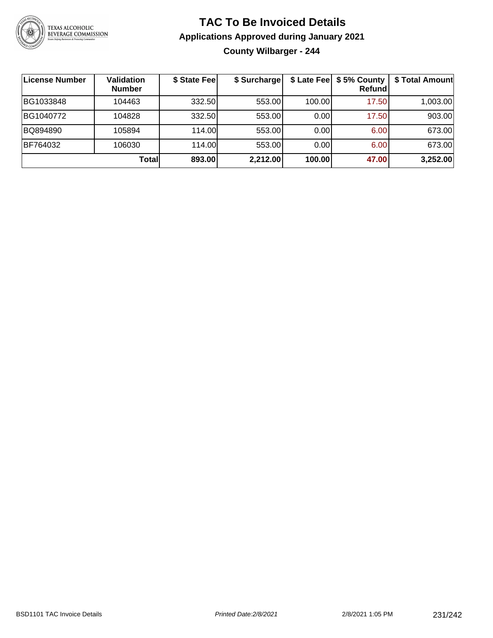

# **TAC To Be Invoiced Details Applications Approved during January 2021 County Wilbarger - 244**

| License Number | Validation<br><b>Number</b> | \$ State Fee | \$ Surcharge |        | \$ Late Fee   \$5% County<br><b>Refund</b> | \$ Total Amount |
|----------------|-----------------------------|--------------|--------------|--------|--------------------------------------------|-----------------|
| BG1033848      | 104463                      | 332.50       | 553.00       | 100.00 | 17.50                                      | 1,003.00        |
| BG1040772      | 104828                      | 332.50       | 553.00       | 0.00   | 17.50                                      | 903.00          |
| BQ894890       | 105894                      | 114.00       | 553.00       | 0.00   | 6.00                                       | 673.00          |
| BF764032       | 106030                      | 114.00L      | 553.00       | 0.00   | 6.00                                       | 673.00          |
|                | Totall                      | 893.00       | 2,212.00     | 100.00 | 47.00                                      | 3,252.00        |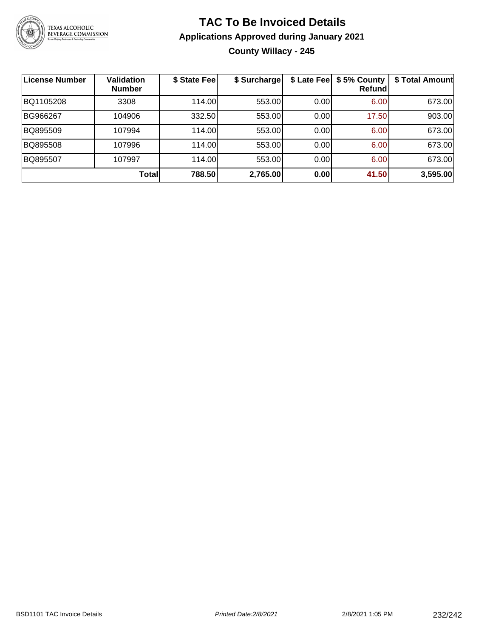

# **TAC To Be Invoiced Details Applications Approved during January 2021 County Willacy - 245**

| License Number | <b>Validation</b><br><b>Number</b> | \$ State Feel | \$ Surcharge | \$ Late Fee | \$5% County<br>Refundl | \$ Total Amount |
|----------------|------------------------------------|---------------|--------------|-------------|------------------------|-----------------|
| BQ1105208      | 3308                               | 114.00L       | 553.00       | 0.00        | 6.00                   | 673.00          |
| BG966267       | 104906                             | 332.50        | 553.00       | 0.00        | 17.50                  | 903.00          |
| BQ895509       | 107994                             | 114.00L       | 553.00       | 0.00        | 6.00                   | 673.00          |
| BQ895508       | 107996                             | 114.00        | 553.00       | 0.00        | 6.00                   | 673.00          |
| BQ895507       | 107997                             | 114.00L       | 553.00       | 0.00        | 6.00                   | 673.00          |
|                | Total                              | 788.50        | 2,765.00     | 0.00        | 41.50                  | 3,595.00        |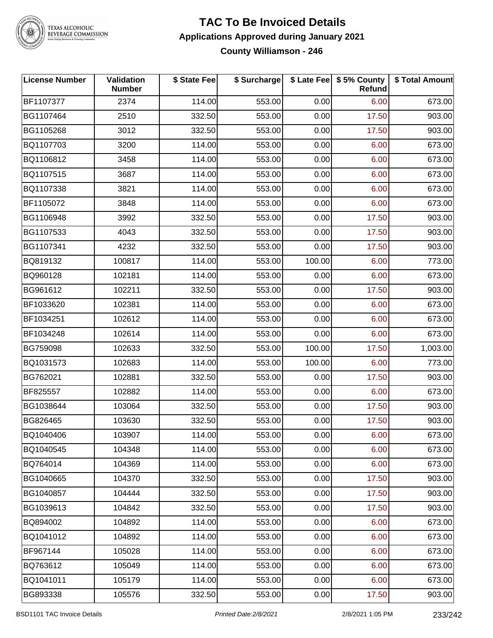

TEXAS ALCOHOLIC<br>BEVERAGE COMMISSION

#### **TAC To Be Invoiced Details Applications Approved during January 2021 County Williamson - 246**

| <b>License Number</b> | Validation<br><b>Number</b> | \$ State Fee | \$ Surcharge |        | \$ Late Fee   \$5% County<br>Refund | \$ Total Amount |
|-----------------------|-----------------------------|--------------|--------------|--------|-------------------------------------|-----------------|
| BF1107377             | 2374                        | 114.00       | 553.00       | 0.00   | 6.00                                | 673.00          |
| BG1107464             | 2510                        | 332.50       | 553.00       | 0.00   | 17.50                               | 903.00          |
| BG1105268             | 3012                        | 332.50       | 553.00       | 0.00   | 17.50                               | 903.00          |
| BQ1107703             | 3200                        | 114.00       | 553.00       | 0.00   | 6.00                                | 673.00          |
| BQ1106812             | 3458                        | 114.00       | 553.00       | 0.00   | 6.00                                | 673.00          |
| BQ1107515             | 3687                        | 114.00       | 553.00       | 0.00   | 6.00                                | 673.00          |
| BQ1107338             | 3821                        | 114.00       | 553.00       | 0.00   | 6.00                                | 673.00          |
| BF1105072             | 3848                        | 114.00       | 553.00       | 0.00   | 6.00                                | 673.00          |
| BG1106948             | 3992                        | 332.50       | 553.00       | 0.00   | 17.50                               | 903.00          |
| BG1107533             | 4043                        | 332.50       | 553.00       | 0.00   | 17.50                               | 903.00          |
| BG1107341             | 4232                        | 332.50       | 553.00       | 0.00   | 17.50                               | 903.00          |
| BQ819132              | 100817                      | 114.00       | 553.00       | 100.00 | 6.00                                | 773.00          |
| BQ960128              | 102181                      | 114.00       | 553.00       | 0.00   | 6.00                                | 673.00          |
| BG961612              | 102211                      | 332.50       | 553.00       | 0.00   | 17.50                               | 903.00          |
| BF1033620             | 102381                      | 114.00       | 553.00       | 0.00   | 6.00                                | 673.00          |
| BF1034251             | 102612                      | 114.00       | 553.00       | 0.00   | 6.00                                | 673.00          |
| BF1034248             | 102614                      | 114.00       | 553.00       | 0.00   | 6.00                                | 673.00          |
| BG759098              | 102633                      | 332.50       | 553.00       | 100.00 | 17.50                               | 1,003.00        |
| BQ1031573             | 102683                      | 114.00       | 553.00       | 100.00 | 6.00                                | 773.00          |
| BG762021              | 102881                      | 332.50       | 553.00       | 0.00   | 17.50                               | 903.00          |
| BF825557              | 102882                      | 114.00       | 553.00       | 0.00   | 6.00                                | 673.00          |
| BG1038644             | 103064                      | 332.50       | 553.00       | 0.00   | 17.50                               | 903.00          |
| BG826465              | 103630                      | 332.50       | 553.00       | 0.00   | 17.50                               | 903.00          |
| BQ1040406             | 103907                      | 114.00       | 553.00       | 0.00   | 6.00                                | 673.00          |
| BQ1040545             | 104348                      | 114.00       | 553.00       | 0.00   | 6.00                                | 673.00          |
| BQ764014              | 104369                      | 114.00       | 553.00       | 0.00   | 6.00                                | 673.00          |
| BG1040665             | 104370                      | 332.50       | 553.00       | 0.00   | 17.50                               | 903.00          |
| BG1040857             | 104444                      | 332.50       | 553.00       | 0.00   | 17.50                               | 903.00          |
| BG1039613             | 104842                      | 332.50       | 553.00       | 0.00   | 17.50                               | 903.00          |
| BQ894002              | 104892                      | 114.00       | 553.00       | 0.00   | 6.00                                | 673.00          |
| BQ1041012             | 104892                      | 114.00       | 553.00       | 0.00   | 6.00                                | 673.00          |
| BF967144              | 105028                      | 114.00       | 553.00       | 0.00   | 6.00                                | 673.00          |
| BQ763612              | 105049                      | 114.00       | 553.00       | 0.00   | 6.00                                | 673.00          |
| BQ1041011             | 105179                      | 114.00       | 553.00       | 0.00   | 6.00                                | 673.00          |
| BG893338              | 105576                      | 332.50       | 553.00       | 0.00   | 17.50                               | 903.00          |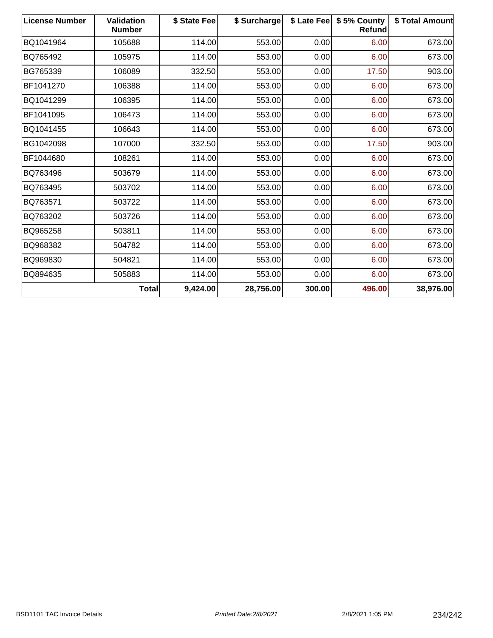| <b>License Number</b> | <b>Validation</b><br><b>Number</b> | \$ State Fee | \$ Surcharge |        | \$ Late Fee   \$5% County<br><b>Refund</b> | \$ Total Amount |
|-----------------------|------------------------------------|--------------|--------------|--------|--------------------------------------------|-----------------|
| BQ1041964             | 105688                             | 114.00       | 553.00       | 0.00   | 6.00                                       | 673.00          |
| BQ765492              | 105975                             | 114.00       | 553.00       | 0.00   | 6.00                                       | 673.00          |
| BG765339              | 106089                             | 332.50       | 553.00       | 0.00   | 17.50                                      | 903.00          |
| BF1041270             | 106388                             | 114.00       | 553.00       | 0.00   | 6.00                                       | 673.00          |
| BQ1041299             | 106395                             | 114.00       | 553.00       | 0.00   | 6.00                                       | 673.00          |
| BF1041095             | 106473                             | 114.00       | 553.00       | 0.00   | 6.00                                       | 673.00          |
| BQ1041455             | 106643                             | 114.00       | 553.00       | 0.00   | 6.00                                       | 673.00          |
| BG1042098             | 107000                             | 332.50       | 553.00       | 0.00   | 17.50                                      | 903.00          |
| BF1044680             | 108261                             | 114.00       | 553.00       | 0.00   | 6.00                                       | 673.00          |
| BQ763496              | 503679                             | 114.00       | 553.00       | 0.00   | 6.00                                       | 673.00          |
| BQ763495              | 503702                             | 114.00       | 553.00       | 0.00   | 6.00                                       | 673.00          |
| BQ763571              | 503722                             | 114.00       | 553.00       | 0.00   | 6.00                                       | 673.00          |
| BQ763202              | 503726                             | 114.00       | 553.00       | 0.00   | 6.00                                       | 673.00          |
| BQ965258              | 503811                             | 114.00       | 553.00       | 0.00   | 6.00                                       | 673.00          |
| BQ968382              | 504782                             | 114.00       | 553.00       | 0.00   | 6.00                                       | 673.00          |
| BQ969830              | 504821                             | 114.00       | 553.00       | 0.00   | 6.00                                       | 673.00          |
| BQ894635              | 505883                             | 114.00       | 553.00       | 0.00   | 6.00                                       | 673.00          |
|                       | <b>Total</b>                       | 9,424.00     | 28,756.00    | 300.00 | 496.00                                     | 38,976.00       |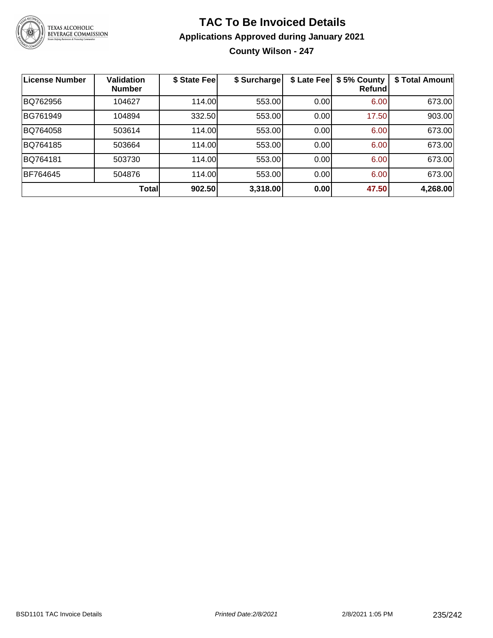

# **TAC To Be Invoiced Details Applications Approved during January 2021 County Wilson - 247**

| <b>License Number</b> | <b>Validation</b><br><b>Number</b> | \$ State Fee | \$ Surcharge | \$ Late Fee | \$5% County<br>Refundl | \$ Total Amount |
|-----------------------|------------------------------------|--------------|--------------|-------------|------------------------|-----------------|
| BQ762956              | 104627                             | 114.00       | 553.00       | 0.00        | 6.00                   | 673.00          |
| BG761949              | 104894                             | 332.50       | 553.00       | 0.00        | 17.50                  | 903.00          |
| BQ764058              | 503614                             | 114.00       | 553.00       | 0.00        | 6.00                   | 673.00          |
| BQ764185              | 503664                             | 114.00       | 553.00       | 0.00        | 6.00                   | 673.00          |
| BQ764181              | 503730                             | 114.00       | 553.00       | 0.00        | 6.00                   | 673.00          |
| BF764645              | 504876                             | 114.00       | 553.00       | 0.00        | 6.00                   | 673.00          |
|                       | <b>Total</b>                       | 902.50       | 3,318.00     | 0.00        | 47.50                  | 4,268.00        |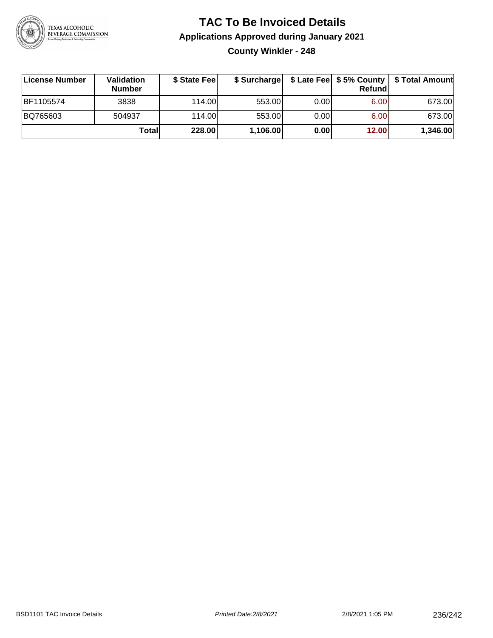

# **TAC To Be Invoiced Details Applications Approved during January 2021 County Winkler - 248**

| License Number | Validation<br><b>Number</b> | \$ State Fee |          |       | Refund | \$ Surcharge   \$ Late Fee   \$5% County   \$ Total Amount |
|----------------|-----------------------------|--------------|----------|-------|--------|------------------------------------------------------------|
| BF1105574      | 3838                        | 114.00L      | 553.00   | 0.00  | 6.00   | 673.00                                                     |
| BQ765603       | 504937                      | 114.00       | 553.00   | 0.001 | 6.00   | 673.00                                                     |
|                | Totall                      | 228.00       | 1,106.00 | 0.00  | 12.00  | 1,346.00                                                   |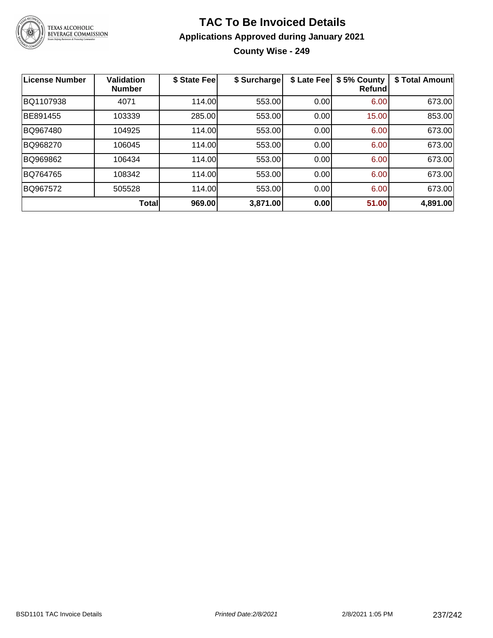

# **TAC To Be Invoiced Details Applications Approved during January 2021 County Wise - 249**

| <b>License Number</b> | <b>Validation</b><br><b>Number</b> | \$ State Fee | \$ Surcharge | \$ Late Fee | \$5% County<br><b>Refund</b> | \$ Total Amount |
|-----------------------|------------------------------------|--------------|--------------|-------------|------------------------------|-----------------|
| BQ1107938             | 4071                               | 114.00       | 553.00       | 0.00        | 6.00                         | 673.00          |
| BE891455              | 103339                             | 285.00       | 553.00       | 0.00        | 15.00                        | 853.00          |
| BQ967480              | 104925                             | 114.00       | 553.00       | 0.00        | 6.00                         | 673.00          |
| BQ968270              | 106045                             | 114.00       | 553.00       | 0.00        | 6.00                         | 673.00          |
| BQ969862              | 106434                             | 114.00       | 553.00       | 0.00        | 6.00                         | 673.00          |
| BQ764765              | 108342                             | 114.00       | 553.00       | 0.00        | 6.00                         | 673.00          |
| BQ967572              | 505528                             | 114.00       | 553.00       | 0.00        | 6.00                         | 673.00          |
|                       | Total                              | 969.00       | 3,871.00     | 0.00        | 51.00                        | 4,891.00        |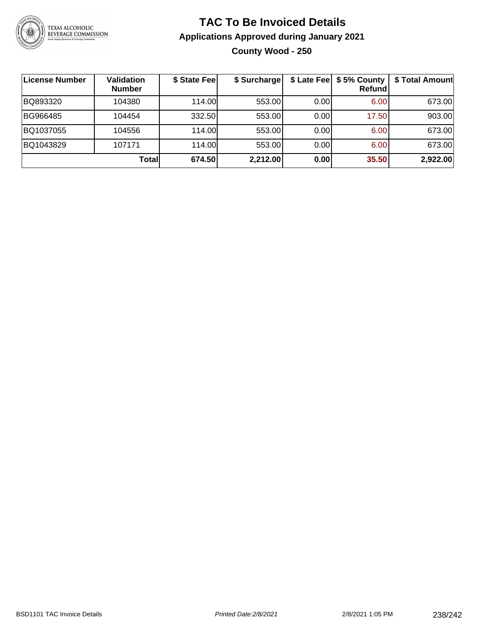

# **TAC To Be Invoiced Details Applications Approved during January 2021 County Wood - 250**

| License Number | <b>Validation</b><br><b>Number</b> | \$ State Fee | \$ Surcharge |       | \$ Late Fee   \$5% County<br><b>Refund</b> | \$ Total Amount |
|----------------|------------------------------------|--------------|--------------|-------|--------------------------------------------|-----------------|
| BQ893320       | 104380                             | 114.00       | 553.00       | 0.00  | 6.00                                       | 673.00          |
| BG966485       | 104454                             | 332.50       | 553.00       | 0.001 | 17.50                                      | 903.00          |
| BQ1037055      | 104556                             | 114.00       | 553.00       | 0.00  | 6.00                                       | 673.00          |
| BQ1043829      | 107171                             | 114.00       | 553.00       | 0.00  | 6.00                                       | 673.00          |
|                | <b>Total</b>                       | 674.50       | 2,212.00     | 0.00  | 35.50                                      | 2,922.00        |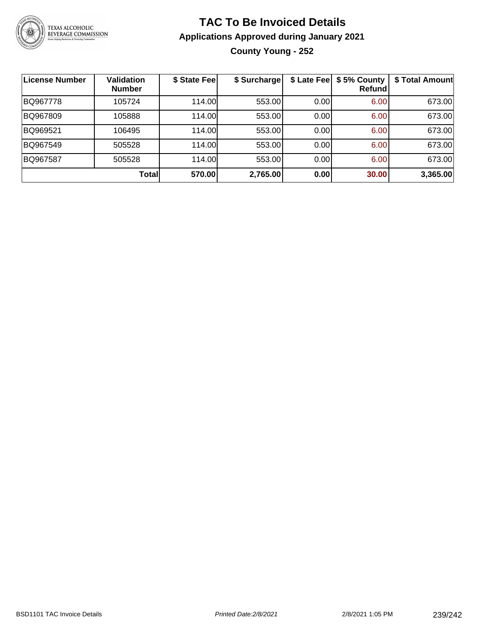

# **TAC To Be Invoiced Details Applications Approved during January 2021 County Young - 252**

| License Number | <b>Validation</b><br><b>Number</b> | \$ State Fee | \$ Surcharge | \$ Late Fee | \$5% County<br>Refundl | \$ Total Amount |
|----------------|------------------------------------|--------------|--------------|-------------|------------------------|-----------------|
| BQ967778       | 105724                             | 114.00       | 553.00       | 0.00        | 6.00                   | 673.00          |
| BQ967809       | 105888                             | 114.00       | 553.00       | 0.00        | 6.00                   | 673.00          |
| BQ969521       | 106495                             | 114.00       | 553.00       | 0.00        | 6.00                   | 673.00          |
| BQ967549       | 505528                             | 114.00       | 553.00       | 0.00        | 6.00                   | 673.00          |
| BQ967587       | 505528                             | 114.00       | 553.00       | 0.00        | 6.00                   | 673.00          |
|                | <b>Total</b>                       | 570.00       | 2,765.00     | 0.00        | 30.00                  | 3,365.00        |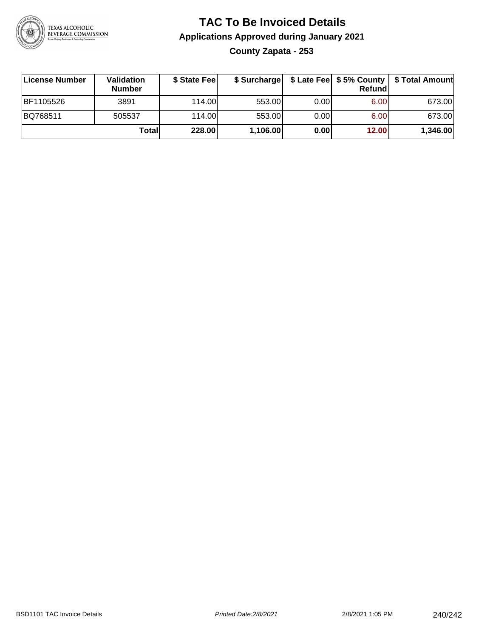

# **TAC To Be Invoiced Details Applications Approved during January 2021 County Zapata - 253**

| ∣License Number | <b>Validation</b><br><b>Number</b> | \$ State Feel |          |      | Refundl | \$ Surcharge   \$ Late Fee   \$5% County   \$ Total Amount |
|-----------------|------------------------------------|---------------|----------|------|---------|------------------------------------------------------------|
| BF1105526       | 3891                               | 114.00        | 553.00   | 0.00 | 6.00    | 673.00                                                     |
| BQ768511        | 505537                             | 114.00L       | 553.00   | 0.00 | 6.00    | 673.00                                                     |
|                 | Totall                             | 228.00        | 1,106.00 | 0.00 | 12.00   | 1,346.00                                                   |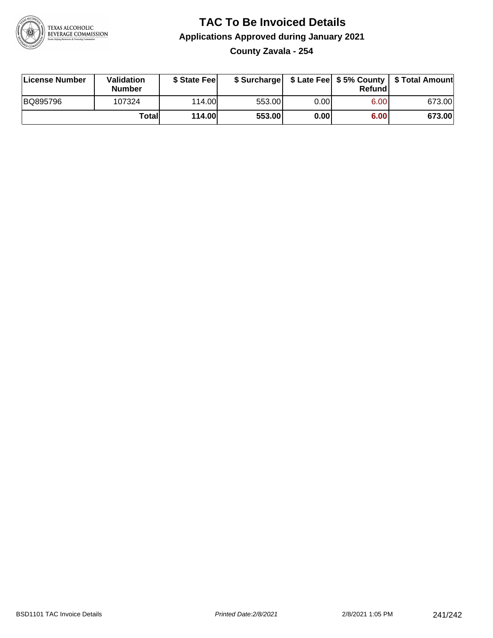

#### **TAC To Be Invoiced Details Applications Approved during January 2021 County Zavala - 254**

| License Number | Validation<br><b>Number</b> | \$ State Fee  |        |      | Refund | \$ Surcharge   \$ Late Fee   \$5% County   \$ Total Amount |
|----------------|-----------------------------|---------------|--------|------|--------|------------------------------------------------------------|
| BQ895796       | 107324                      | 114.00        | 553.00 | 0.00 | 6.00   | 673.00                                                     |
|                | Totall                      | <b>114.00</b> | 553.00 | 0.00 | 6.00   | 673.00                                                     |